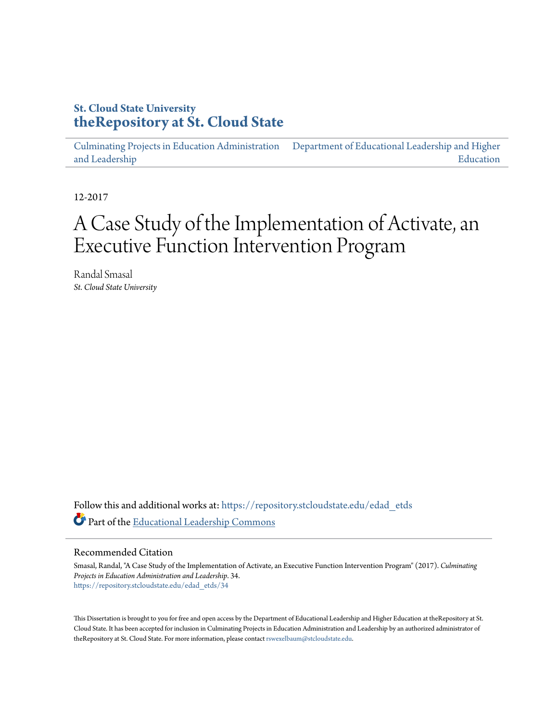# **St. Cloud State University [theRepository at St. Cloud State](https://repository.stcloudstate.edu?utm_source=repository.stcloudstate.edu%2Fedad_etds%2F34&utm_medium=PDF&utm_campaign=PDFCoverPages)**

[Culminating Projects in Education Administration](https://repository.stcloudstate.edu/edad_etds?utm_source=repository.stcloudstate.edu%2Fedad_etds%2F34&utm_medium=PDF&utm_campaign=PDFCoverPages) [and Leadership](https://repository.stcloudstate.edu/edad_etds?utm_source=repository.stcloudstate.edu%2Fedad_etds%2F34&utm_medium=PDF&utm_campaign=PDFCoverPages) [Department of Educational Leadership and Higher](https://repository.stcloudstate.edu/elhe?utm_source=repository.stcloudstate.edu%2Fedad_etds%2F34&utm_medium=PDF&utm_campaign=PDFCoverPages) [Education](https://repository.stcloudstate.edu/elhe?utm_source=repository.stcloudstate.edu%2Fedad_etds%2F34&utm_medium=PDF&utm_campaign=PDFCoverPages)

12-2017

# A Case Study of the Implementation of Activate, an Executive Function Intervention Program

Randal Smasal *St. Cloud State University*

Follow this and additional works at: [https://repository.stcloudstate.edu/edad\\_etds](https://repository.stcloudstate.edu/edad_etds?utm_source=repository.stcloudstate.edu%2Fedad_etds%2F34&utm_medium=PDF&utm_campaign=PDFCoverPages) Part of the [Educational Leadership Commons](http://network.bepress.com/hgg/discipline/1230?utm_source=repository.stcloudstate.edu%2Fedad_etds%2F34&utm_medium=PDF&utm_campaign=PDFCoverPages)

#### Recommended Citation

Smasal, Randal, "A Case Study of the Implementation of Activate, an Executive Function Intervention Program" (2017). *Culminating Projects in Education Administration and Leadership*. 34. [https://repository.stcloudstate.edu/edad\\_etds/34](https://repository.stcloudstate.edu/edad_etds/34?utm_source=repository.stcloudstate.edu%2Fedad_etds%2F34&utm_medium=PDF&utm_campaign=PDFCoverPages)

This Dissertation is brought to you for free and open access by the Department of Educational Leadership and Higher Education at theRepository at St. Cloud State. It has been accepted for inclusion in Culminating Projects in Education Administration and Leadership by an authorized administrator of theRepository at St. Cloud State. For more information, please contact [rswexelbaum@stcloudstate.edu](mailto:rswexelbaum@stcloudstate.edu).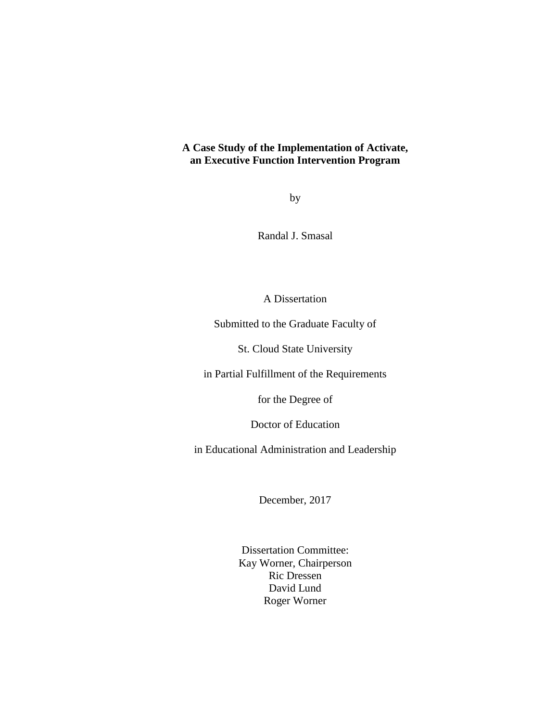# **A Case Study of the Implementation of Activate, an Executive Function Intervention Program**

by

Randal J. Smasal

A Dissertation

Submitted to the Graduate Faculty of

St. Cloud State University

in Partial Fulfillment of the Requirements

for the Degree of

Doctor of Education

in Educational Administration and Leadership

December, 2017

Dissertation Committee: Kay Worner, Chairperson Ric Dressen David Lund Roger Worner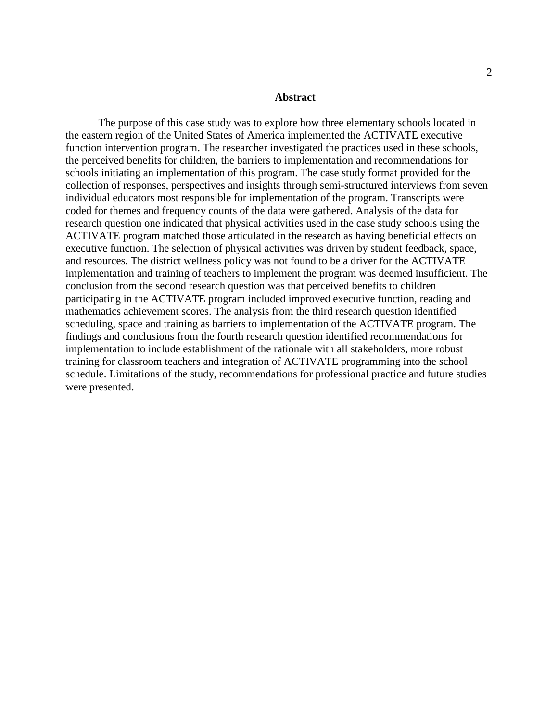#### **Abstract**

The purpose of this case study was to explore how three elementary schools located in the eastern region of the United States of America implemented the ACTIVATE executive function intervention program. The researcher investigated the practices used in these schools, the perceived benefits for children, the barriers to implementation and recommendations for schools initiating an implementation of this program. The case study format provided for the collection of responses, perspectives and insights through semi-structured interviews from seven individual educators most responsible for implementation of the program. Transcripts were coded for themes and frequency counts of the data were gathered. Analysis of the data for research question one indicated that physical activities used in the case study schools using the ACTIVATE program matched those articulated in the research as having beneficial effects on executive function. The selection of physical activities was driven by student feedback, space, and resources. The district wellness policy was not found to be a driver for the ACTIVATE implementation and training of teachers to implement the program was deemed insufficient. The conclusion from the second research question was that perceived benefits to children participating in the ACTIVATE program included improved executive function, reading and mathematics achievement scores. The analysis from the third research question identified scheduling, space and training as barriers to implementation of the ACTIVATE program. The findings and conclusions from the fourth research question identified recommendations for implementation to include establishment of the rationale with all stakeholders, more robust training for classroom teachers and integration of ACTIVATE programming into the school schedule. Limitations of the study, recommendations for professional practice and future studies were presented.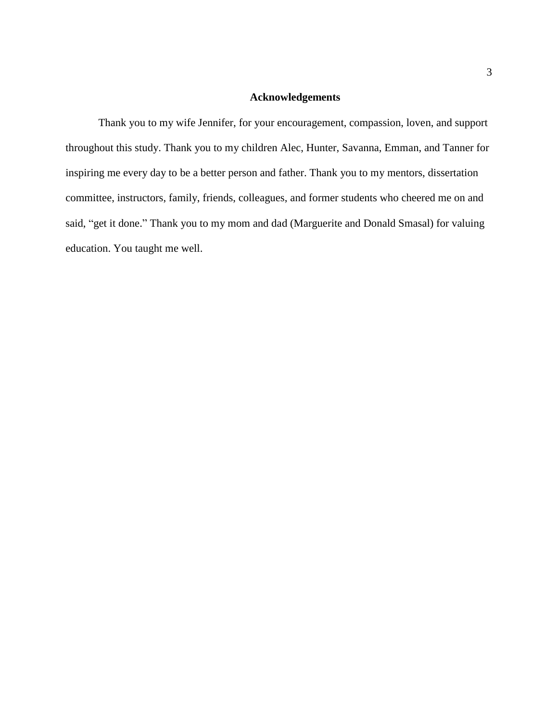# **Acknowledgements**

Thank you to my wife Jennifer, for your encouragement, compassion, loven, and support throughout this study. Thank you to my children Alec, Hunter, Savanna, Emman, and Tanner for inspiring me every day to be a better person and father. Thank you to my mentors, dissertation committee, instructors, family, friends, colleagues, and former students who cheered me on and said, "get it done." Thank you to my mom and dad (Marguerite and Donald Smasal) for valuing education. You taught me well.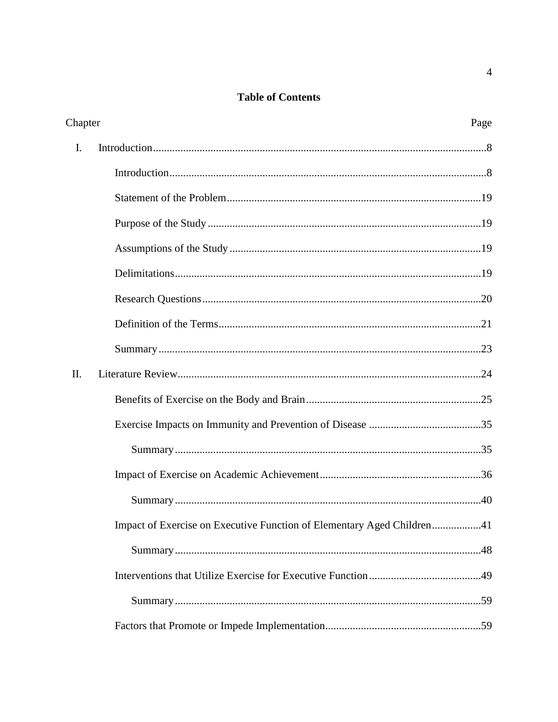# **Table of Contents**

| Chapter |                                                                        |  |
|---------|------------------------------------------------------------------------|--|
| I.      |                                                                        |  |
|         |                                                                        |  |
|         |                                                                        |  |
|         |                                                                        |  |
|         |                                                                        |  |
|         |                                                                        |  |
|         |                                                                        |  |
|         |                                                                        |  |
|         |                                                                        |  |
| II.     |                                                                        |  |
|         |                                                                        |  |
|         |                                                                        |  |
|         |                                                                        |  |
|         |                                                                        |  |
|         |                                                                        |  |
|         | Impact of Exercise on Executive Function of Elementary Aged Children41 |  |
|         |                                                                        |  |
|         |                                                                        |  |
|         |                                                                        |  |
|         |                                                                        |  |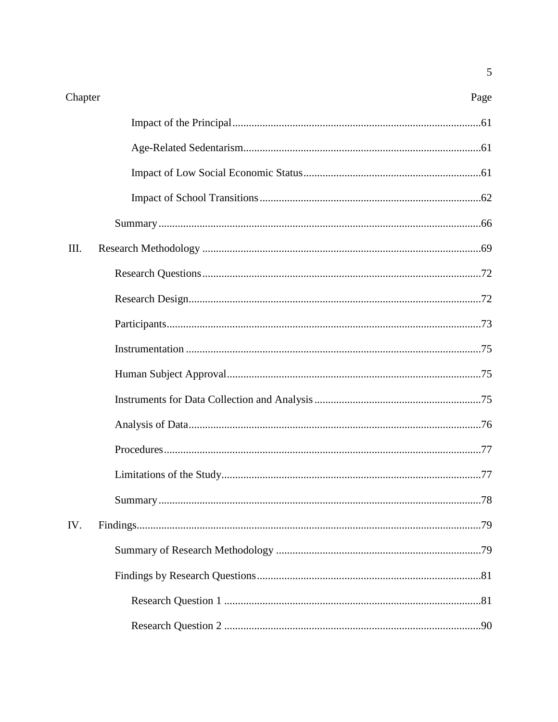Page

| Ш.  |  |
|-----|--|
|     |  |
|     |  |
|     |  |
|     |  |
|     |  |
|     |  |
|     |  |
|     |  |
|     |  |
|     |  |
| IV. |  |
|     |  |
|     |  |
|     |  |
|     |  |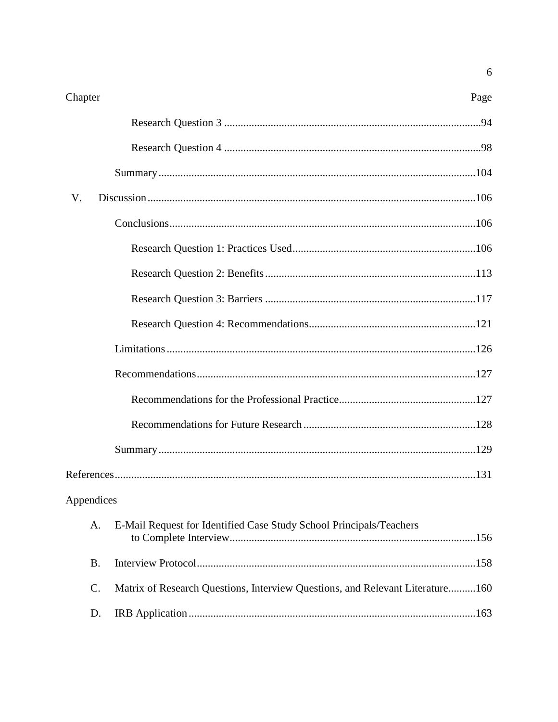| Chapter    |                                                                               | Page |
|------------|-------------------------------------------------------------------------------|------|
|            |                                                                               |      |
|            |                                                                               |      |
|            |                                                                               |      |
| V.         |                                                                               |      |
|            |                                                                               |      |
|            |                                                                               |      |
|            |                                                                               |      |
|            |                                                                               |      |
|            |                                                                               |      |
|            |                                                                               |      |
|            |                                                                               |      |
|            |                                                                               |      |
|            |                                                                               |      |
|            |                                                                               |      |
|            |                                                                               |      |
| Appendices |                                                                               |      |
| A.         | E-Mail Request for Identified Case Study School Principals/Teachers           |      |
| <b>B.</b>  |                                                                               |      |
| $C$ .      | Matrix of Research Questions, Interview Questions, and Relevant Literature160 |      |
| D.         |                                                                               |      |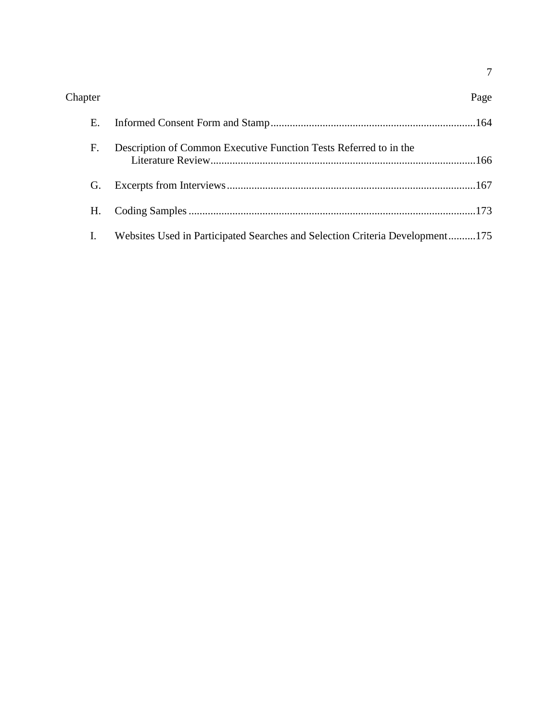| Chapter | Page |
|---------|------|
|---------|------|

| $F_{\cdot}$ | Description of Common Executive Function Tests Referred to in the               |  |
|-------------|---------------------------------------------------------------------------------|--|
|             |                                                                                 |  |
|             |                                                                                 |  |
|             | I. Websites Used in Participated Searches and Selection Criteria Development175 |  |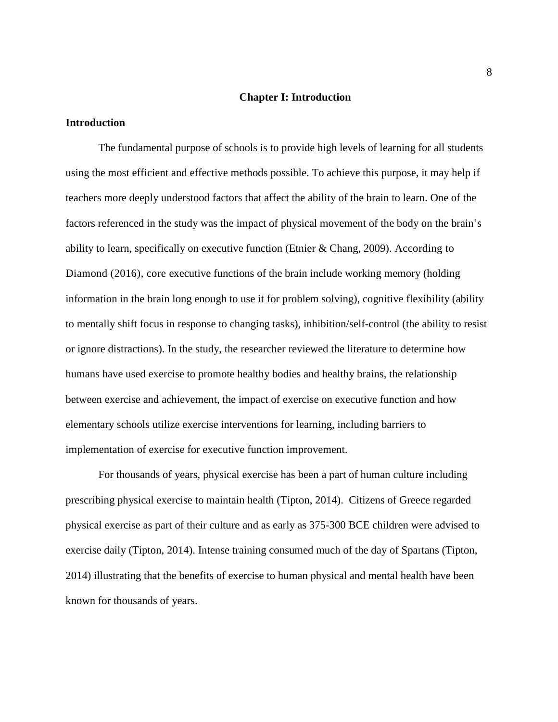#### **Chapter I: Introduction**

#### **Introduction**

The fundamental purpose of schools is to provide high levels of learning for all students using the most efficient and effective methods possible. To achieve this purpose, it may help if teachers more deeply understood factors that affect the ability of the brain to learn. One of the factors referenced in the study was the impact of physical movement of the body on the brain's ability to learn, specifically on executive function (Etnier & Chang, 2009). According to Diamond (2016), core executive functions of the brain include working memory (holding information in the brain long enough to use it for problem solving), cognitive flexibility (ability to mentally shift focus in response to changing tasks), inhibition/self-control (the ability to resist or ignore distractions). In the study, the researcher reviewed the literature to determine how humans have used exercise to promote healthy bodies and healthy brains, the relationship between exercise and achievement, the impact of exercise on executive function and how elementary schools utilize exercise interventions for learning, including barriers to implementation of exercise for executive function improvement.

For thousands of years, physical exercise has been a part of human culture including prescribing physical exercise to maintain health (Tipton, 2014). Citizens of Greece regarded physical exercise as part of their culture and as early as 375-300 BCE children were advised to exercise daily (Tipton, 2014). Intense training consumed much of the day of Spartans (Tipton, 2014) illustrating that the benefits of exercise to human physical and mental health have been known for thousands of years.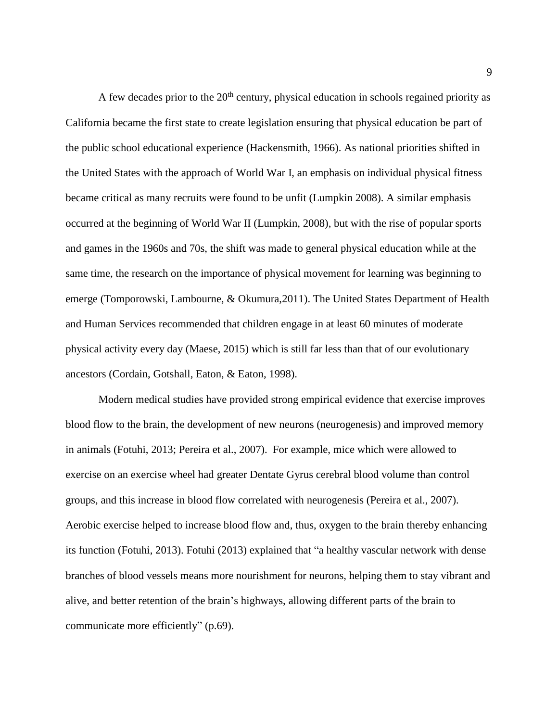A few decades prior to the  $20<sup>th</sup>$  century, physical education in schools regained priority as California became the first state to create legislation ensuring that physical education be part of the public school educational experience (Hackensmith, 1966). As national priorities shifted in the United States with the approach of World War I, an emphasis on individual physical fitness became critical as many recruits were found to be unfit (Lumpkin 2008). A similar emphasis occurred at the beginning of World War II (Lumpkin, 2008), but with the rise of popular sports and games in the 1960s and 70s, the shift was made to general physical education while at the same time, the research on the importance of physical movement for learning was beginning to emerge (Tomporowski, Lambourne, & Okumura,2011). The United States Department of Health and Human Services recommended that children engage in at least 60 minutes of moderate physical activity every day (Maese, 2015) which is still far less than that of our evolutionary ancestors (Cordain, Gotshall, Eaton, & Eaton, 1998).

Modern medical studies have provided strong empirical evidence that exercise improves blood flow to the brain, the development of new neurons (neurogenesis) and improved memory in animals (Fotuhi, 2013; Pereira et al., 2007). For example, mice which were allowed to exercise on an exercise wheel had greater Dentate Gyrus cerebral blood volume than control groups, and this increase in blood flow correlated with neurogenesis (Pereira et al., 2007). Aerobic exercise helped to increase blood flow and, thus, oxygen to the brain thereby enhancing its function (Fotuhi, 2013). Fotuhi (2013) explained that "a healthy vascular network with dense branches of blood vessels means more nourishment for neurons, helping them to stay vibrant and alive, and better retention of the brain's highways, allowing different parts of the brain to communicate more efficiently" (p.69).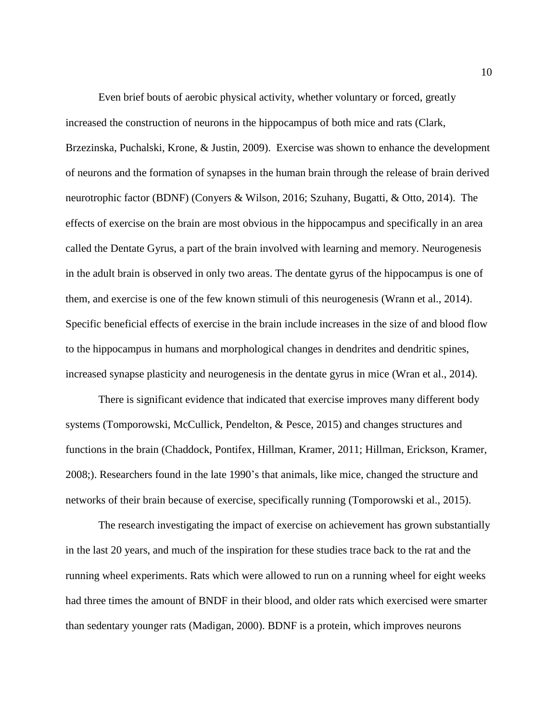Even brief bouts of aerobic physical activity, whether voluntary or forced, greatly increased the construction of neurons in the hippocampus of both mice and rats (Clark, Brzezinska, Puchalski, Krone, & Justin, 2009). Exercise was shown to enhance the development of neurons and the formation of synapses in the human brain through the release of brain derived neurotrophic factor (BDNF) (Conyers & Wilson, 2016; Szuhany, Bugatti, & Otto, 2014). The effects of exercise on the brain are most obvious in the hippocampus and specifically in an area called the Dentate Gyrus, a part of the brain involved with learning and memory. Neurogenesis in the adult brain is observed in only two areas. The dentate gyrus of the hippocampus is one of them, and exercise is one of the few known stimuli of this neurogenesis (Wrann et al., 2014). Specific beneficial effects of exercise in the brain include increases in the size of and blood flow to the hippocampus in humans and morphological changes in dendrites and dendritic spines, increased synapse plasticity and neurogenesis in the dentate gyrus in mice (Wran et al., 2014).

There is significant evidence that indicated that exercise improves many different body systems (Tomporowski, McCullick, Pendelton, & Pesce, 2015) and changes structures and functions in the brain (Chaddock, Pontifex, Hillman, Kramer, 2011; Hillman, Erickson, Kramer, 2008;). Researchers found in the late 1990's that animals, like mice, changed the structure and networks of their brain because of exercise, specifically running (Tomporowski et al., 2015).

The research investigating the impact of exercise on achievement has grown substantially in the last 20 years, and much of the inspiration for these studies trace back to the rat and the running wheel experiments. Rats which were allowed to run on a running wheel for eight weeks had three times the amount of BNDF in their blood, and older rats which exercised were smarter than sedentary younger rats (Madigan, 2000). BDNF is a protein, which improves neurons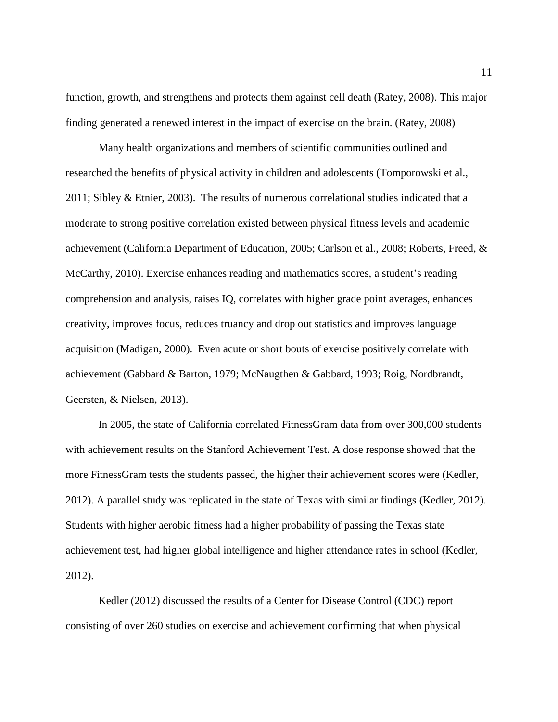function, growth, and strengthens and protects them against cell death (Ratey, 2008). This major finding generated a renewed interest in the impact of exercise on the brain. (Ratey, 2008)

Many health organizations and members of scientific communities outlined and researched the benefits of physical activity in children and adolescents (Tomporowski et al., 2011; Sibley & Etnier, 2003). The results of numerous correlational studies indicated that a moderate to strong positive correlation existed between physical fitness levels and academic achievement (California Department of Education, 2005; Carlson et al., 2008; Roberts, Freed, & McCarthy, 2010). Exercise enhances reading and mathematics scores, a student's reading comprehension and analysis, raises IQ, correlates with higher grade point averages, enhances creativity, improves focus, reduces truancy and drop out statistics and improves language acquisition (Madigan, 2000). Even acute or short bouts of exercise positively correlate with achievement (Gabbard & Barton, 1979; McNaugthen & Gabbard, 1993; Roig, Nordbrandt, Geersten, & Nielsen, 2013).

In 2005, the state of California correlated FitnessGram data from over 300,000 students with achievement results on the Stanford Achievement Test. A dose response showed that the more FitnessGram tests the students passed, the higher their achievement scores were (Kedler, 2012). A parallel study was replicated in the state of Texas with similar findings (Kedler, 2012). Students with higher aerobic fitness had a higher probability of passing the Texas state achievement test, had higher global intelligence and higher attendance rates in school (Kedler, 2012).

Kedler (2012) discussed the results of a Center for Disease Control (CDC) report consisting of over 260 studies on exercise and achievement confirming that when physical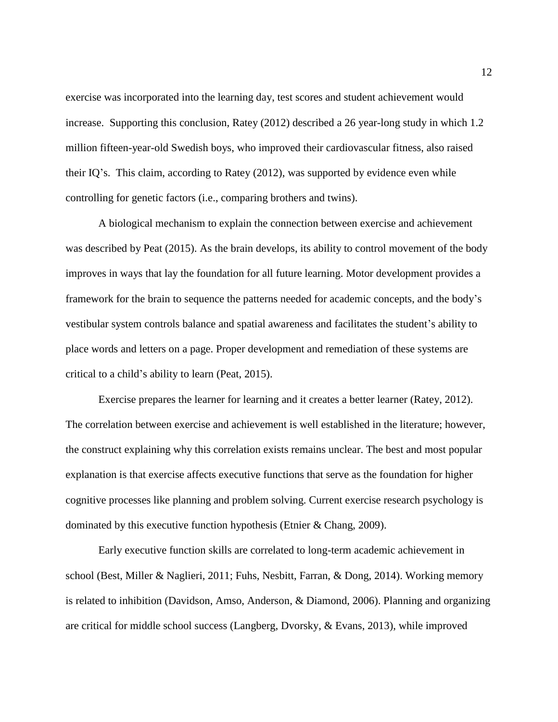exercise was incorporated into the learning day, test scores and student achievement would increase. Supporting this conclusion, Ratey (2012) described a 26 year-long study in which 1.2 million fifteen-year-old Swedish boys, who improved their cardiovascular fitness, also raised their IQ's. This claim, according to Ratey (2012), was supported by evidence even while controlling for genetic factors (i.e., comparing brothers and twins).

A biological mechanism to explain the connection between exercise and achievement was described by Peat (2015). As the brain develops, its ability to control movement of the body improves in ways that lay the foundation for all future learning. Motor development provides a framework for the brain to sequence the patterns needed for academic concepts, and the body's vestibular system controls balance and spatial awareness and facilitates the student's ability to place words and letters on a page. Proper development and remediation of these systems are critical to a child's ability to learn (Peat, 2015).

Exercise prepares the learner for learning and it creates a better learner (Ratey, 2012). The correlation between exercise and achievement is well established in the literature; however, the construct explaining why this correlation exists remains unclear. The best and most popular explanation is that exercise affects executive functions that serve as the foundation for higher cognitive processes like planning and problem solving. Current exercise research psychology is dominated by this executive function hypothesis (Etnier & Chang, 2009).

Early executive function skills are correlated to long-term academic achievement in school (Best, Miller & Naglieri, 2011; Fuhs, Nesbitt, Farran, & Dong, 2014). Working memory is related to inhibition (Davidson, Amso, Anderson, & Diamond, 2006). Planning and organizing are critical for middle school success (Langberg, Dvorsky, & Evans, 2013), while improved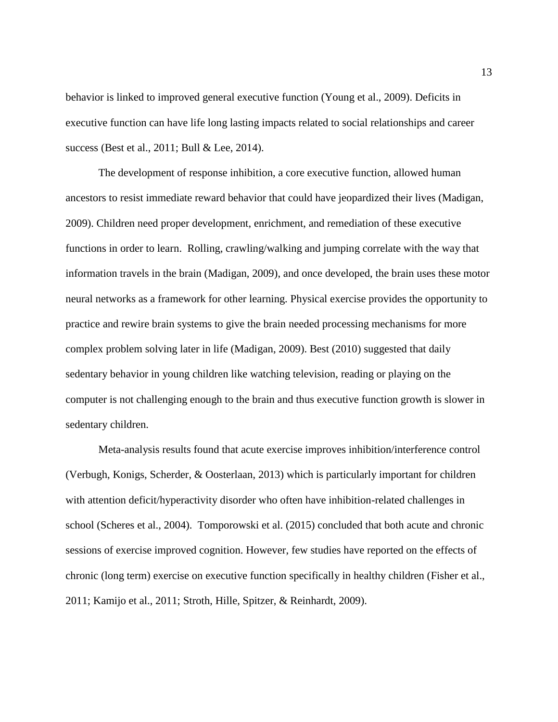behavior is linked to improved general executive function (Young et al., 2009). Deficits in executive function can have life long lasting impacts related to social relationships and career success (Best et al., 2011; Bull & Lee, 2014).

The development of response inhibition, a core executive function, allowed human ancestors to resist immediate reward behavior that could have jeopardized their lives (Madigan, 2009). Children need proper development, enrichment, and remediation of these executive functions in order to learn. Rolling, crawling/walking and jumping correlate with the way that information travels in the brain (Madigan, 2009), and once developed, the brain uses these motor neural networks as a framework for other learning. Physical exercise provides the opportunity to practice and rewire brain systems to give the brain needed processing mechanisms for more complex problem solving later in life (Madigan, 2009). Best (2010) suggested that daily sedentary behavior in young children like watching television, reading or playing on the computer is not challenging enough to the brain and thus executive function growth is slower in sedentary children.

Meta-analysis results found that acute exercise improves inhibition/interference control (Verbugh, Konigs, Scherder, & Oosterlaan, 2013) which is particularly important for children with attention deficit/hyperactivity disorder who often have inhibition-related challenges in school (Scheres et al., 2004). Tomporowski et al. (2015) concluded that both acute and chronic sessions of exercise improved cognition. However, few studies have reported on the effects of chronic (long term) exercise on executive function specifically in healthy children (Fisher et al., 2011; Kamijo et al., 2011; Stroth, Hille, Spitzer, & Reinhardt, 2009).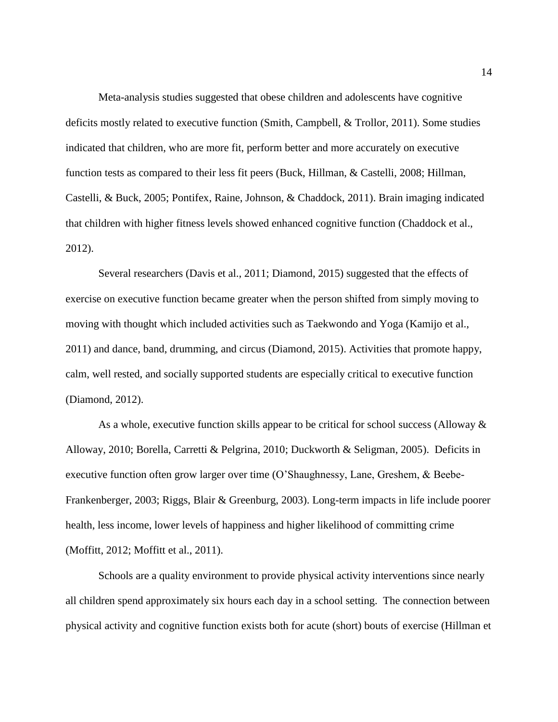Meta-analysis studies suggested that obese children and adolescents have cognitive deficits mostly related to executive function (Smith, Campbell, & Trollor, 2011). Some studies indicated that children, who are more fit, perform better and more accurately on executive function tests as compared to their less fit peers (Buck, Hillman, & Castelli, 2008; Hillman, Castelli, & Buck, 2005; Pontifex, Raine, Johnson, & Chaddock, 2011). Brain imaging indicated that children with higher fitness levels showed enhanced cognitive function (Chaddock et al., 2012).

Several researchers (Davis et al., 2011; Diamond, 2015) suggested that the effects of exercise on executive function became greater when the person shifted from simply moving to moving with thought which included activities such as Taekwondo and Yoga (Kamijo et al., 2011) and dance, band, drumming, and circus (Diamond, 2015). Activities that promote happy, calm, well rested, and socially supported students are especially critical to executive function (Diamond, 2012).

As a whole, executive function skills appear to be critical for school success (Alloway & Alloway, 2010; Borella, Carretti & Pelgrina, 2010; Duckworth & Seligman, 2005). Deficits in executive function often grow larger over time (O'Shaughnessy, Lane, Greshem, & Beebe-Frankenberger, 2003; Riggs, Blair & Greenburg, 2003). Long-term impacts in life include poorer health, less income, lower levels of happiness and higher likelihood of committing crime (Moffitt, 2012; Moffitt et al., 2011).

Schools are a quality environment to provide physical activity interventions since nearly all children spend approximately six hours each day in a school setting. The connection between physical activity and cognitive function exists both for acute (short) bouts of exercise (Hillman et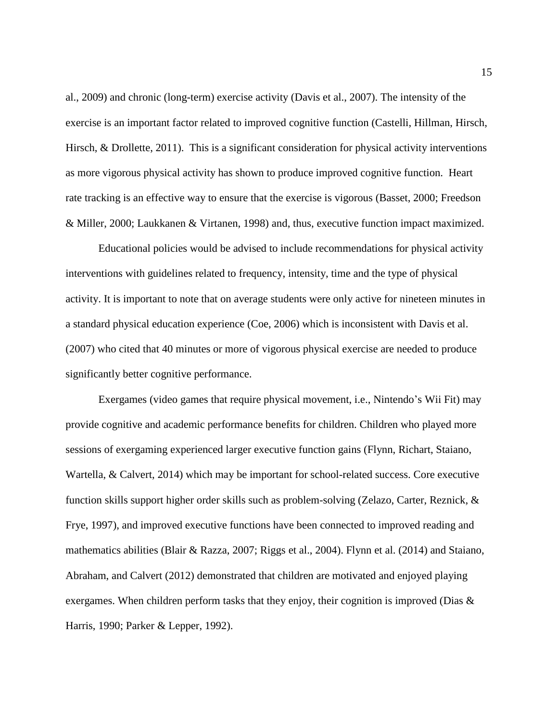al., 2009) and chronic (long-term) exercise activity (Davis et al., 2007). The intensity of the exercise is an important factor related to improved cognitive function (Castelli, Hillman, Hirsch, Hirsch, & Drollette, 2011). This is a significant consideration for physical activity interventions as more vigorous physical activity has shown to produce improved cognitive function. Heart rate tracking is an effective way to ensure that the exercise is vigorous (Basset, 2000; Freedson & Miller, 2000; Laukkanen & Virtanen, 1998) and, thus, executive function impact maximized.

Educational policies would be advised to include recommendations for physical activity interventions with guidelines related to frequency, intensity, time and the type of physical activity. It is important to note that on average students were only active for nineteen minutes in a standard physical education experience (Coe, 2006) which is inconsistent with Davis et al. (2007) who cited that 40 minutes or more of vigorous physical exercise are needed to produce significantly better cognitive performance.

Exergames (video games that require physical movement, i.e., Nintendo's Wii Fit) may provide cognitive and academic performance benefits for children. Children who played more sessions of exergaming experienced larger executive function gains (Flynn, Richart, Staiano, Wartella, & Calvert, 2014) which may be important for school-related success. Core executive function skills support higher order skills such as problem-solving (Zelazo, Carter, Reznick, & Frye, 1997), and improved executive functions have been connected to improved reading and mathematics abilities (Blair & Razza, 2007; Riggs et al., 2004). Flynn et al. (2014) and Staiano, Abraham, and Calvert (2012) demonstrated that children are motivated and enjoyed playing exergames. When children perform tasks that they enjoy, their cognition is improved (Dias & Harris, 1990; Parker & Lepper, 1992).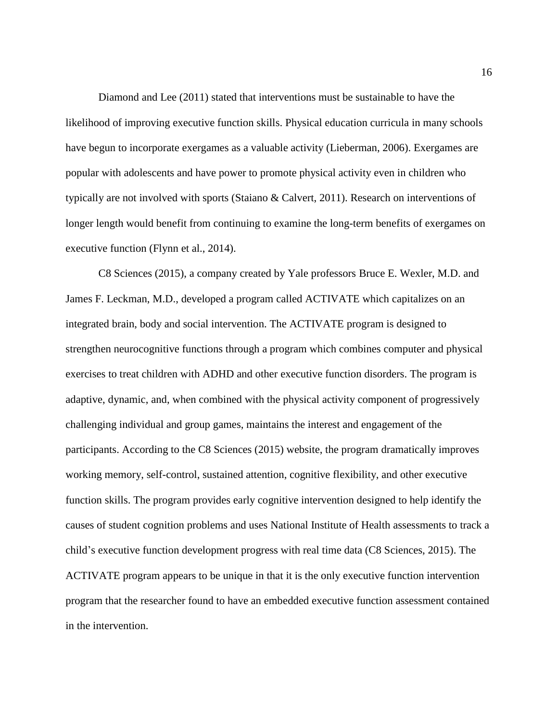Diamond and Lee (2011) stated that interventions must be sustainable to have the likelihood of improving executive function skills. Physical education curricula in many schools have begun to incorporate exergames as a valuable activity (Lieberman, 2006). Exergames are popular with adolescents and have power to promote physical activity even in children who typically are not involved with sports (Staiano & Calvert, 2011). Research on interventions of longer length would benefit from continuing to examine the long-term benefits of exergames on executive function (Flynn et al., 2014).

C8 Sciences (2015), a company created by Yale professors Bruce E. Wexler, M.D. and James F. Leckman, M.D., developed a program called ACTIVATE which capitalizes on an integrated brain, body and social intervention. The ACTIVATE program is designed to strengthen neurocognitive functions through a program which combines computer and physical exercises to treat children with ADHD and other executive function disorders. The program is adaptive, dynamic, and, when combined with the physical activity component of progressively challenging individual and group games, maintains the interest and engagement of the participants. According to the C8 Sciences (2015) website, the program dramatically improves working memory, self-control, sustained attention, cognitive flexibility, and other executive function skills. The program provides early cognitive intervention designed to help identify the causes of student cognition problems and uses National Institute of Health assessments to track a child's executive function development progress with real time data (C8 Sciences, 2015). The ACTIVATE program appears to be unique in that it is the only executive function intervention program that the researcher found to have an embedded executive function assessment contained in the intervention.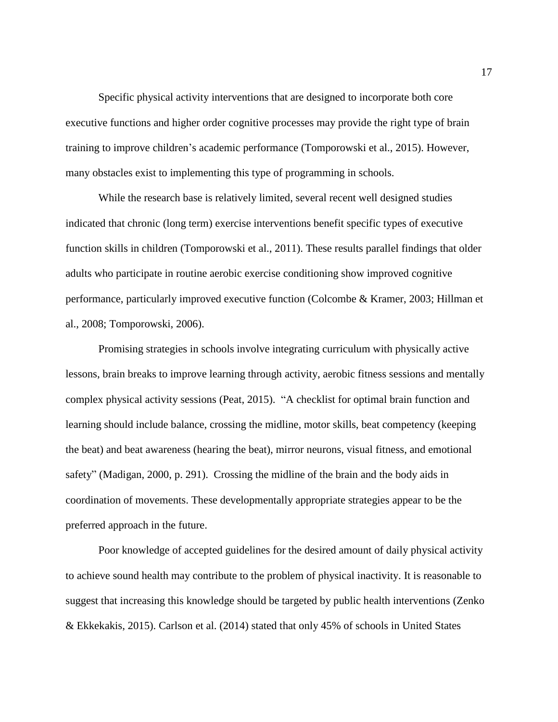Specific physical activity interventions that are designed to incorporate both core executive functions and higher order cognitive processes may provide the right type of brain training to improve children's academic performance (Tomporowski et al., 2015). However, many obstacles exist to implementing this type of programming in schools.

While the research base is relatively limited, several recent well designed studies indicated that chronic (long term) exercise interventions benefit specific types of executive function skills in children (Tomporowski et al., 2011). These results parallel findings that older adults who participate in routine aerobic exercise conditioning show improved cognitive performance, particularly improved executive function (Colcombe & Kramer, 2003; Hillman et al., 2008; Tomporowski, 2006).

Promising strategies in schools involve integrating curriculum with physically active lessons, brain breaks to improve learning through activity, aerobic fitness sessions and mentally complex physical activity sessions (Peat, 2015). "A checklist for optimal brain function and learning should include balance, crossing the midline, motor skills, beat competency (keeping the beat) and beat awareness (hearing the beat), mirror neurons, visual fitness, and emotional safety" (Madigan, 2000, p. 291). Crossing the midline of the brain and the body aids in coordination of movements. These developmentally appropriate strategies appear to be the preferred approach in the future.

Poor knowledge of accepted guidelines for the desired amount of daily physical activity to achieve sound health may contribute to the problem of physical inactivity. It is reasonable to suggest that increasing this knowledge should be targeted by public health interventions (Zenko & Ekkekakis, 2015). Carlson et al. (2014) stated that only 45% of schools in United States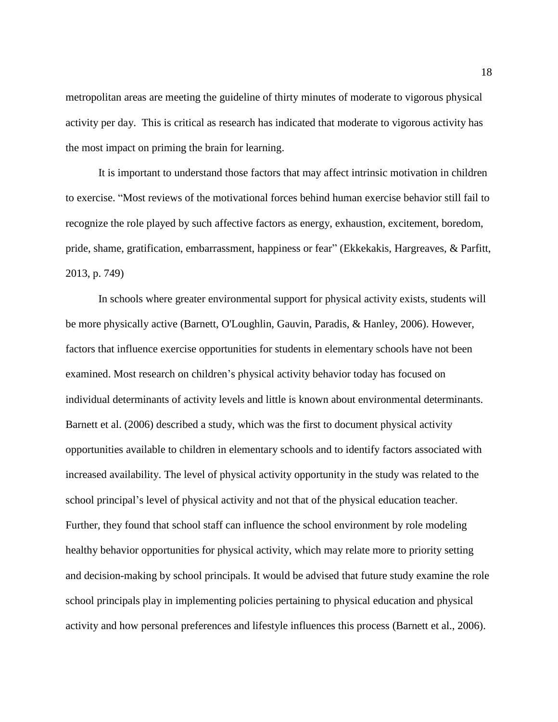metropolitan areas are meeting the guideline of thirty minutes of moderate to vigorous physical activity per day. This is critical as research has indicated that moderate to vigorous activity has the most impact on priming the brain for learning.

It is important to understand those factors that may affect intrinsic motivation in children to exercise. "Most reviews of the motivational forces behind human exercise behavior still fail to recognize the role played by such affective factors as energy, exhaustion, excitement, boredom, pride, shame, gratification, embarrassment, happiness or fear" (Ekkekakis, Hargreaves, & Parfitt, 2013, p. 749)

In schools where greater environmental support for physical activity exists, students will be more physically active (Barnett, O'Loughlin, Gauvin, Paradis, & Hanley, 2006). However, factors that influence exercise opportunities for students in elementary schools have not been examined. Most research on children's physical activity behavior today has focused on individual determinants of activity levels and little is known about environmental determinants. Barnett et al. (2006) described a study, which was the first to document physical activity opportunities available to children in elementary schools and to identify factors associated with increased availability. The level of physical activity opportunity in the study was related to the school principal's level of physical activity and not that of the physical education teacher. Further, they found that school staff can influence the school environment by role modeling healthy behavior opportunities for physical activity, which may relate more to priority setting and decision-making by school principals. It would be advised that future study examine the role school principals play in implementing policies pertaining to physical education and physical activity and how personal preferences and lifestyle influences this process (Barnett et al., 2006).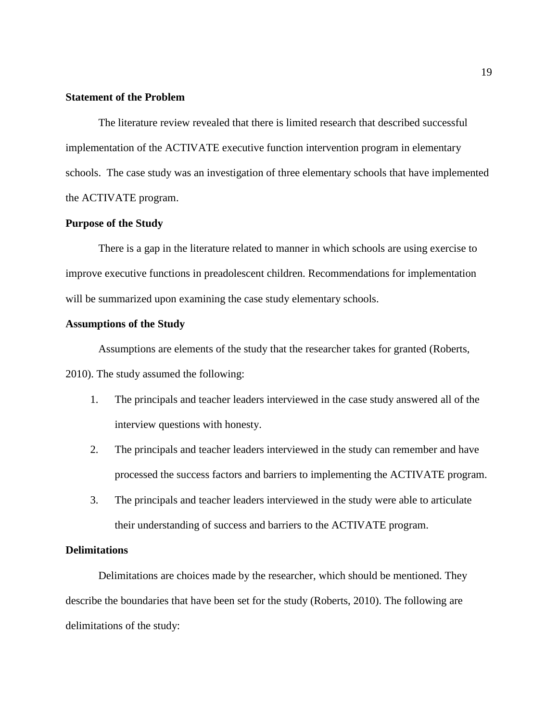# **Statement of the Problem**

The literature review revealed that there is limited research that described successful implementation of the ACTIVATE executive function intervention program in elementary schools. The case study was an investigation of three elementary schools that have implemented the ACTIVATE program.

# **Purpose of the Study**

There is a gap in the literature related to manner in which schools are using exercise to improve executive functions in preadolescent children. Recommendations for implementation will be summarized upon examining the case study elementary schools.

#### **Assumptions of the Study**

Assumptions are elements of the study that the researcher takes for granted (Roberts,

2010). The study assumed the following:

- 1. The principals and teacher leaders interviewed in the case study answered all of the interview questions with honesty.
- 2. The principals and teacher leaders interviewed in the study can remember and have processed the success factors and barriers to implementing the ACTIVATE program.
- 3. The principals and teacher leaders interviewed in the study were able to articulate their understanding of success and barriers to the ACTIVATE program.

## **Delimitations**

Delimitations are choices made by the researcher, which should be mentioned. They describe the boundaries that have been set for the study (Roberts, 2010). The following are delimitations of the study: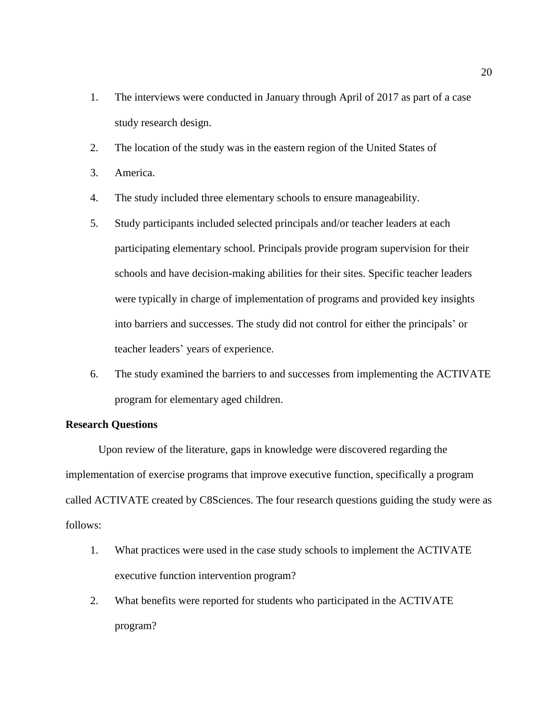- 1. The interviews were conducted in January through April of 2017 as part of a case study research design.
- 2. The location of the study was in the eastern region of the United States of
- 3. America.
- 4. The study included three elementary schools to ensure manageability.
- 5. Study participants included selected principals and/or teacher leaders at each participating elementary school. Principals provide program supervision for their schools and have decision-making abilities for their sites. Specific teacher leaders were typically in charge of implementation of programs and provided key insights into barriers and successes. The study did not control for either the principals' or teacher leaders' years of experience.
- 6. The study examined the barriers to and successes from implementing the ACTIVATE program for elementary aged children.

## **Research Questions**

Upon review of the literature, gaps in knowledge were discovered regarding the implementation of exercise programs that improve executive function, specifically a program called ACTIVATE created by C8Sciences. The four research questions guiding the study were as follows:

- 1. What practices were used in the case study schools to implement the ACTIVATE executive function intervention program?
- 2. What benefits were reported for students who participated in the ACTIVATE program?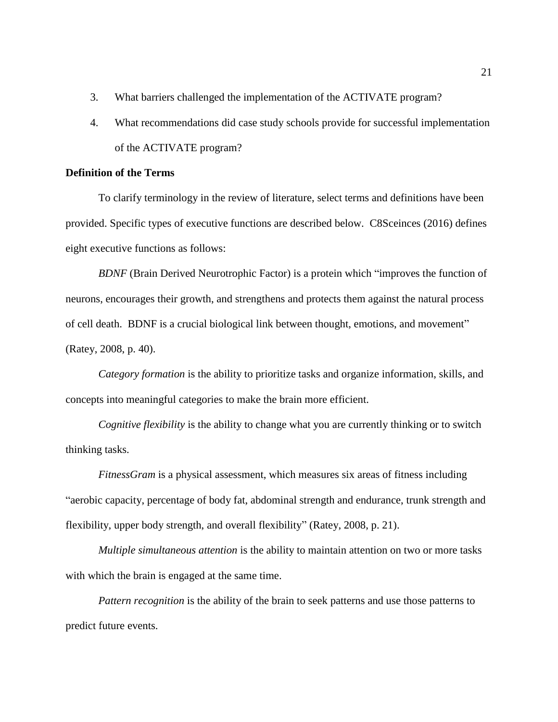- 3. What barriers challenged the implementation of the ACTIVATE program?
- 4. What recommendations did case study schools provide for successful implementation of the ACTIVATE program?

# **Definition of the Terms**

To clarify terminology in the review of literature, select terms and definitions have been provided. Specific types of executive functions are described below. C8Sceinces (2016) defines eight executive functions as follows:

*BDNF* (Brain Derived Neurotrophic Factor) is a protein which "improves the function of neurons, encourages their growth, and strengthens and protects them against the natural process of cell death. BDNF is a crucial biological link between thought, emotions, and movement" (Ratey, 2008, p. 40).

*Category formation* is the ability to prioritize tasks and organize information, skills, and concepts into meaningful categories to make the brain more efficient.

*Cognitive flexibility* is the ability to change what you are currently thinking or to switch thinking tasks.

*FitnessGram* is a physical assessment, which measures six areas of fitness including "aerobic capacity, percentage of body fat, abdominal strength and endurance, trunk strength and flexibility, upper body strength, and overall flexibility" (Ratey, 2008, p. 21).

*Multiple simultaneous attention* is the ability to maintain attention on two or more tasks with which the brain is engaged at the same time.

*Pattern recognition* is the ability of the brain to seek patterns and use those patterns to predict future events.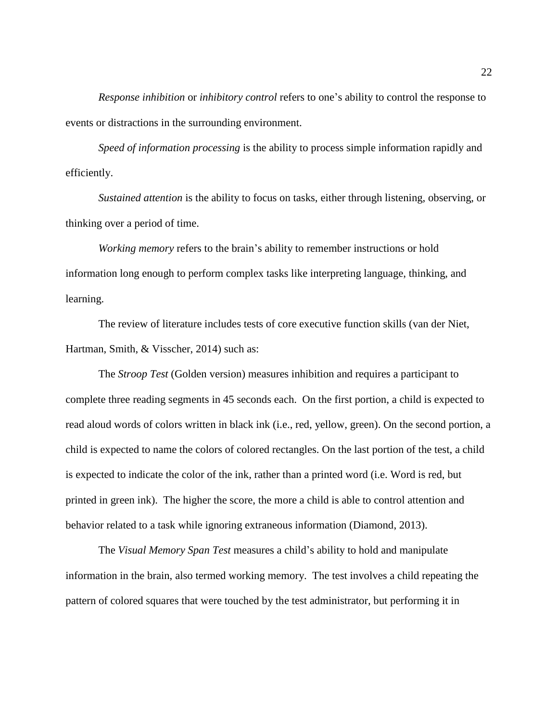*Response inhibition* or *inhibitory control* refers to one's ability to control the response to events or distractions in the surrounding environment.

*Speed of information processing* is the ability to process simple information rapidly and efficiently.

*Sustained attention* is the ability to focus on tasks, either through listening, observing, or thinking over a period of time.

*Working memory* refers to the brain's ability to remember instructions or hold information long enough to perform complex tasks like interpreting language, thinking, and learning.

The review of literature includes tests of core executive function skills (van der Niet, Hartman, Smith, & Visscher, 2014) such as:

The *Stroop Test* (Golden version) measures inhibition and requires a participant to complete three reading segments in 45 seconds each. On the first portion, a child is expected to read aloud words of colors written in black ink (i.e., red, yellow, green). On the second portion, a child is expected to name the colors of colored rectangles. On the last portion of the test, a child is expected to indicate the color of the ink, rather than a printed word (i.e. Word is red, but printed in green ink). The higher the score, the more a child is able to control attention and behavior related to a task while ignoring extraneous information (Diamond, 2013).

The *Visual Memory Span Test* measures a child's ability to hold and manipulate information in the brain, also termed working memory. The test involves a child repeating the pattern of colored squares that were touched by the test administrator, but performing it in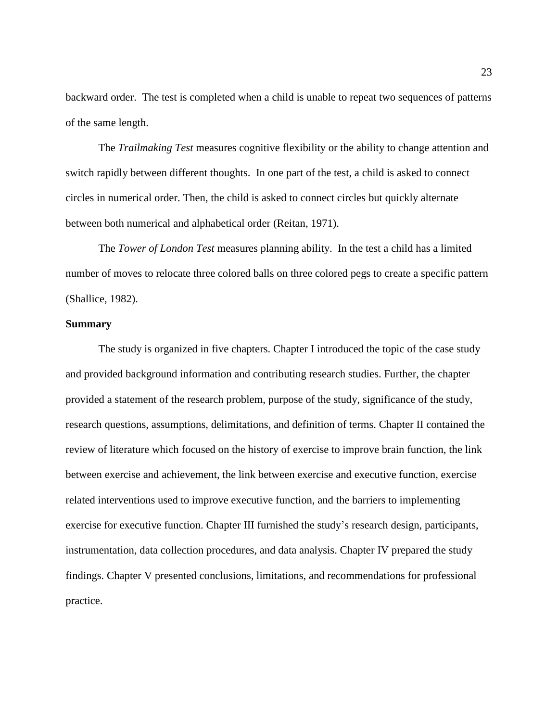backward order. The test is completed when a child is unable to repeat two sequences of patterns of the same length.

The *Trailmaking Test* measures cognitive flexibility or the ability to change attention and switch rapidly between different thoughts. In one part of the test, a child is asked to connect circles in numerical order. Then, the child is asked to connect circles but quickly alternate between both numerical and alphabetical order (Reitan, 1971).

The *Tower of London Test* measures planning ability. In the test a child has a limited number of moves to relocate three colored balls on three colored pegs to create a specific pattern (Shallice, 1982).

## **Summary**

The study is organized in five chapters. Chapter I introduced the topic of the case study and provided background information and contributing research studies. Further, the chapter provided a statement of the research problem, purpose of the study, significance of the study, research questions, assumptions, delimitations, and definition of terms. Chapter II contained the review of literature which focused on the history of exercise to improve brain function, the link between exercise and achievement, the link between exercise and executive function, exercise related interventions used to improve executive function, and the barriers to implementing exercise for executive function. Chapter III furnished the study's research design, participants, instrumentation, data collection procedures, and data analysis. Chapter IV prepared the study findings. Chapter V presented conclusions, limitations, and recommendations for professional practice.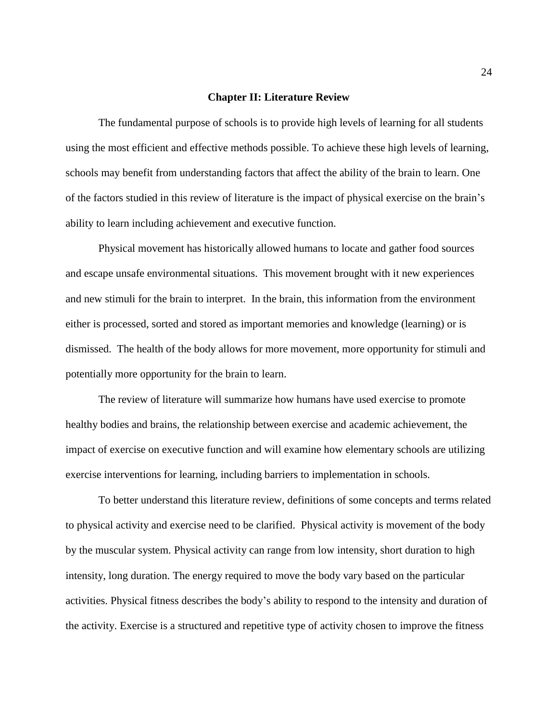#### **Chapter II: Literature Review**

The fundamental purpose of schools is to provide high levels of learning for all students using the most efficient and effective methods possible. To achieve these high levels of learning, schools may benefit from understanding factors that affect the ability of the brain to learn. One of the factors studied in this review of literature is the impact of physical exercise on the brain's ability to learn including achievement and executive function.

Physical movement has historically allowed humans to locate and gather food sources and escape unsafe environmental situations. This movement brought with it new experiences and new stimuli for the brain to interpret. In the brain, this information from the environment either is processed, sorted and stored as important memories and knowledge (learning) or is dismissed. The health of the body allows for more movement, more opportunity for stimuli and potentially more opportunity for the brain to learn.

The review of literature will summarize how humans have used exercise to promote healthy bodies and brains, the relationship between exercise and academic achievement, the impact of exercise on executive function and will examine how elementary schools are utilizing exercise interventions for learning, including barriers to implementation in schools.

To better understand this literature review, definitions of some concepts and terms related to physical activity and exercise need to be clarified. Physical activity is movement of the body by the muscular system. Physical activity can range from low intensity, short duration to high intensity, long duration. The energy required to move the body vary based on the particular activities. Physical fitness describes the body's ability to respond to the intensity and duration of the activity. Exercise is a structured and repetitive type of activity chosen to improve the fitness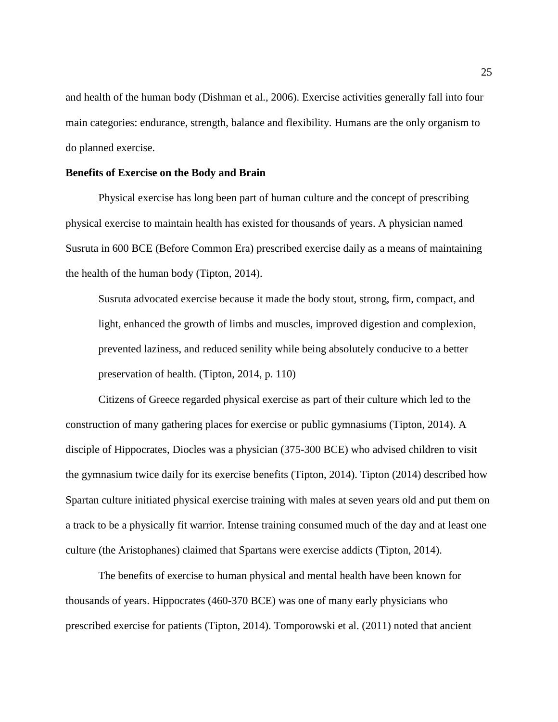and health of the human body (Dishman et al., 2006). Exercise activities generally fall into four main categories: endurance, strength, balance and flexibility. Humans are the only organism to do planned exercise.

#### **Benefits of Exercise on the Body and Brain**

Physical exercise has long been part of human culture and the concept of prescribing physical exercise to maintain health has existed for thousands of years. A physician named Susruta in 600 BCE (Before Common Era) prescribed exercise daily as a means of maintaining the health of the human body (Tipton, 2014).

Susruta advocated exercise because it made the body stout, strong, firm, compact, and light, enhanced the growth of limbs and muscles, improved digestion and complexion, prevented laziness, and reduced senility while being absolutely conducive to a better preservation of health. (Tipton, 2014, p. 110)

Citizens of Greece regarded physical exercise as part of their culture which led to the construction of many gathering places for exercise or public gymnasiums (Tipton, 2014). A disciple of Hippocrates, Diocles was a physician (375-300 BCE) who advised children to visit the gymnasium twice daily for its exercise benefits (Tipton, 2014). Tipton (2014) described how Spartan culture initiated physical exercise training with males at seven years old and put them on a track to be a physically fit warrior. Intense training consumed much of the day and at least one culture (the Aristophanes) claimed that Spartans were exercise addicts (Tipton, 2014).

The benefits of exercise to human physical and mental health have been known for thousands of years. Hippocrates (460-370 BCE) was one of many early physicians who prescribed exercise for patients (Tipton, 2014). Tomporowski et al. (2011) noted that ancient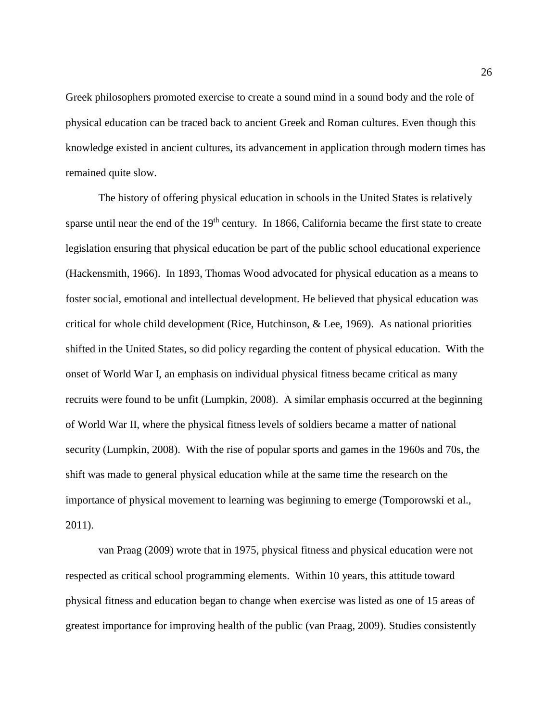Greek philosophers promoted exercise to create a sound mind in a sound body and the role of physical education can be traced back to ancient Greek and Roman cultures. Even though this knowledge existed in ancient cultures, its advancement in application through modern times has remained quite slow.

The history of offering physical education in schools in the United States is relatively sparse until near the end of the  $19<sup>th</sup>$  century. In 1866, California became the first state to create legislation ensuring that physical education be part of the public school educational experience (Hackensmith, 1966). In 1893, Thomas Wood advocated for physical education as a means to foster social, emotional and intellectual development. He believed that physical education was critical for whole child development (Rice, Hutchinson, & Lee, 1969). As national priorities shifted in the United States, so did policy regarding the content of physical education. With the onset of World War I, an emphasis on individual physical fitness became critical as many recruits were found to be unfit (Lumpkin, 2008). A similar emphasis occurred at the beginning of World War II, where the physical fitness levels of soldiers became a matter of national security (Lumpkin, 2008). With the rise of popular sports and games in the 1960s and 70s, the shift was made to general physical education while at the same time the research on the importance of physical movement to learning was beginning to emerge (Tomporowski et al., 2011).

van Praag (2009) wrote that in 1975, physical fitness and physical education were not respected as critical school programming elements. Within 10 years, this attitude toward physical fitness and education began to change when exercise was listed as one of 15 areas of greatest importance for improving health of the public (van Praag, 2009). Studies consistently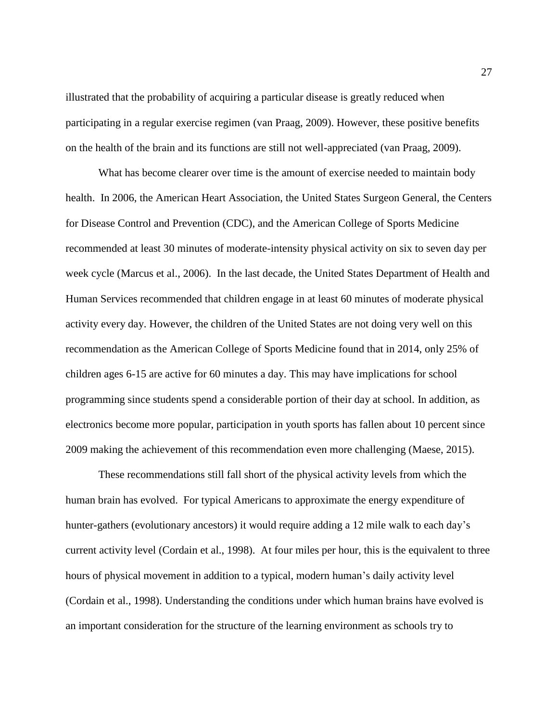illustrated that the probability of acquiring a particular disease is greatly reduced when participating in a regular exercise regimen (van Praag, 2009). However, these positive benefits on the health of the brain and its functions are still not well-appreciated (van Praag, 2009).

What has become clearer over time is the amount of exercise needed to maintain body health. In 2006, the American Heart Association, the United States Surgeon General, the Centers for Disease Control and Prevention (CDC), and the American College of Sports Medicine recommended at least 30 minutes of moderate-intensity physical activity on six to seven day per week cycle (Marcus et al., 2006). In the last decade, the United States Department of Health and Human Services recommended that children engage in at least 60 minutes of moderate physical activity every day. However, the children of the United States are not doing very well on this recommendation as the American College of Sports Medicine found that in 2014, only 25% of children ages 6-15 are active for 60 minutes a day. This may have implications for school programming since students spend a considerable portion of their day at school. In addition, as electronics become more popular, participation in youth sports has fallen about 10 percent since 2009 making the achievement of this recommendation even more challenging (Maese, 2015).

These recommendations still fall short of the physical activity levels from which the human brain has evolved. For typical Americans to approximate the energy expenditure of hunter-gathers (evolutionary ancestors) it would require adding a 12 mile walk to each day's current activity level (Cordain et al., 1998). At four miles per hour, this is the equivalent to three hours of physical movement in addition to a typical, modern human's daily activity level (Cordain et al., 1998). Understanding the conditions under which human brains have evolved is an important consideration for the structure of the learning environment as schools try to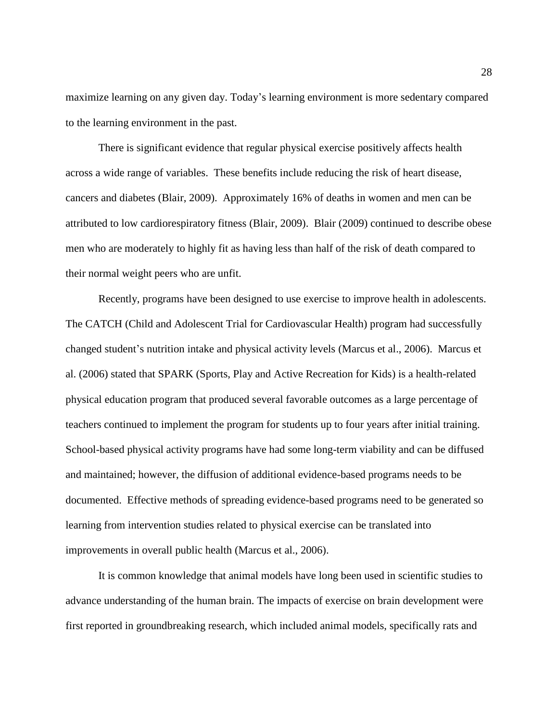maximize learning on any given day. Today's learning environment is more sedentary compared to the learning environment in the past.

There is significant evidence that regular physical exercise positively affects health across a wide range of variables. These benefits include reducing the risk of heart disease, cancers and diabetes (Blair, 2009). Approximately 16% of deaths in women and men can be attributed to low cardiorespiratory fitness (Blair, 2009). Blair (2009) continued to describe obese men who are moderately to highly fit as having less than half of the risk of death compared to their normal weight peers who are unfit.

Recently, programs have been designed to use exercise to improve health in adolescents. The CATCH (Child and Adolescent Trial for Cardiovascular Health) program had successfully changed student's nutrition intake and physical activity levels (Marcus et al., 2006). Marcus et al. (2006) stated that SPARK (Sports, Play and Active Recreation for Kids) is a health-related physical education program that produced several favorable outcomes as a large percentage of teachers continued to implement the program for students up to four years after initial training. School-based physical activity programs have had some long-term viability and can be diffused and maintained; however, the diffusion of additional evidence-based programs needs to be documented. Effective methods of spreading evidence-based programs need to be generated so learning from intervention studies related to physical exercise can be translated into improvements in overall public health (Marcus et al., 2006).

It is common knowledge that animal models have long been used in scientific studies to advance understanding of the human brain. The impacts of exercise on brain development were first reported in groundbreaking research, which included animal models, specifically rats and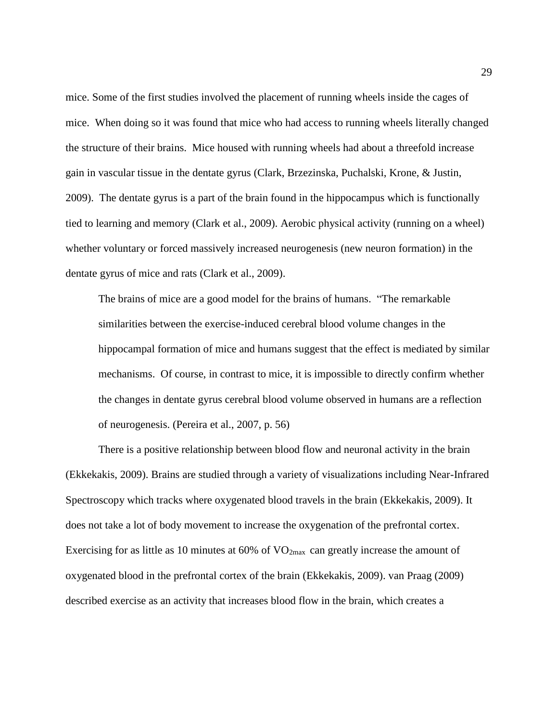mice. Some of the first studies involved the placement of running wheels inside the cages of mice. When doing so it was found that mice who had access to running wheels literally changed the structure of their brains. Mice housed with running wheels had about a threefold increase gain in vascular tissue in the dentate gyrus (Clark, Brzezinska, Puchalski, Krone, & Justin, 2009). The dentate gyrus is a part of the brain found in the hippocampus which is functionally tied to learning and memory (Clark et al., 2009). Aerobic physical activity (running on a wheel) whether voluntary or forced massively increased neurogenesis (new neuron formation) in the dentate gyrus of mice and rats (Clark et al., 2009).

The brains of mice are a good model for the brains of humans. "The remarkable similarities between the exercise-induced cerebral blood volume changes in the hippocampal formation of mice and humans suggest that the effect is mediated by similar mechanisms. Of course, in contrast to mice, it is impossible to directly confirm whether the changes in dentate gyrus cerebral blood volume observed in humans are a reflection of neurogenesis. (Pereira et al., 2007, p. 56)

There is a positive relationship between blood flow and neuronal activity in the brain (Ekkekakis, 2009). Brains are studied through a variety of visualizations including Near-Infrared Spectroscopy which tracks where oxygenated blood travels in the brain (Ekkekakis, 2009). It does not take a lot of body movement to increase the oxygenation of the prefrontal cortex. Exercising for as little as 10 minutes at 60% of  $VO<sub>2max</sub>$  can greatly increase the amount of oxygenated blood in the prefrontal cortex of the brain (Ekkekakis, 2009). van Praag (2009) described exercise as an activity that increases blood flow in the brain, which creates a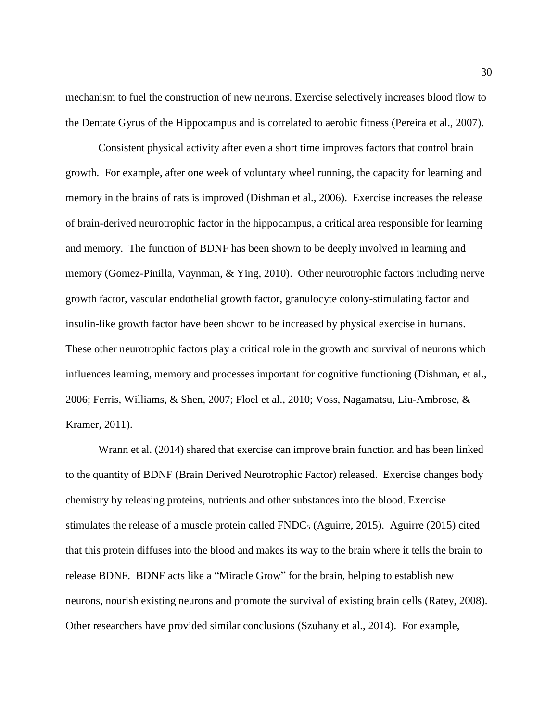mechanism to fuel the construction of new neurons. Exercise selectively increases blood flow to the Dentate Gyrus of the Hippocampus and is correlated to aerobic fitness (Pereira et al., 2007).

Consistent physical activity after even a short time improves factors that control brain growth. For example, after one week of voluntary wheel running, the capacity for learning and memory in the brains of rats is improved (Dishman et al., 2006). Exercise increases the release of brain-derived neurotrophic factor in the hippocampus, a critical area responsible for learning and memory. The function of BDNF has been shown to be deeply involved in learning and memory (Gomez-Pinilla, Vaynman, & Ying, 2010). Other neurotrophic factors including nerve growth factor, vascular endothelial growth factor, granulocyte colony-stimulating factor and insulin-like growth factor have been shown to be increased by physical exercise in humans. These other neurotrophic factors play a critical role in the growth and survival of neurons which influences learning, memory and processes important for cognitive functioning (Dishman, et al., 2006; Ferris, Williams, & Shen, 2007; Floel et al., 2010; Voss, Nagamatsu, Liu-Ambrose, & Kramer, 2011).

Wrann et al. (2014) shared that exercise can improve brain function and has been linked to the quantity of BDNF (Brain Derived Neurotrophic Factor) released. Exercise changes body chemistry by releasing proteins, nutrients and other substances into the blood. Exercise stimulates the release of a muscle protein called FNDC<sub>5</sub> (Aguirre, 2015). Aguirre (2015) cited that this protein diffuses into the blood and makes its way to the brain where it tells the brain to release BDNF. BDNF acts like a "Miracle Grow" for the brain, helping to establish new neurons, nourish existing neurons and promote the survival of existing brain cells (Ratey, 2008). Other researchers have provided similar conclusions (Szuhany et al., 2014). For example,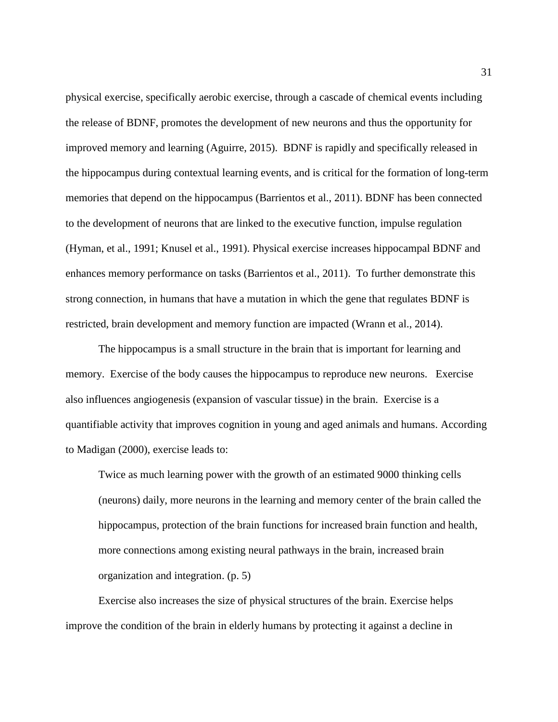physical exercise, specifically aerobic exercise, through a cascade of chemical events including the release of BDNF, promotes the development of new neurons and thus the opportunity for improved memory and learning (Aguirre, 2015). BDNF is rapidly and specifically released in the hippocampus during contextual learning events, and is critical for the formation of long-term memories that depend on the hippocampus (Barrientos et al., 2011). BDNF has been connected to the development of neurons that are linked to the executive function, impulse regulation (Hyman, et al., 1991; Knusel et al., 1991). Physical exercise increases hippocampal BDNF and enhances memory performance on tasks (Barrientos et al., 2011). To further demonstrate this strong connection, in humans that have a mutation in which the gene that regulates BDNF is restricted, brain development and memory function are impacted (Wrann et al., 2014).

The hippocampus is a small structure in the brain that is important for learning and memory. Exercise of the body causes the hippocampus to reproduce new neurons. Exercise also influences angiogenesis (expansion of vascular tissue) in the brain. Exercise is a quantifiable activity that improves cognition in young and aged animals and humans. According to Madigan (2000), exercise leads to:

Twice as much learning power with the growth of an estimated 9000 thinking cells (neurons) daily, more neurons in the learning and memory center of the brain called the hippocampus, protection of the brain functions for increased brain function and health, more connections among existing neural pathways in the brain, increased brain organization and integration. (p. 5)

Exercise also increases the size of physical structures of the brain. Exercise helps improve the condition of the brain in elderly humans by protecting it against a decline in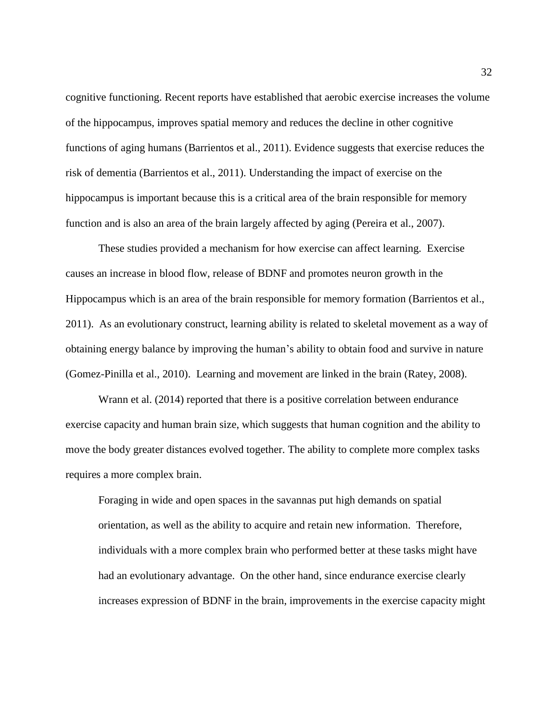cognitive functioning. Recent reports have established that aerobic exercise increases the volume of the hippocampus, improves spatial memory and reduces the decline in other cognitive functions of aging humans (Barrientos et al., 2011). Evidence suggests that exercise reduces the risk of dementia (Barrientos et al., 2011). Understanding the impact of exercise on the hippocampus is important because this is a critical area of the brain responsible for memory function and is also an area of the brain largely affected by aging (Pereira et al., 2007).

These studies provided a mechanism for how exercise can affect learning. Exercise causes an increase in blood flow, release of BDNF and promotes neuron growth in the Hippocampus which is an area of the brain responsible for memory formation (Barrientos et al., 2011). As an evolutionary construct, learning ability is related to skeletal movement as a way of obtaining energy balance by improving the human's ability to obtain food and survive in nature (Gomez-Pinilla et al., 2010). Learning and movement are linked in the brain (Ratey, 2008).

Wrann et al. (2014) reported that there is a positive correlation between endurance exercise capacity and human brain size, which suggests that human cognition and the ability to move the body greater distances evolved together. The ability to complete more complex tasks requires a more complex brain.

Foraging in wide and open spaces in the savannas put high demands on spatial orientation, as well as the ability to acquire and retain new information. Therefore, individuals with a more complex brain who performed better at these tasks might have had an evolutionary advantage. On the other hand, since endurance exercise clearly increases expression of BDNF in the brain, improvements in the exercise capacity might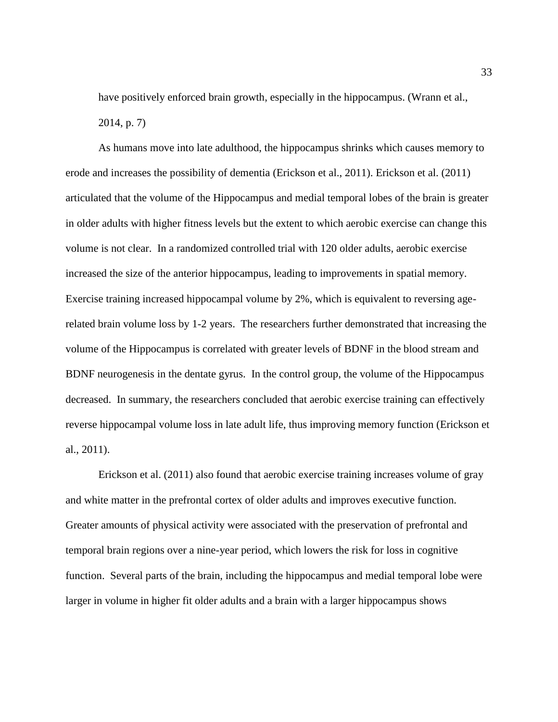have positively enforced brain growth, especially in the hippocampus. (Wrann et al., 2014, p. 7)

As humans move into late adulthood, the hippocampus shrinks which causes memory to erode and increases the possibility of dementia (Erickson et al., 2011). Erickson et al. (2011) articulated that the volume of the Hippocampus and medial temporal lobes of the brain is greater in older adults with higher fitness levels but the extent to which aerobic exercise can change this volume is not clear. In a randomized controlled trial with 120 older adults, aerobic exercise increased the size of the anterior hippocampus, leading to improvements in spatial memory. Exercise training increased hippocampal volume by 2%, which is equivalent to reversing agerelated brain volume loss by 1-2 years. The researchers further demonstrated that increasing the volume of the Hippocampus is correlated with greater levels of BDNF in the blood stream and BDNF neurogenesis in the dentate gyrus. In the control group, the volume of the Hippocampus decreased. In summary, the researchers concluded that aerobic exercise training can effectively reverse hippocampal volume loss in late adult life, thus improving memory function (Erickson et al., 2011).

Erickson et al. (2011) also found that aerobic exercise training increases volume of gray and white matter in the prefrontal cortex of older adults and improves executive function. Greater amounts of physical activity were associated with the preservation of prefrontal and temporal brain regions over a nine-year period, which lowers the risk for loss in cognitive function. Several parts of the brain, including the hippocampus and medial temporal lobe were larger in volume in higher fit older adults and a brain with a larger hippocampus shows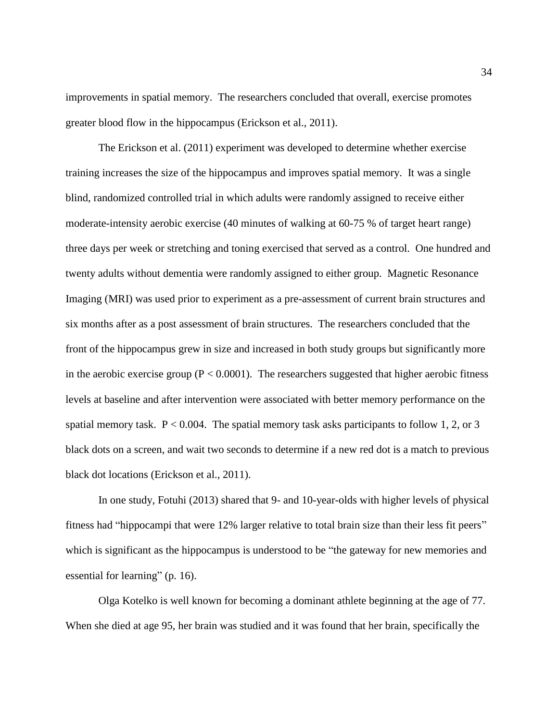improvements in spatial memory. The researchers concluded that overall, exercise promotes greater blood flow in the hippocampus (Erickson et al., 2011).

The Erickson et al. (2011) experiment was developed to determine whether exercise training increases the size of the hippocampus and improves spatial memory. It was a single blind, randomized controlled trial in which adults were randomly assigned to receive either moderate-intensity aerobic exercise (40 minutes of walking at 60-75 % of target heart range) three days per week or stretching and toning exercised that served as a control. One hundred and twenty adults without dementia were randomly assigned to either group. Magnetic Resonance Imaging (MRI) was used prior to experiment as a pre-assessment of current brain structures and six months after as a post assessment of brain structures. The researchers concluded that the front of the hippocampus grew in size and increased in both study groups but significantly more in the aerobic exercise group ( $P < 0.0001$ ). The researchers suggested that higher aerobic fitness levels at baseline and after intervention were associated with better memory performance on the spatial memory task.  $P < 0.004$ . The spatial memory task asks participants to follow 1, 2, or 3 black dots on a screen, and wait two seconds to determine if a new red dot is a match to previous black dot locations (Erickson et al., 2011).

In one study, Fotuhi (2013) shared that 9- and 10-year-olds with higher levels of physical fitness had "hippocampi that were 12% larger relative to total brain size than their less fit peers" which is significant as the hippocampus is understood to be "the gateway for new memories and essential for learning" (p. 16).

Olga Kotelko is well known for becoming a dominant athlete beginning at the age of 77. When she died at age 95, her brain was studied and it was found that her brain, specifically the

34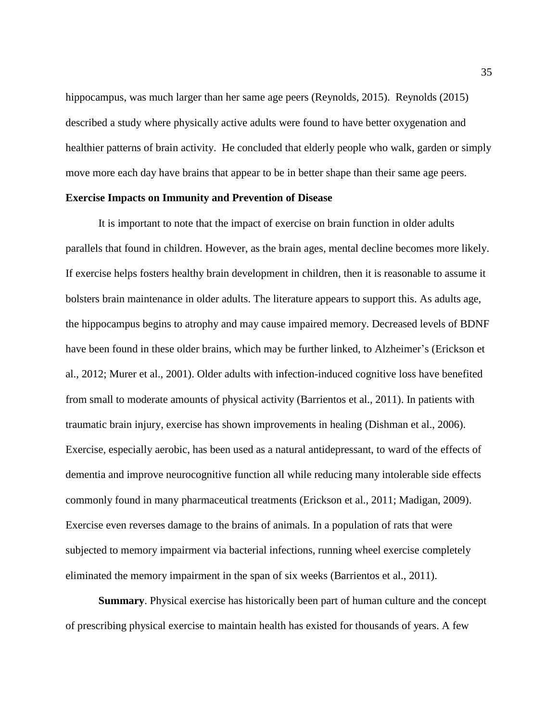hippocampus, was much larger than her same age peers (Reynolds, 2015). Reynolds (2015) described a study where physically active adults were found to have better oxygenation and healthier patterns of brain activity. He concluded that elderly people who walk, garden or simply move more each day have brains that appear to be in better shape than their same age peers.

# **Exercise Impacts on Immunity and Prevention of Disease**

It is important to note that the impact of exercise on brain function in older adults parallels that found in children. However, as the brain ages, mental decline becomes more likely. If exercise helps fosters healthy brain development in children, then it is reasonable to assume it bolsters brain maintenance in older adults. The literature appears to support this. As adults age, the hippocampus begins to atrophy and may cause impaired memory. Decreased levels of BDNF have been found in these older brains, which may be further linked, to Alzheimer's (Erickson et al., 2012; Murer et al., 2001). Older adults with infection-induced cognitive loss have benefited from small to moderate amounts of physical activity (Barrientos et al., 2011). In patients with traumatic brain injury, exercise has shown improvements in healing (Dishman et al., 2006). Exercise, especially aerobic, has been used as a natural antidepressant, to ward of the effects of dementia and improve neurocognitive function all while reducing many intolerable side effects commonly found in many pharmaceutical treatments (Erickson et al., 2011; Madigan, 2009). Exercise even reverses damage to the brains of animals. In a population of rats that were subjected to memory impairment via bacterial infections, running wheel exercise completely eliminated the memory impairment in the span of six weeks (Barrientos et al., 2011).

**Summary**. Physical exercise has historically been part of human culture and the concept of prescribing physical exercise to maintain health has existed for thousands of years. A few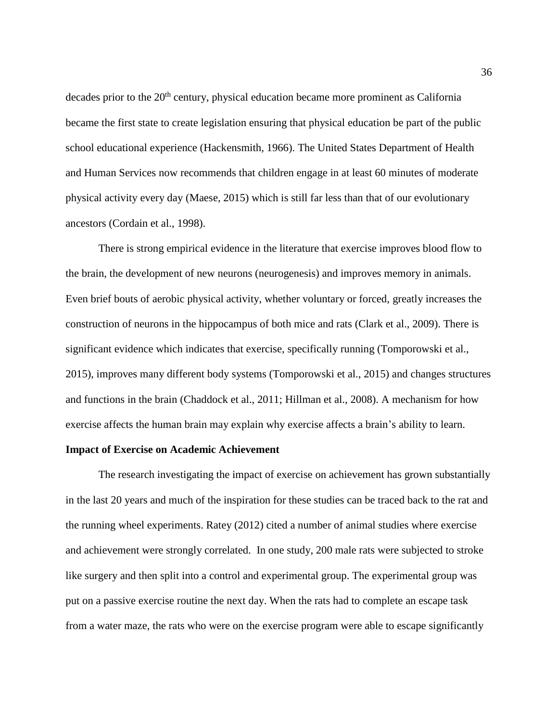decades prior to the 20<sup>th</sup> century, physical education became more prominent as California became the first state to create legislation ensuring that physical education be part of the public school educational experience (Hackensmith, 1966). The United States Department of Health and Human Services now recommends that children engage in at least 60 minutes of moderate physical activity every day (Maese, 2015) which is still far less than that of our evolutionary ancestors (Cordain et al., 1998).

There is strong empirical evidence in the literature that exercise improves blood flow to the brain, the development of new neurons (neurogenesis) and improves memory in animals. Even brief bouts of aerobic physical activity, whether voluntary or forced, greatly increases the construction of neurons in the hippocampus of both mice and rats (Clark et al., 2009). There is significant evidence which indicates that exercise, specifically running (Tomporowski et al., 2015), improves many different body systems (Tomporowski et al., 2015) and changes structures and functions in the brain (Chaddock et al., 2011; Hillman et al., 2008). A mechanism for how exercise affects the human brain may explain why exercise affects a brain's ability to learn.

## **Impact of Exercise on Academic Achievement**

The research investigating the impact of exercise on achievement has grown substantially in the last 20 years and much of the inspiration for these studies can be traced back to the rat and the running wheel experiments. Ratey (2012) cited a number of animal studies where exercise and achievement were strongly correlated. In one study, 200 male rats were subjected to stroke like surgery and then split into a control and experimental group. The experimental group was put on a passive exercise routine the next day. When the rats had to complete an escape task from a water maze, the rats who were on the exercise program were able to escape significantly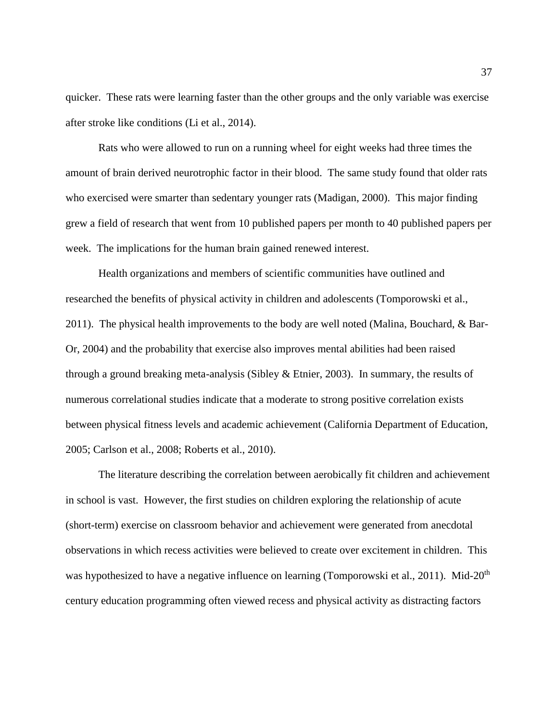quicker. These rats were learning faster than the other groups and the only variable was exercise after stroke like conditions (Li et al., 2014).

Rats who were allowed to run on a running wheel for eight weeks had three times the amount of brain derived neurotrophic factor in their blood. The same study found that older rats who exercised were smarter than sedentary younger rats (Madigan, 2000). This major finding grew a field of research that went from 10 published papers per month to 40 published papers per week. The implications for the human brain gained renewed interest.

Health organizations and members of scientific communities have outlined and researched the benefits of physical activity in children and adolescents (Tomporowski et al., 2011). The physical health improvements to the body are well noted (Malina, Bouchard, & Bar-Or, 2004) and the probability that exercise also improves mental abilities had been raised through a ground breaking meta-analysis (Sibley  $\&$  Etnier, 2003). In summary, the results of numerous correlational studies indicate that a moderate to strong positive correlation exists between physical fitness levels and academic achievement (California Department of Education, 2005; Carlson et al., 2008; Roberts et al., 2010).

The literature describing the correlation between aerobically fit children and achievement in school is vast. However, the first studies on children exploring the relationship of acute (short-term) exercise on classroom behavior and achievement were generated from anecdotal observations in which recess activities were believed to create over excitement in children. This was hypothesized to have a negative influence on learning (Tomporowski et al., 2011). Mid-20<sup>th</sup> century education programming often viewed recess and physical activity as distracting factors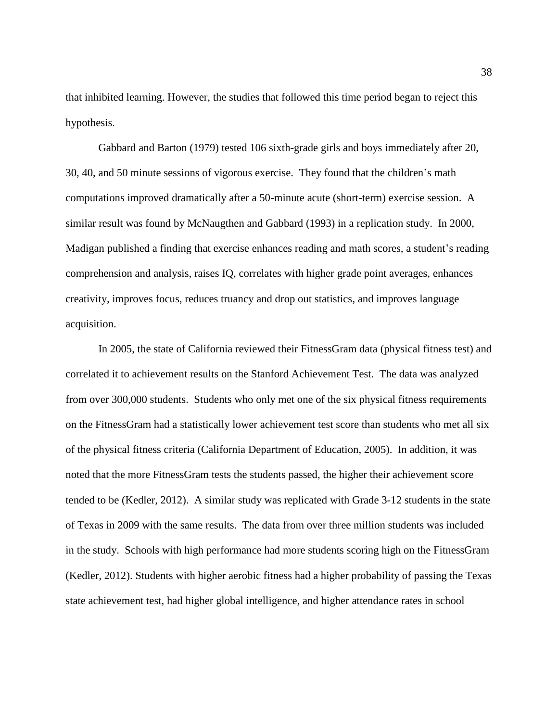that inhibited learning. However, the studies that followed this time period began to reject this hypothesis.

Gabbard and Barton (1979) tested 106 sixth-grade girls and boys immediately after 20, 30, 40, and 50 minute sessions of vigorous exercise. They found that the children's math computations improved dramatically after a 50-minute acute (short-term) exercise session. A similar result was found by McNaugthen and Gabbard (1993) in a replication study. In 2000, Madigan published a finding that exercise enhances reading and math scores, a student's reading comprehension and analysis, raises IQ, correlates with higher grade point averages, enhances creativity, improves focus, reduces truancy and drop out statistics, and improves language acquisition.

In 2005, the state of California reviewed their FitnessGram data (physical fitness test) and correlated it to achievement results on the Stanford Achievement Test. The data was analyzed from over 300,000 students. Students who only met one of the six physical fitness requirements on the FitnessGram had a statistically lower achievement test score than students who met all six of the physical fitness criteria (California Department of Education, 2005). In addition, it was noted that the more FitnessGram tests the students passed, the higher their achievement score tended to be (Kedler, 2012). A similar study was replicated with Grade 3-12 students in the state of Texas in 2009 with the same results. The data from over three million students was included in the study. Schools with high performance had more students scoring high on the FitnessGram (Kedler, 2012). Students with higher aerobic fitness had a higher probability of passing the Texas state achievement test, had higher global intelligence, and higher attendance rates in school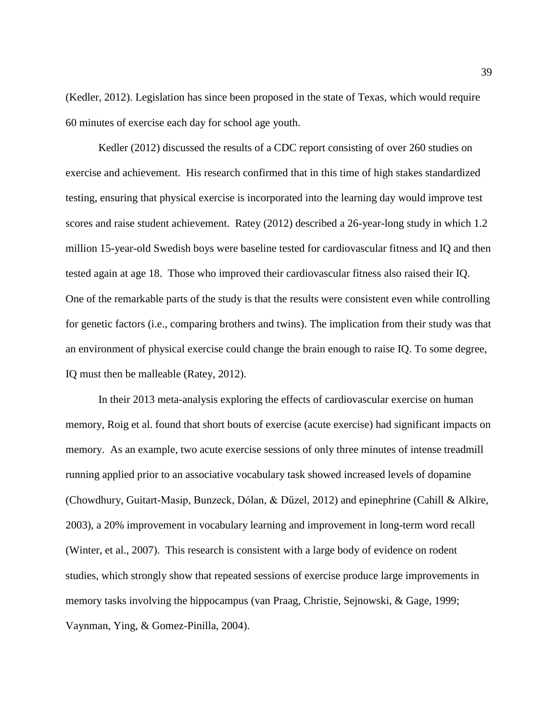(Kedler, 2012). Legislation has since been proposed in the state of Texas, which would require 60 minutes of exercise each day for school age youth.

Kedler (2012) discussed the results of a CDC report consisting of over 260 studies on exercise and achievement. His research confirmed that in this time of high stakes standardized testing, ensuring that physical exercise is incorporated into the learning day would improve test scores and raise student achievement. Ratey (2012) described a 26-year-long study in which 1.2 million 15-year-old Swedish boys were baseline tested for cardiovascular fitness and IQ and then tested again at age 18. Those who improved their cardiovascular fitness also raised their IQ. One of the remarkable parts of the study is that the results were consistent even while controlling for genetic factors (i.e., comparing brothers and twins). The implication from their study was that an environment of physical exercise could change the brain enough to raise IQ. To some degree, IQ must then be malleable (Ratey, 2012).

In their 2013 meta-analysis exploring the effects of cardiovascular exercise on human memory, Roig et al. found that short bouts of exercise (acute exercise) had significant impacts on memory. As an example, two acute exercise sessions of only three minutes of intense treadmill running applied prior to an associative vocabulary task showed increased levels of dopamine (Chowdhury, Guitart-Masip, Bunzeck, Dólan, & Dűzel, 2012) and epinephrine (Cahill & Alkire, 2003), a 20% improvement in vocabulary learning and improvement in long-term word recall (Winter, et al., 2007). This research is consistent with a large body of evidence on rodent studies, which strongly show that repeated sessions of exercise produce large improvements in memory tasks involving the hippocampus (van Praag, Christie, Sejnowski, & Gage, 1999; Vaynman, Ying, & Gomez-Pinilla, 2004).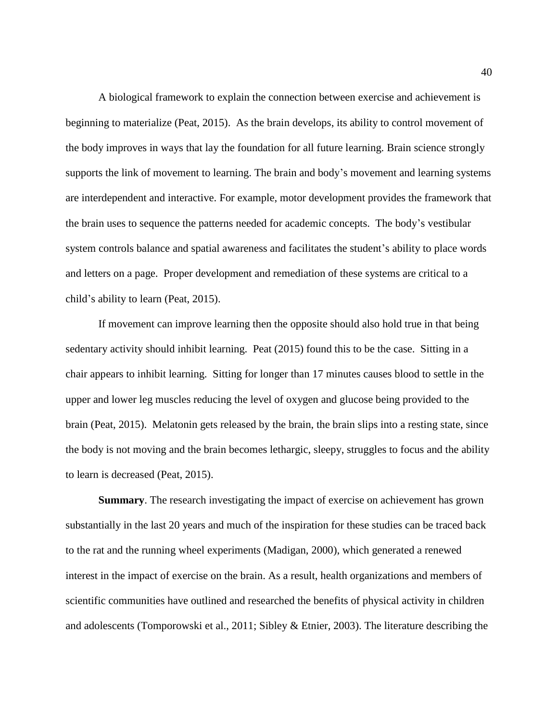A biological framework to explain the connection between exercise and achievement is beginning to materialize (Peat, 2015). As the brain develops, its ability to control movement of the body improves in ways that lay the foundation for all future learning. Brain science strongly supports the link of movement to learning. The brain and body's movement and learning systems are interdependent and interactive. For example, motor development provides the framework that the brain uses to sequence the patterns needed for academic concepts. The body's vestibular system controls balance and spatial awareness and facilitates the student's ability to place words and letters on a page. Proper development and remediation of these systems are critical to a child's ability to learn (Peat, 2015).

If movement can improve learning then the opposite should also hold true in that being sedentary activity should inhibit learning. Peat (2015) found this to be the case. Sitting in a chair appears to inhibit learning. Sitting for longer than 17 minutes causes blood to settle in the upper and lower leg muscles reducing the level of oxygen and glucose being provided to the brain (Peat, 2015). Melatonin gets released by the brain, the brain slips into a resting state, since the body is not moving and the brain becomes lethargic, sleepy, struggles to focus and the ability to learn is decreased (Peat, 2015).

**Summary**. The research investigating the impact of exercise on achievement has grown substantially in the last 20 years and much of the inspiration for these studies can be traced back to the rat and the running wheel experiments (Madigan, 2000), which generated a renewed interest in the impact of exercise on the brain. As a result, health organizations and members of scientific communities have outlined and researched the benefits of physical activity in children and adolescents (Tomporowski et al., 2011; Sibley & Etnier, 2003). The literature describing the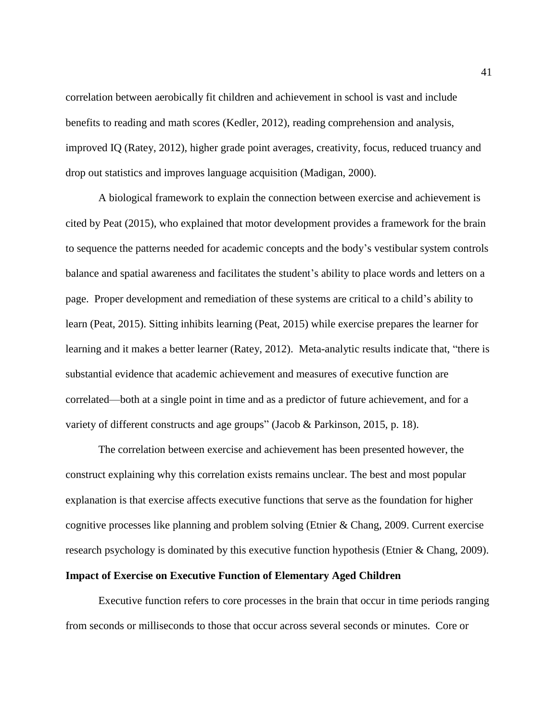correlation between aerobically fit children and achievement in school is vast and include benefits to reading and math scores (Kedler, 2012), reading comprehension and analysis, improved IQ (Ratey, 2012), higher grade point averages, creativity, focus, reduced truancy and drop out statistics and improves language acquisition (Madigan, 2000).

A biological framework to explain the connection between exercise and achievement is cited by Peat (2015), who explained that motor development provides a framework for the brain to sequence the patterns needed for academic concepts and the body's vestibular system controls balance and spatial awareness and facilitates the student's ability to place words and letters on a page. Proper development and remediation of these systems are critical to a child's ability to learn (Peat, 2015). Sitting inhibits learning (Peat, 2015) while exercise prepares the learner for learning and it makes a better learner (Ratey, 2012). Meta-analytic results indicate that, "there is substantial evidence that academic achievement and measures of executive function are correlated—both at a single point in time and as a predictor of future achievement, and for a variety of different constructs and age groups" (Jacob & Parkinson, 2015, p. 18).

The correlation between exercise and achievement has been presented however, the construct explaining why this correlation exists remains unclear. The best and most popular explanation is that exercise affects executive functions that serve as the foundation for higher cognitive processes like planning and problem solving (Etnier & Chang, 2009. Current exercise research psychology is dominated by this executive function hypothesis (Etnier & Chang, 2009).

## **Impact of Exercise on Executive Function of Elementary Aged Children**

Executive function refers to core processes in the brain that occur in time periods ranging from seconds or milliseconds to those that occur across several seconds or minutes. Core or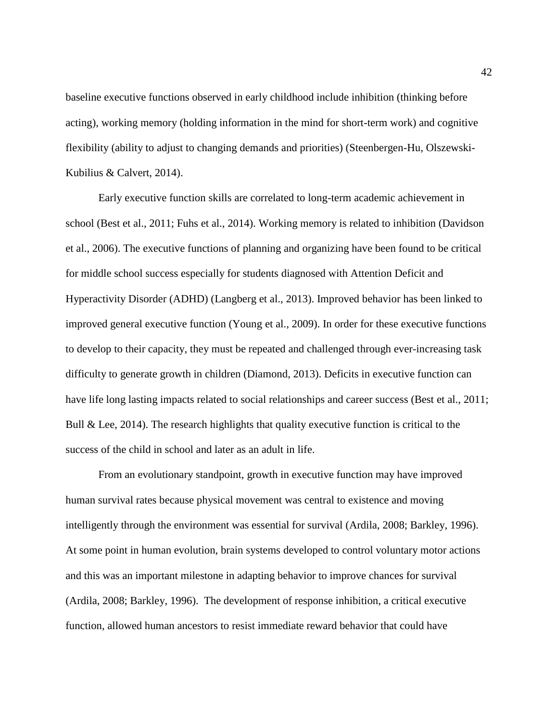baseline executive functions observed in early childhood include inhibition (thinking before acting), working memory (holding information in the mind for short-term work) and cognitive flexibility (ability to adjust to changing demands and priorities) (Steenbergen-Hu, Olszewski-Kubilius & Calvert, 2014).

Early executive function skills are correlated to long-term academic achievement in school (Best et al., 2011; Fuhs et al., 2014). Working memory is related to inhibition (Davidson et al., 2006). The executive functions of planning and organizing have been found to be critical for middle school success especially for students diagnosed with Attention Deficit and Hyperactivity Disorder (ADHD) (Langberg et al., 2013). Improved behavior has been linked to improved general executive function (Young et al., 2009). In order for these executive functions to develop to their capacity, they must be repeated and challenged through ever-increasing task difficulty to generate growth in children (Diamond, 2013). Deficits in executive function can have life long lasting impacts related to social relationships and career success (Best et al., 2011; Bull & Lee, 2014). The research highlights that quality executive function is critical to the success of the child in school and later as an adult in life.

From an evolutionary standpoint, growth in executive function may have improved human survival rates because physical movement was central to existence and moving intelligently through the environment was essential for survival (Ardila, 2008; Barkley, 1996). At some point in human evolution, brain systems developed to control voluntary motor actions and this was an important milestone in adapting behavior to improve chances for survival (Ardila, 2008; Barkley, 1996). The development of response inhibition, a critical executive function, allowed human ancestors to resist immediate reward behavior that could have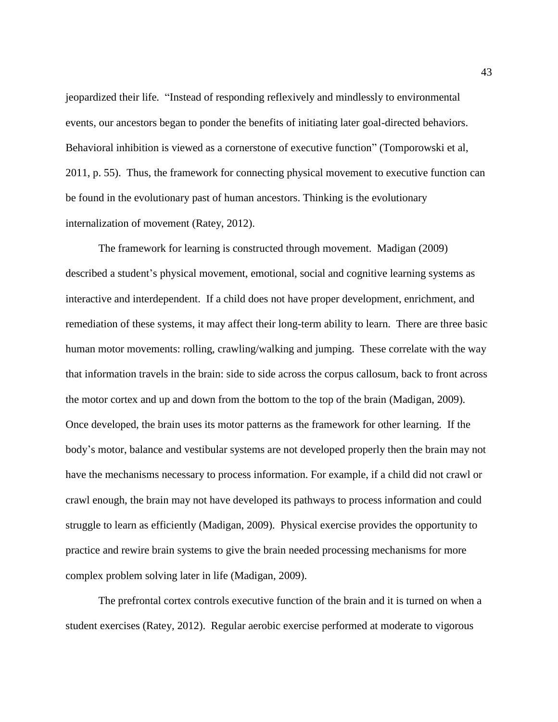jeopardized their life. "Instead of responding reflexively and mindlessly to environmental events, our ancestors began to ponder the benefits of initiating later goal-directed behaviors. Behavioral inhibition is viewed as a cornerstone of executive function" (Tomporowski et al, 2011, p. 55). Thus, the framework for connecting physical movement to executive function can be found in the evolutionary past of human ancestors. Thinking is the evolutionary internalization of movement (Ratey, 2012).

The framework for learning is constructed through movement. Madigan (2009) described a student's physical movement, emotional, social and cognitive learning systems as interactive and interdependent. If a child does not have proper development, enrichment, and remediation of these systems, it may affect their long-term ability to learn. There are three basic human motor movements: rolling, crawling/walking and jumping. These correlate with the way that information travels in the brain: side to side across the corpus callosum, back to front across the motor cortex and up and down from the bottom to the top of the brain (Madigan, 2009). Once developed, the brain uses its motor patterns as the framework for other learning. If the body's motor, balance and vestibular systems are not developed properly then the brain may not have the mechanisms necessary to process information. For example, if a child did not crawl or crawl enough, the brain may not have developed its pathways to process information and could struggle to learn as efficiently (Madigan, 2009). Physical exercise provides the opportunity to practice and rewire brain systems to give the brain needed processing mechanisms for more complex problem solving later in life (Madigan, 2009).

The prefrontal cortex controls executive function of the brain and it is turned on when a student exercises (Ratey, 2012). Regular aerobic exercise performed at moderate to vigorous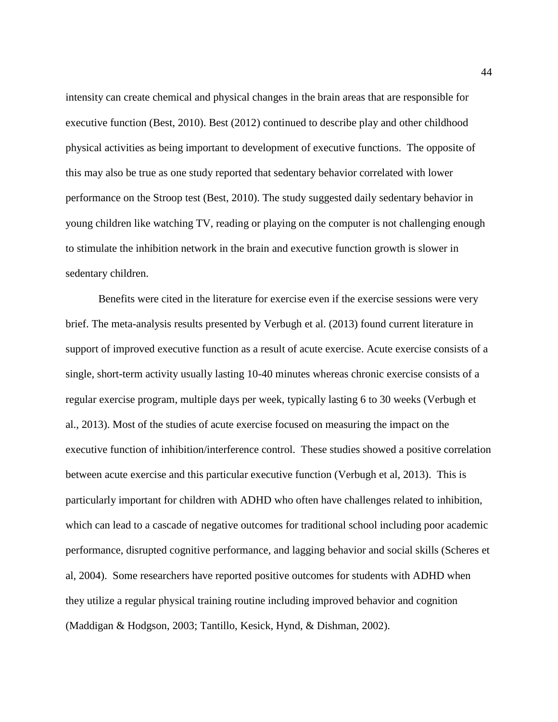intensity can create chemical and physical changes in the brain areas that are responsible for executive function (Best, 2010). Best (2012) continued to describe play and other childhood physical activities as being important to development of executive functions. The opposite of this may also be true as one study reported that sedentary behavior correlated with lower performance on the Stroop test (Best, 2010). The study suggested daily sedentary behavior in young children like watching TV, reading or playing on the computer is not challenging enough to stimulate the inhibition network in the brain and executive function growth is slower in sedentary children.

Benefits were cited in the literature for exercise even if the exercise sessions were very brief. The meta-analysis results presented by Verbugh et al. (2013) found current literature in support of improved executive function as a result of acute exercise. Acute exercise consists of a single, short-term activity usually lasting 10-40 minutes whereas chronic exercise consists of a regular exercise program, multiple days per week, typically lasting 6 to 30 weeks (Verbugh et al., 2013). Most of the studies of acute exercise focused on measuring the impact on the executive function of inhibition/interference control. These studies showed a positive correlation between acute exercise and this particular executive function (Verbugh et al, 2013). This is particularly important for children with ADHD who often have challenges related to inhibition, which can lead to a cascade of negative outcomes for traditional school including poor academic performance, disrupted cognitive performance, and lagging behavior and social skills (Scheres et al, 2004). Some researchers have reported positive outcomes for students with ADHD when they utilize a regular physical training routine including improved behavior and cognition (Maddigan & Hodgson, 2003; Tantillo, Kesick, Hynd, & Dishman, 2002).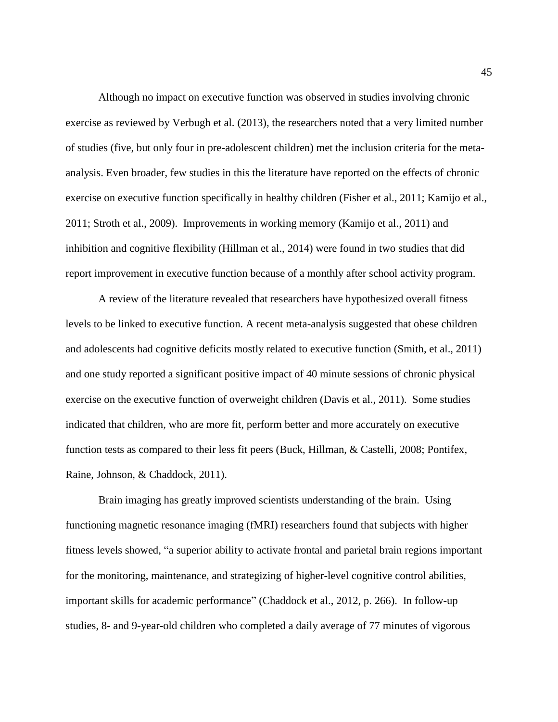Although no impact on executive function was observed in studies involving chronic exercise as reviewed by Verbugh et al. (2013), the researchers noted that a very limited number of studies (five, but only four in pre-adolescent children) met the inclusion criteria for the metaanalysis. Even broader, few studies in this the literature have reported on the effects of chronic exercise on executive function specifically in healthy children (Fisher et al., 2011; Kamijo et al., 2011; Stroth et al., 2009). Improvements in working memory (Kamijo et al., 2011) and inhibition and cognitive flexibility (Hillman et al., 2014) were found in two studies that did report improvement in executive function because of a monthly after school activity program.

A review of the literature revealed that researchers have hypothesized overall fitness levels to be linked to executive function. A recent meta-analysis suggested that obese children and adolescents had cognitive deficits mostly related to executive function (Smith, et al., 2011) and one study reported a significant positive impact of 40 minute sessions of chronic physical exercise on the executive function of overweight children (Davis et al., 2011). Some studies indicated that children, who are more fit, perform better and more accurately on executive function tests as compared to their less fit peers (Buck, Hillman, & Castelli, 2008; Pontifex, Raine, Johnson, & Chaddock, 2011).

Brain imaging has greatly improved scientists understanding of the brain. Using functioning magnetic resonance imaging (fMRI) researchers found that subjects with higher fitness levels showed, "a superior ability to activate frontal and parietal brain regions important for the monitoring, maintenance, and strategizing of higher-level cognitive control abilities, important skills for academic performance" (Chaddock et al., 2012, p. 266). In follow-up studies, 8- and 9-year-old children who completed a daily average of 77 minutes of vigorous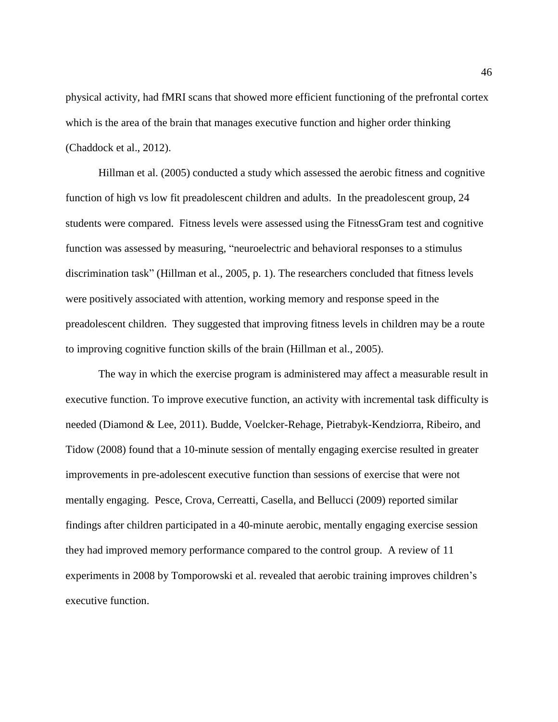physical activity, had fMRI scans that showed more efficient functioning of the prefrontal cortex which is the area of the brain that manages executive function and higher order thinking (Chaddock et al., 2012).

Hillman et al. (2005) conducted a study which assessed the aerobic fitness and cognitive function of high vs low fit preadolescent children and adults. In the preadolescent group, 24 students were compared. Fitness levels were assessed using the FitnessGram test and cognitive function was assessed by measuring, "neuroelectric and behavioral responses to a stimulus discrimination task" (Hillman et al., 2005, p. 1). The researchers concluded that fitness levels were positively associated with attention, working memory and response speed in the preadolescent children. They suggested that improving fitness levels in children may be a route to improving cognitive function skills of the brain (Hillman et al., 2005).

The way in which the exercise program is administered may affect a measurable result in executive function. To improve executive function, an activity with incremental task difficulty is needed (Diamond & Lee, 2011). Budde, Voelcker-Rehage, Pietrabyk-Kendziorra, Ribeiro, and Tidow (2008) found that a 10-minute session of mentally engaging exercise resulted in greater improvements in pre-adolescent executive function than sessions of exercise that were not mentally engaging. Pesce, Crova, Cerreatti, Casella, and Bellucci (2009) reported similar findings after children participated in a 40-minute aerobic, mentally engaging exercise session they had improved memory performance compared to the control group. A review of 11 experiments in 2008 by Tomporowski et al. revealed that aerobic training improves children's executive function.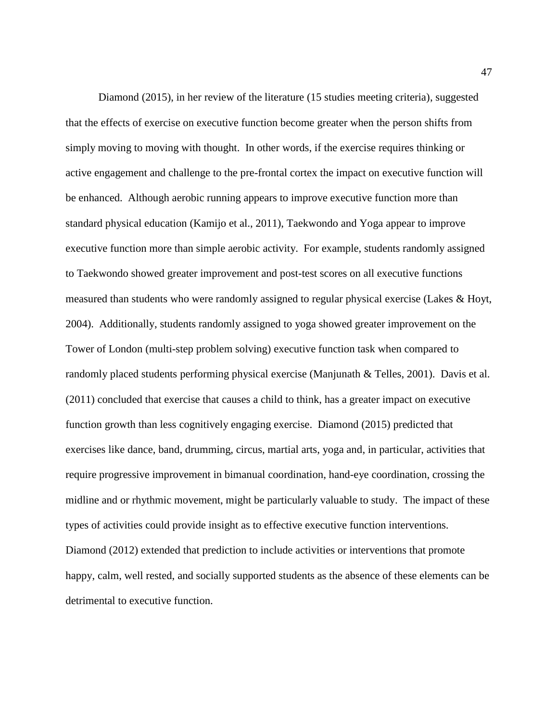Diamond (2015), in her review of the literature (15 studies meeting criteria), suggested that the effects of exercise on executive function become greater when the person shifts from simply moving to moving with thought. In other words, if the exercise requires thinking or active engagement and challenge to the pre-frontal cortex the impact on executive function will be enhanced. Although aerobic running appears to improve executive function more than standard physical education (Kamijo et al., 2011), Taekwondo and Yoga appear to improve executive function more than simple aerobic activity. For example, students randomly assigned to Taekwondo showed greater improvement and post-test scores on all executive functions measured than students who were randomly assigned to regular physical exercise (Lakes & Hoyt, 2004). Additionally, students randomly assigned to yoga showed greater improvement on the Tower of London (multi-step problem solving) executive function task when compared to randomly placed students performing physical exercise (Manjunath & Telles, 2001). Davis et al. (2011) concluded that exercise that causes a child to think, has a greater impact on executive function growth than less cognitively engaging exercise. Diamond (2015) predicted that exercises like dance, band, drumming, circus, martial arts, yoga and, in particular, activities that require progressive improvement in bimanual coordination, hand-eye coordination, crossing the midline and or rhythmic movement, might be particularly valuable to study. The impact of these types of activities could provide insight as to effective executive function interventions. Diamond (2012) extended that prediction to include activities or interventions that promote happy, calm, well rested, and socially supported students as the absence of these elements can be detrimental to executive function.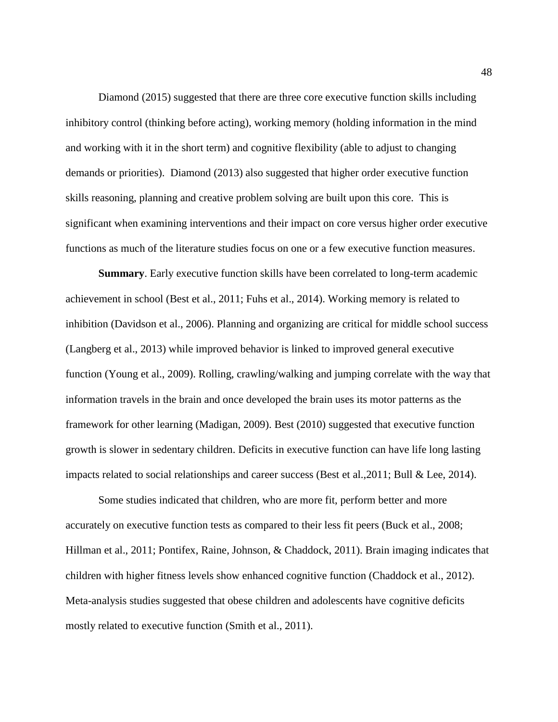Diamond (2015) suggested that there are three core executive function skills including inhibitory control (thinking before acting), working memory (holding information in the mind and working with it in the short term) and cognitive flexibility (able to adjust to changing demands or priorities). Diamond (2013) also suggested that higher order executive function skills reasoning, planning and creative problem solving are built upon this core. This is significant when examining interventions and their impact on core versus higher order executive functions as much of the literature studies focus on one or a few executive function measures.

**Summary**. Early executive function skills have been correlated to long-term academic achievement in school (Best et al., 2011; Fuhs et al., 2014). Working memory is related to inhibition (Davidson et al., 2006). Planning and organizing are critical for middle school success (Langberg et al., 2013) while improved behavior is linked to improved general executive function (Young et al., 2009). Rolling, crawling/walking and jumping correlate with the way that information travels in the brain and once developed the brain uses its motor patterns as the framework for other learning (Madigan, 2009). Best (2010) suggested that executive function growth is slower in sedentary children. Deficits in executive function can have life long lasting impacts related to social relationships and career success (Best et al.,2011; Bull & Lee, 2014).

Some studies indicated that children, who are more fit, perform better and more accurately on executive function tests as compared to their less fit peers (Buck et al., 2008; Hillman et al., 2011; Pontifex, Raine, Johnson, & Chaddock, 2011). Brain imaging indicates that children with higher fitness levels show enhanced cognitive function (Chaddock et al., 2012). Meta-analysis studies suggested that obese children and adolescents have cognitive deficits mostly related to executive function (Smith et al., 2011).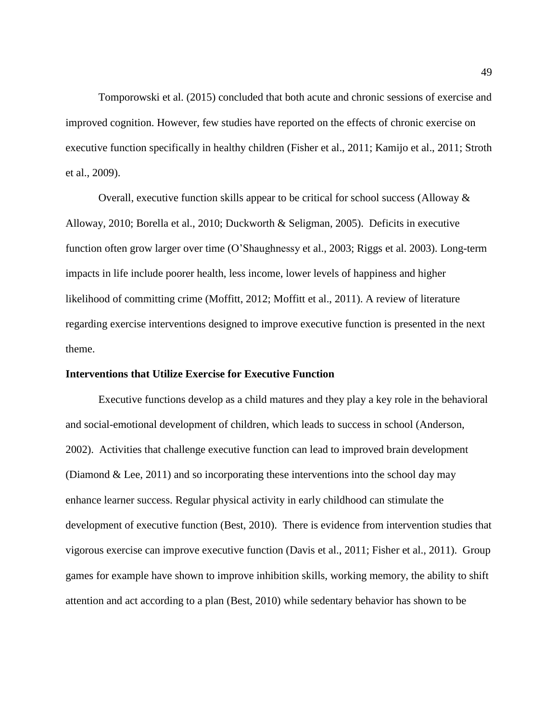Tomporowski et al. (2015) concluded that both acute and chronic sessions of exercise and improved cognition. However, few studies have reported on the effects of chronic exercise on executive function specifically in healthy children (Fisher et al., 2011; Kamijo et al., 2011; Stroth et al., 2009).

Overall, executive function skills appear to be critical for school success (Alloway & Alloway, 2010; Borella et al., 2010; Duckworth & Seligman, 2005). Deficits in executive function often grow larger over time (O'Shaughnessy et al., 2003; Riggs et al. 2003). Long-term impacts in life include poorer health, less income, lower levels of happiness and higher likelihood of committing crime (Moffitt, 2012; Moffitt et al., 2011). A review of literature regarding exercise interventions designed to improve executive function is presented in the next theme.

#### **Interventions that Utilize Exercise for Executive Function**

Executive functions develop as a child matures and they play a key role in the behavioral and social-emotional development of children, which leads to success in school (Anderson, 2002). Activities that challenge executive function can lead to improved brain development (Diamond  $&$  Lee, 2011) and so incorporating these interventions into the school day may enhance learner success. Regular physical activity in early childhood can stimulate the development of executive function (Best, 2010). There is evidence from intervention studies that vigorous exercise can improve executive function (Davis et al., 2011; Fisher et al., 2011). Group games for example have shown to improve inhibition skills, working memory, the ability to shift attention and act according to a plan (Best, 2010) while sedentary behavior has shown to be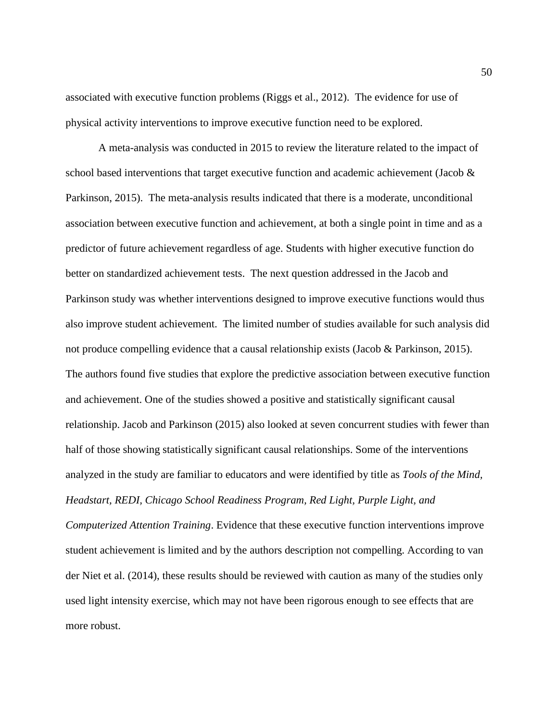associated with executive function problems (Riggs et al., 2012). The evidence for use of physical activity interventions to improve executive function need to be explored.

A meta-analysis was conducted in 2015 to review the literature related to the impact of school based interventions that target executive function and academic achievement (Jacob & Parkinson, 2015). The meta-analysis results indicated that there is a moderate, unconditional association between executive function and achievement, at both a single point in time and as a predictor of future achievement regardless of age. Students with higher executive function do better on standardized achievement tests. The next question addressed in the Jacob and Parkinson study was whether interventions designed to improve executive functions would thus also improve student achievement. The limited number of studies available for such analysis did not produce compelling evidence that a causal relationship exists (Jacob & Parkinson, 2015). The authors found five studies that explore the predictive association between executive function and achievement. One of the studies showed a positive and statistically significant causal relationship. Jacob and Parkinson (2015) also looked at seven concurrent studies with fewer than half of those showing statistically significant causal relationships. Some of the interventions analyzed in the study are familiar to educators and were identified by title as *Tools of the Mind, Headstart, REDI, Chicago School Readiness Program, Red Light, Purple Light, and* 

*Computerized Attention Training*. Evidence that these executive function interventions improve student achievement is limited and by the authors description not compelling. According to van der Niet et al. (2014), these results should be reviewed with caution as many of the studies only used light intensity exercise, which may not have been rigorous enough to see effects that are more robust.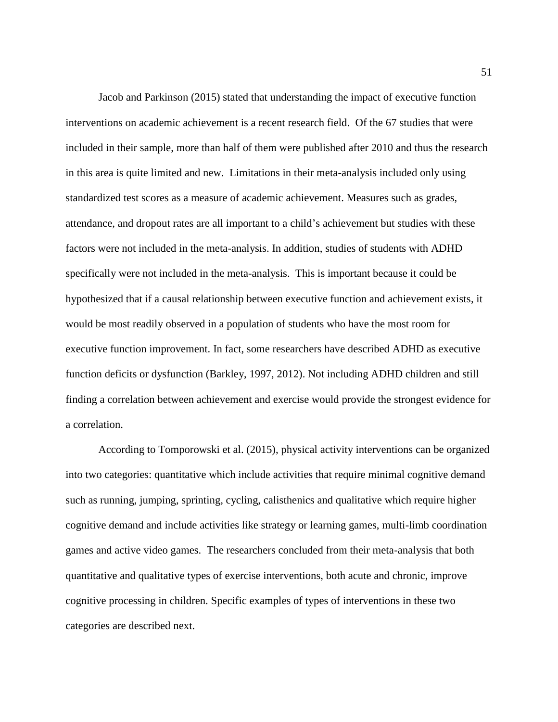Jacob and Parkinson (2015) stated that understanding the impact of executive function interventions on academic achievement is a recent research field. Of the 67 studies that were included in their sample, more than half of them were published after 2010 and thus the research in this area is quite limited and new. Limitations in their meta-analysis included only using standardized test scores as a measure of academic achievement. Measures such as grades, attendance, and dropout rates are all important to a child's achievement but studies with these factors were not included in the meta-analysis. In addition, studies of students with ADHD specifically were not included in the meta-analysis. This is important because it could be hypothesized that if a causal relationship between executive function and achievement exists, it would be most readily observed in a population of students who have the most room for executive function improvement. In fact, some researchers have described ADHD as executive function deficits or dysfunction (Barkley, 1997, 2012). Not including ADHD children and still finding a correlation between achievement and exercise would provide the strongest evidence for a correlation.

According to Tomporowski et al. (2015), physical activity interventions can be organized into two categories: quantitative which include activities that require minimal cognitive demand such as running, jumping, sprinting, cycling, calisthenics and qualitative which require higher cognitive demand and include activities like strategy or learning games, multi-limb coordination games and active video games. The researchers concluded from their meta-analysis that both quantitative and qualitative types of exercise interventions, both acute and chronic, improve cognitive processing in children. Specific examples of types of interventions in these two categories are described next.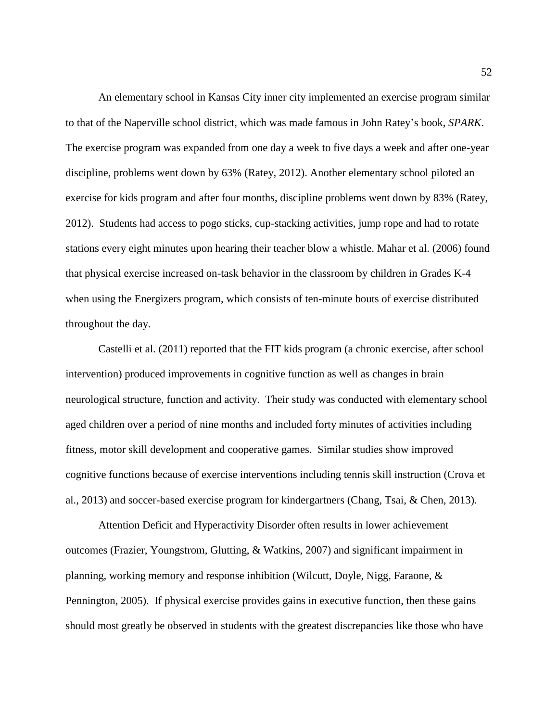An elementary school in Kansas City inner city implemented an exercise program similar to that of the Naperville school district, which was made famous in John Ratey's book, *SPARK*. The exercise program was expanded from one day a week to five days a week and after one-year discipline, problems went down by 63% (Ratey, 2012). Another elementary school piloted an exercise for kids program and after four months, discipline problems went down by 83% (Ratey, 2012). Students had access to pogo sticks, cup-stacking activities, jump rope and had to rotate stations every eight minutes upon hearing their teacher blow a whistle. Mahar et al. (2006) found that physical exercise increased on-task behavior in the classroom by children in Grades K-4 when using the Energizers program, which consists of ten-minute bouts of exercise distributed throughout the day.

Castelli et al. (2011) reported that the FIT kids program (a chronic exercise, after school intervention) produced improvements in cognitive function as well as changes in brain neurological structure, function and activity. Their study was conducted with elementary school aged children over a period of nine months and included forty minutes of activities including fitness, motor skill development and cooperative games. Similar studies show improved cognitive functions because of exercise interventions including tennis skill instruction (Crova et al., 2013) and soccer-based exercise program for kindergartners (Chang, Tsai, & Chen, 2013).

Attention Deficit and Hyperactivity Disorder often results in lower achievement outcomes (Frazier, Youngstrom, Glutting, & Watkins, 2007) and significant impairment in planning, working memory and response inhibition (Wilcutt, Doyle, Nigg, Faraone, & Pennington, 2005). If physical exercise provides gains in executive function, then these gains should most greatly be observed in students with the greatest discrepancies like those who have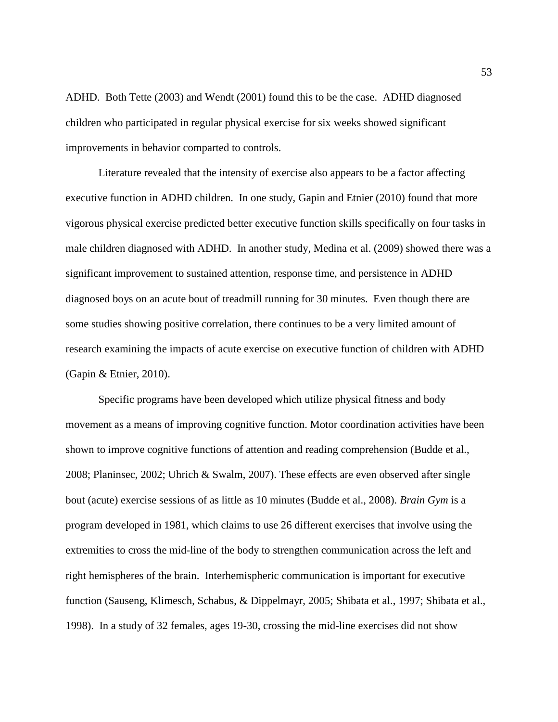ADHD. Both Tette (2003) and Wendt (2001) found this to be the case. ADHD diagnosed children who participated in regular physical exercise for six weeks showed significant improvements in behavior comparted to controls.

Literature revealed that the intensity of exercise also appears to be a factor affecting executive function in ADHD children. In one study, Gapin and Etnier (2010) found that more vigorous physical exercise predicted better executive function skills specifically on four tasks in male children diagnosed with ADHD. In another study, Medina et al. (2009) showed there was a significant improvement to sustained attention, response time, and persistence in ADHD diagnosed boys on an acute bout of treadmill running for 30 minutes. Even though there are some studies showing positive correlation, there continues to be a very limited amount of research examining the impacts of acute exercise on executive function of children with ADHD (Gapin & Etnier, 2010).

Specific programs have been developed which utilize physical fitness and body movement as a means of improving cognitive function. Motor coordination activities have been shown to improve cognitive functions of attention and reading comprehension (Budde et al., 2008; Planinsec, 2002; Uhrich & Swalm, 2007). These effects are even observed after single bout (acute) exercise sessions of as little as 10 minutes (Budde et al., 2008). *Brain Gym* is a program developed in 1981, which claims to use 26 different exercises that involve using the extremities to cross the mid-line of the body to strengthen communication across the left and right hemispheres of the brain. Interhemispheric communication is important for executive function (Sauseng, Klimesch, Schabus, & Dippelmayr, 2005; Shibata et al., 1997; Shibata et al., 1998). In a study of 32 females, ages 19-30, crossing the mid-line exercises did not show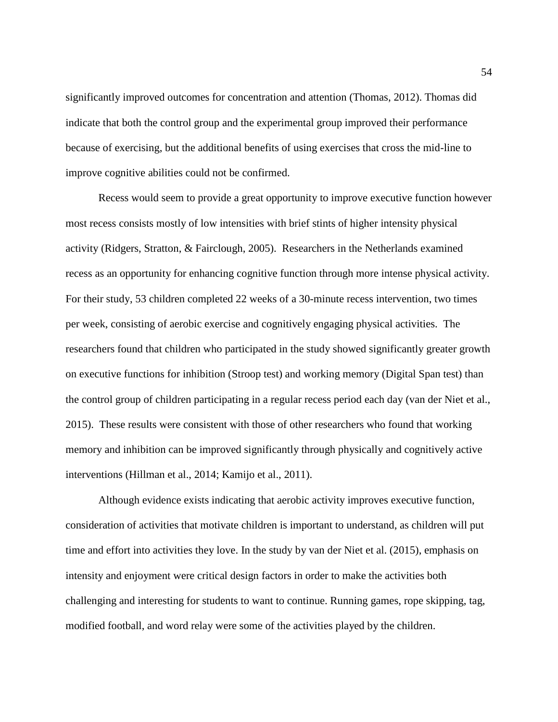significantly improved outcomes for concentration and attention (Thomas, 2012). Thomas did indicate that both the control group and the experimental group improved their performance because of exercising, but the additional benefits of using exercises that cross the mid-line to improve cognitive abilities could not be confirmed.

Recess would seem to provide a great opportunity to improve executive function however most recess consists mostly of low intensities with brief stints of higher intensity physical activity (Ridgers, Stratton, & Fairclough, 2005). Researchers in the Netherlands examined recess as an opportunity for enhancing cognitive function through more intense physical activity. For their study, 53 children completed 22 weeks of a 30-minute recess intervention, two times per week, consisting of aerobic exercise and cognitively engaging physical activities. The researchers found that children who participated in the study showed significantly greater growth on executive functions for inhibition (Stroop test) and working memory (Digital Span test) than the control group of children participating in a regular recess period each day (van der Niet et al., 2015). These results were consistent with those of other researchers who found that working memory and inhibition can be improved significantly through physically and cognitively active interventions (Hillman et al., 2014; Kamijo et al., 2011).

Although evidence exists indicating that aerobic activity improves executive function, consideration of activities that motivate children is important to understand, as children will put time and effort into activities they love. In the study by van der Niet et al. (2015), emphasis on intensity and enjoyment were critical design factors in order to make the activities both challenging and interesting for students to want to continue. Running games, rope skipping, tag, modified football, and word relay were some of the activities played by the children.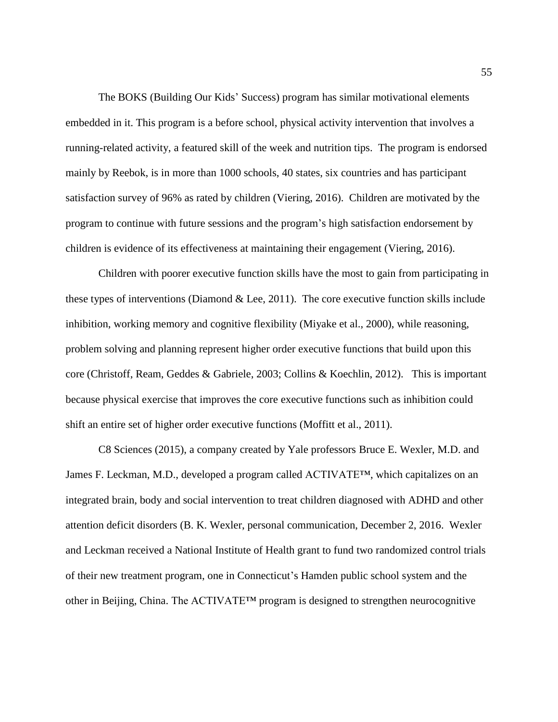The BOKS (Building Our Kids' Success) program has similar motivational elements embedded in it. This program is a before school, physical activity intervention that involves a running-related activity, a featured skill of the week and nutrition tips. The program is endorsed mainly by Reebok, is in more than 1000 schools, 40 states, six countries and has participant satisfaction survey of 96% as rated by children (Viering, 2016). Children are motivated by the program to continue with future sessions and the program's high satisfaction endorsement by children is evidence of its effectiveness at maintaining their engagement (Viering, 2016).

Children with poorer executive function skills have the most to gain from participating in these types of interventions (Diamond  $\&$  Lee, 2011). The core executive function skills include inhibition, working memory and cognitive flexibility (Miyake et al., 2000), while reasoning, problem solving and planning represent higher order executive functions that build upon this core (Christoff, Ream, Geddes & Gabriele, 2003; Collins & Koechlin, 2012). This is important because physical exercise that improves the core executive functions such as inhibition could shift an entire set of higher order executive functions (Moffitt et al., 2011).

C8 Sciences (2015), a company created by Yale professors Bruce E. Wexler, M.D. and James F. Leckman, M.D., developed a program called ACTIVATE™, which capitalizes on an integrated brain, body and social intervention to treat children diagnosed with ADHD and other attention deficit disorders (B. K. Wexler, personal communication, December 2, 2016. Wexler and Leckman received a National Institute of Health grant to fund two randomized control trials of their new treatment program, one in Connecticut's Hamden public school system and the other in Beijing, China. The ACTIVATE™ program is designed to strengthen neurocognitive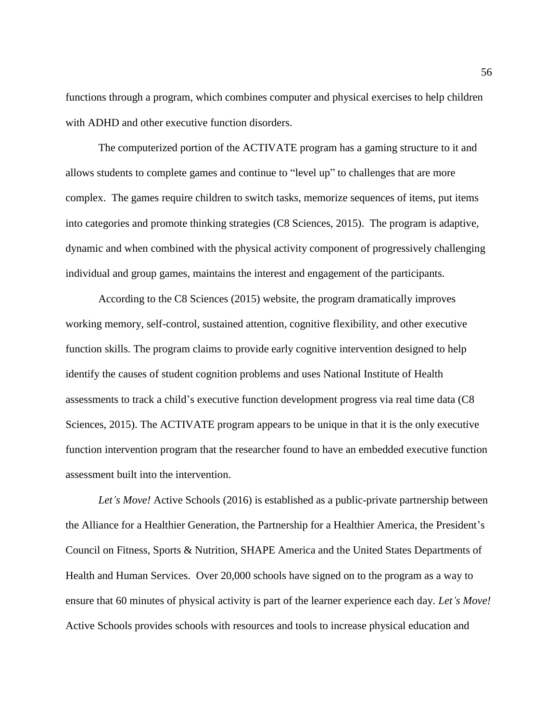functions through a program, which combines computer and physical exercises to help children with ADHD and other executive function disorders.

The computerized portion of the ACTIVATE program has a gaming structure to it and allows students to complete games and continue to "level up" to challenges that are more complex. The games require children to switch tasks, memorize sequences of items, put items into categories and promote thinking strategies (C8 Sciences, 2015). The program is adaptive, dynamic and when combined with the physical activity component of progressively challenging individual and group games, maintains the interest and engagement of the participants.

According to the C8 Sciences (2015) website, the program dramatically improves working memory, self-control, sustained attention, cognitive flexibility, and other executive function skills. The program claims to provide early cognitive intervention designed to help identify the causes of student cognition problems and uses National Institute of Health assessments to track a child's executive function development progress via real time data (C8 Sciences, 2015). The ACTIVATE program appears to be unique in that it is the only executive function intervention program that the researcher found to have an embedded executive function assessment built into the intervention.

*Let's Move!* Active Schools (2016) is established as a public-private partnership between the Alliance for a Healthier Generation, the Partnership for a Healthier America, the President's Council on Fitness, Sports & Nutrition, SHAPE America and the United States Departments of Health and Human Services. Over 20,000 schools have signed on to the program as a way to ensure that 60 minutes of physical activity is part of the learner experience each day. *Let's Move!* Active Schools provides schools with resources and tools to increase physical education and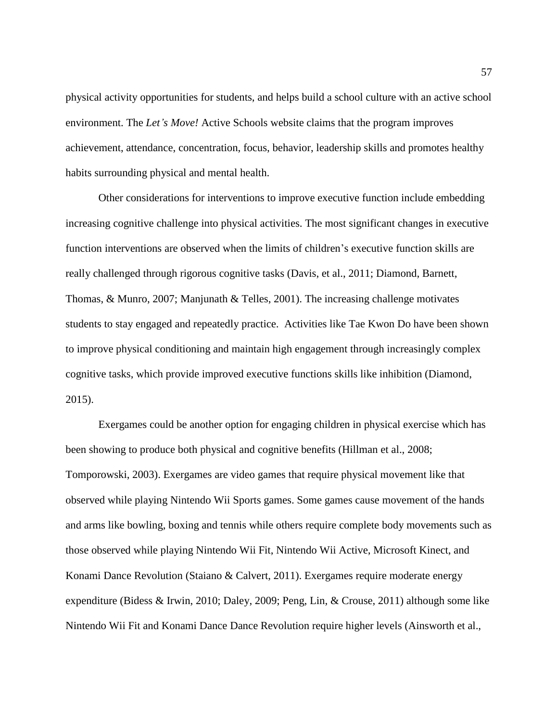physical activity opportunities for students, and helps build a school culture with an active school environment. The *Let's Move!* Active Schools website claims that the program improves achievement, attendance, concentration, focus, behavior, leadership skills and promotes healthy habits surrounding physical and mental health.

Other considerations for interventions to improve executive function include embedding increasing cognitive challenge into physical activities. The most significant changes in executive function interventions are observed when the limits of children's executive function skills are really challenged through rigorous cognitive tasks (Davis, et al., 2011; Diamond, Barnett, Thomas, & Munro, 2007; Manjunath & Telles, 2001). The increasing challenge motivates students to stay engaged and repeatedly practice. Activities like Tae Kwon Do have been shown to improve physical conditioning and maintain high engagement through increasingly complex cognitive tasks, which provide improved executive functions skills like inhibition (Diamond, 2015).

Exergames could be another option for engaging children in physical exercise which has been showing to produce both physical and cognitive benefits (Hillman et al., 2008; Tomporowski, 2003). Exergames are video games that require physical movement like that observed while playing Nintendo Wii Sports games. Some games cause movement of the hands and arms like bowling, boxing and tennis while others require complete body movements such as those observed while playing Nintendo Wii Fit, Nintendo Wii Active, Microsoft Kinect, and Konami Dance Revolution (Staiano & Calvert, 2011). Exergames require moderate energy expenditure (Bidess & Irwin, 2010; Daley, 2009; Peng, Lin, & Crouse, 2011) although some like Nintendo Wii Fit and Konami Dance Dance Revolution require higher levels (Ainsworth et al.,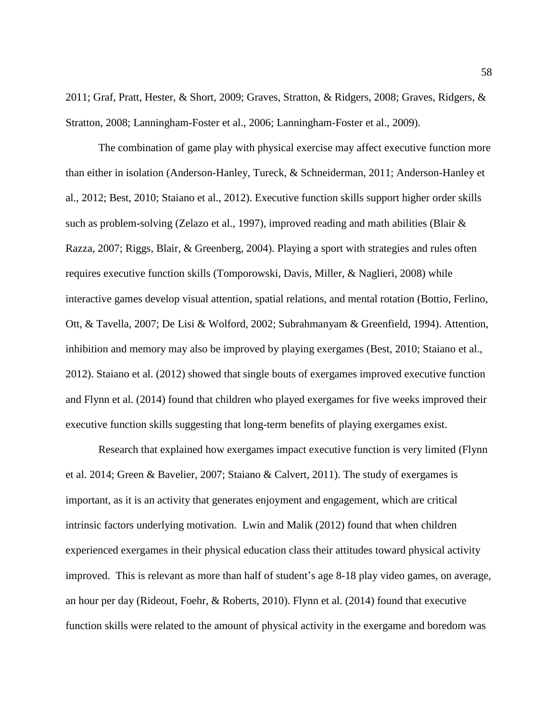2011; Graf, Pratt, Hester, & Short, 2009; Graves, Stratton, & Ridgers, 2008; Graves, Ridgers, & Stratton, 2008; Lanningham-Foster et al., 2006; Lanningham-Foster et al., 2009).

The combination of game play with physical exercise may affect executive function more than either in isolation (Anderson-Hanley, Tureck, & Schneiderman, 2011; Anderson-Hanley et al., 2012; Best, 2010; Staiano et al., 2012). Executive function skills support higher order skills such as problem-solving (Zelazo et al., 1997), improved reading and math abilities (Blair & Razza, 2007; Riggs, Blair, & Greenberg, 2004). Playing a sport with strategies and rules often requires executive function skills (Tomporowski, Davis, Miller, & Naglieri, 2008) while interactive games develop visual attention, spatial relations, and mental rotation (Bottio, Ferlino, Ott, & Tavella, 2007; De Lisi & Wolford, 2002; Subrahmanyam & Greenfield, 1994). Attention, inhibition and memory may also be improved by playing exergames (Best, 2010; Staiano et al., 2012). Staiano et al. (2012) showed that single bouts of exergames improved executive function and Flynn et al. (2014) found that children who played exergames for five weeks improved their executive function skills suggesting that long-term benefits of playing exergames exist.

Research that explained how exergames impact executive function is very limited (Flynn et al. 2014; Green & Bavelier, 2007; Staiano & Calvert, 2011). The study of exergames is important, as it is an activity that generates enjoyment and engagement, which are critical intrinsic factors underlying motivation. Lwin and Malik (2012) found that when children experienced exergames in their physical education class their attitudes toward physical activity improved. This is relevant as more than half of student's age 8-18 play video games, on average, an hour per day (Rideout, Foehr, & Roberts, 2010). Flynn et al. (2014) found that executive function skills were related to the amount of physical activity in the exergame and boredom was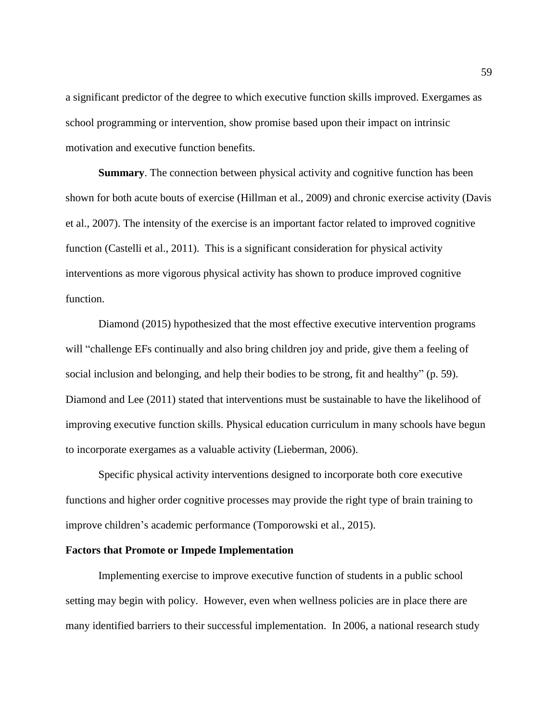a significant predictor of the degree to which executive function skills improved. Exergames as school programming or intervention, show promise based upon their impact on intrinsic motivation and executive function benefits.

**Summary**. The connection between physical activity and cognitive function has been shown for both acute bouts of exercise (Hillman et al., 2009) and chronic exercise activity (Davis et al., 2007). The intensity of the exercise is an important factor related to improved cognitive function (Castelli et al., 2011). This is a significant consideration for physical activity interventions as more vigorous physical activity has shown to produce improved cognitive function.

Diamond (2015) hypothesized that the most effective executive intervention programs will "challenge EFs continually and also bring children joy and pride, give them a feeling of social inclusion and belonging, and help their bodies to be strong, fit and healthy" (p. 59). Diamond and Lee (2011) stated that interventions must be sustainable to have the likelihood of improving executive function skills. Physical education curriculum in many schools have begun to incorporate exergames as a valuable activity (Lieberman, 2006).

Specific physical activity interventions designed to incorporate both core executive functions and higher order cognitive processes may provide the right type of brain training to improve children's academic performance (Tomporowski et al., 2015).

## **Factors that Promote or Impede Implementation**

Implementing exercise to improve executive function of students in a public school setting may begin with policy. However, even when wellness policies are in place there are many identified barriers to their successful implementation. In 2006, a national research study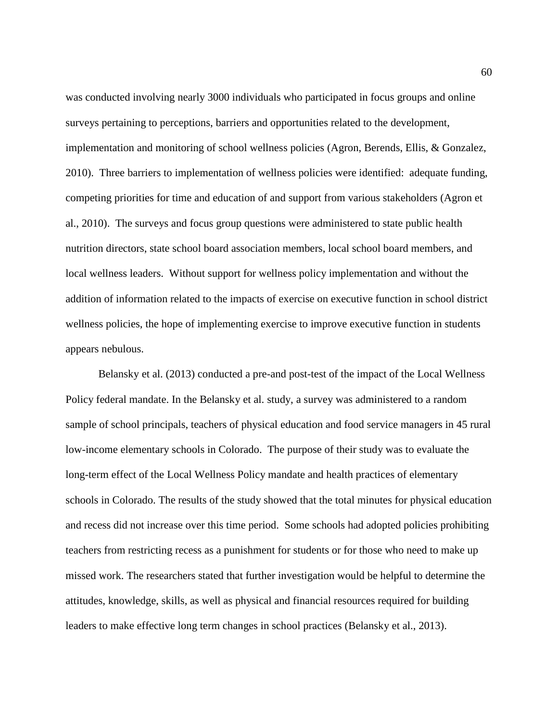was conducted involving nearly 3000 individuals who participated in focus groups and online surveys pertaining to perceptions, barriers and opportunities related to the development, implementation and monitoring of school wellness policies (Agron, Berends, Ellis, & Gonzalez, 2010). Three barriers to implementation of wellness policies were identified: adequate funding, competing priorities for time and education of and support from various stakeholders (Agron et al., 2010). The surveys and focus group questions were administered to state public health nutrition directors, state school board association members, local school board members, and local wellness leaders. Without support for wellness policy implementation and without the addition of information related to the impacts of exercise on executive function in school district wellness policies, the hope of implementing exercise to improve executive function in students appears nebulous.

Belansky et al. (2013) conducted a pre-and post-test of the impact of the Local Wellness Policy federal mandate. In the Belansky et al. study, a survey was administered to a random sample of school principals, teachers of physical education and food service managers in 45 rural low-income elementary schools in Colorado. The purpose of their study was to evaluate the long-term effect of the Local Wellness Policy mandate and health practices of elementary schools in Colorado. The results of the study showed that the total minutes for physical education and recess did not increase over this time period. Some schools had adopted policies prohibiting teachers from restricting recess as a punishment for students or for those who need to make up missed work. The researchers stated that further investigation would be helpful to determine the attitudes, knowledge, skills, as well as physical and financial resources required for building leaders to make effective long term changes in school practices (Belansky et al., 2013).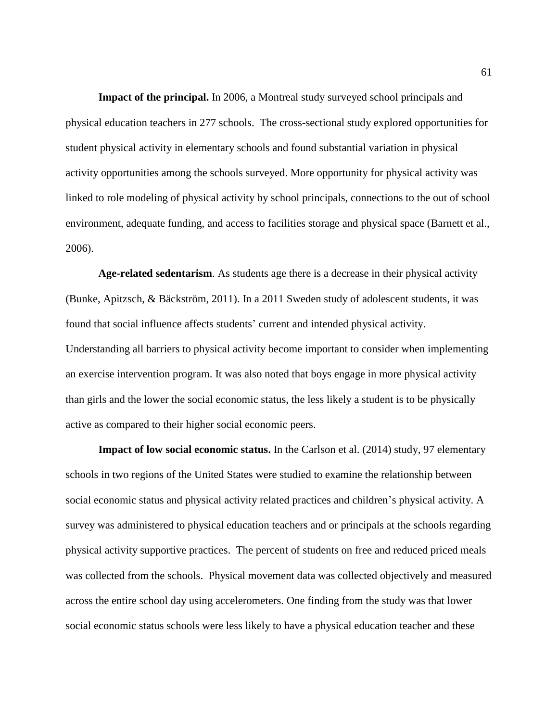**Impact of the principal.** In 2006, a Montreal study surveyed school principals and physical education teachers in 277 schools. The cross-sectional study explored opportunities for student physical activity in elementary schools and found substantial variation in physical activity opportunities among the schools surveyed. More opportunity for physical activity was linked to role modeling of physical activity by school principals, connections to the out of school environment, adequate funding, and access to facilities storage and physical space (Barnett et al., 2006).

**Age-related sedentarism**. As students age there is a decrease in their physical activity (Bunke, Apitzsch, & Bäckström, 2011). In a 2011 Sweden study of adolescent students, it was found that social influence affects students' current and intended physical activity. Understanding all barriers to physical activity become important to consider when implementing an exercise intervention program. It was also noted that boys engage in more physical activity than girls and the lower the social economic status, the less likely a student is to be physically active as compared to their higher social economic peers.

**Impact of low social economic status.** In the Carlson et al. (2014) study, 97 elementary schools in two regions of the United States were studied to examine the relationship between social economic status and physical activity related practices and children's physical activity. A survey was administered to physical education teachers and or principals at the schools regarding physical activity supportive practices. The percent of students on free and reduced priced meals was collected from the schools. Physical movement data was collected objectively and measured across the entire school day using accelerometers. One finding from the study was that lower social economic status schools were less likely to have a physical education teacher and these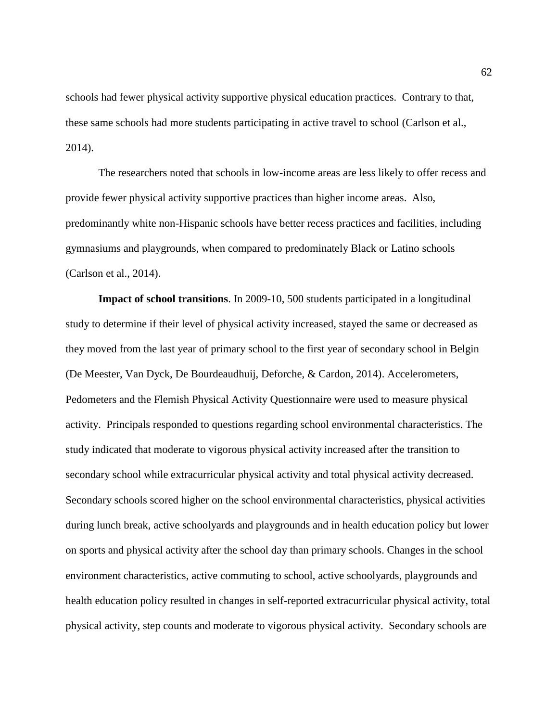schools had fewer physical activity supportive physical education practices. Contrary to that, these same schools had more students participating in active travel to school (Carlson et al., 2014).

The researchers noted that schools in low-income areas are less likely to offer recess and provide fewer physical activity supportive practices than higher income areas. Also, predominantly white non-Hispanic schools have better recess practices and facilities, including gymnasiums and playgrounds, when compared to predominately Black or Latino schools (Carlson et al., 2014).

**Impact of school transitions**. In 2009-10, 500 students participated in a longitudinal study to determine if their level of physical activity increased, stayed the same or decreased as they moved from the last year of primary school to the first year of secondary school in Belgin (De Meester, Van Dyck, De Bourdeaudhuij, Deforche, & Cardon, 2014). Accelerometers, Pedometers and the Flemish Physical Activity Questionnaire were used to measure physical activity. Principals responded to questions regarding school environmental characteristics. The study indicated that moderate to vigorous physical activity increased after the transition to secondary school while extracurricular physical activity and total physical activity decreased. Secondary schools scored higher on the school environmental characteristics, physical activities during lunch break, active schoolyards and playgrounds and in health education policy but lower on sports and physical activity after the school day than primary schools. Changes in the school environment characteristics, active commuting to school, active schoolyards, playgrounds and health education policy resulted in changes in self-reported extracurricular physical activity, total physical activity, step counts and moderate to vigorous physical activity. Secondary schools are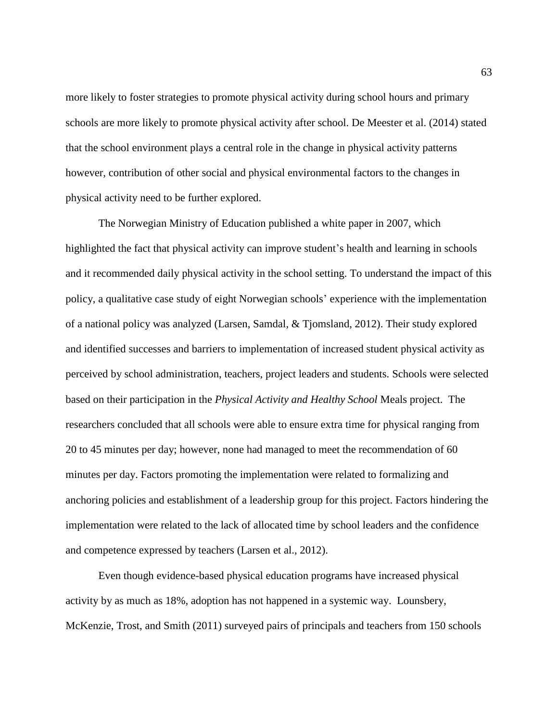more likely to foster strategies to promote physical activity during school hours and primary schools are more likely to promote physical activity after school. De Meester et al. (2014) stated that the school environment plays a central role in the change in physical activity patterns however, contribution of other social and physical environmental factors to the changes in physical activity need to be further explored.

The Norwegian Ministry of Education published a white paper in 2007, which highlighted the fact that physical activity can improve student's health and learning in schools and it recommended daily physical activity in the school setting. To understand the impact of this policy, a qualitative case study of eight Norwegian schools' experience with the implementation of a national policy was analyzed (Larsen, Samdal, & Tjomsland, 2012). Their study explored and identified successes and barriers to implementation of increased student physical activity as perceived by school administration, teachers, project leaders and students. Schools were selected based on their participation in the *Physical Activity and Healthy School* Meals project. The researchers concluded that all schools were able to ensure extra time for physical ranging from 20 to 45 minutes per day; however, none had managed to meet the recommendation of 60 minutes per day. Factors promoting the implementation were related to formalizing and anchoring policies and establishment of a leadership group for this project. Factors hindering the implementation were related to the lack of allocated time by school leaders and the confidence and competence expressed by teachers (Larsen et al., 2012).

Even though evidence-based physical education programs have increased physical activity by as much as 18%, adoption has not happened in a systemic way. Lounsbery, McKenzie, Trost, and Smith (2011) surveyed pairs of principals and teachers from 150 schools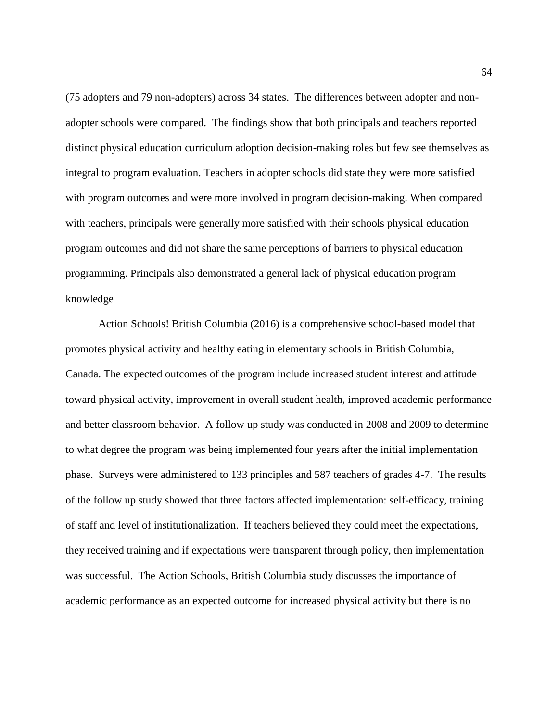(75 adopters and 79 non-adopters) across 34 states. The differences between adopter and nonadopter schools were compared. The findings show that both principals and teachers reported distinct physical education curriculum adoption decision-making roles but few see themselves as integral to program evaluation. Teachers in adopter schools did state they were more satisfied with program outcomes and were more involved in program decision-making. When compared with teachers, principals were generally more satisfied with their schools physical education program outcomes and did not share the same perceptions of barriers to physical education programming. Principals also demonstrated a general lack of physical education program knowledge

Action Schools! British Columbia (2016) is a comprehensive school-based model that promotes physical activity and healthy eating in elementary schools in British Columbia, Canada. The expected outcomes of the program include increased student interest and attitude toward physical activity, improvement in overall student health, improved academic performance and better classroom behavior. A follow up study was conducted in 2008 and 2009 to determine to what degree the program was being implemented four years after the initial implementation phase. Surveys were administered to 133 principles and 587 teachers of grades 4-7. The results of the follow up study showed that three factors affected implementation: self-efficacy, training of staff and level of institutionalization. If teachers believed they could meet the expectations, they received training and if expectations were transparent through policy, then implementation was successful. The Action Schools, British Columbia study discusses the importance of academic performance as an expected outcome for increased physical activity but there is no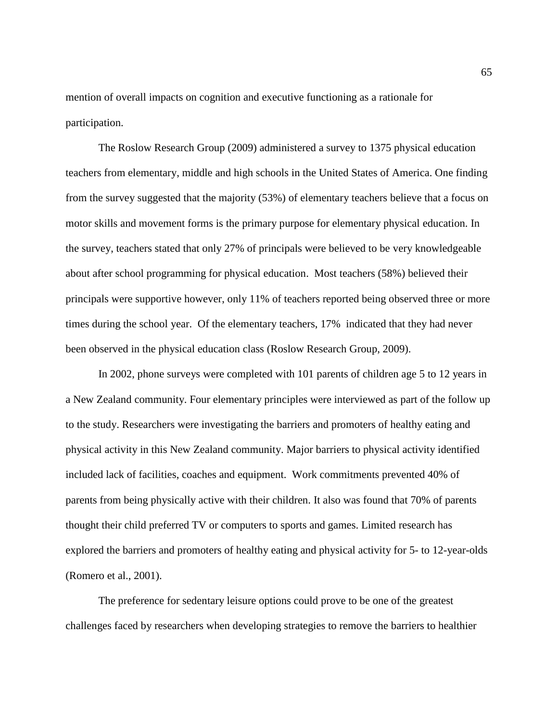mention of overall impacts on cognition and executive functioning as a rationale for participation.

The Roslow Research Group (2009) administered a survey to 1375 physical education teachers from elementary, middle and high schools in the United States of America. One finding from the survey suggested that the majority (53%) of elementary teachers believe that a focus on motor skills and movement forms is the primary purpose for elementary physical education. In the survey, teachers stated that only 27% of principals were believed to be very knowledgeable about after school programming for physical education. Most teachers (58%) believed their principals were supportive however, only 11% of teachers reported being observed three or more times during the school year. Of the elementary teachers, 17% indicated that they had never been observed in the physical education class (Roslow Research Group, 2009).

In 2002, phone surveys were completed with 101 parents of children age 5 to 12 years in a New Zealand community. Four elementary principles were interviewed as part of the follow up to the study. Researchers were investigating the barriers and promoters of healthy eating and physical activity in this New Zealand community. Major barriers to physical activity identified included lack of facilities, coaches and equipment. Work commitments prevented 40% of parents from being physically active with their children. It also was found that 70% of parents thought their child preferred TV or computers to sports and games. Limited research has explored the barriers and promoters of healthy eating and physical activity for 5- to 12-year-olds (Romero et al., 2001).

The preference for sedentary leisure options could prove to be one of the greatest challenges faced by researchers when developing strategies to remove the barriers to healthier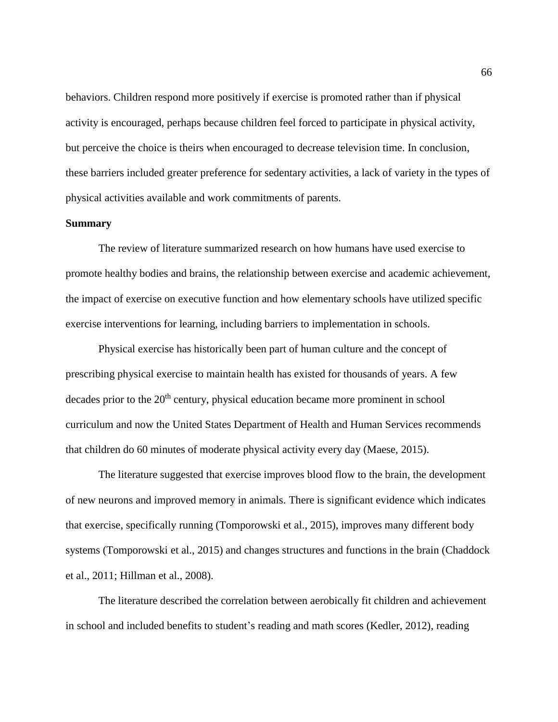behaviors. Children respond more positively if exercise is promoted rather than if physical activity is encouraged, perhaps because children feel forced to participate in physical activity, but perceive the choice is theirs when encouraged to decrease television time. In conclusion, these barriers included greater preference for sedentary activities, a lack of variety in the types of physical activities available and work commitments of parents.

# **Summary**

The review of literature summarized research on how humans have used exercise to promote healthy bodies and brains, the relationship between exercise and academic achievement, the impact of exercise on executive function and how elementary schools have utilized specific exercise interventions for learning, including barriers to implementation in schools.

Physical exercise has historically been part of human culture and the concept of prescribing physical exercise to maintain health has existed for thousands of years. A few decades prior to the 20<sup>th</sup> century, physical education became more prominent in school curriculum and now the United States Department of Health and Human Services recommends that children do 60 minutes of moderate physical activity every day (Maese, 2015).

The literature suggested that exercise improves blood flow to the brain, the development of new neurons and improved memory in animals. There is significant evidence which indicates that exercise, specifically running (Tomporowski et al., 2015), improves many different body systems (Tomporowski et al., 2015) and changes structures and functions in the brain (Chaddock et al., 2011; Hillman et al., 2008).

The literature described the correlation between aerobically fit children and achievement in school and included benefits to student's reading and math scores (Kedler, 2012), reading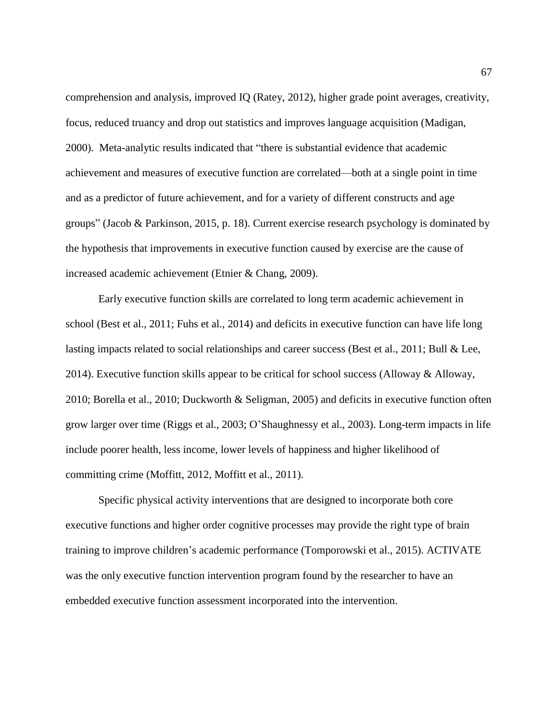comprehension and analysis, improved IQ (Ratey, 2012), higher grade point averages, creativity, focus, reduced truancy and drop out statistics and improves language acquisition (Madigan, 2000). Meta-analytic results indicated that "there is substantial evidence that academic achievement and measures of executive function are correlated—both at a single point in time and as a predictor of future achievement, and for a variety of different constructs and age groups" (Jacob & Parkinson, 2015, p. 18). Current exercise research psychology is dominated by the hypothesis that improvements in executive function caused by exercise are the cause of increased academic achievement (Etnier & Chang, 2009).

Early executive function skills are correlated to long term academic achievement in school (Best et al., 2011; Fuhs et al., 2014) and deficits in executive function can have life long lasting impacts related to social relationships and career success (Best et al., 2011; Bull & Lee, 2014). Executive function skills appear to be critical for school success (Alloway & Alloway, 2010; Borella et al., 2010; Duckworth & Seligman, 2005) and deficits in executive function often grow larger over time (Riggs et al., 2003; O'Shaughnessy et al., 2003). Long-term impacts in life include poorer health, less income, lower levels of happiness and higher likelihood of committing crime (Moffitt, 2012, Moffitt et al., 2011).

Specific physical activity interventions that are designed to incorporate both core executive functions and higher order cognitive processes may provide the right type of brain training to improve children's academic performance (Tomporowski et al., 2015). ACTIVATE was the only executive function intervention program found by the researcher to have an embedded executive function assessment incorporated into the intervention.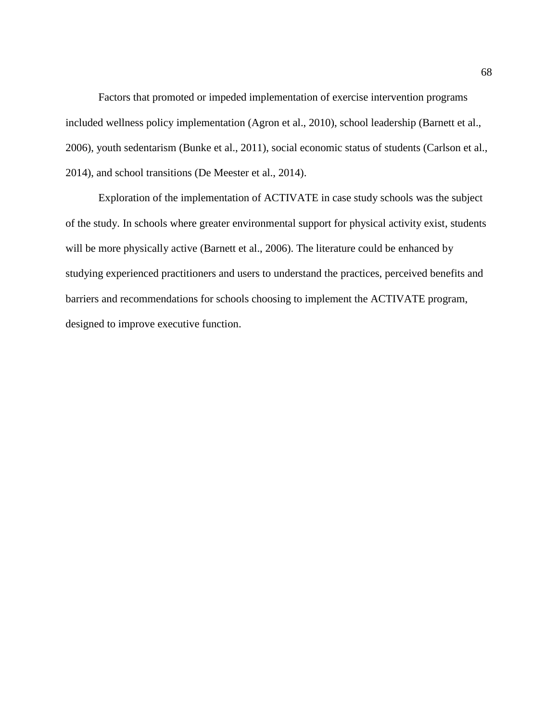Factors that promoted or impeded implementation of exercise intervention programs included wellness policy implementation (Agron et al., 2010), school leadership (Barnett et al., 2006), youth sedentarism (Bunke et al., 2011), social economic status of students (Carlson et al., 2014), and school transitions (De Meester et al., 2014).

Exploration of the implementation of ACTIVATE in case study schools was the subject of the study. In schools where greater environmental support for physical activity exist, students will be more physically active (Barnett et al., 2006). The literature could be enhanced by studying experienced practitioners and users to understand the practices, perceived benefits and barriers and recommendations for schools choosing to implement the ACTIVATE program, designed to improve executive function.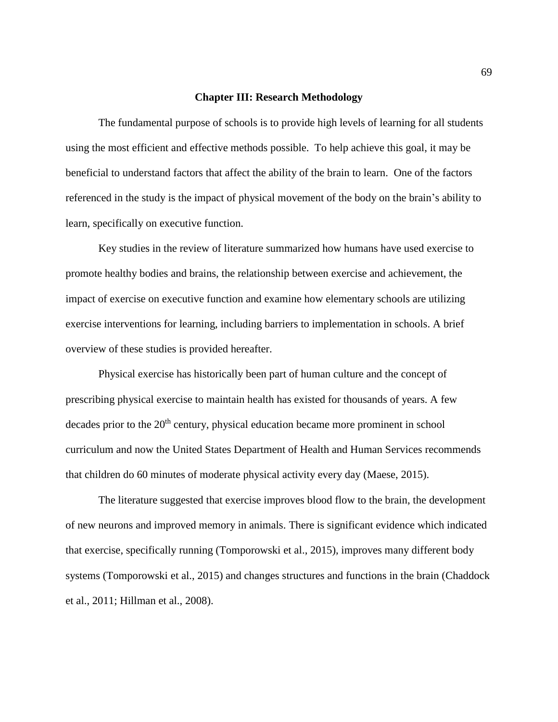#### **Chapter III: Research Methodology**

The fundamental purpose of schools is to provide high levels of learning for all students using the most efficient and effective methods possible. To help achieve this goal, it may be beneficial to understand factors that affect the ability of the brain to learn. One of the factors referenced in the study is the impact of physical movement of the body on the brain's ability to learn, specifically on executive function.

Key studies in the review of literature summarized how humans have used exercise to promote healthy bodies and brains, the relationship between exercise and achievement, the impact of exercise on executive function and examine how elementary schools are utilizing exercise interventions for learning, including barriers to implementation in schools. A brief overview of these studies is provided hereafter.

Physical exercise has historically been part of human culture and the concept of prescribing physical exercise to maintain health has existed for thousands of years. A few decades prior to the 20<sup>th</sup> century, physical education became more prominent in school curriculum and now the United States Department of Health and Human Services recommends that children do 60 minutes of moderate physical activity every day (Maese, 2015).

The literature suggested that exercise improves blood flow to the brain, the development of new neurons and improved memory in animals. There is significant evidence which indicated that exercise, specifically running (Tomporowski et al., 2015), improves many different body systems (Tomporowski et al., 2015) and changes structures and functions in the brain (Chaddock et al., 2011; Hillman et al., 2008).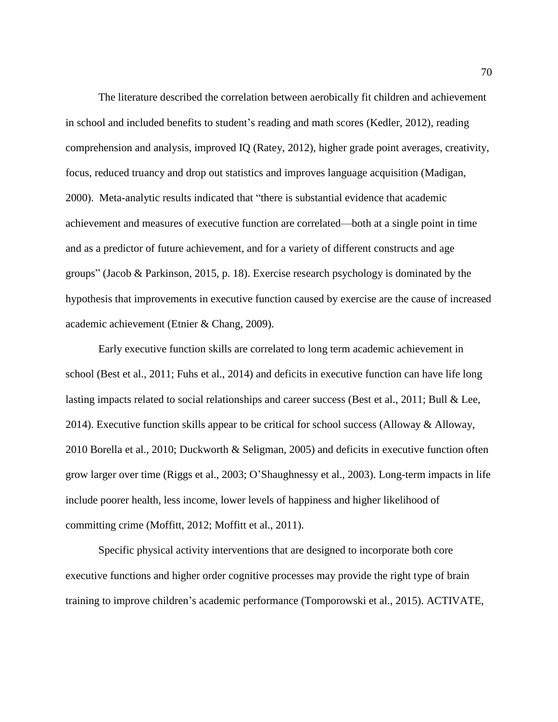The literature described the correlation between aerobically fit children and achievement in school and included benefits to student's reading and math scores (Kedler, 2012), reading comprehension and analysis, improved IQ (Ratey, 2012), higher grade point averages, creativity, focus, reduced truancy and drop out statistics and improves language acquisition (Madigan, 2000). Meta-analytic results indicated that "there is substantial evidence that academic achievement and measures of executive function are correlated—both at a single point in time and as a predictor of future achievement, and for a variety of different constructs and age groups" (Jacob & Parkinson, 2015, p. 18). Exercise research psychology is dominated by the hypothesis that improvements in executive function caused by exercise are the cause of increased academic achievement (Etnier & Chang, 2009).

Early executive function skills are correlated to long term academic achievement in school (Best et al., 2011; Fuhs et al., 2014) and deficits in executive function can have life long lasting impacts related to social relationships and career success (Best et al., 2011; Bull & Lee, 2014). Executive function skills appear to be critical for school success (Alloway & Alloway, 2010 Borella et al., 2010; Duckworth & Seligman, 2005) and deficits in executive function often grow larger over time (Riggs et al., 2003; O'Shaughnessy et al., 2003). Long-term impacts in life include poorer health, less income, lower levels of happiness and higher likelihood of committing crime (Moffitt, 2012; Moffitt et al., 2011).

Specific physical activity interventions that are designed to incorporate both core executive functions and higher order cognitive processes may provide the right type of brain training to improve children's academic performance (Tomporowski et al., 2015). ACTIVATE,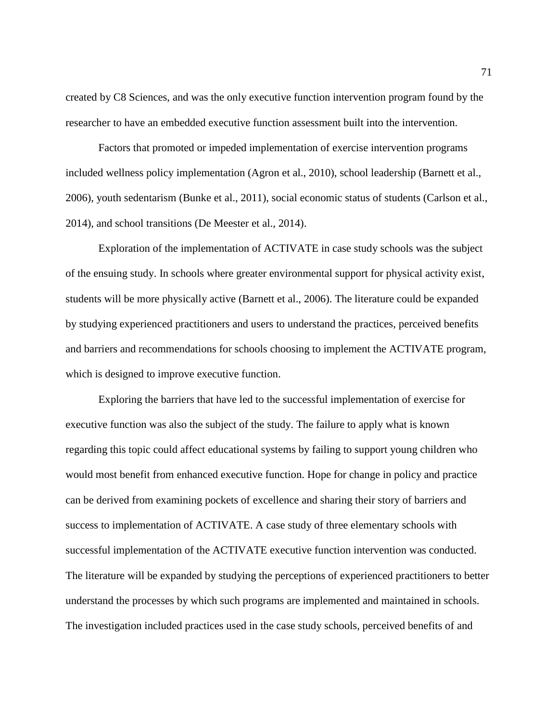created by C8 Sciences, and was the only executive function intervention program found by the researcher to have an embedded executive function assessment built into the intervention.

Factors that promoted or impeded implementation of exercise intervention programs included wellness policy implementation (Agron et al., 2010), school leadership (Barnett et al., 2006), youth sedentarism (Bunke et al., 2011), social economic status of students (Carlson et al., 2014), and school transitions (De Meester et al., 2014).

Exploration of the implementation of ACTIVATE in case study schools was the subject of the ensuing study. In schools where greater environmental support for physical activity exist, students will be more physically active (Barnett et al., 2006). The literature could be expanded by studying experienced practitioners and users to understand the practices, perceived benefits and barriers and recommendations for schools choosing to implement the ACTIVATE program, which is designed to improve executive function.

Exploring the barriers that have led to the successful implementation of exercise for executive function was also the subject of the study. The failure to apply what is known regarding this topic could affect educational systems by failing to support young children who would most benefit from enhanced executive function. Hope for change in policy and practice can be derived from examining pockets of excellence and sharing their story of barriers and success to implementation of ACTIVATE. A case study of three elementary schools with successful implementation of the ACTIVATE executive function intervention was conducted. The literature will be expanded by studying the perceptions of experienced practitioners to better understand the processes by which such programs are implemented and maintained in schools. The investigation included practices used in the case study schools, perceived benefits of and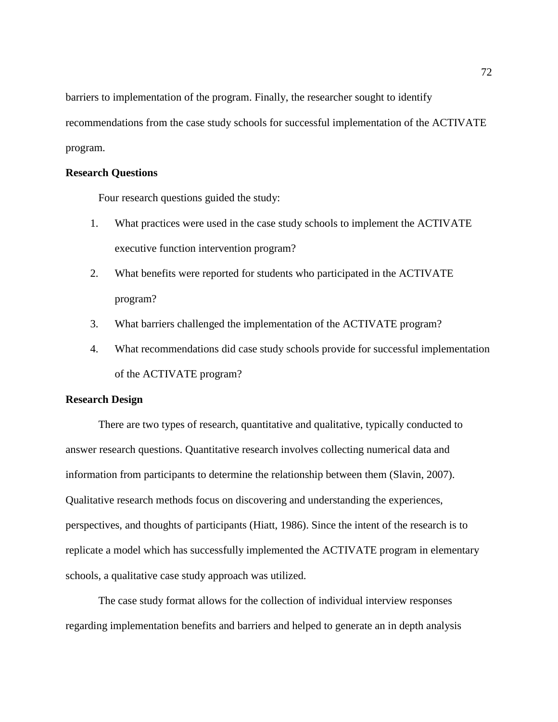barriers to implementation of the program. Finally, the researcher sought to identify recommendations from the case study schools for successful implementation of the ACTIVATE program.

## **Research Questions**

Four research questions guided the study:

- 1. What practices were used in the case study schools to implement the ACTIVATE executive function intervention program?
- 2. What benefits were reported for students who participated in the ACTIVATE program?
- 3. What barriers challenged the implementation of the ACTIVATE program?
- 4. What recommendations did case study schools provide for successful implementation of the ACTIVATE program?

# **Research Design**

There are two types of research, quantitative and qualitative, typically conducted to answer research questions. Quantitative research involves collecting numerical data and information from participants to determine the relationship between them (Slavin, 2007). Qualitative research methods focus on discovering and understanding the experiences, perspectives, and thoughts of participants (Hiatt, 1986). Since the intent of the research is to replicate a model which has successfully implemented the ACTIVATE program in elementary schools, a qualitative case study approach was utilized.

The case study format allows for the collection of individual interview responses regarding implementation benefits and barriers and helped to generate an in depth analysis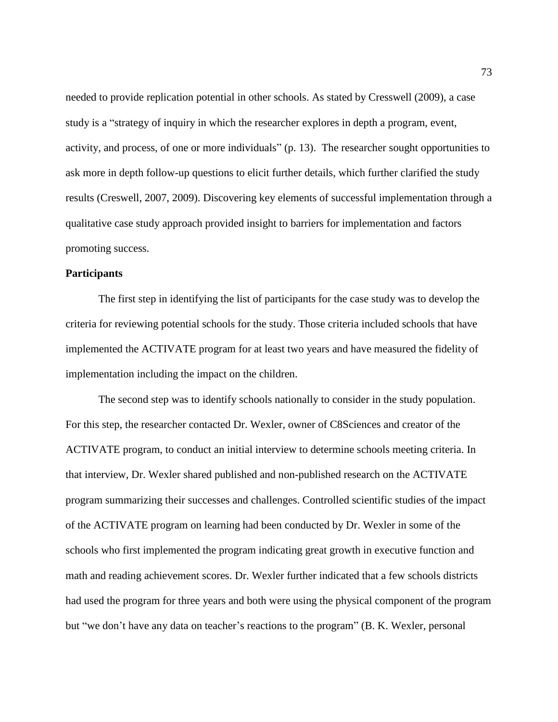needed to provide replication potential in other schools. As stated by Cresswell (2009), a case study is a "strategy of inquiry in which the researcher explores in depth a program, event, activity, and process, of one or more individuals" (p. 13). The researcher sought opportunities to ask more in depth follow-up questions to elicit further details, which further clarified the study results (Creswell, 2007, 2009). Discovering key elements of successful implementation through a qualitative case study approach provided insight to barriers for implementation and factors promoting success.

## **Participants**

The first step in identifying the list of participants for the case study was to develop the criteria for reviewing potential schools for the study. Those criteria included schools that have implemented the ACTIVATE program for at least two years and have measured the fidelity of implementation including the impact on the children.

The second step was to identify schools nationally to consider in the study population. For this step, the researcher contacted Dr. Wexler, owner of C8Sciences and creator of the ACTIVATE program, to conduct an initial interview to determine schools meeting criteria. In that interview, Dr. Wexler shared published and non-published research on the ACTIVATE program summarizing their successes and challenges. Controlled scientific studies of the impact of the ACTIVATE program on learning had been conducted by Dr. Wexler in some of the schools who first implemented the program indicating great growth in executive function and math and reading achievement scores. Dr. Wexler further indicated that a few schools districts had used the program for three years and both were using the physical component of the program but "we don't have any data on teacher's reactions to the program" (B. K. Wexler, personal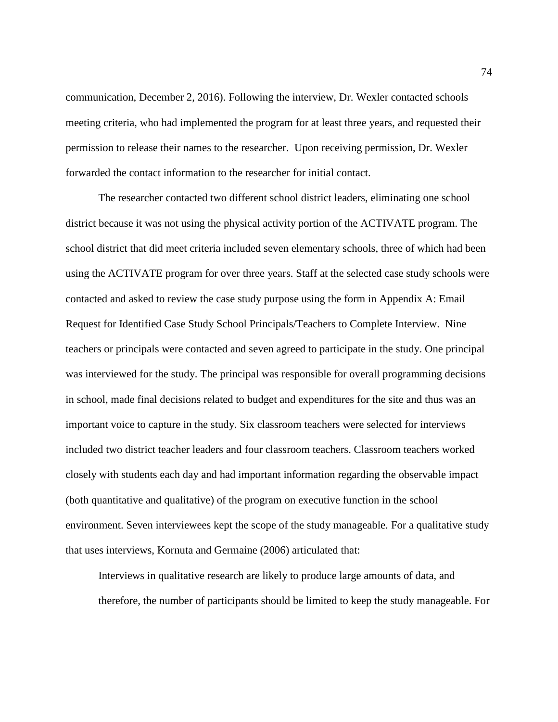communication, December 2, 2016). Following the interview, Dr. Wexler contacted schools meeting criteria, who had implemented the program for at least three years, and requested their permission to release their names to the researcher. Upon receiving permission, Dr. Wexler forwarded the contact information to the researcher for initial contact.

The researcher contacted two different school district leaders, eliminating one school district because it was not using the physical activity portion of the ACTIVATE program. The school district that did meet criteria included seven elementary schools, three of which had been using the ACTIVATE program for over three years. Staff at the selected case study schools were contacted and asked to review the case study purpose using the form in Appendix A: Email Request for Identified Case Study School Principals/Teachers to Complete Interview. Nine teachers or principals were contacted and seven agreed to participate in the study. One principal was interviewed for the study. The principal was responsible for overall programming decisions in school, made final decisions related to budget and expenditures for the site and thus was an important voice to capture in the study. Six classroom teachers were selected for interviews included two district teacher leaders and four classroom teachers. Classroom teachers worked closely with students each day and had important information regarding the observable impact (both quantitative and qualitative) of the program on executive function in the school environment. Seven interviewees kept the scope of the study manageable. For a qualitative study that uses interviews, Kornuta and Germaine (2006) articulated that:

Interviews in qualitative research are likely to produce large amounts of data, and therefore, the number of participants should be limited to keep the study manageable. For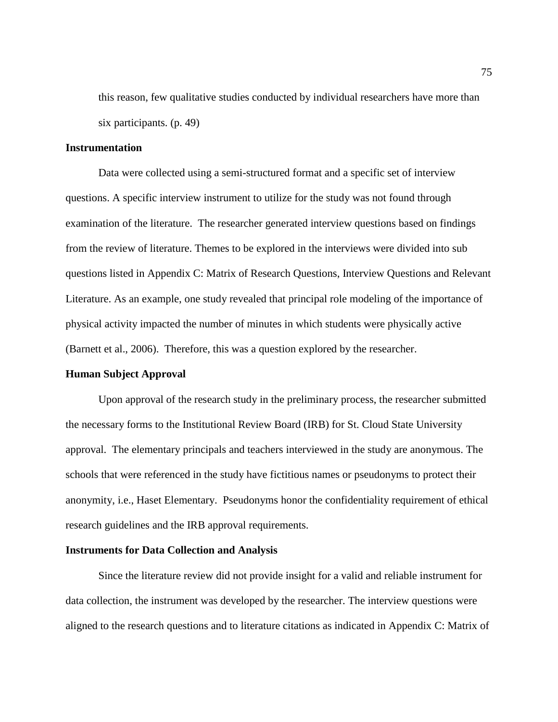this reason, few qualitative studies conducted by individual researchers have more than six participants. (p. 49)

### **Instrumentation**

Data were collected using a semi-structured format and a specific set of interview questions. A specific interview instrument to utilize for the study was not found through examination of the literature. The researcher generated interview questions based on findings from the review of literature. Themes to be explored in the interviews were divided into sub questions listed in Appendix C: Matrix of Research Questions, Interview Questions and Relevant Literature. As an example, one study revealed that principal role modeling of the importance of physical activity impacted the number of minutes in which students were physically active (Barnett et al., 2006). Therefore, this was a question explored by the researcher.

### **Human Subject Approval**

Upon approval of the research study in the preliminary process, the researcher submitted the necessary forms to the Institutional Review Board (IRB) for St. Cloud State University approval. The elementary principals and teachers interviewed in the study are anonymous. The schools that were referenced in the study have fictitious names or pseudonyms to protect their anonymity, i.e., Haset Elementary. Pseudonyms honor the confidentiality requirement of ethical research guidelines and the IRB approval requirements.

#### **Instruments for Data Collection and Analysis**

Since the literature review did not provide insight for a valid and reliable instrument for data collection, the instrument was developed by the researcher. The interview questions were aligned to the research questions and to literature citations as indicated in Appendix C: Matrix of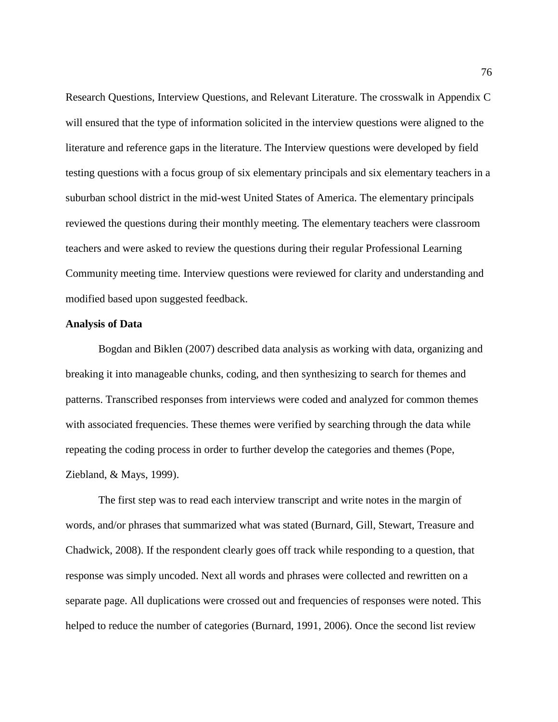Research Questions, Interview Questions, and Relevant Literature. The crosswalk in Appendix C will ensured that the type of information solicited in the interview questions were aligned to the literature and reference gaps in the literature. The Interview questions were developed by field testing questions with a focus group of six elementary principals and six elementary teachers in a suburban school district in the mid-west United States of America. The elementary principals reviewed the questions during their monthly meeting. The elementary teachers were classroom teachers and were asked to review the questions during their regular Professional Learning Community meeting time. Interview questions were reviewed for clarity and understanding and modified based upon suggested feedback.

### **Analysis of Data**

Bogdan and Biklen (2007) described data analysis as working with data, organizing and breaking it into manageable chunks, coding, and then synthesizing to search for themes and patterns. Transcribed responses from interviews were coded and analyzed for common themes with associated frequencies. These themes were verified by searching through the data while repeating the coding process in order to further develop the categories and themes (Pope, Ziebland, & Mays, 1999).

The first step was to read each interview transcript and write notes in the margin of words, and/or phrases that summarized what was stated (Burnard, Gill, Stewart, Treasure and Chadwick, 2008). If the respondent clearly goes off track while responding to a question, that response was simply uncoded. Next all words and phrases were collected and rewritten on a separate page. All duplications were crossed out and frequencies of responses were noted. This helped to reduce the number of categories (Burnard, 1991, 2006). Once the second list review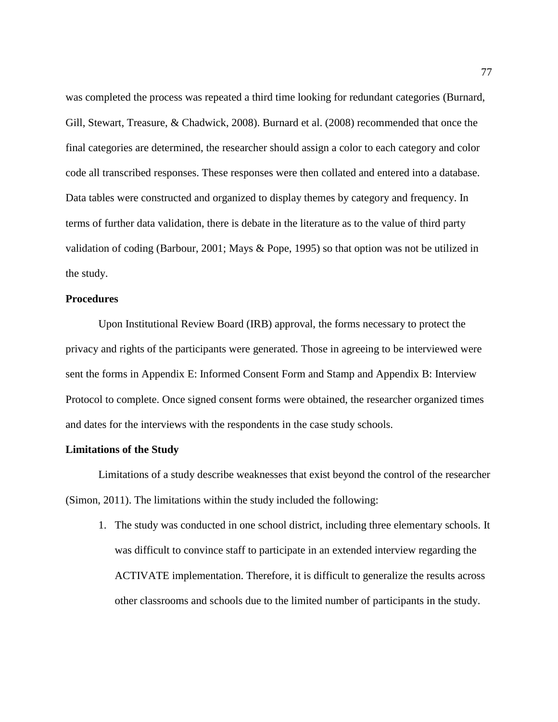was completed the process was repeated a third time looking for redundant categories (Burnard, Gill, Stewart, Treasure, & Chadwick, 2008). Burnard et al. (2008) recommended that once the final categories are determined, the researcher should assign a color to each category and color code all transcribed responses. These responses were then collated and entered into a database. Data tables were constructed and organized to display themes by category and frequency. In terms of further data validation, there is debate in the literature as to the value of third party validation of coding (Barbour, 2001; Mays & Pope, 1995) so that option was not be utilized in the study.

## **Procedures**

Upon Institutional Review Board (IRB) approval, the forms necessary to protect the privacy and rights of the participants were generated. Those in agreeing to be interviewed were sent the forms in Appendix E: Informed Consent Form and Stamp and Appendix B: Interview Protocol to complete. Once signed consent forms were obtained, the researcher organized times and dates for the interviews with the respondents in the case study schools.

### **Limitations of the Study**

Limitations of a study describe weaknesses that exist beyond the control of the researcher (Simon, 2011). The limitations within the study included the following:

1. The study was conducted in one school district, including three elementary schools. It was difficult to convince staff to participate in an extended interview regarding the ACTIVATE implementation. Therefore, it is difficult to generalize the results across other classrooms and schools due to the limited number of participants in the study.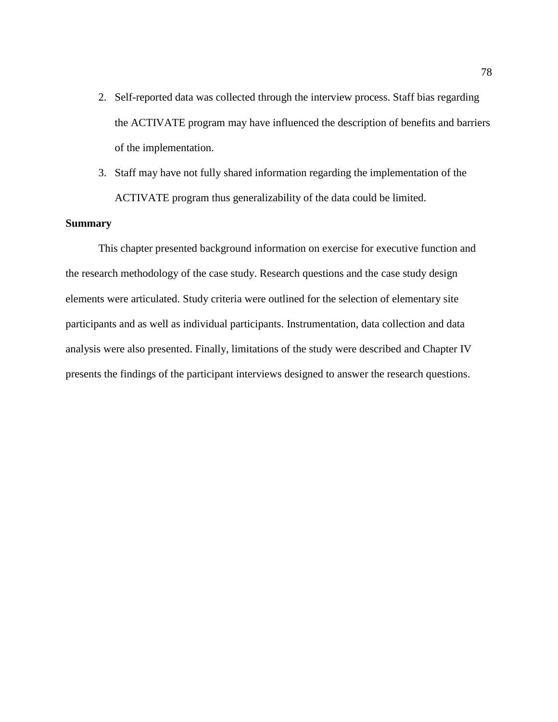- 2. Self-reported data was collected through the interview process. Staff bias regarding the ACTIVATE program may have influenced the description of benefits and barriers of the implementation.
- 3. Staff may have not fully shared information regarding the implementation of the ACTIVATE program thus generalizability of the data could be limited.

## **Summary**

This chapter presented background information on exercise for executive function and the research methodology of the case study. Research questions and the case study design elements were articulated. Study criteria were outlined for the selection of elementary site participants and as well as individual participants. Instrumentation, data collection and data analysis were also presented. Finally, limitations of the study were described and Chapter IV presents the findings of the participant interviews designed to answer the research questions.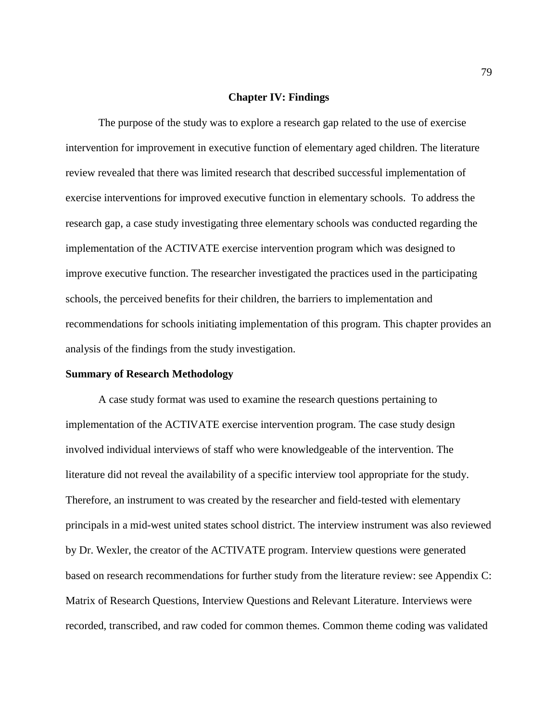### **Chapter IV: Findings**

The purpose of the study was to explore a research gap related to the use of exercise intervention for improvement in executive function of elementary aged children. The literature review revealed that there was limited research that described successful implementation of exercise interventions for improved executive function in elementary schools. To address the research gap, a case study investigating three elementary schools was conducted regarding the implementation of the ACTIVATE exercise intervention program which was designed to improve executive function. The researcher investigated the practices used in the participating schools, the perceived benefits for their children, the barriers to implementation and recommendations for schools initiating implementation of this program. This chapter provides an analysis of the findings from the study investigation.

#### **Summary of Research Methodology**

A case study format was used to examine the research questions pertaining to implementation of the ACTIVATE exercise intervention program. The case study design involved individual interviews of staff who were knowledgeable of the intervention. The literature did not reveal the availability of a specific interview tool appropriate for the study. Therefore, an instrument to was created by the researcher and field-tested with elementary principals in a mid-west united states school district. The interview instrument was also reviewed by Dr. Wexler, the creator of the ACTIVATE program. Interview questions were generated based on research recommendations for further study from the literature review: see Appendix C: Matrix of Research Questions, Interview Questions and Relevant Literature. Interviews were recorded, transcribed, and raw coded for common themes. Common theme coding was validated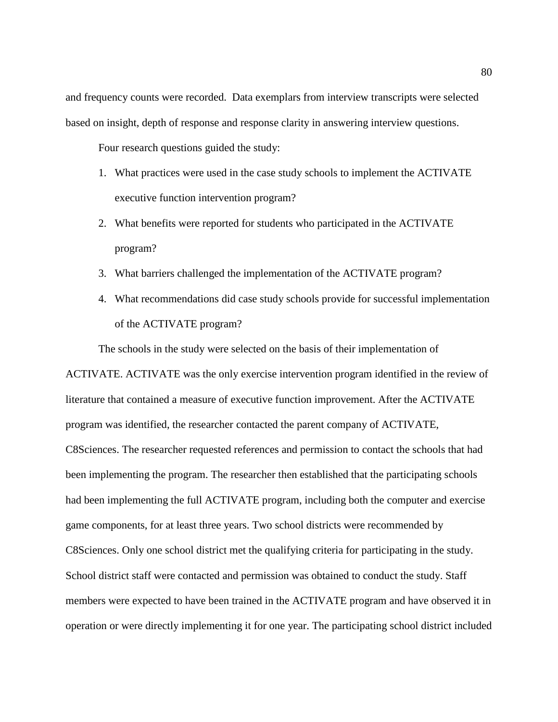and frequency counts were recorded. Data exemplars from interview transcripts were selected based on insight, depth of response and response clarity in answering interview questions.

Four research questions guided the study:

- 1. What practices were used in the case study schools to implement the ACTIVATE executive function intervention program?
- 2. What benefits were reported for students who participated in the ACTIVATE program?
- 3. What barriers challenged the implementation of the ACTIVATE program?
- 4. What recommendations did case study schools provide for successful implementation of the ACTIVATE program?

The schools in the study were selected on the basis of their implementation of

ACTIVATE. ACTIVATE was the only exercise intervention program identified in the review of literature that contained a measure of executive function improvement. After the ACTIVATE program was identified, the researcher contacted the parent company of ACTIVATE, C8Sciences. The researcher requested references and permission to contact the schools that had been implementing the program. The researcher then established that the participating schools had been implementing the full ACTIVATE program, including both the computer and exercise game components, for at least three years. Two school districts were recommended by C8Sciences. Only one school district met the qualifying criteria for participating in the study. School district staff were contacted and permission was obtained to conduct the study. Staff members were expected to have been trained in the ACTIVATE program and have observed it in operation or were directly implementing it for one year. The participating school district included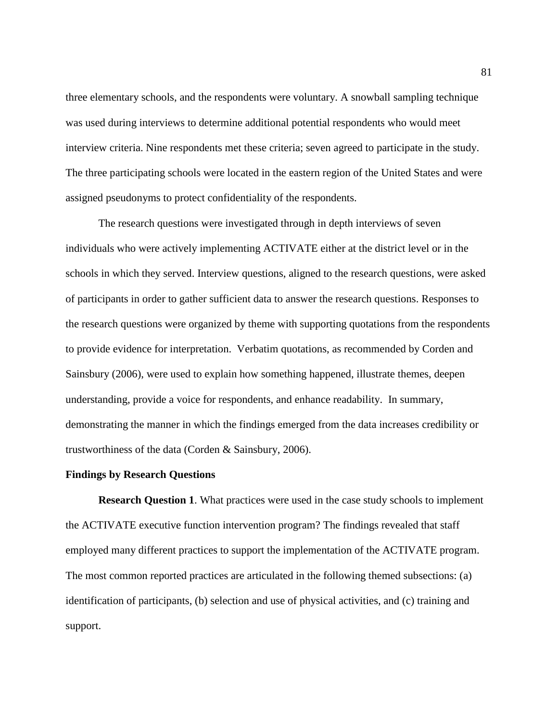three elementary schools, and the respondents were voluntary. A snowball sampling technique was used during interviews to determine additional potential respondents who would meet interview criteria. Nine respondents met these criteria; seven agreed to participate in the study. The three participating schools were located in the eastern region of the United States and were assigned pseudonyms to protect confidentiality of the respondents.

The research questions were investigated through in depth interviews of seven individuals who were actively implementing ACTIVATE either at the district level or in the schools in which they served. Interview questions, aligned to the research questions, were asked of participants in order to gather sufficient data to answer the research questions. Responses to the research questions were organized by theme with supporting quotations from the respondents to provide evidence for interpretation. Verbatim quotations, as recommended by Corden and Sainsbury (2006), were used to explain how something happened, illustrate themes, deepen understanding, provide a voice for respondents, and enhance readability. In summary, demonstrating the manner in which the findings emerged from the data increases credibility or trustworthiness of the data (Corden & Sainsbury, 2006).

### **Findings by Research Questions**

**Research Question 1.** What practices were used in the case study schools to implement the ACTIVATE executive function intervention program? The findings revealed that staff employed many different practices to support the implementation of the ACTIVATE program. The most common reported practices are articulated in the following themed subsections: (a) identification of participants, (b) selection and use of physical activities, and (c) training and support.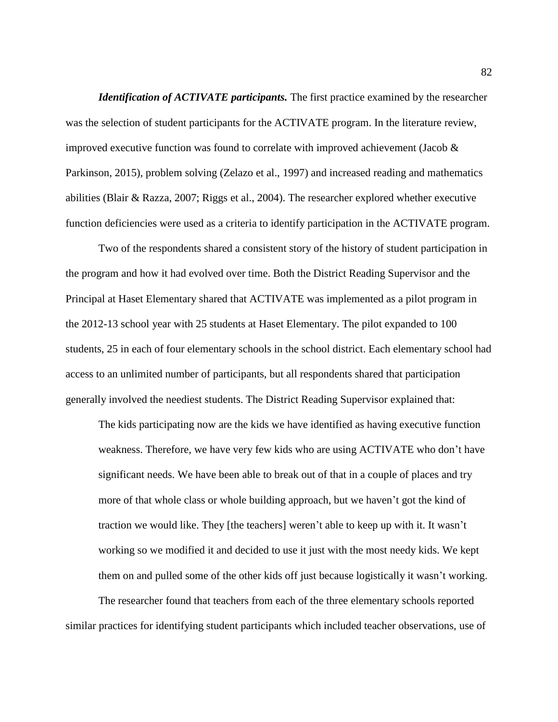*Identification of ACTIVATE participants.* The first practice examined by the researcher was the selection of student participants for the ACTIVATE program. In the literature review, improved executive function was found to correlate with improved achievement (Jacob & Parkinson, 2015), problem solving (Zelazo et al., 1997) and increased reading and mathematics abilities (Blair & Razza, 2007; Riggs et al., 2004). The researcher explored whether executive function deficiencies were used as a criteria to identify participation in the ACTIVATE program.

Two of the respondents shared a consistent story of the history of student participation in the program and how it had evolved over time. Both the District Reading Supervisor and the Principal at Haset Elementary shared that ACTIVATE was implemented as a pilot program in the 2012-13 school year with 25 students at Haset Elementary. The pilot expanded to 100 students, 25 in each of four elementary schools in the school district. Each elementary school had access to an unlimited number of participants, but all respondents shared that participation generally involved the neediest students. The District Reading Supervisor explained that:

The kids participating now are the kids we have identified as having executive function weakness. Therefore, we have very few kids who are using ACTIVATE who don't have significant needs. We have been able to break out of that in a couple of places and try more of that whole class or whole building approach, but we haven't got the kind of traction we would like. They [the teachers] weren't able to keep up with it. It wasn't working so we modified it and decided to use it just with the most needy kids. We kept them on and pulled some of the other kids off just because logistically it wasn't working.

The researcher found that teachers from each of the three elementary schools reported similar practices for identifying student participants which included teacher observations, use of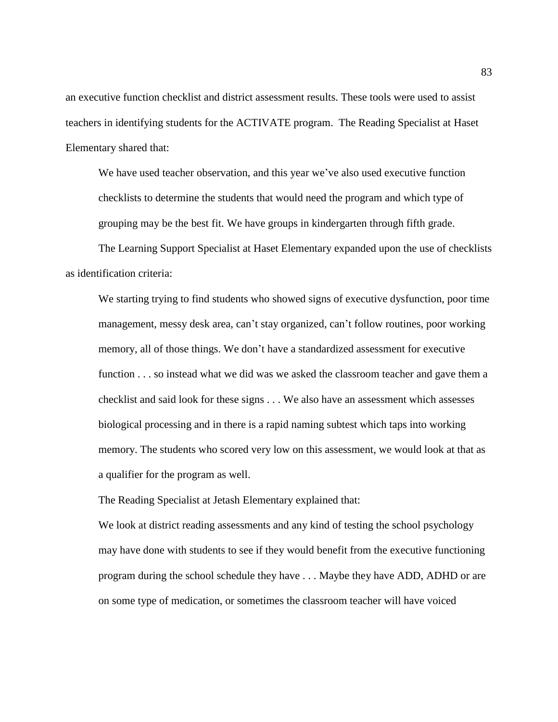an executive function checklist and district assessment results. These tools were used to assist teachers in identifying students for the ACTIVATE program. The Reading Specialist at Haset Elementary shared that:

We have used teacher observation, and this year we've also used executive function checklists to determine the students that would need the program and which type of grouping may be the best fit. We have groups in kindergarten through fifth grade.

The Learning Support Specialist at Haset Elementary expanded upon the use of checklists as identification criteria:

We starting trying to find students who showed signs of executive dysfunction, poor time management, messy desk area, can't stay organized, can't follow routines, poor working memory, all of those things. We don't have a standardized assessment for executive function . . . so instead what we did was we asked the classroom teacher and gave them a checklist and said look for these signs . . . We also have an assessment which assesses biological processing and in there is a rapid naming subtest which taps into working memory. The students who scored very low on this assessment, we would look at that as a qualifier for the program as well.

The Reading Specialist at Jetash Elementary explained that:

We look at district reading assessments and any kind of testing the school psychology may have done with students to see if they would benefit from the executive functioning program during the school schedule they have . . . Maybe they have ADD, ADHD or are on some type of medication, or sometimes the classroom teacher will have voiced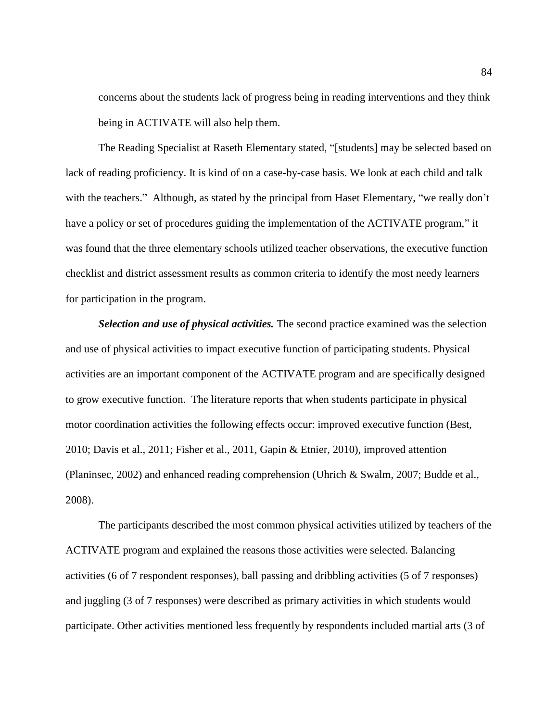concerns about the students lack of progress being in reading interventions and they think being in ACTIVATE will also help them.

The Reading Specialist at Raseth Elementary stated, "[students] may be selected based on lack of reading proficiency. It is kind of on a case-by-case basis. We look at each child and talk with the teachers." Although, as stated by the principal from Haset Elementary, "we really don't have a policy or set of procedures guiding the implementation of the ACTIVATE program," it was found that the three elementary schools utilized teacher observations, the executive function checklist and district assessment results as common criteria to identify the most needy learners for participation in the program.

*Selection and use of physical activities.* The second practice examined was the selection and use of physical activities to impact executive function of participating students. Physical activities are an important component of the ACTIVATE program and are specifically designed to grow executive function. The literature reports that when students participate in physical motor coordination activities the following effects occur: improved executive function (Best, 2010; Davis et al., 2011; Fisher et al., 2011, Gapin & Etnier, 2010), improved attention (Planinsec, 2002) and enhanced reading comprehension (Uhrich & Swalm, 2007; Budde et al., 2008).

The participants described the most common physical activities utilized by teachers of the ACTIVATE program and explained the reasons those activities were selected. Balancing activities (6 of 7 respondent responses), ball passing and dribbling activities (5 of 7 responses) and juggling (3 of 7 responses) were described as primary activities in which students would participate. Other activities mentioned less frequently by respondents included martial arts (3 of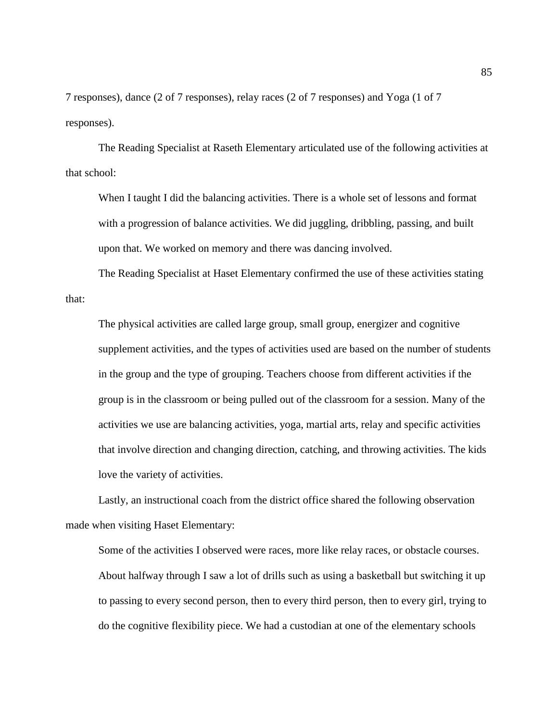7 responses), dance (2 of 7 responses), relay races (2 of 7 responses) and Yoga (1 of 7 responses).

The Reading Specialist at Raseth Elementary articulated use of the following activities at that school:

When I taught I did the balancing activities. There is a whole set of lessons and format with a progression of balance activities. We did juggling, dribbling, passing, and built upon that. We worked on memory and there was dancing involved.

The Reading Specialist at Haset Elementary confirmed the use of these activities stating that:

The physical activities are called large group, small group, energizer and cognitive supplement activities, and the types of activities used are based on the number of students in the group and the type of grouping. Teachers choose from different activities if the group is in the classroom or being pulled out of the classroom for a session. Many of the activities we use are balancing activities, yoga, martial arts, relay and specific activities that involve direction and changing direction, catching, and throwing activities. The kids love the variety of activities.

Lastly, an instructional coach from the district office shared the following observation made when visiting Haset Elementary:

Some of the activities I observed were races, more like relay races, or obstacle courses. About halfway through I saw a lot of drills such as using a basketball but switching it up to passing to every second person, then to every third person, then to every girl, trying to do the cognitive flexibility piece. We had a custodian at one of the elementary schools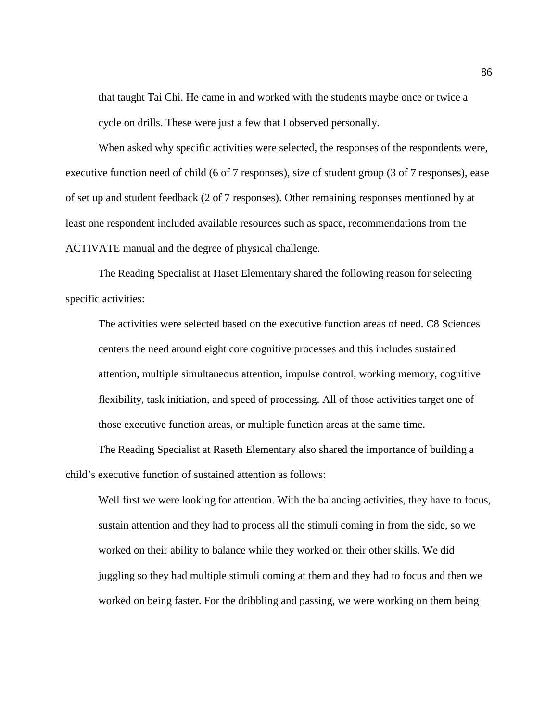that taught Tai Chi. He came in and worked with the students maybe once or twice a cycle on drills. These were just a few that I observed personally.

When asked why specific activities were selected, the responses of the respondents were, executive function need of child (6 of 7 responses), size of student group (3 of 7 responses), ease of set up and student feedback (2 of 7 responses). Other remaining responses mentioned by at least one respondent included available resources such as space, recommendations from the ACTIVATE manual and the degree of physical challenge.

The Reading Specialist at Haset Elementary shared the following reason for selecting specific activities:

The activities were selected based on the executive function areas of need. C8 Sciences centers the need around eight core cognitive processes and this includes sustained attention, multiple simultaneous attention, impulse control, working memory, cognitive flexibility, task initiation, and speed of processing. All of those activities target one of those executive function areas, or multiple function areas at the same time.

The Reading Specialist at Raseth Elementary also shared the importance of building a child's executive function of sustained attention as follows:

Well first we were looking for attention. With the balancing activities, they have to focus, sustain attention and they had to process all the stimuli coming in from the side, so we worked on their ability to balance while they worked on their other skills. We did juggling so they had multiple stimuli coming at them and they had to focus and then we worked on being faster. For the dribbling and passing, we were working on them being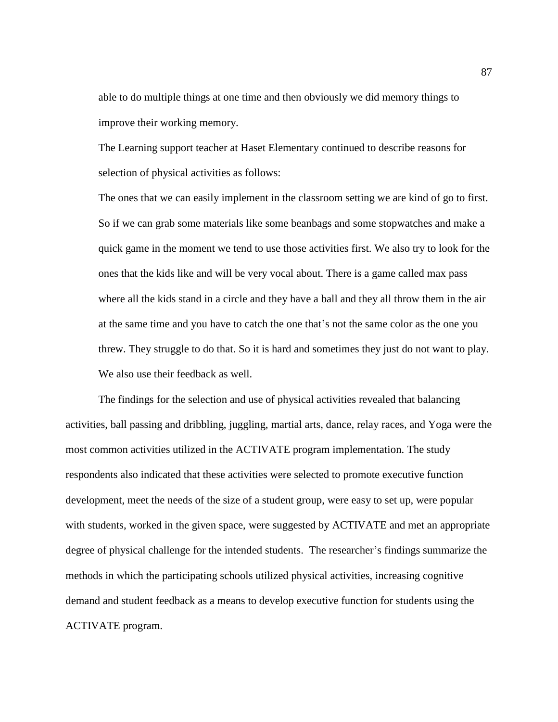able to do multiple things at one time and then obviously we did memory things to improve their working memory.

The Learning support teacher at Haset Elementary continued to describe reasons for selection of physical activities as follows:

The ones that we can easily implement in the classroom setting we are kind of go to first. So if we can grab some materials like some beanbags and some stopwatches and make a quick game in the moment we tend to use those activities first. We also try to look for the ones that the kids like and will be very vocal about. There is a game called max pass where all the kids stand in a circle and they have a ball and they all throw them in the air at the same time and you have to catch the one that's not the same color as the one you threw. They struggle to do that. So it is hard and sometimes they just do not want to play. We also use their feedback as well.

The findings for the selection and use of physical activities revealed that balancing activities, ball passing and dribbling, juggling, martial arts, dance, relay races, and Yoga were the most common activities utilized in the ACTIVATE program implementation. The study respondents also indicated that these activities were selected to promote executive function development, meet the needs of the size of a student group, were easy to set up, were popular with students, worked in the given space, were suggested by ACTIVATE and met an appropriate degree of physical challenge for the intended students. The researcher's findings summarize the methods in which the participating schools utilized physical activities, increasing cognitive demand and student feedback as a means to develop executive function for students using the ACTIVATE program.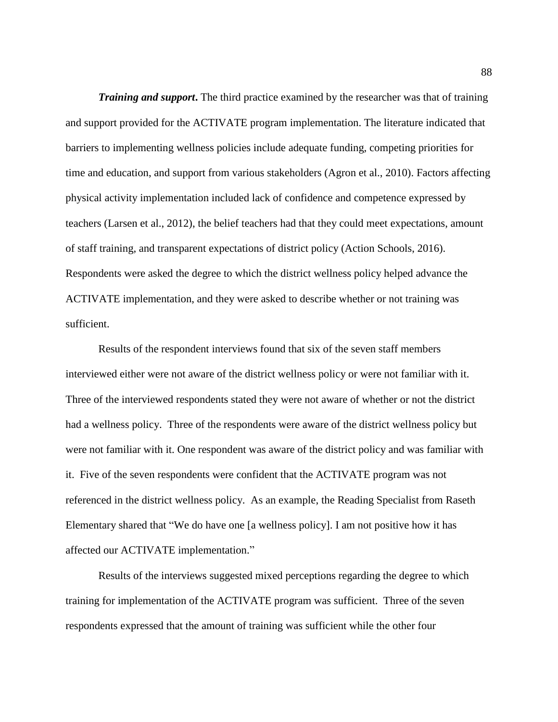*Training and support***.** The third practice examined by the researcher was that of training and support provided for the ACTIVATE program implementation. The literature indicated that barriers to implementing wellness policies include adequate funding, competing priorities for time and education, and support from various stakeholders (Agron et al., 2010). Factors affecting physical activity implementation included lack of confidence and competence expressed by teachers (Larsen et al., 2012), the belief teachers had that they could meet expectations, amount of staff training, and transparent expectations of district policy (Action Schools, 2016). Respondents were asked the degree to which the district wellness policy helped advance the ACTIVATE implementation, and they were asked to describe whether or not training was sufficient.

Results of the respondent interviews found that six of the seven staff members interviewed either were not aware of the district wellness policy or were not familiar with it. Three of the interviewed respondents stated they were not aware of whether or not the district had a wellness policy. Three of the respondents were aware of the district wellness policy but were not familiar with it. One respondent was aware of the district policy and was familiar with it. Five of the seven respondents were confident that the ACTIVATE program was not referenced in the district wellness policy. As an example, the Reading Specialist from Raseth Elementary shared that "We do have one [a wellness policy]. I am not positive how it has affected our ACTIVATE implementation."

Results of the interviews suggested mixed perceptions regarding the degree to which training for implementation of the ACTIVATE program was sufficient. Three of the seven respondents expressed that the amount of training was sufficient while the other four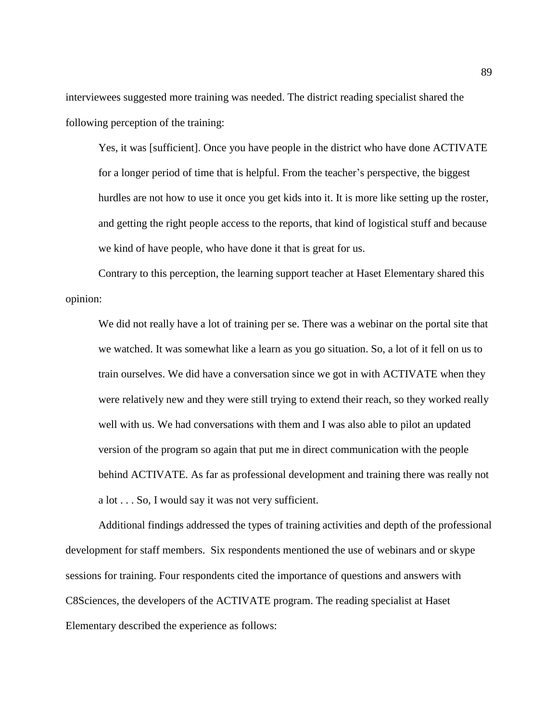interviewees suggested more training was needed. The district reading specialist shared the following perception of the training:

Yes, it was [sufficient]. Once you have people in the district who have done ACTIVATE for a longer period of time that is helpful. From the teacher's perspective, the biggest hurdles are not how to use it once you get kids into it. It is more like setting up the roster, and getting the right people access to the reports, that kind of logistical stuff and because we kind of have people, who have done it that is great for us.

Contrary to this perception, the learning support teacher at Haset Elementary shared this opinion:

We did not really have a lot of training per se. There was a webinar on the portal site that we watched. It was somewhat like a learn as you go situation. So, a lot of it fell on us to train ourselves. We did have a conversation since we got in with ACTIVATE when they were relatively new and they were still trying to extend their reach, so they worked really well with us. We had conversations with them and I was also able to pilot an updated version of the program so again that put me in direct communication with the people behind ACTIVATE. As far as professional development and training there was really not a lot . . . So, I would say it was not very sufficient.

Additional findings addressed the types of training activities and depth of the professional development for staff members. Six respondents mentioned the use of webinars and or skype sessions for training. Four respondents cited the importance of questions and answers with C8Sciences, the developers of the ACTIVATE program. The reading specialist at Haset Elementary described the experience as follows: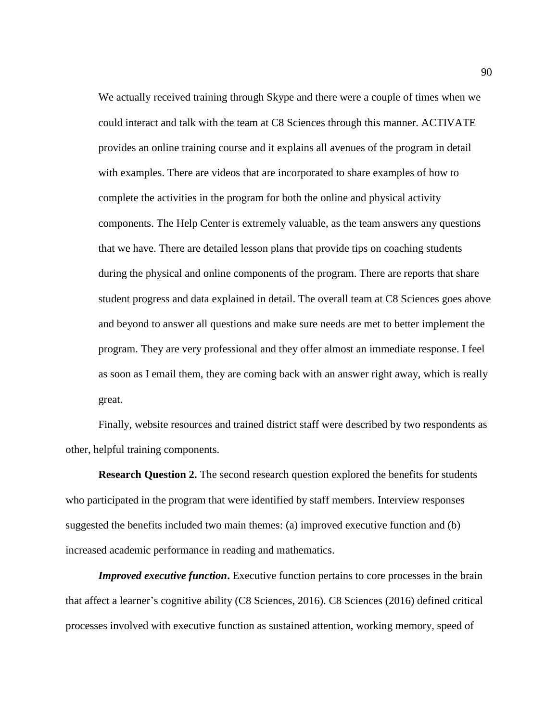We actually received training through Skype and there were a couple of times when we could interact and talk with the team at C8 Sciences through this manner. ACTIVATE provides an online training course and it explains all avenues of the program in detail with examples. There are videos that are incorporated to share examples of how to complete the activities in the program for both the online and physical activity components. The Help Center is extremely valuable, as the team answers any questions that we have. There are detailed lesson plans that provide tips on coaching students during the physical and online components of the program. There are reports that share student progress and data explained in detail. The overall team at C8 Sciences goes above and beyond to answer all questions and make sure needs are met to better implement the program. They are very professional and they offer almost an immediate response. I feel as soon as I email them, they are coming back with an answer right away, which is really great.

Finally, website resources and trained district staff were described by two respondents as other, helpful training components.

**Research Question 2.** The second research question explored the benefits for students who participated in the program that were identified by staff members. Interview responses suggested the benefits included two main themes: (a) improved executive function and (b) increased academic performance in reading and mathematics.

*Improved executive function.* Executive function pertains to core processes in the brain that affect a learner's cognitive ability (C8 Sciences, 2016). C8 Sciences (2016) defined critical processes involved with executive function as sustained attention, working memory, speed of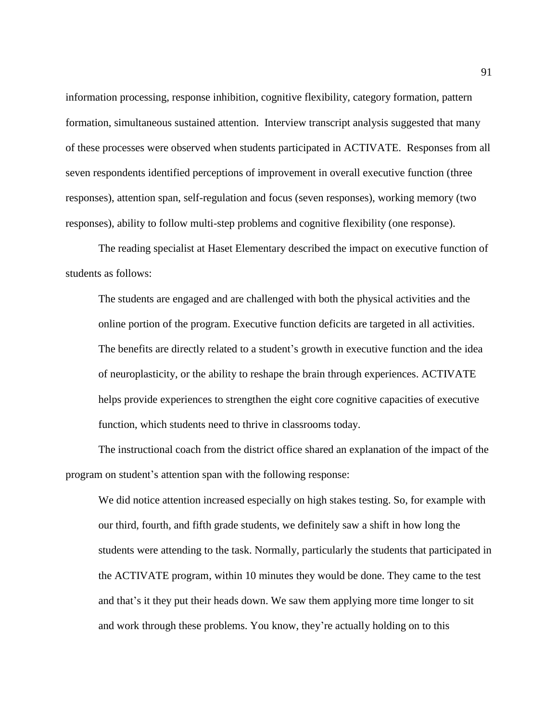information processing, response inhibition, cognitive flexibility, category formation, pattern formation, simultaneous sustained attention. Interview transcript analysis suggested that many of these processes were observed when students participated in ACTIVATE. Responses from all seven respondents identified perceptions of improvement in overall executive function (three responses), attention span, self-regulation and focus (seven responses), working memory (two responses), ability to follow multi-step problems and cognitive flexibility (one response).

The reading specialist at Haset Elementary described the impact on executive function of students as follows:

The students are engaged and are challenged with both the physical activities and the online portion of the program. Executive function deficits are targeted in all activities. The benefits are directly related to a student's growth in executive function and the idea of neuroplasticity, or the ability to reshape the brain through experiences. ACTIVATE helps provide experiences to strengthen the eight core cognitive capacities of executive function, which students need to thrive in classrooms today.

The instructional coach from the district office shared an explanation of the impact of the program on student's attention span with the following response:

We did notice attention increased especially on high stakes testing. So, for example with our third, fourth, and fifth grade students, we definitely saw a shift in how long the students were attending to the task. Normally, particularly the students that participated in the ACTIVATE program, within 10 minutes they would be done. They came to the test and that's it they put their heads down. We saw them applying more time longer to sit and work through these problems. You know, they're actually holding on to this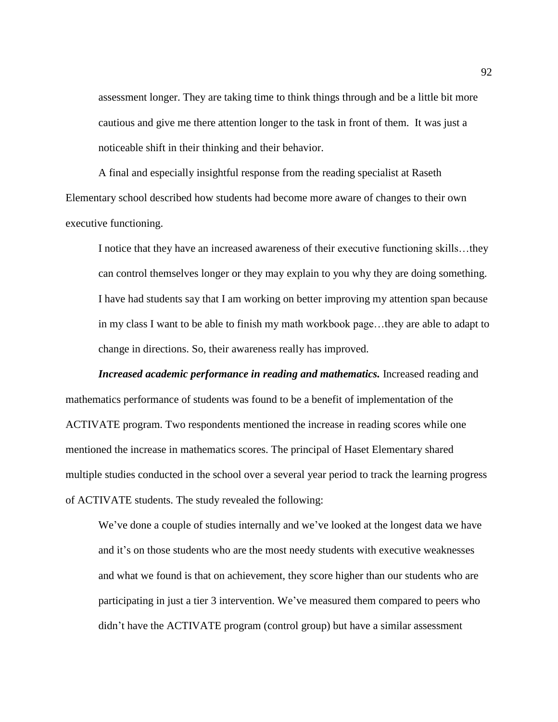assessment longer. They are taking time to think things through and be a little bit more cautious and give me there attention longer to the task in front of them. It was just a noticeable shift in their thinking and their behavior.

A final and especially insightful response from the reading specialist at Raseth Elementary school described how students had become more aware of changes to their own executive functioning.

I notice that they have an increased awareness of their executive functioning skills…they can control themselves longer or they may explain to you why they are doing something. I have had students say that I am working on better improving my attention span because in my class I want to be able to finish my math workbook page…they are able to adapt to change in directions. So, their awareness really has improved.

*Increased academic performance in reading and mathematics.* Increased reading and mathematics performance of students was found to be a benefit of implementation of the ACTIVATE program. Two respondents mentioned the increase in reading scores while one mentioned the increase in mathematics scores. The principal of Haset Elementary shared multiple studies conducted in the school over a several year period to track the learning progress of ACTIVATE students. The study revealed the following:

We've done a couple of studies internally and we've looked at the longest data we have and it's on those students who are the most needy students with executive weaknesses and what we found is that on achievement, they score higher than our students who are participating in just a tier 3 intervention. We've measured them compared to peers who didn't have the ACTIVATE program (control group) but have a similar assessment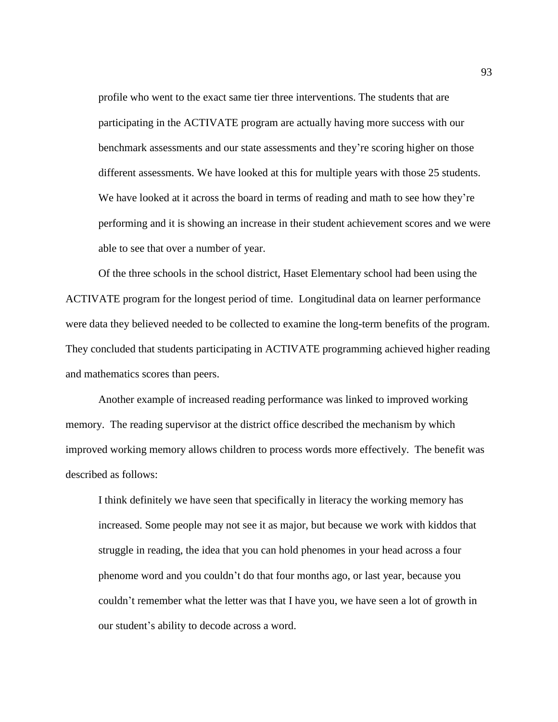profile who went to the exact same tier three interventions. The students that are participating in the ACTIVATE program are actually having more success with our benchmark assessments and our state assessments and they're scoring higher on those different assessments. We have looked at this for multiple years with those 25 students. We have looked at it across the board in terms of reading and math to see how they're performing and it is showing an increase in their student achievement scores and we were able to see that over a number of year.

Of the three schools in the school district, Haset Elementary school had been using the ACTIVATE program for the longest period of time. Longitudinal data on learner performance were data they believed needed to be collected to examine the long-term benefits of the program. They concluded that students participating in ACTIVATE programming achieved higher reading and mathematics scores than peers.

Another example of increased reading performance was linked to improved working memory. The reading supervisor at the district office described the mechanism by which improved working memory allows children to process words more effectively. The benefit was described as follows:

I think definitely we have seen that specifically in literacy the working memory has increased. Some people may not see it as major, but because we work with kiddos that struggle in reading, the idea that you can hold phenomes in your head across a four phenome word and you couldn't do that four months ago, or last year, because you couldn't remember what the letter was that I have you, we have seen a lot of growth in our student's ability to decode across a word.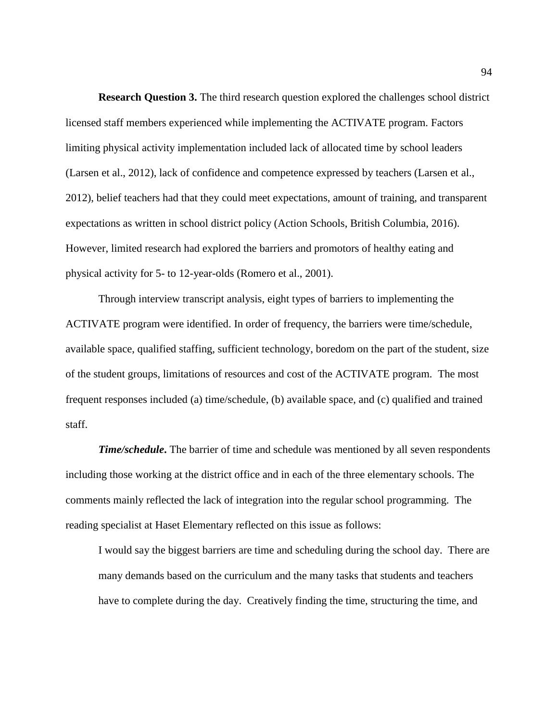**Research Question 3.** The third research question explored the challenges school district licensed staff members experienced while implementing the ACTIVATE program. Factors limiting physical activity implementation included lack of allocated time by school leaders (Larsen et al., 2012), lack of confidence and competence expressed by teachers (Larsen et al., 2012), belief teachers had that they could meet expectations, amount of training, and transparent expectations as written in school district policy (Action Schools, British Columbia, 2016). However, limited research had explored the barriers and promotors of healthy eating and physical activity for 5- to 12-year-olds (Romero et al., 2001).

Through interview transcript analysis, eight types of barriers to implementing the ACTIVATE program were identified. In order of frequency, the barriers were time/schedule, available space, qualified staffing, sufficient technology, boredom on the part of the student, size of the student groups, limitations of resources and cost of the ACTIVATE program. The most frequent responses included (a) time/schedule, (b) available space, and (c) qualified and trained staff.

*Time/schedule***.** The barrier of time and schedule was mentioned by all seven respondents including those working at the district office and in each of the three elementary schools. The comments mainly reflected the lack of integration into the regular school programming. The reading specialist at Haset Elementary reflected on this issue as follows:

I would say the biggest barriers are time and scheduling during the school day. There are many demands based on the curriculum and the many tasks that students and teachers have to complete during the day. Creatively finding the time, structuring the time, and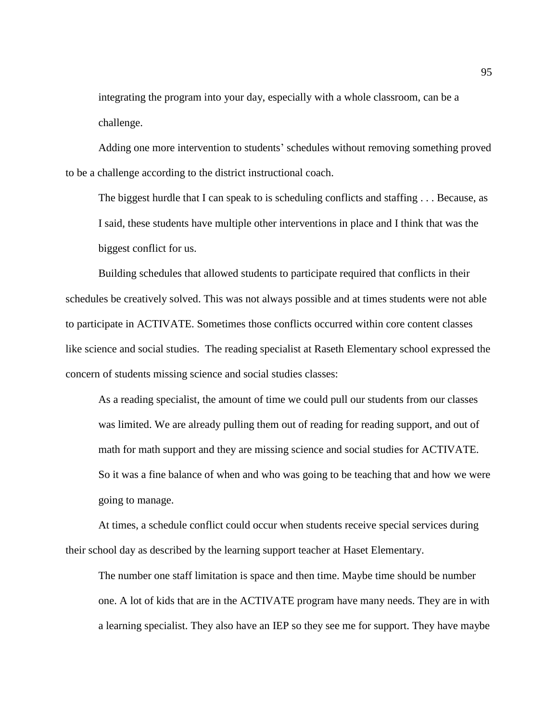integrating the program into your day, especially with a whole classroom, can be a challenge.

Adding one more intervention to students' schedules without removing something proved to be a challenge according to the district instructional coach.

The biggest hurdle that I can speak to is scheduling conflicts and staffing . . . Because, as I said, these students have multiple other interventions in place and I think that was the biggest conflict for us.

Building schedules that allowed students to participate required that conflicts in their schedules be creatively solved. This was not always possible and at times students were not able to participate in ACTIVATE. Sometimes those conflicts occurred within core content classes like science and social studies. The reading specialist at Raseth Elementary school expressed the concern of students missing science and social studies classes:

As a reading specialist, the amount of time we could pull our students from our classes was limited. We are already pulling them out of reading for reading support, and out of math for math support and they are missing science and social studies for ACTIVATE. So it was a fine balance of when and who was going to be teaching that and how we were going to manage.

At times, a schedule conflict could occur when students receive special services during their school day as described by the learning support teacher at Haset Elementary.

The number one staff limitation is space and then time. Maybe time should be number one. A lot of kids that are in the ACTIVATE program have many needs. They are in with a learning specialist. They also have an IEP so they see me for support. They have maybe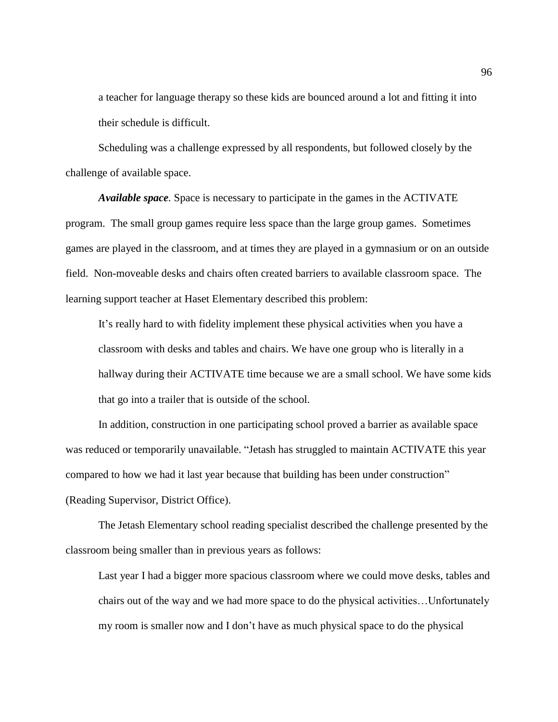a teacher for language therapy so these kids are bounced around a lot and fitting it into their schedule is difficult.

Scheduling was a challenge expressed by all respondents, but followed closely by the challenge of available space.

*Available space.* Space is necessary to participate in the games in the ACTIVATE program. The small group games require less space than the large group games. Sometimes games are played in the classroom, and at times they are played in a gymnasium or on an outside field. Non-moveable desks and chairs often created barriers to available classroom space. The learning support teacher at Haset Elementary described this problem:

It's really hard to with fidelity implement these physical activities when you have a classroom with desks and tables and chairs. We have one group who is literally in a hallway during their ACTIVATE time because we are a small school. We have some kids that go into a trailer that is outside of the school.

In addition, construction in one participating school proved a barrier as available space was reduced or temporarily unavailable. "Jetash has struggled to maintain ACTIVATE this year compared to how we had it last year because that building has been under construction" (Reading Supervisor, District Office).

The Jetash Elementary school reading specialist described the challenge presented by the classroom being smaller than in previous years as follows:

Last year I had a bigger more spacious classroom where we could move desks, tables and chairs out of the way and we had more space to do the physical activities…Unfortunately my room is smaller now and I don't have as much physical space to do the physical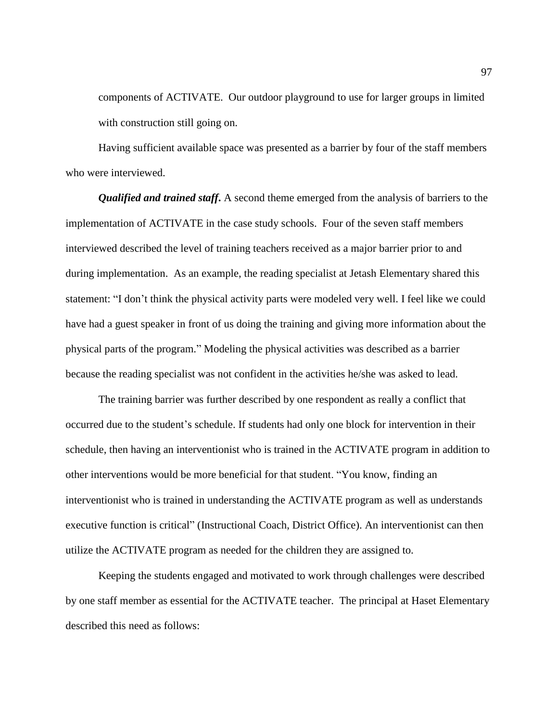components of ACTIVATE. Our outdoor playground to use for larger groups in limited with construction still going on.

Having sufficient available space was presented as a barrier by four of the staff members who were interviewed.

*Qualified and trained staff***.** A second theme emerged from the analysis of barriers to the implementation of ACTIVATE in the case study schools. Four of the seven staff members interviewed described the level of training teachers received as a major barrier prior to and during implementation. As an example, the reading specialist at Jetash Elementary shared this statement: "I don't think the physical activity parts were modeled very well. I feel like we could have had a guest speaker in front of us doing the training and giving more information about the physical parts of the program." Modeling the physical activities was described as a barrier because the reading specialist was not confident in the activities he/she was asked to lead.

The training barrier was further described by one respondent as really a conflict that occurred due to the student's schedule. If students had only one block for intervention in their schedule, then having an interventionist who is trained in the ACTIVATE program in addition to other interventions would be more beneficial for that student. "You know, finding an interventionist who is trained in understanding the ACTIVATE program as well as understands executive function is critical" (Instructional Coach, District Office). An interventionist can then utilize the ACTIVATE program as needed for the children they are assigned to.

Keeping the students engaged and motivated to work through challenges were described by one staff member as essential for the ACTIVATE teacher. The principal at Haset Elementary described this need as follows: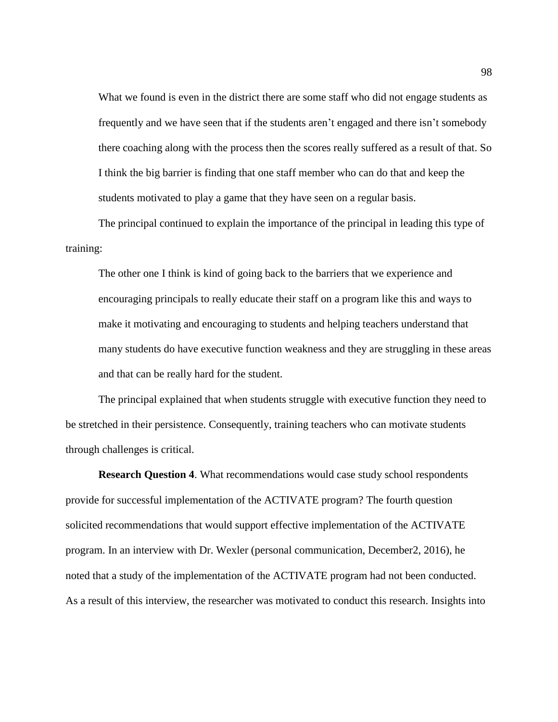What we found is even in the district there are some staff who did not engage students as frequently and we have seen that if the students aren't engaged and there isn't somebody there coaching along with the process then the scores really suffered as a result of that. So I think the big barrier is finding that one staff member who can do that and keep the students motivated to play a game that they have seen on a regular basis.

The principal continued to explain the importance of the principal in leading this type of training:

The other one I think is kind of going back to the barriers that we experience and encouraging principals to really educate their staff on a program like this and ways to make it motivating and encouraging to students and helping teachers understand that many students do have executive function weakness and they are struggling in these areas and that can be really hard for the student.

The principal explained that when students struggle with executive function they need to be stretched in their persistence. Consequently, training teachers who can motivate students through challenges is critical.

**Research Question 4**. What recommendations would case study school respondents provide for successful implementation of the ACTIVATE program? The fourth question solicited recommendations that would support effective implementation of the ACTIVATE program. In an interview with Dr. Wexler (personal communication, December2, 2016), he noted that a study of the implementation of the ACTIVATE program had not been conducted. As a result of this interview, the researcher was motivated to conduct this research. Insights into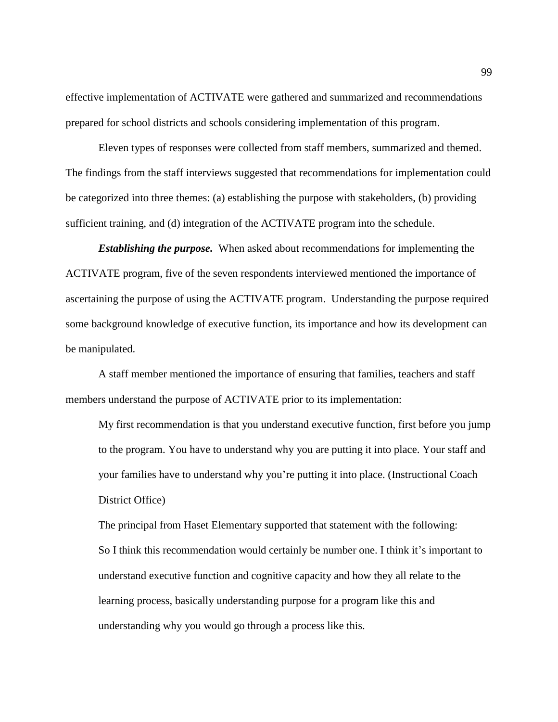effective implementation of ACTIVATE were gathered and summarized and recommendations prepared for school districts and schools considering implementation of this program.

Eleven types of responses were collected from staff members, summarized and themed. The findings from the staff interviews suggested that recommendations for implementation could be categorized into three themes: (a) establishing the purpose with stakeholders, (b) providing sufficient training, and (d) integration of the ACTIVATE program into the schedule.

*Establishing the purpose.* When asked about recommendations for implementing the ACTIVATE program, five of the seven respondents interviewed mentioned the importance of ascertaining the purpose of using the ACTIVATE program. Understanding the purpose required some background knowledge of executive function, its importance and how its development can be manipulated.

A staff member mentioned the importance of ensuring that families, teachers and staff members understand the purpose of ACTIVATE prior to its implementation:

My first recommendation is that you understand executive function, first before you jump to the program. You have to understand why you are putting it into place. Your staff and your families have to understand why you're putting it into place. (Instructional Coach District Office)

The principal from Haset Elementary supported that statement with the following: So I think this recommendation would certainly be number one. I think it's important to understand executive function and cognitive capacity and how they all relate to the learning process, basically understanding purpose for a program like this and understanding why you would go through a process like this.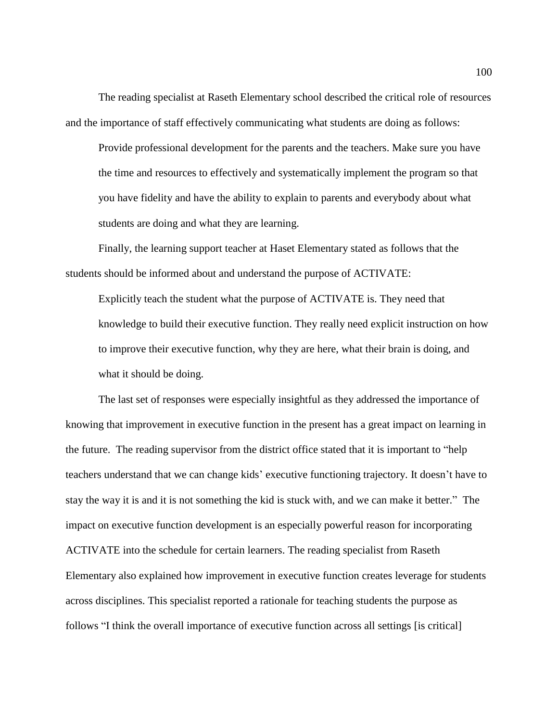The reading specialist at Raseth Elementary school described the critical role of resources and the importance of staff effectively communicating what students are doing as follows:

Provide professional development for the parents and the teachers. Make sure you have the time and resources to effectively and systematically implement the program so that you have fidelity and have the ability to explain to parents and everybody about what students are doing and what they are learning.

Finally, the learning support teacher at Haset Elementary stated as follows that the students should be informed about and understand the purpose of ACTIVATE:

Explicitly teach the student what the purpose of ACTIVATE is. They need that knowledge to build their executive function. They really need explicit instruction on how to improve their executive function, why they are here, what their brain is doing, and what it should be doing.

The last set of responses were especially insightful as they addressed the importance of knowing that improvement in executive function in the present has a great impact on learning in the future. The reading supervisor from the district office stated that it is important to "help teachers understand that we can change kids' executive functioning trajectory. It doesn't have to stay the way it is and it is not something the kid is stuck with, and we can make it better." The impact on executive function development is an especially powerful reason for incorporating ACTIVATE into the schedule for certain learners. The reading specialist from Raseth Elementary also explained how improvement in executive function creates leverage for students across disciplines. This specialist reported a rationale for teaching students the purpose as follows "I think the overall importance of executive function across all settings [is critical]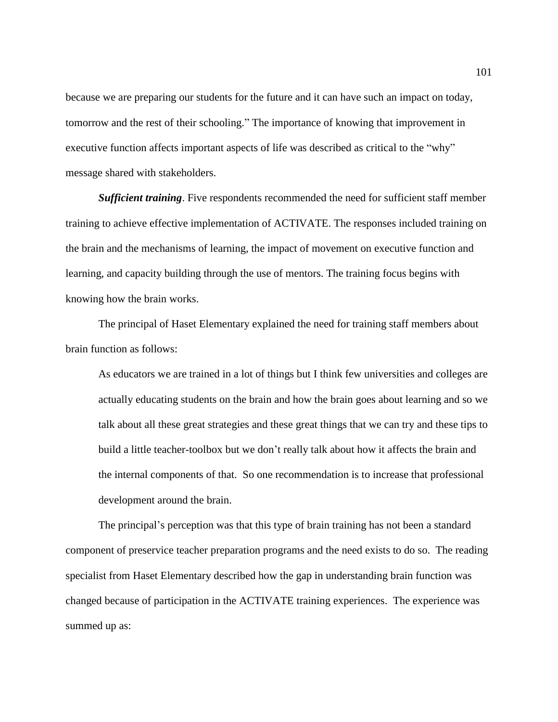because we are preparing our students for the future and it can have such an impact on today, tomorrow and the rest of their schooling." The importance of knowing that improvement in executive function affects important aspects of life was described as critical to the "why" message shared with stakeholders.

*Sufficient training*. Five respondents recommended the need for sufficient staff member training to achieve effective implementation of ACTIVATE. The responses included training on the brain and the mechanisms of learning, the impact of movement on executive function and learning, and capacity building through the use of mentors. The training focus begins with knowing how the brain works.

The principal of Haset Elementary explained the need for training staff members about brain function as follows:

As educators we are trained in a lot of things but I think few universities and colleges are actually educating students on the brain and how the brain goes about learning and so we talk about all these great strategies and these great things that we can try and these tips to build a little teacher-toolbox but we don't really talk about how it affects the brain and the internal components of that. So one recommendation is to increase that professional development around the brain.

The principal's perception was that this type of brain training has not been a standard component of preservice teacher preparation programs and the need exists to do so. The reading specialist from Haset Elementary described how the gap in understanding brain function was changed because of participation in the ACTIVATE training experiences. The experience was summed up as: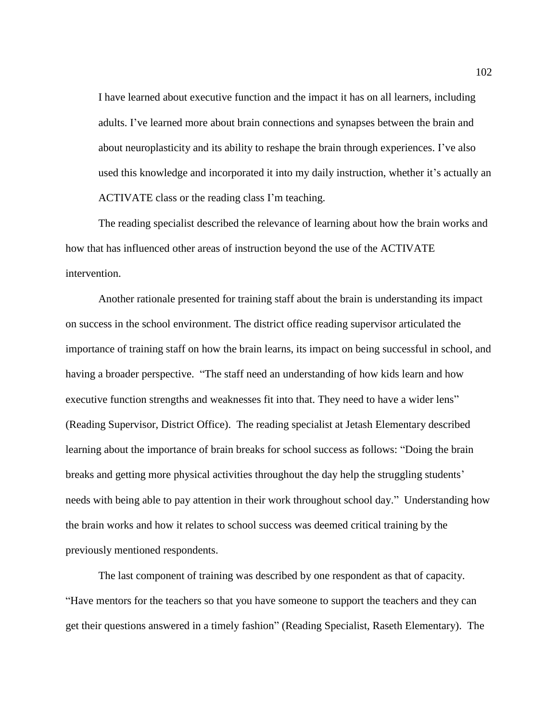I have learned about executive function and the impact it has on all learners, including adults. I've learned more about brain connections and synapses between the brain and about neuroplasticity and its ability to reshape the brain through experiences. I've also used this knowledge and incorporated it into my daily instruction, whether it's actually an ACTIVATE class or the reading class I'm teaching.

The reading specialist described the relevance of learning about how the brain works and how that has influenced other areas of instruction beyond the use of the ACTIVATE intervention.

Another rationale presented for training staff about the brain is understanding its impact on success in the school environment. The district office reading supervisor articulated the importance of training staff on how the brain learns, its impact on being successful in school, and having a broader perspective. "The staff need an understanding of how kids learn and how executive function strengths and weaknesses fit into that. They need to have a wider lens" (Reading Supervisor, District Office). The reading specialist at Jetash Elementary described learning about the importance of brain breaks for school success as follows: "Doing the brain breaks and getting more physical activities throughout the day help the struggling students' needs with being able to pay attention in their work throughout school day." Understanding how the brain works and how it relates to school success was deemed critical training by the previously mentioned respondents.

The last component of training was described by one respondent as that of capacity. "Have mentors for the teachers so that you have someone to support the teachers and they can get their questions answered in a timely fashion" (Reading Specialist, Raseth Elementary). The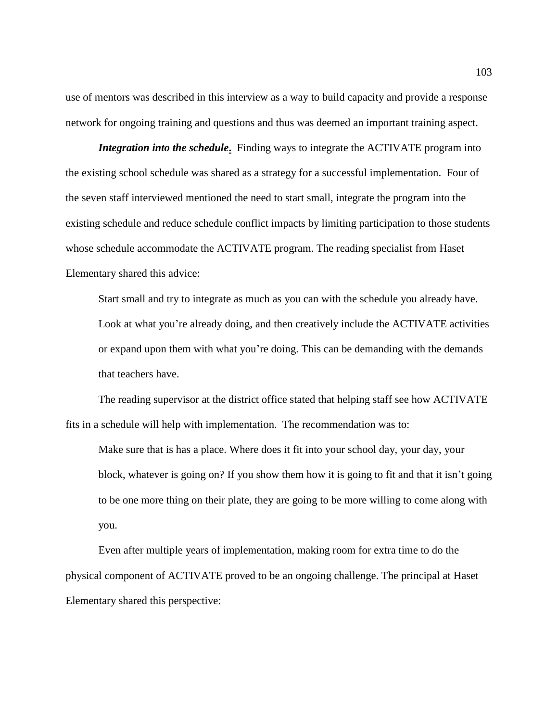use of mentors was described in this interview as a way to build capacity and provide a response network for ongoing training and questions and thus was deemed an important training aspect.

*Integration into the schedule***.** Finding ways to integrate the ACTIVATE program into the existing school schedule was shared as a strategy for a successful implementation. Four of the seven staff interviewed mentioned the need to start small, integrate the program into the existing schedule and reduce schedule conflict impacts by limiting participation to those students whose schedule accommodate the ACTIVATE program. The reading specialist from Haset Elementary shared this advice:

Start small and try to integrate as much as you can with the schedule you already have. Look at what you're already doing, and then creatively include the ACTIVATE activities or expand upon them with what you're doing. This can be demanding with the demands that teachers have.

The reading supervisor at the district office stated that helping staff see how ACTIVATE fits in a schedule will help with implementation. The recommendation was to:

Make sure that is has a place. Where does it fit into your school day, your day, your block, whatever is going on? If you show them how it is going to fit and that it isn't going to be one more thing on their plate, they are going to be more willing to come along with you.

Even after multiple years of implementation, making room for extra time to do the physical component of ACTIVATE proved to be an ongoing challenge. The principal at Haset Elementary shared this perspective: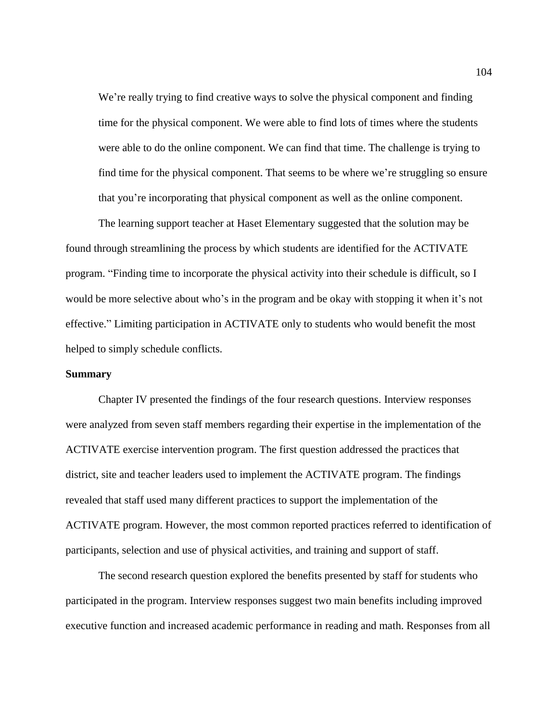We're really trying to find creative ways to solve the physical component and finding time for the physical component. We were able to find lots of times where the students were able to do the online component. We can find that time. The challenge is trying to find time for the physical component. That seems to be where we're struggling so ensure that you're incorporating that physical component as well as the online component.

The learning support teacher at Haset Elementary suggested that the solution may be found through streamlining the process by which students are identified for the ACTIVATE program. "Finding time to incorporate the physical activity into their schedule is difficult, so I would be more selective about who's in the program and be okay with stopping it when it's not effective." Limiting participation in ACTIVATE only to students who would benefit the most helped to simply schedule conflicts.

### **Summary**

Chapter IV presented the findings of the four research questions. Interview responses were analyzed from seven staff members regarding their expertise in the implementation of the ACTIVATE exercise intervention program. The first question addressed the practices that district, site and teacher leaders used to implement the ACTIVATE program. The findings revealed that staff used many different practices to support the implementation of the ACTIVATE program. However, the most common reported practices referred to identification of participants, selection and use of physical activities, and training and support of staff.

The second research question explored the benefits presented by staff for students who participated in the program. Interview responses suggest two main benefits including improved executive function and increased academic performance in reading and math. Responses from all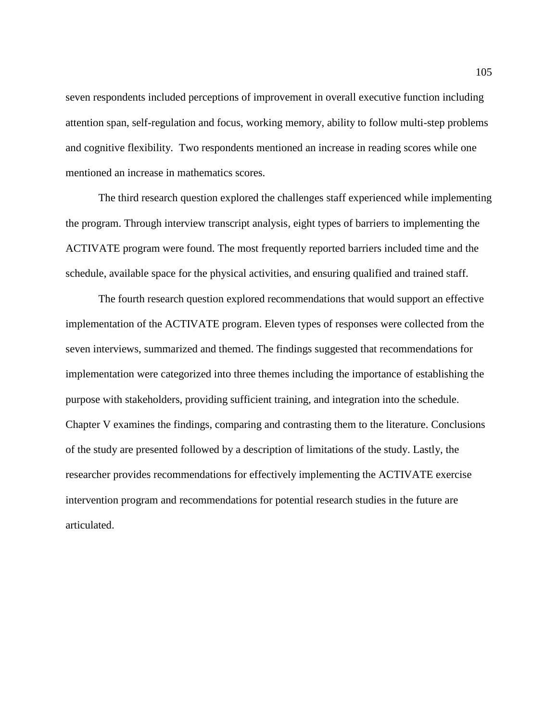seven respondents included perceptions of improvement in overall executive function including attention span, self-regulation and focus, working memory, ability to follow multi-step problems and cognitive flexibility. Two respondents mentioned an increase in reading scores while one mentioned an increase in mathematics scores.

The third research question explored the challenges staff experienced while implementing the program. Through interview transcript analysis, eight types of barriers to implementing the ACTIVATE program were found. The most frequently reported barriers included time and the schedule, available space for the physical activities, and ensuring qualified and trained staff.

The fourth research question explored recommendations that would support an effective implementation of the ACTIVATE program. Eleven types of responses were collected from the seven interviews, summarized and themed. The findings suggested that recommendations for implementation were categorized into three themes including the importance of establishing the purpose with stakeholders, providing sufficient training, and integration into the schedule. Chapter V examines the findings, comparing and contrasting them to the literature. Conclusions of the study are presented followed by a description of limitations of the study. Lastly, the researcher provides recommendations for effectively implementing the ACTIVATE exercise intervention program and recommendations for potential research studies in the future are articulated.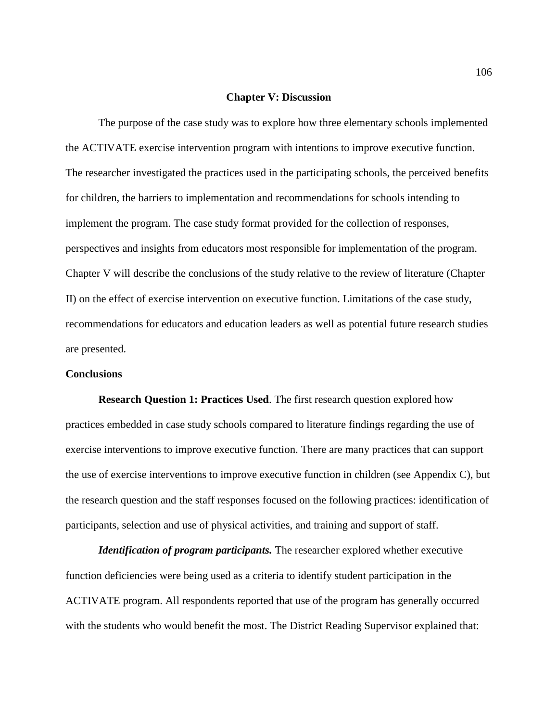#### **Chapter V: Discussion**

The purpose of the case study was to explore how three elementary schools implemented the ACTIVATE exercise intervention program with intentions to improve executive function. The researcher investigated the practices used in the participating schools, the perceived benefits for children, the barriers to implementation and recommendations for schools intending to implement the program. The case study format provided for the collection of responses, perspectives and insights from educators most responsible for implementation of the program. Chapter V will describe the conclusions of the study relative to the review of literature (Chapter II) on the effect of exercise intervention on executive function. Limitations of the case study, recommendations for educators and education leaders as well as potential future research studies are presented.

#### **Conclusions**

**Research Question 1: Practices Used**. The first research question explored how practices embedded in case study schools compared to literature findings regarding the use of exercise interventions to improve executive function. There are many practices that can support the use of exercise interventions to improve executive function in children (see Appendix C), but the research question and the staff responses focused on the following practices: identification of participants, selection and use of physical activities, and training and support of staff.

*Identification of program participants.* The researcher explored whether executive function deficiencies were being used as a criteria to identify student participation in the ACTIVATE program. All respondents reported that use of the program has generally occurred with the students who would benefit the most. The District Reading Supervisor explained that: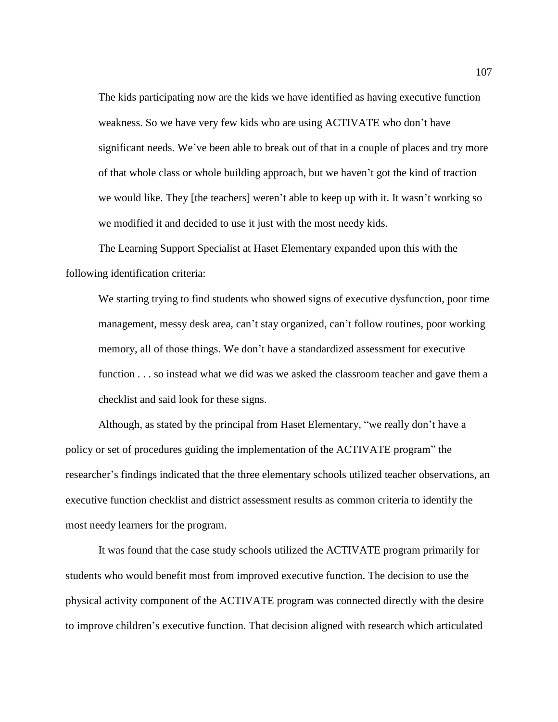The kids participating now are the kids we have identified as having executive function weakness. So we have very few kids who are using ACTIVATE who don't have significant needs. We've been able to break out of that in a couple of places and try more of that whole class or whole building approach, but we haven't got the kind of traction we would like. They [the teachers] weren't able to keep up with it. It wasn't working so we modified it and decided to use it just with the most needy kids.

The Learning Support Specialist at Haset Elementary expanded upon this with the following identification criteria:

We starting trying to find students who showed signs of executive dysfunction, poor time management, messy desk area, can't stay organized, can't follow routines, poor working memory, all of those things. We don't have a standardized assessment for executive function . . . so instead what we did was we asked the classroom teacher and gave them a checklist and said look for these signs.

Although, as stated by the principal from Haset Elementary, "we really don't have a policy or set of procedures guiding the implementation of the ACTIVATE program" the researcher's findings indicated that the three elementary schools utilized teacher observations, an executive function checklist and district assessment results as common criteria to identify the most needy learners for the program.

It was found that the case study schools utilized the ACTIVATE program primarily for students who would benefit most from improved executive function. The decision to use the physical activity component of the ACTIVATE program was connected directly with the desire to improve children's executive function. That decision aligned with research which articulated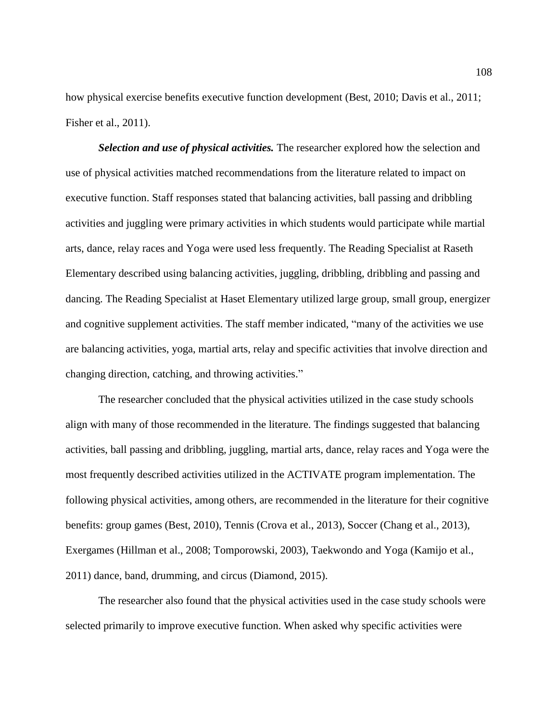how physical exercise benefits executive function development (Best, 2010; Davis et al., 2011; Fisher et al., 2011).

*Selection and use of physical activities.* The researcher explored how the selection and use of physical activities matched recommendations from the literature related to impact on executive function. Staff responses stated that balancing activities, ball passing and dribbling activities and juggling were primary activities in which students would participate while martial arts, dance, relay races and Yoga were used less frequently. The Reading Specialist at Raseth Elementary described using balancing activities, juggling, dribbling, dribbling and passing and dancing. The Reading Specialist at Haset Elementary utilized large group, small group, energizer and cognitive supplement activities. The staff member indicated, "many of the activities we use are balancing activities, yoga, martial arts, relay and specific activities that involve direction and changing direction, catching, and throwing activities."

The researcher concluded that the physical activities utilized in the case study schools align with many of those recommended in the literature. The findings suggested that balancing activities, ball passing and dribbling, juggling, martial arts, dance, relay races and Yoga were the most frequently described activities utilized in the ACTIVATE program implementation. The following physical activities, among others, are recommended in the literature for their cognitive benefits: group games (Best, 2010), Tennis (Crova et al., 2013), Soccer (Chang et al., 2013), Exergames (Hillman et al., 2008; Tomporowski, 2003), Taekwondo and Yoga (Kamijo et al., 2011) dance, band, drumming, and circus (Diamond, 2015).

The researcher also found that the physical activities used in the case study schools were selected primarily to improve executive function. When asked why specific activities were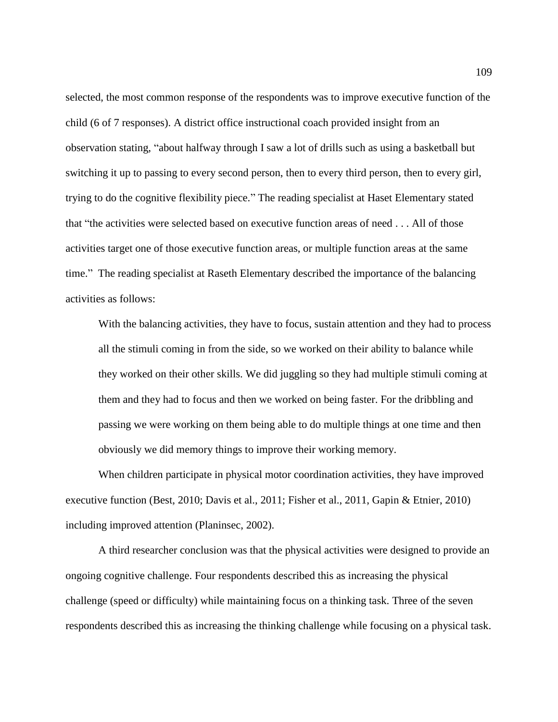selected, the most common response of the respondents was to improve executive function of the child (6 of 7 responses). A district office instructional coach provided insight from an observation stating, "about halfway through I saw a lot of drills such as using a basketball but switching it up to passing to every second person, then to every third person, then to every girl, trying to do the cognitive flexibility piece." The reading specialist at Haset Elementary stated that "the activities were selected based on executive function areas of need . . . All of those activities target one of those executive function areas, or multiple function areas at the same time." The reading specialist at Raseth Elementary described the importance of the balancing activities as follows:

With the balancing activities, they have to focus, sustain attention and they had to process all the stimuli coming in from the side, so we worked on their ability to balance while they worked on their other skills. We did juggling so they had multiple stimuli coming at them and they had to focus and then we worked on being faster. For the dribbling and passing we were working on them being able to do multiple things at one time and then obviously we did memory things to improve their working memory.

When children participate in physical motor coordination activities, they have improved executive function (Best, 2010; Davis et al., 2011; Fisher et al., 2011, Gapin & Etnier, 2010) including improved attention (Planinsec, 2002).

A third researcher conclusion was that the physical activities were designed to provide an ongoing cognitive challenge. Four respondents described this as increasing the physical challenge (speed or difficulty) while maintaining focus on a thinking task. Three of the seven respondents described this as increasing the thinking challenge while focusing on a physical task.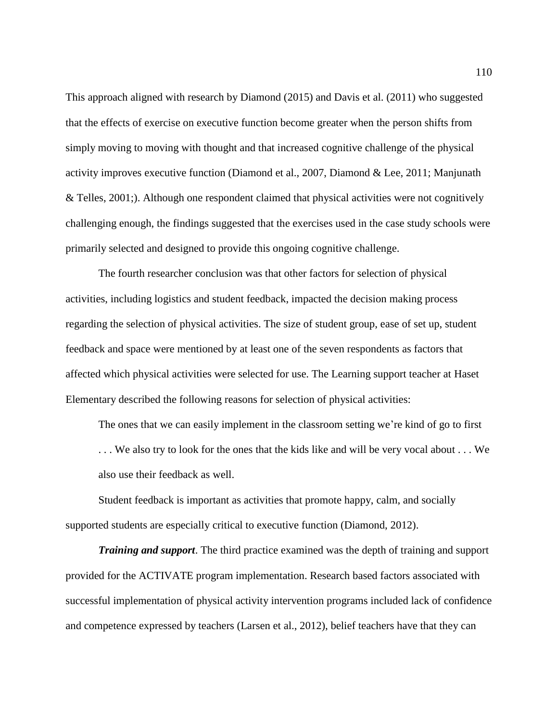This approach aligned with research by Diamond (2015) and Davis et al. (2011) who suggested that the effects of exercise on executive function become greater when the person shifts from simply moving to moving with thought and that increased cognitive challenge of the physical activity improves executive function (Diamond et al., 2007, Diamond & Lee, 2011; Manjunath & Telles, 2001;). Although one respondent claimed that physical activities were not cognitively challenging enough, the findings suggested that the exercises used in the case study schools were primarily selected and designed to provide this ongoing cognitive challenge.

The fourth researcher conclusion was that other factors for selection of physical activities, including logistics and student feedback, impacted the decision making process regarding the selection of physical activities. The size of student group, ease of set up, student feedback and space were mentioned by at least one of the seven respondents as factors that affected which physical activities were selected for use. The Learning support teacher at Haset Elementary described the following reasons for selection of physical activities:

The ones that we can easily implement in the classroom setting we're kind of go to first . . . We also try to look for the ones that the kids like and will be very vocal about . . . We also use their feedback as well.

Student feedback is important as activities that promote happy, calm, and socially supported students are especially critical to executive function (Diamond, 2012).

*Training and support*. The third practice examined was the depth of training and support provided for the ACTIVATE program implementation. Research based factors associated with successful implementation of physical activity intervention programs included lack of confidence and competence expressed by teachers (Larsen et al., 2012), belief teachers have that they can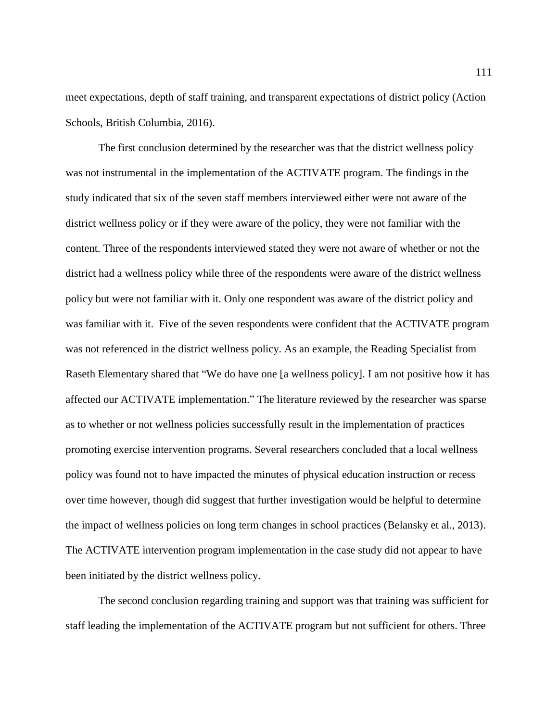meet expectations, depth of staff training, and transparent expectations of district policy (Action Schools, British Columbia, 2016).

The first conclusion determined by the researcher was that the district wellness policy was not instrumental in the implementation of the ACTIVATE program. The findings in the study indicated that six of the seven staff members interviewed either were not aware of the district wellness policy or if they were aware of the policy, they were not familiar with the content. Three of the respondents interviewed stated they were not aware of whether or not the district had a wellness policy while three of the respondents were aware of the district wellness policy but were not familiar with it. Only one respondent was aware of the district policy and was familiar with it. Five of the seven respondents were confident that the ACTIVATE program was not referenced in the district wellness policy. As an example, the Reading Specialist from Raseth Elementary shared that "We do have one [a wellness policy]. I am not positive how it has affected our ACTIVATE implementation." The literature reviewed by the researcher was sparse as to whether or not wellness policies successfully result in the implementation of practices promoting exercise intervention programs. Several researchers concluded that a local wellness policy was found not to have impacted the minutes of physical education instruction or recess over time however, though did suggest that further investigation would be helpful to determine the impact of wellness policies on long term changes in school practices (Belansky et al., 2013). The ACTIVATE intervention program implementation in the case study did not appear to have been initiated by the district wellness policy.

The second conclusion regarding training and support was that training was sufficient for staff leading the implementation of the ACTIVATE program but not sufficient for others. Three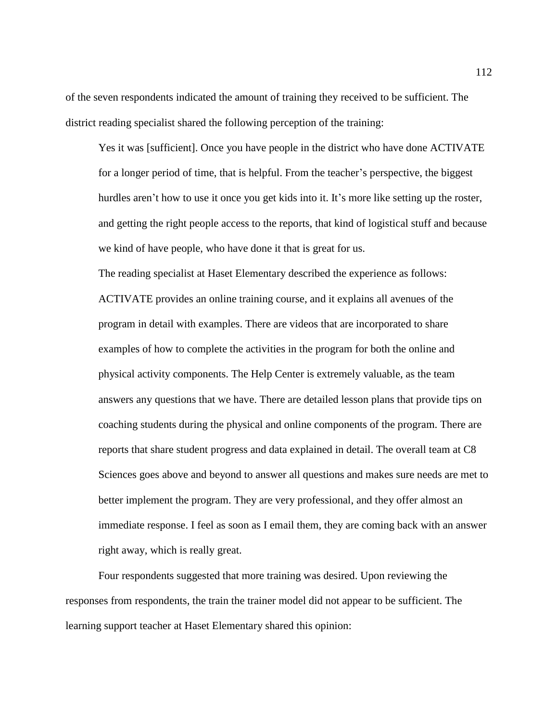of the seven respondents indicated the amount of training they received to be sufficient. The district reading specialist shared the following perception of the training:

Yes it was [sufficient]. Once you have people in the district who have done ACTIVATE for a longer period of time, that is helpful. From the teacher's perspective, the biggest hurdles aren't how to use it once you get kids into it. It's more like setting up the roster, and getting the right people access to the reports, that kind of logistical stuff and because we kind of have people, who have done it that is great for us.

The reading specialist at Haset Elementary described the experience as follows: ACTIVATE provides an online training course, and it explains all avenues of the program in detail with examples. There are videos that are incorporated to share examples of how to complete the activities in the program for both the online and physical activity components. The Help Center is extremely valuable, as the team answers any questions that we have. There are detailed lesson plans that provide tips on coaching students during the physical and online components of the program. There are reports that share student progress and data explained in detail. The overall team at C8 Sciences goes above and beyond to answer all questions and makes sure needs are met to better implement the program. They are very professional, and they offer almost an immediate response. I feel as soon as I email them, they are coming back with an answer right away, which is really great.

Four respondents suggested that more training was desired. Upon reviewing the responses from respondents, the train the trainer model did not appear to be sufficient. The learning support teacher at Haset Elementary shared this opinion: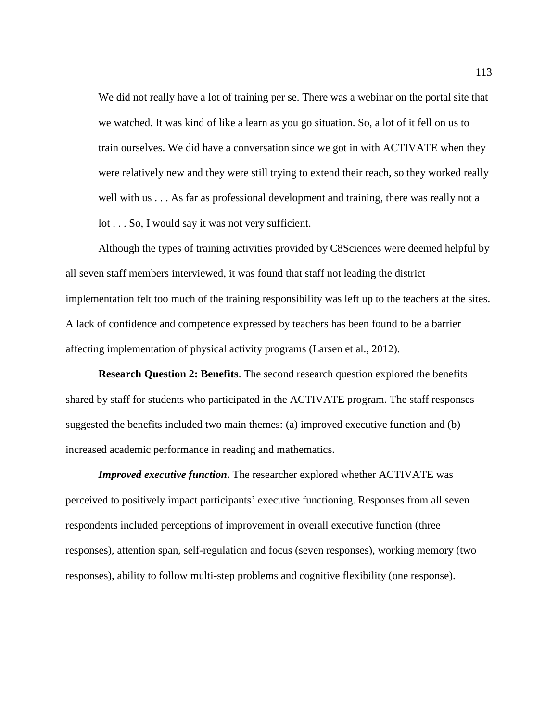We did not really have a lot of training per se. There was a webinar on the portal site that we watched. It was kind of like a learn as you go situation. So, a lot of it fell on us to train ourselves. We did have a conversation since we got in with ACTIVATE when they were relatively new and they were still trying to extend their reach, so they worked really well with us . . . As far as professional development and training, there was really not a lot . . . So, I would say it was not very sufficient.

Although the types of training activities provided by C8Sciences were deemed helpful by all seven staff members interviewed, it was found that staff not leading the district implementation felt too much of the training responsibility was left up to the teachers at the sites. A lack of confidence and competence expressed by teachers has been found to be a barrier affecting implementation of physical activity programs (Larsen et al., 2012).

**Research Question 2: Benefits**. The second research question explored the benefits shared by staff for students who participated in the ACTIVATE program. The staff responses suggested the benefits included two main themes: (a) improved executive function and (b) increased academic performance in reading and mathematics.

*Improved executive function***.** The researcher explored whether ACTIVATE was perceived to positively impact participants' executive functioning. Responses from all seven respondents included perceptions of improvement in overall executive function (three responses), attention span, self-regulation and focus (seven responses), working memory (two responses), ability to follow multi-step problems and cognitive flexibility (one response).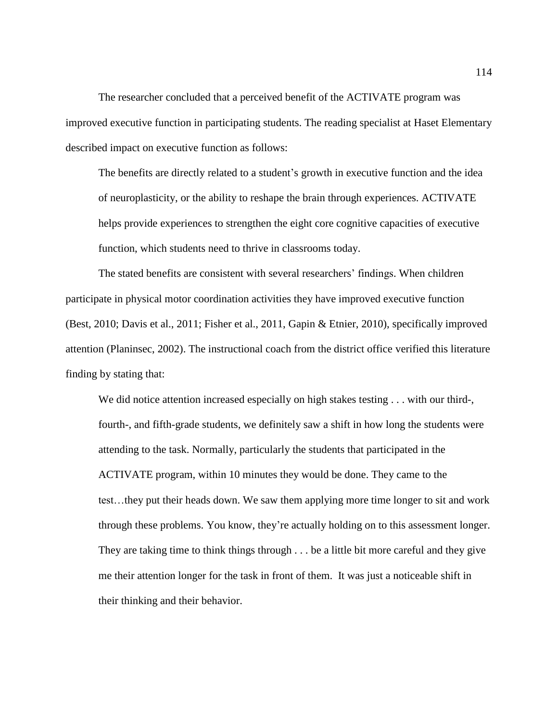The researcher concluded that a perceived benefit of the ACTIVATE program was improved executive function in participating students. The reading specialist at Haset Elementary described impact on executive function as follows:

The benefits are directly related to a student's growth in executive function and the idea of neuroplasticity, or the ability to reshape the brain through experiences. ACTIVATE helps provide experiences to strengthen the eight core cognitive capacities of executive function, which students need to thrive in classrooms today.

The stated benefits are consistent with several researchers' findings. When children participate in physical motor coordination activities they have improved executive function (Best, 2010; Davis et al., 2011; Fisher et al., 2011, Gapin & Etnier, 2010), specifically improved attention (Planinsec, 2002). The instructional coach from the district office verified this literature finding by stating that:

We did notice attention increased especially on high stakes testing . . . with our third-, fourth-, and fifth-grade students, we definitely saw a shift in how long the students were attending to the task. Normally, particularly the students that participated in the ACTIVATE program, within 10 minutes they would be done. They came to the test…they put their heads down. We saw them applying more time longer to sit and work through these problems. You know, they're actually holding on to this assessment longer. They are taking time to think things through . . . be a little bit more careful and they give me their attention longer for the task in front of them. It was just a noticeable shift in their thinking and their behavior.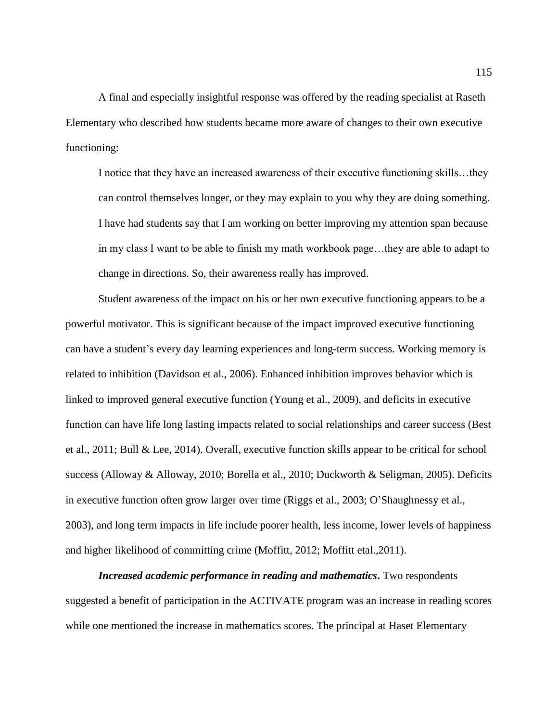A final and especially insightful response was offered by the reading specialist at Raseth Elementary who described how students became more aware of changes to their own executive functioning:

I notice that they have an increased awareness of their executive functioning skills…they can control themselves longer, or they may explain to you why they are doing something. I have had students say that I am working on better improving my attention span because in my class I want to be able to finish my math workbook page…they are able to adapt to change in directions. So, their awareness really has improved.

Student awareness of the impact on his or her own executive functioning appears to be a powerful motivator. This is significant because of the impact improved executive functioning can have a student's every day learning experiences and long-term success. Working memory is related to inhibition (Davidson et al., 2006). Enhanced inhibition improves behavior which is linked to improved general executive function (Young et al., 2009), and deficits in executive function can have life long lasting impacts related to social relationships and career success (Best et al., 2011; Bull & Lee, 2014). Overall, executive function skills appear to be critical for school success (Alloway & Alloway, 2010; Borella et al., 2010; Duckworth & Seligman, 2005). Deficits in executive function often grow larger over time (Riggs et al., 2003; O'Shaughnessy et al., 2003), and long term impacts in life include poorer health, less income, lower levels of happiness and higher likelihood of committing crime (Moffitt, 2012; Moffitt etal.,2011).

*Increased academic performance in reading and mathematics***.** Two respondents suggested a benefit of participation in the ACTIVATE program was an increase in reading scores while one mentioned the increase in mathematics scores. The principal at Haset Elementary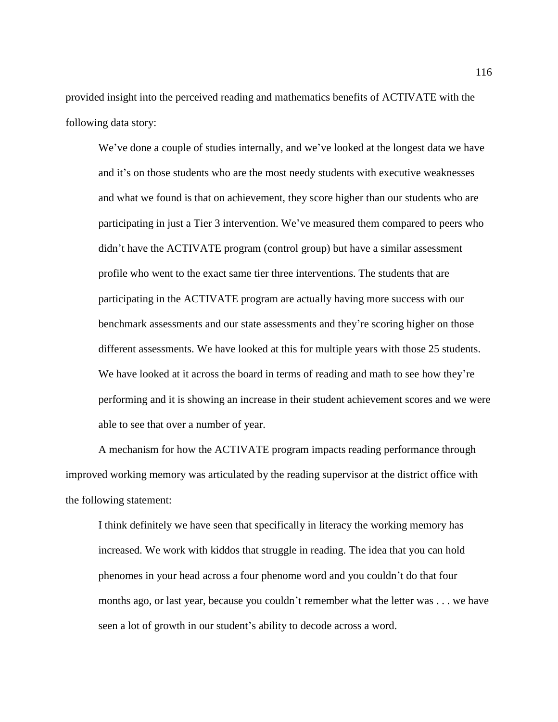provided insight into the perceived reading and mathematics benefits of ACTIVATE with the following data story:

We've done a couple of studies internally, and we've looked at the longest data we have and it's on those students who are the most needy students with executive weaknesses and what we found is that on achievement, they score higher than our students who are participating in just a Tier 3 intervention. We've measured them compared to peers who didn't have the ACTIVATE program (control group) but have a similar assessment profile who went to the exact same tier three interventions. The students that are participating in the ACTIVATE program are actually having more success with our benchmark assessments and our state assessments and they're scoring higher on those different assessments. We have looked at this for multiple years with those 25 students. We have looked at it across the board in terms of reading and math to see how they're performing and it is showing an increase in their student achievement scores and we were able to see that over a number of year.

A mechanism for how the ACTIVATE program impacts reading performance through improved working memory was articulated by the reading supervisor at the district office with the following statement:

I think definitely we have seen that specifically in literacy the working memory has increased. We work with kiddos that struggle in reading. The idea that you can hold phenomes in your head across a four phenome word and you couldn't do that four months ago, or last year, because you couldn't remember what the letter was . . . we have seen a lot of growth in our student's ability to decode across a word.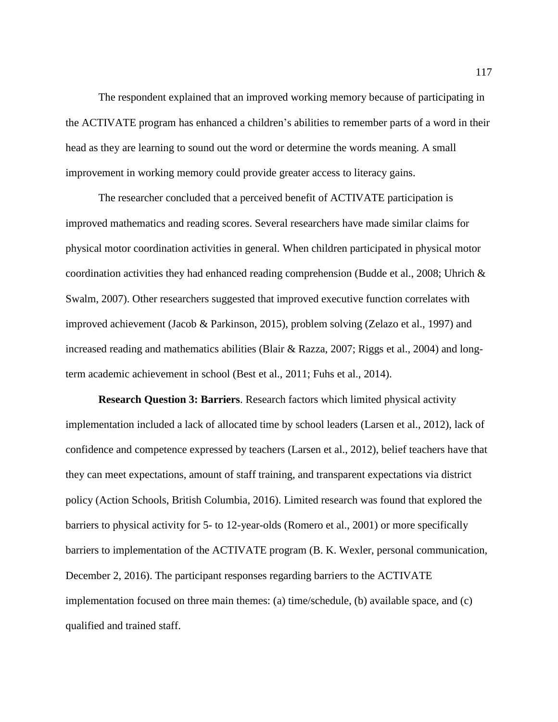The respondent explained that an improved working memory because of participating in the ACTIVATE program has enhanced a children's abilities to remember parts of a word in their head as they are learning to sound out the word or determine the words meaning. A small improvement in working memory could provide greater access to literacy gains.

The researcher concluded that a perceived benefit of ACTIVATE participation is improved mathematics and reading scores. Several researchers have made similar claims for physical motor coordination activities in general. When children participated in physical motor coordination activities they had enhanced reading comprehension (Budde et al., 2008; Uhrich  $\&$ Swalm, 2007). Other researchers suggested that improved executive function correlates with improved achievement (Jacob & Parkinson, 2015), problem solving (Zelazo et al., 1997) and increased reading and mathematics abilities (Blair & Razza, 2007; Riggs et al., 2004) and longterm academic achievement in school (Best et al., 2011; Fuhs et al., 2014).

**Research Question 3: Barriers**. Research factors which limited physical activity implementation included a lack of allocated time by school leaders (Larsen et al., 2012), lack of confidence and competence expressed by teachers (Larsen et al., 2012), belief teachers have that they can meet expectations, amount of staff training, and transparent expectations via district policy (Action Schools, British Columbia, 2016). Limited research was found that explored the barriers to physical activity for 5- to 12-year-olds (Romero et al., 2001) or more specifically barriers to implementation of the ACTIVATE program (B. K. Wexler, personal communication, December 2, 2016). The participant responses regarding barriers to the ACTIVATE implementation focused on three main themes: (a) time/schedule, (b) available space, and (c) qualified and trained staff.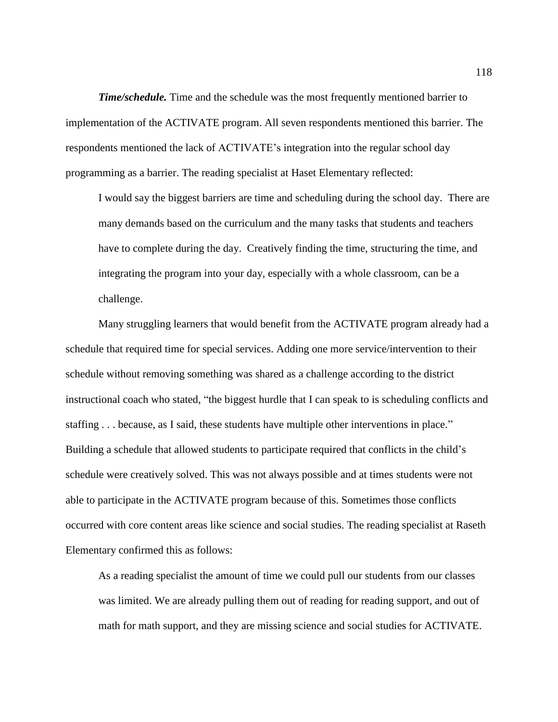*Time/schedule.* Time and the schedule was the most frequently mentioned barrier to implementation of the ACTIVATE program. All seven respondents mentioned this barrier. The respondents mentioned the lack of ACTIVATE's integration into the regular school day programming as a barrier. The reading specialist at Haset Elementary reflected:

I would say the biggest barriers are time and scheduling during the school day. There are many demands based on the curriculum and the many tasks that students and teachers have to complete during the day. Creatively finding the time, structuring the time, and integrating the program into your day, especially with a whole classroom, can be a challenge.

Many struggling learners that would benefit from the ACTIVATE program already had a schedule that required time for special services. Adding one more service/intervention to their schedule without removing something was shared as a challenge according to the district instructional coach who stated, "the biggest hurdle that I can speak to is scheduling conflicts and staffing . . . because, as I said, these students have multiple other interventions in place." Building a schedule that allowed students to participate required that conflicts in the child's schedule were creatively solved. This was not always possible and at times students were not able to participate in the ACTIVATE program because of this. Sometimes those conflicts occurred with core content areas like science and social studies. The reading specialist at Raseth Elementary confirmed this as follows:

As a reading specialist the amount of time we could pull our students from our classes was limited. We are already pulling them out of reading for reading support, and out of math for math support, and they are missing science and social studies for ACTIVATE.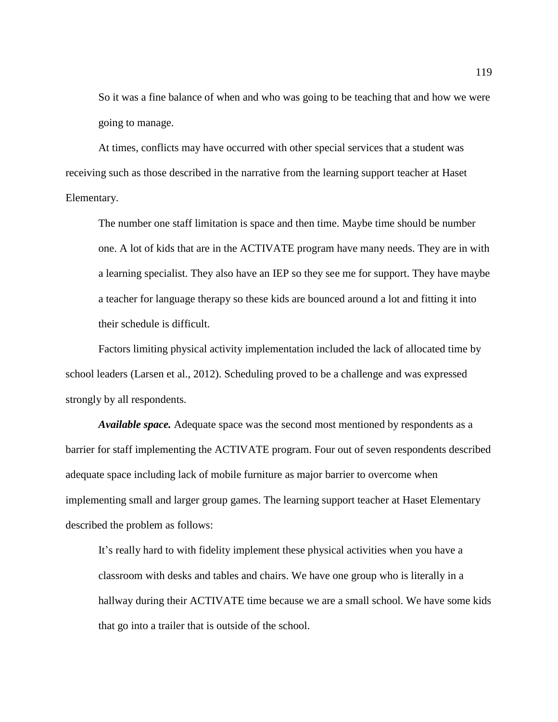So it was a fine balance of when and who was going to be teaching that and how we were going to manage.

At times, conflicts may have occurred with other special services that a student was receiving such as those described in the narrative from the learning support teacher at Haset Elementary.

The number one staff limitation is space and then time. Maybe time should be number one. A lot of kids that are in the ACTIVATE program have many needs. They are in with a learning specialist. They also have an IEP so they see me for support. They have maybe a teacher for language therapy so these kids are bounced around a lot and fitting it into their schedule is difficult.

Factors limiting physical activity implementation included the lack of allocated time by school leaders (Larsen et al., 2012). Scheduling proved to be a challenge and was expressed strongly by all respondents.

*Available space.* Adequate space was the second most mentioned by respondents as a barrier for staff implementing the ACTIVATE program. Four out of seven respondents described adequate space including lack of mobile furniture as major barrier to overcome when implementing small and larger group games. The learning support teacher at Haset Elementary described the problem as follows:

It's really hard to with fidelity implement these physical activities when you have a classroom with desks and tables and chairs. We have one group who is literally in a hallway during their ACTIVATE time because we are a small school. We have some kids that go into a trailer that is outside of the school.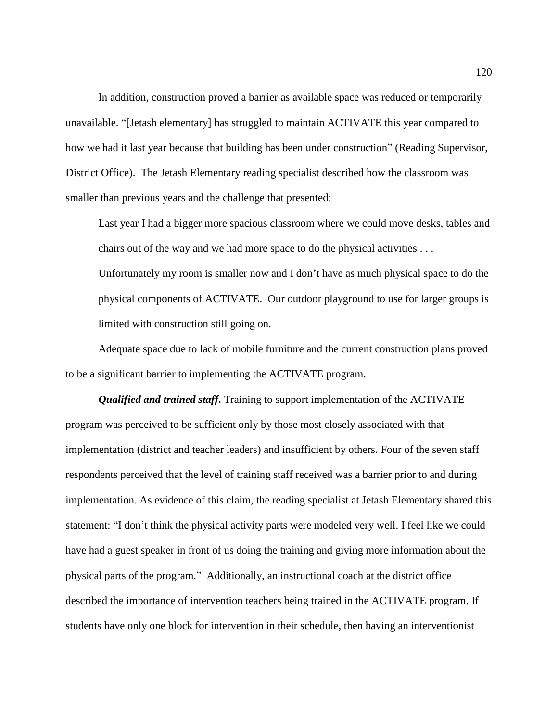In addition, construction proved a barrier as available space was reduced or temporarily unavailable. "[Jetash elementary] has struggled to maintain ACTIVATE this year compared to how we had it last year because that building has been under construction" (Reading Supervisor, District Office). The Jetash Elementary reading specialist described how the classroom was smaller than previous years and the challenge that presented:

Last year I had a bigger more spacious classroom where we could move desks, tables and chairs out of the way and we had more space to do the physical activities . . .

Unfortunately my room is smaller now and I don't have as much physical space to do the physical components of ACTIVATE. Our outdoor playground to use for larger groups is limited with construction still going on.

Adequate space due to lack of mobile furniture and the current construction plans proved to be a significant barrier to implementing the ACTIVATE program.

*Qualified and trained staff***.** Training to support implementation of the ACTIVATE program was perceived to be sufficient only by those most closely associated with that implementation (district and teacher leaders) and insufficient by others. Four of the seven staff respondents perceived that the level of training staff received was a barrier prior to and during implementation. As evidence of this claim, the reading specialist at Jetash Elementary shared this statement: "I don't think the physical activity parts were modeled very well. I feel like we could have had a guest speaker in front of us doing the training and giving more information about the physical parts of the program." Additionally, an instructional coach at the district office described the importance of intervention teachers being trained in the ACTIVATE program. If students have only one block for intervention in their schedule, then having an interventionist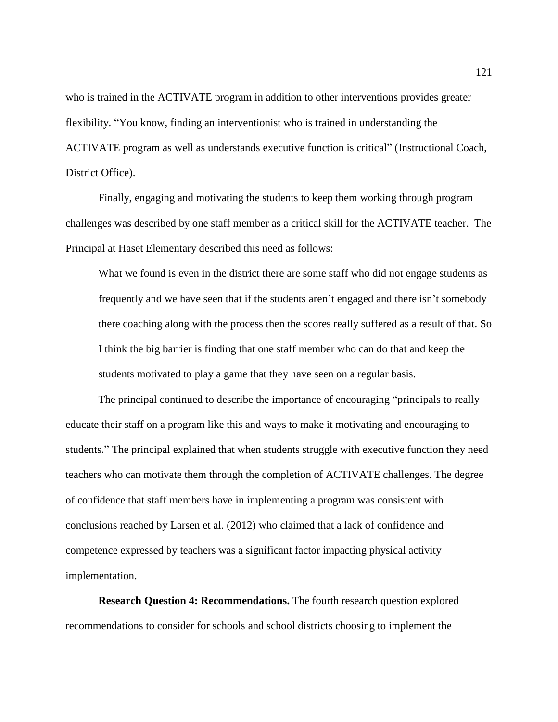who is trained in the ACTIVATE program in addition to other interventions provides greater flexibility. "You know, finding an interventionist who is trained in understanding the ACTIVATE program as well as understands executive function is critical" (Instructional Coach, District Office).

Finally, engaging and motivating the students to keep them working through program challenges was described by one staff member as a critical skill for the ACTIVATE teacher. The Principal at Haset Elementary described this need as follows:

What we found is even in the district there are some staff who did not engage students as frequently and we have seen that if the students aren't engaged and there isn't somebody there coaching along with the process then the scores really suffered as a result of that. So I think the big barrier is finding that one staff member who can do that and keep the students motivated to play a game that they have seen on a regular basis.

The principal continued to describe the importance of encouraging "principals to really educate their staff on a program like this and ways to make it motivating and encouraging to students." The principal explained that when students struggle with executive function they need teachers who can motivate them through the completion of ACTIVATE challenges. The degree of confidence that staff members have in implementing a program was consistent with conclusions reached by Larsen et al. (2012) who claimed that a lack of confidence and competence expressed by teachers was a significant factor impacting physical activity implementation.

**Research Question 4: Recommendations.** The fourth research question explored recommendations to consider for schools and school districts choosing to implement the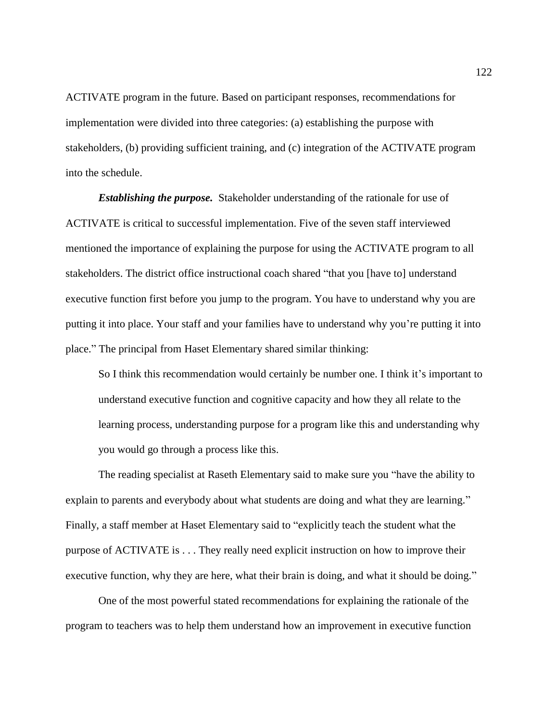ACTIVATE program in the future. Based on participant responses, recommendations for implementation were divided into three categories: (a) establishing the purpose with stakeholders, (b) providing sufficient training, and (c) integration of the ACTIVATE program into the schedule.

*Establishing the purpose.* Stakeholder understanding of the rationale for use of ACTIVATE is critical to successful implementation. Five of the seven staff interviewed mentioned the importance of explaining the purpose for using the ACTIVATE program to all stakeholders. The district office instructional coach shared "that you [have to] understand executive function first before you jump to the program. You have to understand why you are putting it into place. Your staff and your families have to understand why you're putting it into place." The principal from Haset Elementary shared similar thinking:

So I think this recommendation would certainly be number one. I think it's important to understand executive function and cognitive capacity and how they all relate to the learning process, understanding purpose for a program like this and understanding why you would go through a process like this.

The reading specialist at Raseth Elementary said to make sure you "have the ability to explain to parents and everybody about what students are doing and what they are learning." Finally, a staff member at Haset Elementary said to "explicitly teach the student what the purpose of ACTIVATE is . . . They really need explicit instruction on how to improve their executive function, why they are here, what their brain is doing, and what it should be doing."

One of the most powerful stated recommendations for explaining the rationale of the program to teachers was to help them understand how an improvement in executive function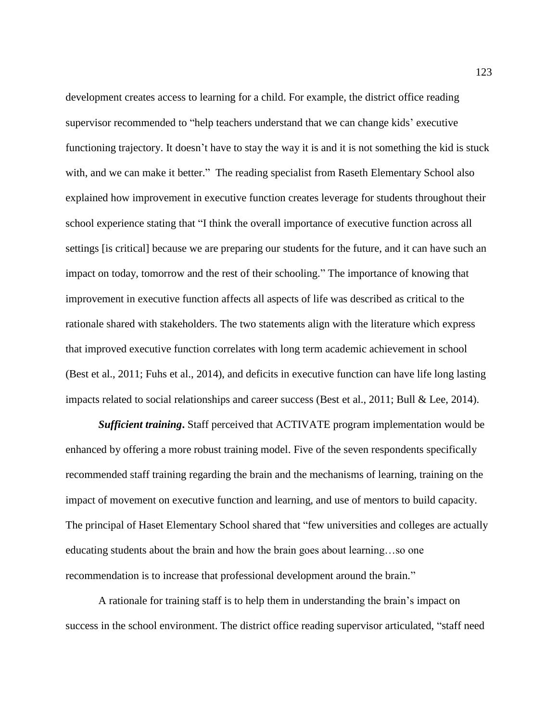development creates access to learning for a child. For example, the district office reading supervisor recommended to "help teachers understand that we can change kids' executive functioning trajectory. It doesn't have to stay the way it is and it is not something the kid is stuck with, and we can make it better." The reading specialist from Raseth Elementary School also explained how improvement in executive function creates leverage for students throughout their school experience stating that "I think the overall importance of executive function across all settings [is critical] because we are preparing our students for the future, and it can have such an impact on today, tomorrow and the rest of their schooling." The importance of knowing that improvement in executive function affects all aspects of life was described as critical to the rationale shared with stakeholders. The two statements align with the literature which express that improved executive function correlates with long term academic achievement in school (Best et al., 2011; Fuhs et al., 2014), and deficits in executive function can have life long lasting impacts related to social relationships and career success (Best et al., 2011; Bull & Lee, 2014).

*Sufficient training***.** Staff perceived that ACTIVATE program implementation would be enhanced by offering a more robust training model. Five of the seven respondents specifically recommended staff training regarding the brain and the mechanisms of learning, training on the impact of movement on executive function and learning, and use of mentors to build capacity. The principal of Haset Elementary School shared that "few universities and colleges are actually educating students about the brain and how the brain goes about learning…so one recommendation is to increase that professional development around the brain."

A rationale for training staff is to help them in understanding the brain's impact on success in the school environment. The district office reading supervisor articulated, "staff need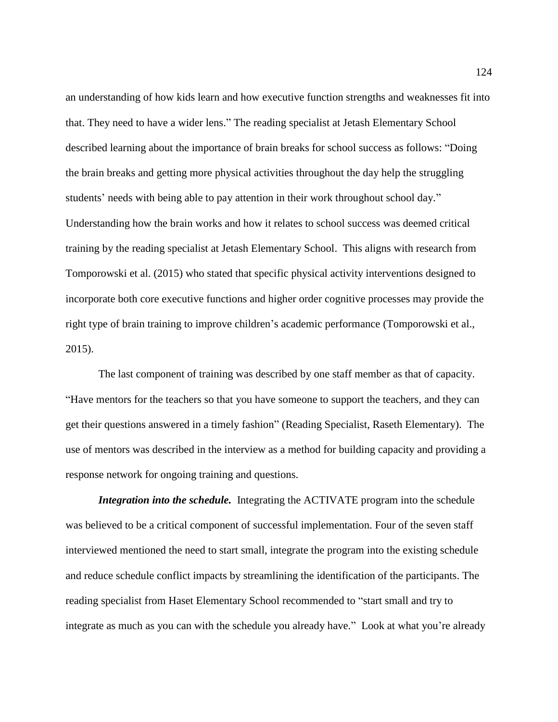an understanding of how kids learn and how executive function strengths and weaknesses fit into that. They need to have a wider lens." The reading specialist at Jetash Elementary School described learning about the importance of brain breaks for school success as follows: "Doing the brain breaks and getting more physical activities throughout the day help the struggling students' needs with being able to pay attention in their work throughout school day." Understanding how the brain works and how it relates to school success was deemed critical training by the reading specialist at Jetash Elementary School. This aligns with research from Tomporowski et al. (2015) who stated that specific physical activity interventions designed to incorporate both core executive functions and higher order cognitive processes may provide the right type of brain training to improve children's academic performance (Tomporowski et al., 2015).

The last component of training was described by one staff member as that of capacity. "Have mentors for the teachers so that you have someone to support the teachers, and they can get their questions answered in a timely fashion" (Reading Specialist, Raseth Elementary). The use of mentors was described in the interview as a method for building capacity and providing a response network for ongoing training and questions.

*Integration into the schedule.* Integrating the ACTIVATE program into the schedule was believed to be a critical component of successful implementation. Four of the seven staff interviewed mentioned the need to start small, integrate the program into the existing schedule and reduce schedule conflict impacts by streamlining the identification of the participants. The reading specialist from Haset Elementary School recommended to "start small and try to integrate as much as you can with the schedule you already have." Look at what you're already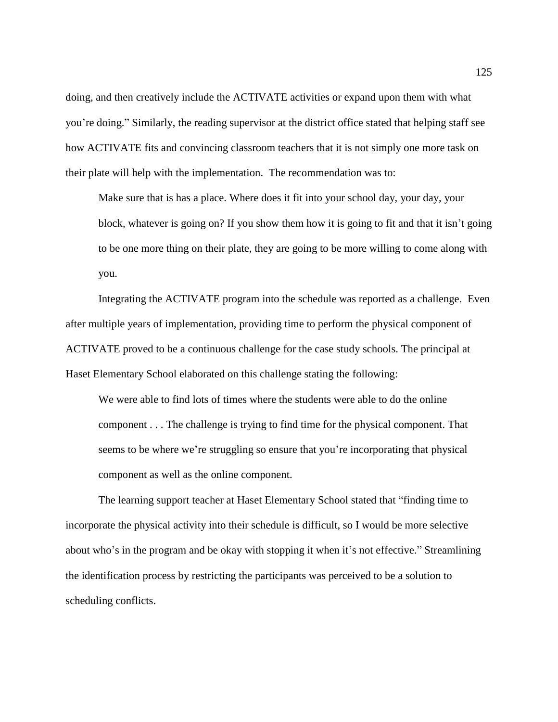doing, and then creatively include the ACTIVATE activities or expand upon them with what you're doing." Similarly, the reading supervisor at the district office stated that helping staff see how ACTIVATE fits and convincing classroom teachers that it is not simply one more task on their plate will help with the implementation. The recommendation was to:

Make sure that is has a place. Where does it fit into your school day, your day, your block, whatever is going on? If you show them how it is going to fit and that it isn't going to be one more thing on their plate, they are going to be more willing to come along with you.

Integrating the ACTIVATE program into the schedule was reported as a challenge. Even after multiple years of implementation, providing time to perform the physical component of ACTIVATE proved to be a continuous challenge for the case study schools. The principal at Haset Elementary School elaborated on this challenge stating the following:

We were able to find lots of times where the students were able to do the online component . . . The challenge is trying to find time for the physical component. That seems to be where we're struggling so ensure that you're incorporating that physical component as well as the online component.

The learning support teacher at Haset Elementary School stated that "finding time to incorporate the physical activity into their schedule is difficult, so I would be more selective about who's in the program and be okay with stopping it when it's not effective." Streamlining the identification process by restricting the participants was perceived to be a solution to scheduling conflicts.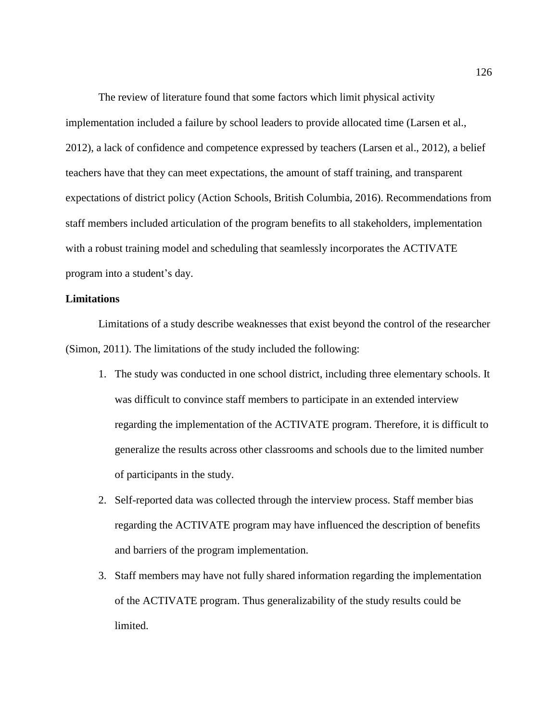The review of literature found that some factors which limit physical activity implementation included a failure by school leaders to provide allocated time (Larsen et al., 2012), a lack of confidence and competence expressed by teachers (Larsen et al., 2012), a belief teachers have that they can meet expectations, the amount of staff training, and transparent expectations of district policy (Action Schools, British Columbia, 2016). Recommendations from staff members included articulation of the program benefits to all stakeholders, implementation with a robust training model and scheduling that seamlessly incorporates the ACTIVATE program into a student's day.

### **Limitations**

Limitations of a study describe weaknesses that exist beyond the control of the researcher (Simon, 2011). The limitations of the study included the following:

- 1. The study was conducted in one school district, including three elementary schools. It was difficult to convince staff members to participate in an extended interview regarding the implementation of the ACTIVATE program. Therefore, it is difficult to generalize the results across other classrooms and schools due to the limited number of participants in the study.
- 2. Self-reported data was collected through the interview process. Staff member bias regarding the ACTIVATE program may have influenced the description of benefits and barriers of the program implementation.
- 3. Staff members may have not fully shared information regarding the implementation of the ACTIVATE program. Thus generalizability of the study results could be limited.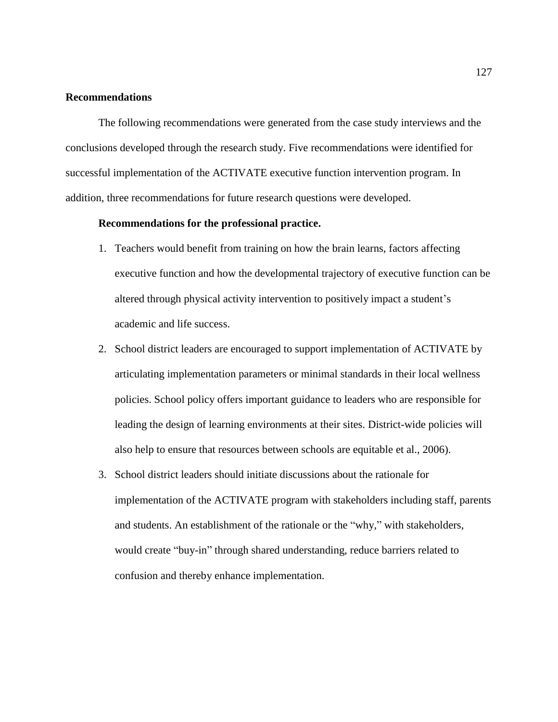# **Recommendations**

The following recommendations were generated from the case study interviews and the conclusions developed through the research study. Five recommendations were identified for successful implementation of the ACTIVATE executive function intervention program. In addition, three recommendations for future research questions were developed.

## **Recommendations for the professional practice.**

- 1. Teachers would benefit from training on how the brain learns, factors affecting executive function and how the developmental trajectory of executive function can be altered through physical activity intervention to positively impact a student's academic and life success.
- 2. School district leaders are encouraged to support implementation of ACTIVATE by articulating implementation parameters or minimal standards in their local wellness policies. School policy offers important guidance to leaders who are responsible for leading the design of learning environments at their sites. District-wide policies will also help to ensure that resources between schools are equitable et al., 2006).
- 3. School district leaders should initiate discussions about the rationale for implementation of the ACTIVATE program with stakeholders including staff, parents and students. An establishment of the rationale or the "why," with stakeholders, would create "buy-in" through shared understanding, reduce barriers related to confusion and thereby enhance implementation.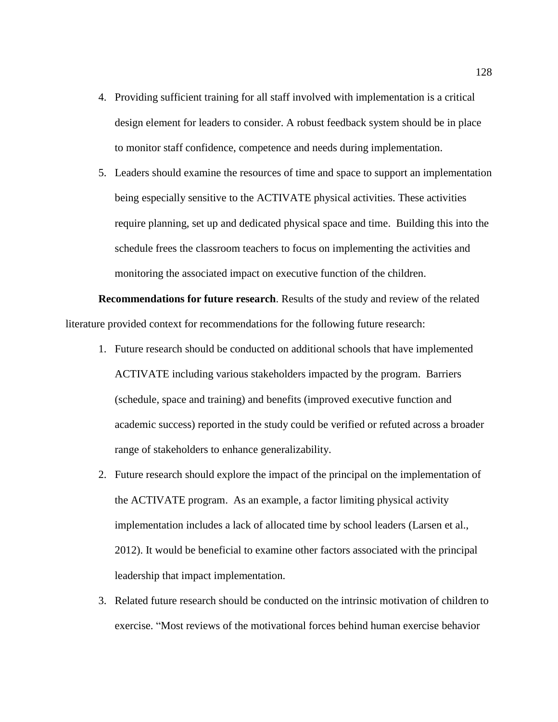- 4. Providing sufficient training for all staff involved with implementation is a critical design element for leaders to consider. A robust feedback system should be in place to monitor staff confidence, competence and needs during implementation.
- 5. Leaders should examine the resources of time and space to support an implementation being especially sensitive to the ACTIVATE physical activities. These activities require planning, set up and dedicated physical space and time. Building this into the schedule frees the classroom teachers to focus on implementing the activities and monitoring the associated impact on executive function of the children.

**Recommendations for future research**. Results of the study and review of the related literature provided context for recommendations for the following future research:

- 1. Future research should be conducted on additional schools that have implemented ACTIVATE including various stakeholders impacted by the program. Barriers (schedule, space and training) and benefits (improved executive function and academic success) reported in the study could be verified or refuted across a broader range of stakeholders to enhance generalizability.
- 2. Future research should explore the impact of the principal on the implementation of the ACTIVATE program. As an example, a factor limiting physical activity implementation includes a lack of allocated time by school leaders (Larsen et al., 2012). It would be beneficial to examine other factors associated with the principal leadership that impact implementation.
- 3. Related future research should be conducted on the intrinsic motivation of children to exercise. "Most reviews of the motivational forces behind human exercise behavior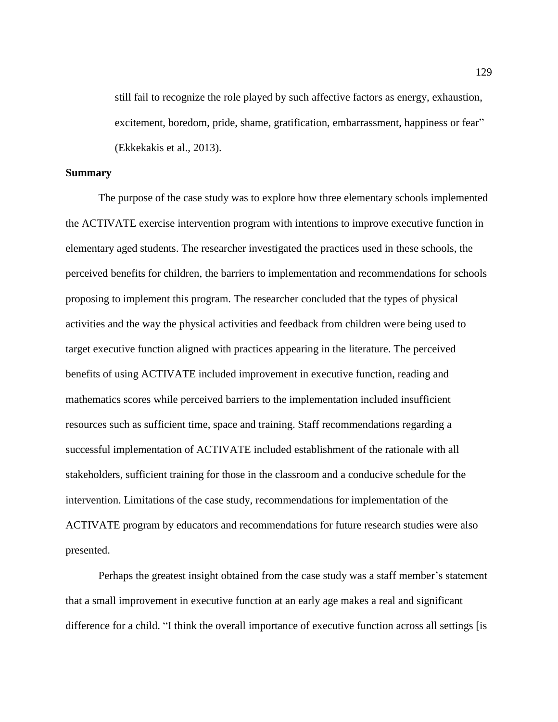still fail to recognize the role played by such affective factors as energy, exhaustion, excitement, boredom, pride, shame, gratification, embarrassment, happiness or fear" (Ekkekakis et al., 2013).

#### **Summary**

The purpose of the case study was to explore how three elementary schools implemented the ACTIVATE exercise intervention program with intentions to improve executive function in elementary aged students. The researcher investigated the practices used in these schools, the perceived benefits for children, the barriers to implementation and recommendations for schools proposing to implement this program. The researcher concluded that the types of physical activities and the way the physical activities and feedback from children were being used to target executive function aligned with practices appearing in the literature. The perceived benefits of using ACTIVATE included improvement in executive function, reading and mathematics scores while perceived barriers to the implementation included insufficient resources such as sufficient time, space and training. Staff recommendations regarding a successful implementation of ACTIVATE included establishment of the rationale with all stakeholders, sufficient training for those in the classroom and a conducive schedule for the intervention. Limitations of the case study, recommendations for implementation of the ACTIVATE program by educators and recommendations for future research studies were also presented.

Perhaps the greatest insight obtained from the case study was a staff member's statement that a small improvement in executive function at an early age makes a real and significant difference for a child. "I think the overall importance of executive function across all settings [is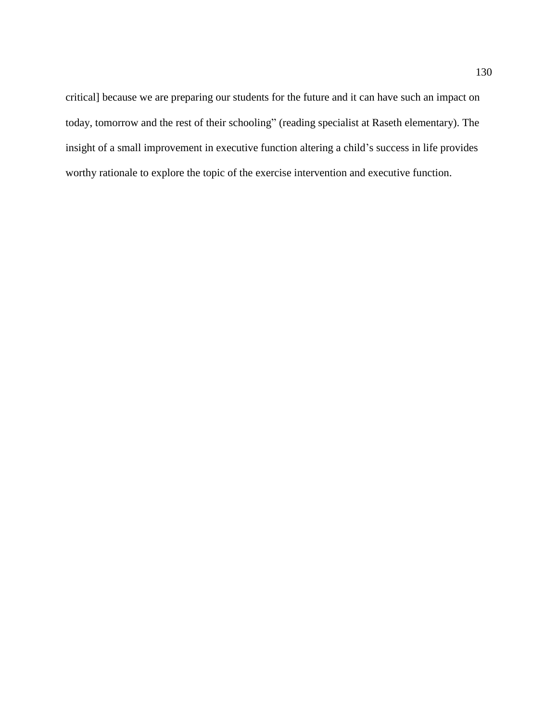critical] because we are preparing our students for the future and it can have such an impact on today, tomorrow and the rest of their schooling" (reading specialist at Raseth elementary). The insight of a small improvement in executive function altering a child's success in life provides worthy rationale to explore the topic of the exercise intervention and executive function.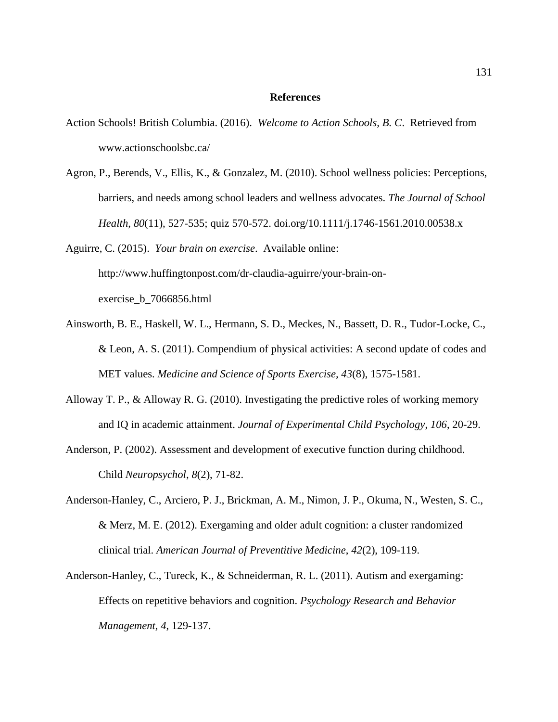#### **References**

- Action Schools! British Columbia. (2016). *Welcome to Action Schools, B. C*. Retrieved from www.actionschoolsbc.ca/
- Agron, P., Berends, V., Ellis, K., & Gonzalez, M. (2010). School wellness policies: Perceptions, barriers, and needs among school leaders and wellness advocates. *The Journal of School Health*, *80*(11), 527-535; quiz 570-572. doi.org/10.1111/j.1746-1561.2010.00538.x

Aguirre, C. (2015). *Your brain on exercise*. Available online: http://www.huffingtonpost.com/dr-claudia-aguirre/your-brain-onexercise\_b\_7066856.html

- Ainsworth, B. E., Haskell, W. L., Hermann, S. D., Meckes, N., Bassett, D. R., Tudor-Locke, C., & Leon, A. S. (2011). Compendium of physical activities: A second update of codes and MET values. *Medicine and Science of Sports Exercise, 43*(8), 1575-1581.
- Alloway T. P., & Alloway R. G. (2010). Investigating the predictive roles of working memory and IQ in academic attainment. *Journal of Experimental Child Psychology*, *106*, 20-29.
- Anderson, P. (2002). Assessment and development of executive function during childhood. Child *Neuropsychol*, *8*(2), 71-82.
- Anderson-Hanley, C., Arciero, P. J., Brickman, A. M., Nimon, J. P., Okuma, N., Westen, S. C., & Merz, M. E. (2012). Exergaming and older adult cognition: a cluster randomized clinical trial. *American Journal of Preventitive Medicine*, *42*(2), 109-119.
- Anderson-Hanley, C., Tureck, K., & Schneiderman, R. L. (2011). Autism and exergaming: Effects on repetitive behaviors and cognition. *Psychology Research and Behavior Management, 4*, 129-137.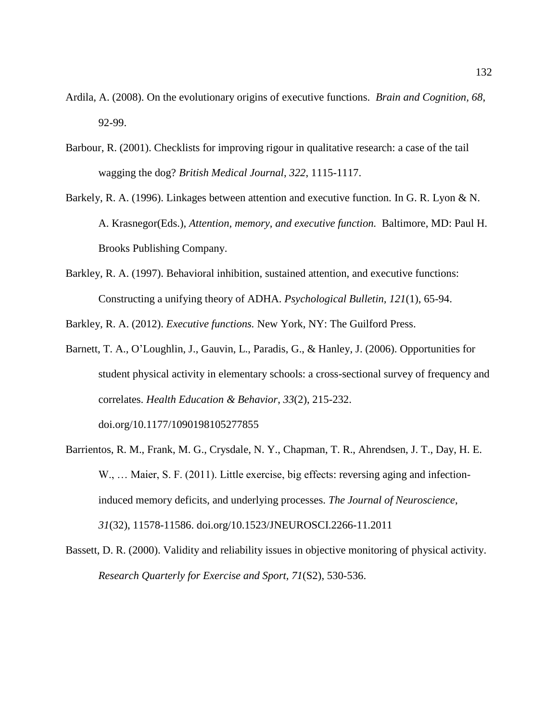- Ardila, A. (2008). On the evolutionary origins of executive functions. *Brain and Cognition, 68*, 92-99.
- Barbour, R. (2001). Checklists for improving rigour in qualitative research: a case of the tail wagging the dog? *British Medical Journal*, *322*, 1115-1117.
- Barkely, R. A. (1996). Linkages between attention and executive function*.* In G. R. Lyon & N. A. Krasnegor(Eds.), *Attention, memory, and executive function.* Baltimore, MD: Paul H. Brooks Publishing Company.
- Barkley, R. A. (1997). Behavioral inhibition, sustained attention, and executive functions: Constructing a unifying theory of ADHA. *Psychological Bulletin, 121*(1), 65-94.

Barkley, R. A. (2012). *Executive functions.* New York, NY: The Guilford Press.

- Barnett, T. A., O'Loughlin, J., Gauvin, L., Paradis, G., & Hanley, J. (2006). Opportunities for student physical activity in elementary schools: a cross-sectional survey of frequency and correlates. *Health Education & Behavior*, *33*(2), 215-232. doi.org/10.1177/1090198105277855
- Barrientos, R. M., Frank, M. G., Crysdale, N. Y., Chapman, T. R., Ahrendsen, J. T., Day, H. E. W., ... Maier, S. F. (2011). Little exercise, big effects: reversing aging and infectioninduced memory deficits, and underlying processes. *The Journal of Neuroscience*, *31*(32), 11578-11586. doi.org/10.1523/JNEUROSCI.2266-11.2011
- Bassett, D. R. (2000). Validity and reliability issues in objective monitoring of physical activity. *Research Quarterly for Exercise and Sport, 71*(S2), 530-536.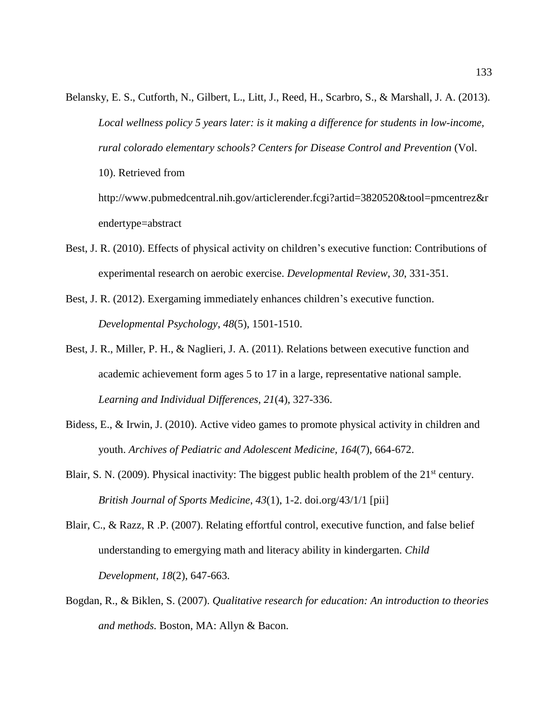- Belansky, E. S., Cutforth, N., Gilbert, L., Litt, J., Reed, H., Scarbro, S., & Marshall, J. A. (2013). *Local wellness policy 5 years later: is it making a difference for students in low-income, rural colorado elementary schools? Centers for Disease Control and Prevention* (Vol. 10). Retrieved from http://www.pubmedcentral.nih.gov/articlerender.fcgi?artid=3820520&tool=pmcentrez&r endertype=abstract
- Best, J. R. (2010). Effects of physical activity on children's executive function: Contributions of experimental research on aerobic exercise. *Developmental Review*, *30*, 331-351.
- Best, J. R. (2012). Exergaming immediately enhances children's executive function. *Developmental Psychology*, *48*(5), 1501-1510.
- Best, J. R., Miller, P. H., & Naglieri, J. A. (2011). Relations between executive function and academic achievement form ages 5 to 17 in a large, representative national sample. *Learning and Individual Differences, 21*(4), 327-336.
- Bidess, E., & Irwin, J. (2010). Active video games to promote physical activity in children and youth. *Archives of Pediatric and Adolescent Medicine, 164*(7), 664-672.
- Blair, S. N. (2009). Physical inactivity: The biggest public health problem of the  $21<sup>st</sup>$  century. *British Journal of Sports Medicine*, *43*(1), 1-2. doi.org/43/1/1 [pii]
- Blair, C., & Razz, R .P. (2007). Relating effortful control, executive function, and false belief understanding to emergying math and literacy ability in kindergarten. *Child Development, 18*(2), 647-663.
- Bogdan, R., & Biklen, S. (2007). *Qualitative research for education: An introduction to theories and methods.* Boston, MA: Allyn & Bacon.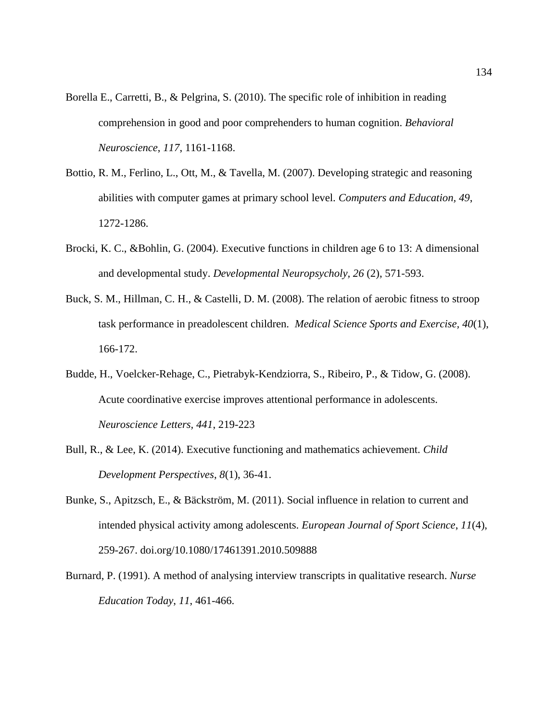- Borella E., Carretti, B., & Pelgrina, S. (2010). The specific role of inhibition in reading comprehension in good and poor comprehenders to human cognition. *Behavioral Neuroscience*, *117*, 1161-1168.
- Bottio, R. M., Ferlino, L., Ott, M., & Tavella, M. (2007). Developing strategic and reasoning abilities with computer games at primary school level. *Computers and Education, 49*, 1272-1286.
- Brocki, K. C., &Bohlin, G. (2004). Executive functions in children age 6 to 13: A dimensional and developmental study. *Developmental Neuropsycholy, 26* (2), 571-593.
- Buck, S. M., Hillman, C. H., & Castelli, D. M. (2008). The relation of aerobic fitness to stroop task performance in preadolescent children. *Medical Science Sports and Exercise, 40*(1), 166-172.
- Budde, H., Voelcker-Rehage, C., Pietrabyk-Kendziorra, S., Ribeiro, P., & Tidow, G. (2008). Acute coordinative exercise improves attentional performance in adolescents. *Neuroscience Letters, 441*, 219-223
- Bull, R., & Lee, K. (2014). Executive functioning and mathematics achievement. *Child Development Perspectives*, *8*(1), 36-41.
- Bunke, S., Apitzsch, E., & Bäckström, M. (2011). Social influence in relation to current and intended physical activity among adolescents. *European Journal of Sport Science*, *11*(4), 259-267. doi.org/10.1080/17461391.2010.509888
- Burnard, P. (1991). A method of analysing interview transcripts in qualitative research. *Nurse Education Today*, *11*, 461-466.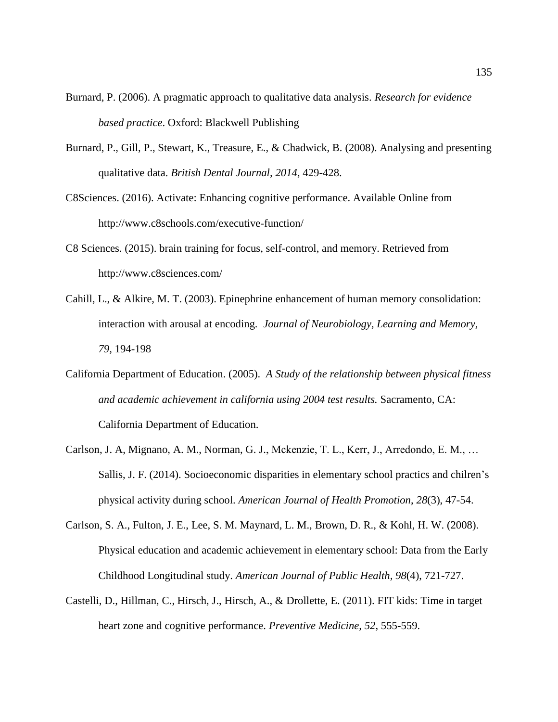- Burnard, P. (2006). A pragmatic approach to qualitative data analysis. *Research for evidence based practice*. Oxford: Blackwell Publishing
- Burnard, P., Gill, P., Stewart, K., Treasure, E., & Chadwick, B. (2008). Analysing and presenting qualitative data. *British Dental Journal, 2014*, 429-428.
- C8Sciences. (2016). Activate: Enhancing cognitive performance. Available Online from http://www.c8schools.com/executive-function/
- C8 Sciences. (2015). brain training for focus, self-control, and memory. Retrieved from http://www.c8sciences.com/
- Cahill, L., & Alkire, M. T. (2003). Epinephrine enhancement of human memory consolidation: interaction with arousal at encoding. *Journal of Neurobiology, Learning and Memory, 79,* 194-198
- California Department of Education. (2005). *A Study of the relationship between physical fitness and academic achievement in california using 2004 test results.* Sacramento, CA: California Department of Education.
- Carlson, J. A, Mignano, A. M., Norman, G. J., Mckenzie, T. L., Kerr, J., Arredondo, E. M., … Sallis, J. F. (2014). Socioeconomic disparities in elementary school practics and chilren's physical activity during school. *American Journal of Health Promotion*, *28*(3), 47-54.
- Carlson, S. A., Fulton, J. E., Lee, S. M. Maynard, L. M., Brown, D. R., & Kohl, H. W. (2008). Physical education and academic achievement in elementary school: Data from the Early Childhood Longitudinal study. *American Journal of Public Health, 98*(4), 721-727.
- Castelli, D., Hillman, C., Hirsch, J., Hirsch, A., & Drollette, E. (2011). FIT kids: Time in target heart zone and cognitive performance. *Preventive Medicine, 52*, 555-559.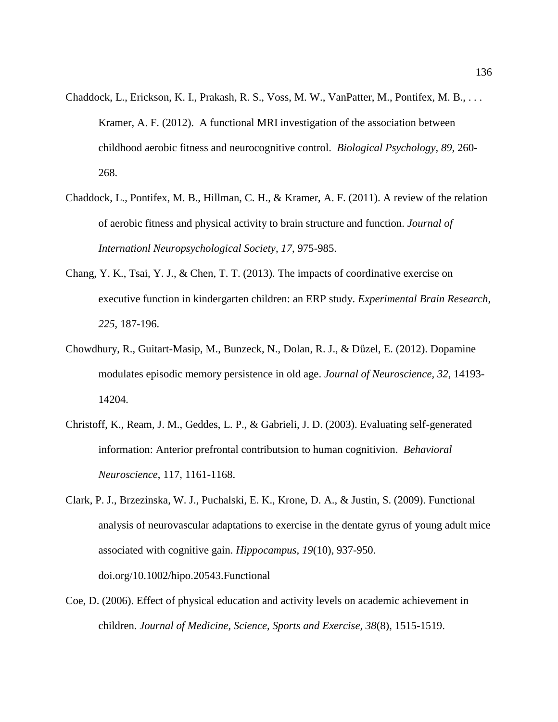- Chaddock, L., Erickson, K. I., Prakash, R. S., Voss, M. W., VanPatter, M., Pontifex, M. B., . . . Kramer, A. F. (2012). A functional MRI investigation of the association between childhood aerobic fitness and neurocognitive control. *Biological Psychology, 89*, 260- 268.
- Chaddock, L., Pontifex, M. B., Hillman, C. H., & Kramer, A. F. (2011). A review of the relation of aerobic fitness and physical activity to brain structure and function. *Journal of Internationl Neuropsychological Society*, *17*, 975-985.
- Chang, Y. K., Tsai, Y. J., & Chen, T. T. (2013). The impacts of coordinative exercise on executive function in kindergarten children: an ERP study. *Experimental Brain Research*, *225*, 187-196.
- Chowdhury, R., Guitart-Masip, M., Bunzeck, N., Dolan, R. J., & Dűzel, E. (2012). Dopamine modulates episodic memory persistence in old age. *Journal of Neuroscience, 32*, 14193- 14204.
- Christoff, K., Ream, J. M., Geddes, L. P., & Gabrieli, J. D. (2003). Evaluating self-generated information: Anterior prefrontal contributsion to human cognitivion. *Behavioral Neuroscience*, 117, 1161-1168.
- Clark, P. J., Brzezinska, W. J., Puchalski, E. K., Krone, D. A., & Justin, S. (2009). Functional analysis of neurovascular adaptations to exercise in the dentate gyrus of young adult mice associated with cognitive gain. *Hippocampus*, *19*(10), 937-950. doi.org/10.1002/hipo.20543.Functional
- Coe, D. (2006). Effect of physical education and activity levels on academic achievement in children. *Journal of Medicine, Science, Sports and Exercise, 38*(8), 1515-1519.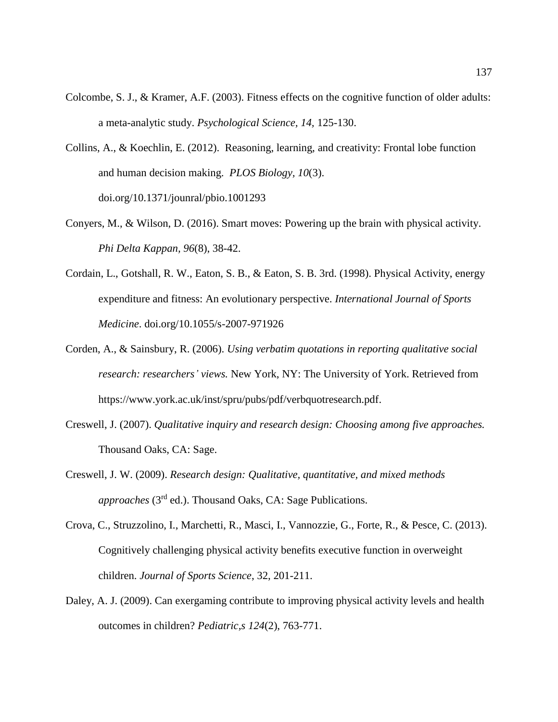- Colcombe, S. J., & Kramer, A.F. (2003). Fitness effects on the cognitive function of older adults: a meta-analytic study. *Psychological Science, 14,* 125-130.
- Collins, A., & Koechlin, E. (2012). Reasoning, learning, and creativity: Frontal lobe function and human decision making. *PLOS Biology, 10*(3). doi.org/10.1371/jounral/pbio.1001293
- Conyers, M., & Wilson, D. (2016). Smart moves: Powering up the brain with physical activity. *Phi Delta Kappan, 96*(8), 38-42.
- Cordain, L., Gotshall, R. W., Eaton, S. B., & Eaton, S. B. 3rd. (1998). Physical Activity, energy expenditure and fitness: An evolutionary perspective. *International Journal of Sports Medicine*. doi.org/10.1055/s-2007-971926
- Corden, A., & Sainsbury, R. (2006). *Using verbatim quotations in reporting qualitative social research: researchers' views.* New York, NY: The University of York. Retrieved from https://www.york.ac.uk/inst/spru/pubs/pdf/verbquotresearch.pdf.
- Creswell, J. (2007). *Qualitative inquiry and research design: Choosing among five approaches.* Thousand Oaks, CA: Sage.
- Creswell, J. W. (2009). *Research design: Qualitative, quantitative, and mixed methods approaches* (3rd ed.). Thousand Oaks, CA: Sage Publications.
- Crova, C., Struzzolino, I., Marchetti, R., Masci, I., Vannozzie, G., Forte, R., & Pesce, C. (2013). Cognitively challenging physical activity benefits executive function in overweight children. *Journal of Sports Science*, 32, 201-211.
- Daley, A. J. (2009). Can exergaming contribute to improving physical activity levels and health outcomes in children? *Pediatric,s 124*(2), 763-771.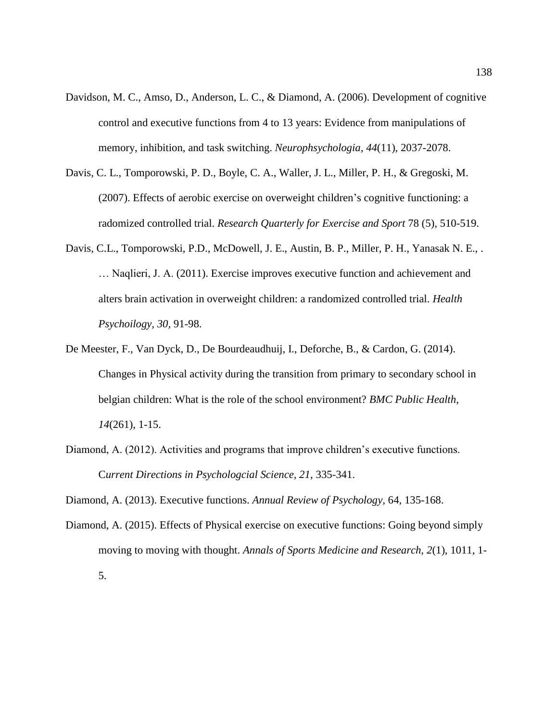- Davidson, M. C., Amso, D., Anderson, L. C., & Diamond, A. (2006). Development of cognitive control and executive functions from 4 to 13 years: Evidence from manipulations of memory, inhibition, and task switching. *Neurophsychologia, 44*(11), 2037-2078.
- Davis, C. L., Tomporowski, P. D., Boyle, C. A., Waller, J. L., Miller, P. H., & Gregoski, M. (2007). Effects of aerobic exercise on overweight children's cognitive functioning: a radomized controlled trial. *Research Quarterly for Exercise and Sport* 78 (5), 510-519.
- Davis, C.L., Tomporowski, P.D., McDowell, J. E., Austin, B. P., Miller, P. H., Yanasak N. E., . … Naqlieri, J. A. (2011). Exercise improves executive function and achievement and alters brain activation in overweight children: a randomized controlled trial. *Health Psychoilogy, 30,* 91-98.
- De Meester, F., Van Dyck, D., De Bourdeaudhuij, I., Deforche, B., & Cardon, G. (2014). Changes in Physical activity during the transition from primary to secondary school in belgian children: What is the role of the school environment? *BMC Public Health*, *14*(261), 1-15.
- Diamond, A. (2012). Activities and programs that improve children's executive functions. C*urrent Directions in Psychologcial Science, 21*, 335-341.

Diamond, A. (2013). Executive functions. *Annual Review of Psychology*, 64, 135-168.

Diamond, A. (2015). Effects of Physical exercise on executive functions: Going beyond simply moving to moving with thought. *Annals of Sports Medicine and Research, 2*(1), 1011, 1- 5.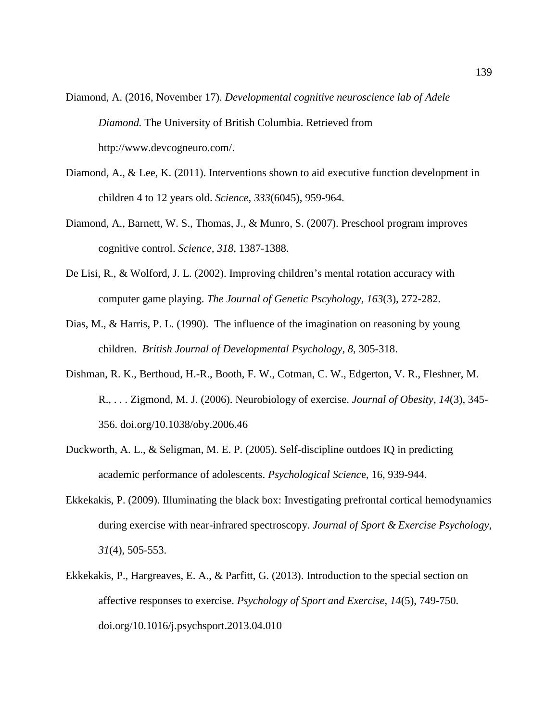- Diamond, A. (2016, November 17). *Developmental cognitive neuroscience lab of Adele Diamond.* The University of British Columbia. Retrieved from http://www.devcogneuro.com/.
- Diamond, A., & Lee, K. (2011). Interventions shown to aid executive function development in children 4 to 12 years old. *Science, 333*(6045), 959-964.
- Diamond, A., Barnett, W. S., Thomas, J., & Munro, S. (2007). Preschool program improves cognitive control. *Science, 318*, 1387-1388.
- De Lisi, R., & Wolford, J. L. (2002). Improving children's mental rotation accuracy with computer game playing. *The Journal of Genetic Pscyhology, 163*(3), 272-282.
- Dias, M., & Harris, P. L. (1990). The influence of the imagination on reasoning by young children. *British Journal of Developmental Psychology, 8*, 305-318.
- Dishman, R. K., Berthoud, H.-R., Booth, F. W., Cotman, C. W., Edgerton, V. R., Fleshner, M. R., . . . Zigmond, M. J. (2006). Neurobiology of exercise. *Journal of Obesity*, *14*(3), 345- 356. doi.org/10.1038/oby.2006.46
- Duckworth, A. L., & Seligman, M. E. P. (2005). Self-discipline outdoes IQ in predicting academic performance of adolescents. *Psychological Scienc*e, 16, 939-944.
- Ekkekakis, P. (2009). Illuminating the black box: Investigating prefrontal cortical hemodynamics during exercise with near-infrared spectroscopy. *Journal of Sport & Exercise Psychology*, *31*(4), 505-553.
- Ekkekakis, P., Hargreaves, E. A., & Parfitt, G. (2013). Introduction to the special section on affective responses to exercise. *Psychology of Sport and Exercise*, *14*(5), 749-750. doi.org/10.1016/j.psychsport.2013.04.010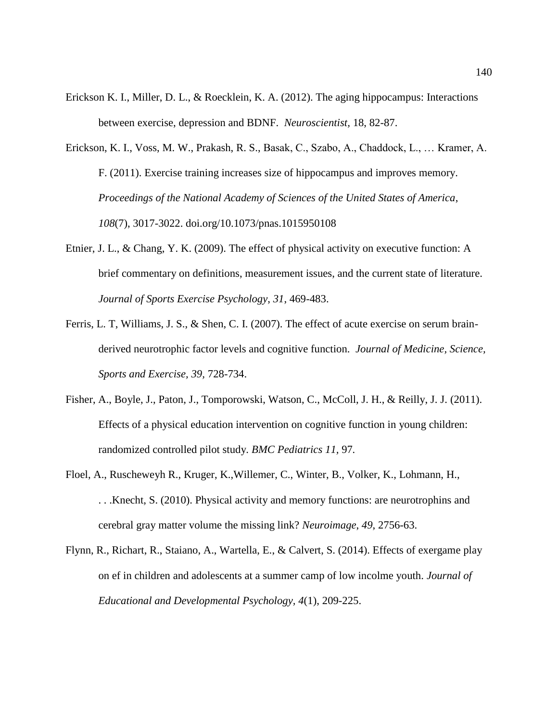- Erickson K. I., Miller, D. L., & Roecklein, K. A. (2012). The aging hippocampus: Interactions between exercise, depression and BDNF. *Neuroscientist,* 18, 82-87.
- Erickson, K. I., Voss, M. W., Prakash, R. S., Basak, C., Szabo, A., Chaddock, L., … Kramer, A. F. (2011). Exercise training increases size of hippocampus and improves memory. *Proceedings of the National Academy of Sciences of the United States of America*, *108*(7), 3017-3022. doi.org/10.1073/pnas.1015950108
- Etnier, J. L., & Chang, Y. K. (2009). The effect of physical activity on executive function: A brief commentary on definitions, measurement issues, and the current state of literature. *Journal of Sports Exercise Psychology*, *31*, 469-483.
- Ferris, L. T, Williams, J. S., & Shen, C. I. (2007). The effect of acute exercise on serum brainderived neurotrophic factor levels and cognitive function. *Journal of Medicine, Science, Sports and Exercise, 39,* 728-734.
- Fisher, A., Boyle, J., Paton, J., Tomporowski, Watson, C., McColl, J. H., & Reilly, J. J. (2011). Effects of a physical education intervention on cognitive function in young children: randomized controlled pilot study. *BMC Pediatrics 11,* 97*.*
- Floel, A., Ruscheweyh R., Kruger, K.,Willemer, C., Winter, B., Volker, K., Lohmann, H., . . .Knecht, S. (2010). Physical activity and memory functions: are neurotrophins and cerebral gray matter volume the missing link? *Neuroimage*, *49*, 2756-63.
- Flynn, R., Richart, R., Staiano, A., Wartella, E., & Calvert, S. (2014). Effects of exergame play on ef in children and adolescents at a summer camp of low incolme youth. *Journal of Educational and Developmental Psychology, 4*(1), 209-225.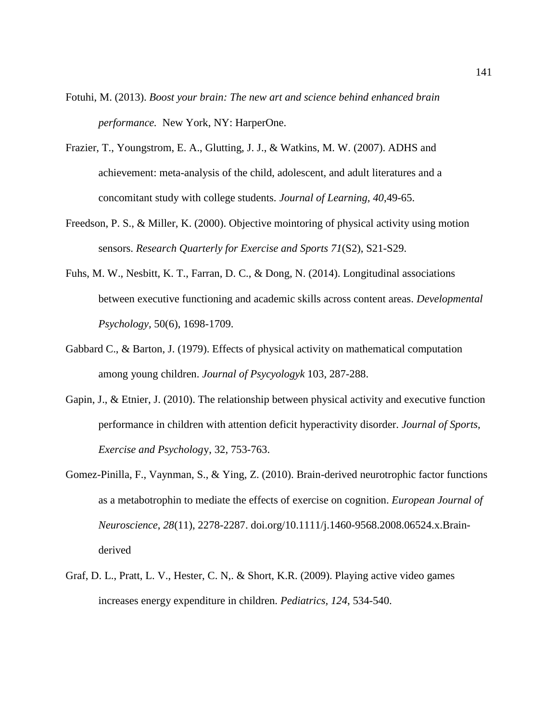- Fotuhi, M. (2013). *Boost your brain: The new art and science behind enhanced brain performance.* New York, NY: HarperOne.
- Frazier, T., Youngstrom, E. A., Glutting, J. J., & Watkins, M. W. (2007). ADHS and achievement: meta-analysis of the child, adolescent, and adult literatures and a concomitant study with college students. *Journal of Learning, 40*,49-65.
- Freedson, P. S., & Miller, K. (2000). Objective mointoring of physical activity using motion sensors. *Research Quarterly for Exercise and Sports 71*(S2), S21-S29.
- Fuhs, M. W., Nesbitt, K. T., Farran, D. C., & Dong, N. (2014). Longitudinal associations between executive functioning and academic skills across content areas. *Developmental Psychology,* 50(6), 1698-1709.
- Gabbard C., & Barton, J. (1979). Effects of physical activity on mathematical computation among young children. *Journal of Psycyologyk* 103, 287-288.
- Gapin, J., & Etnier, J. (2010). The relationship between physical activity and executive function performance in children with attention deficit hyperactivity disorder. *Journal of Sports, Exercise and Psycholog*y, 32, 753-763.
- Gomez-Pinilla, F., Vaynman, S., & Ying, Z. (2010). Brain-derived neurotrophic factor functions as a metabotrophin to mediate the effects of exercise on cognition. *European Journal of Neuroscience*, *28*(11), 2278-2287. doi.org/10.1111/j.1460-9568.2008.06524.x.Brainderived
- Graf, D. L., Pratt, L. V., Hester, C. N,. & Short, K.R. (2009). Playing active video games increases energy expenditure in children. *Pediatrics, 124*, 534-540.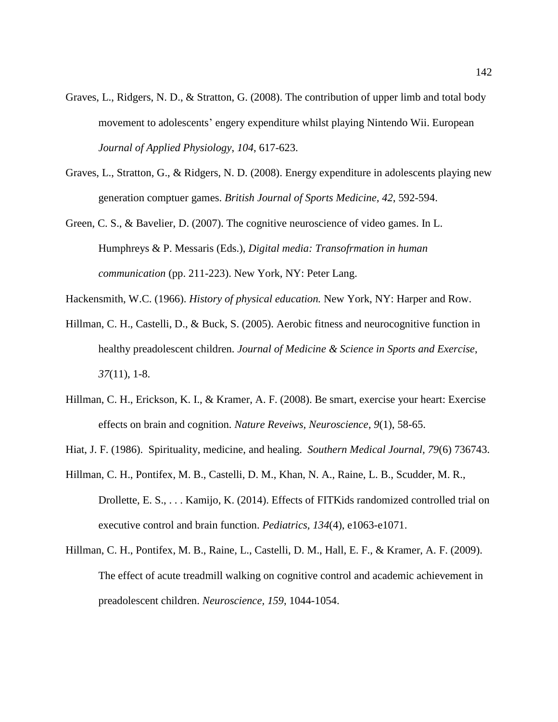- Graves, L., Ridgers, N. D., & Stratton, G. (2008). The contribution of upper limb and total body movement to adolescents' engery expenditure whilst playing Nintendo Wii. European *Journal of Applied Physiology*, *104*, 617-623.
- Graves, L., Stratton, G., & Ridgers, N. D. (2008). Energy expenditure in adolescents playing new generation comptuer games. *British Journal of Sports Medicine, 42*, 592-594.
- Green, C. S., & Bavelier, D. (2007). The cognitive neuroscience of video games. In L. Humphreys & P. Messaris (Eds.), *Digital media: Transofrmation in human communication* (pp. 211-223). New York, NY: Peter Lang.
- Hackensmith, W.C. (1966). *History of physical education.* New York, NY: Harper and Row.
- Hillman, C. H., Castelli, D., & Buck, S. (2005). Aerobic fitness and neurocognitive function in healthy preadolescent children. *Journal of Medicine & Science in Sports and Exercise*, *37*(11), 1-8.
- Hillman, C. H., Erickson, K. I., & Kramer, A. F. (2008). Be smart, exercise your heart: Exercise effects on brain and cognition. *Nature Reveiws, Neuroscience, 9*(1), 58-65.
- Hiat, J. F. (1986). Spirituality, medicine, and healing. *Southern Medical Journal, 79*(6) 736743.
- Hillman, C. H., Pontifex, M. B., Castelli, D. M., Khan, N. A., Raine, L. B., Scudder, M. R., Drollette, E. S., . . . Kamijo, K. (2014). Effects of FITKids randomized controlled trial on executive control and brain function. *Pediatrics, 134*(4), e1063-e1071.
- Hillman, C. H., Pontifex, M. B., Raine, L., Castelli, D. M., Hall, E. F., & Kramer, A. F. (2009). The effect of acute treadmill walking on cognitive control and academic achievement in preadolescent children. *Neuroscience, 159*, 1044-1054.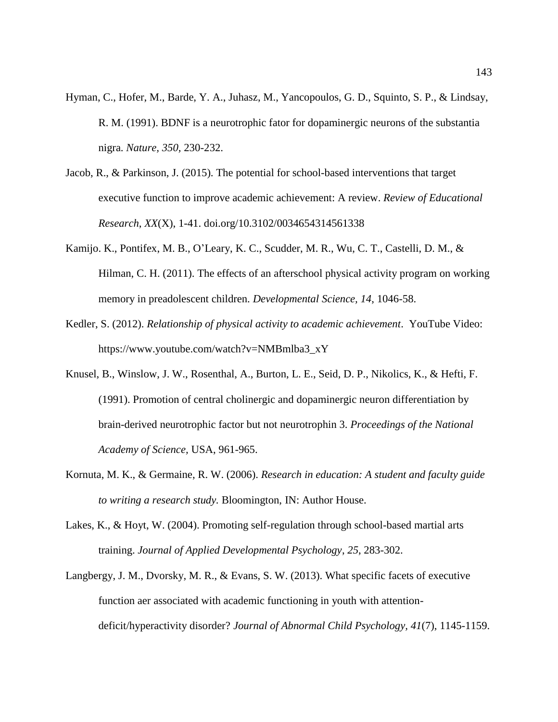- Hyman, C., Hofer, M., Barde, Y. A., Juhasz, M., Yancopoulos, G. D., Squinto, S. P., & Lindsay, R. M. (1991). BDNF is a neurotrophic fator for dopaminergic neurons of the substantia nigra. *Nature, 350,* 230-232.
- Jacob, R., & Parkinson, J. (2015). The potential for school-based interventions that target executive function to improve academic achievement: A review. *Review of Educational Research*, *XX*(X), 1-41. doi.org/10.3102/0034654314561338
- Kamijo. K., Pontifex, M. B., O'Leary, K. C., Scudder, M. R., Wu, C. T., Castelli, D. M., & Hilman, C. H. (2011). The effects of an afterschool physical activity program on working memory in preadolescent children. *Developmental Science, 14*, 1046-58.
- Kedler, S. (2012). *Relationship of physical activity to academic achievement*. YouTube Video: https://www.youtube.com/watch?v=NMBmlba3\_xY
- Knusel, B., Winslow, J. W., Rosenthal, A., Burton, L. E., Seid, D. P., Nikolics, K., & Hefti, F. (1991). Promotion of central cholinergic and dopaminergic neuron differentiation by brain-derived neurotrophic factor but not neurotrophin 3. *Proceedings of the National Academy of Science,* USA, 961-965.
- Kornuta, M. K., & Germaine, R. W. (2006). *Research in education: A student and faculty guide to writing a research study.* Bloomington, IN: Author House.
- Lakes, K., & Hoyt, W. (2004). Promoting self-regulation through school-based martial arts training. *Journal of Applied Developmental Psychology*, *25*, 283-302.
- Langbergy, J. M., Dvorsky, M. R., & Evans, S. W. (2013). What specific facets of executive function aer associated with academic functioning in youth with attentiondeficit/hyperactivity disorder? *Journal of Abnormal Child Psychology, 41*(7), 1145-1159.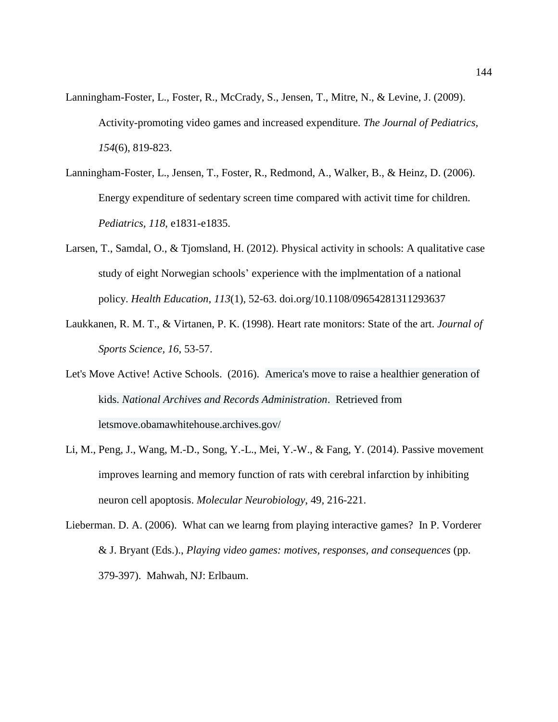- Lanningham-Foster, L., Foster, R., McCrady, S., Jensen, T., Mitre, N., & Levine, J. (2009). Activity-promoting video games and increased expenditure. *The Journal of Pediatrics, 154*(6), 819-823.
- Lanningham-Foster, L., Jensen, T., Foster, R., Redmond, A., Walker, B., & Heinz, D. (2006). Energy expenditure of sedentary screen time compared with activit time for children. *Pediatrics, 118*, e1831-e1835.
- Larsen, T., Samdal, O., & Tjomsland, H. (2012). Physical activity in schools: A qualitative case study of eight Norwegian schools' experience with the implmentation of a national policy. *Health Education*, *113*(1), 52-63. doi.org/10.1108/09654281311293637
- Laukkanen, R. M. T., & Virtanen, P. K. (1998). Heart rate monitors: State of the art. *Journal of Sports Science, 16*, 53-57.
- Let's Move Active! Active Schools. (2016). America's move to raise a healthier generation of kids. *National Archives and Records Administration*. Retrieved from letsmove.obamawhitehouse.archives.gov/
- Li, M., Peng, J., Wang, M.-D., Song, Y.-L., Mei, Y.-W., & Fang, Y. (2014). Passive movement improves learning and memory function of rats with cerebral infarction by inhibiting neuron cell apoptosis. *Molecular Neurobiology*, 49, 216-221.
- Lieberman. D. A. (2006). What can we learng from playing interactive games? In P. Vorderer & J. Bryant (Eds.)., *Playing video games: motives, responses, and consequences* (pp. 379-397). Mahwah, NJ: Erlbaum.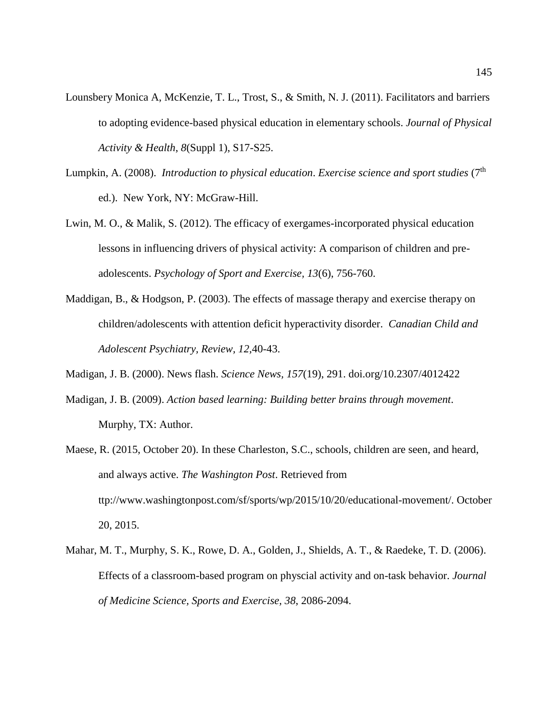- Lounsbery Monica A, McKenzie, T. L., Trost, S., & Smith, N. J. (2011). Facilitators and barriers to adopting evidence-based physical education in elementary schools. *Journal of Physical Activity & Health*, *8*(Suppl 1), S17-S25.
- Lumpkin, A. (2008). *Introduction to physical education*. *Exercise science and sport studies* (7th ed.). New York, NY: McGraw-Hill.
- Lwin, M. O., & Malik, S. (2012). The efficacy of exergames-incorporated physical education lessons in influencing drivers of physical activity: A comparison of children and preadolescents. *Psychology of Sport and Exercise, 13*(6), 756-760.
- Maddigan, B., & Hodgson, P. (2003). The effects of massage therapy and exercise therapy on children/adolescents with attention deficit hyperactivity disorder. *Canadian Child and Adolescent Psychiatry, Review, 12,*40-43.
- Madigan, J. B. (2000). News flash. *Science News, 157*(19), 291. doi.org/10.2307/4012422
- Madigan, J. B. (2009). *Action based learning: Building better brains through movement*. Murphy, TX: Author.
- Maese, R. (2015, October 20). In these Charleston, S.C., schools, children are seen, and heard, and always active. *The Washington Post*. Retrieved from ttp://www.washingtonpost.com/sf/sports/wp/2015/10/20/educational-movement/. October 20, 2015.
- Mahar, M. T., Murphy, S. K., Rowe, D. A., Golden, J., Shields, A. T., & Raedeke, T. D. (2006). Effects of a classroom-based program on physcial activity and on-task behavior. *Journal of Medicine Science, Sports and Exercise, 38*, 2086-2094.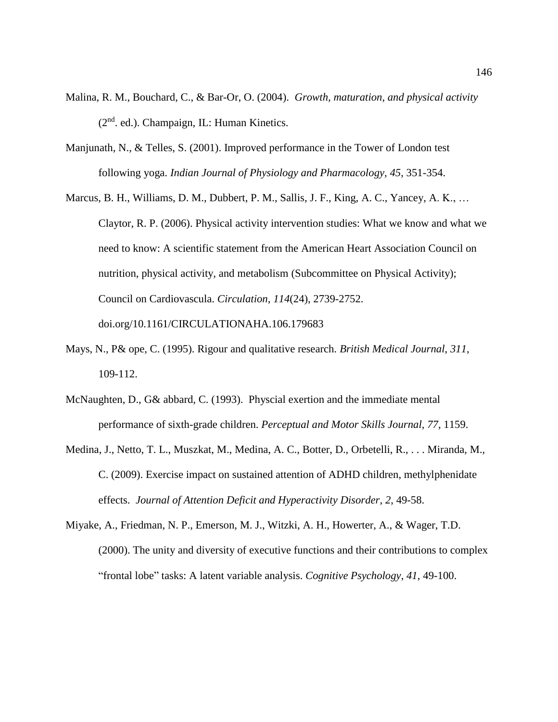- Malina, R. M., Bouchard, C., & Bar-Or, O. (2004). *Growth, maturation, and physical activity*  $(2<sup>nd</sup>$ . ed.). Champaign, IL: Human Kinetics.
- Manjunath, N., & Telles, S. (2001). Improved performance in the Tower of London test following yoga. *Indian Journal of Physiology and Pharmacology, 45*, 351-354.
- Marcus, B. H., Williams, D. M., Dubbert, P. M., Sallis, J. F., King, A. C., Yancey, A. K., … Claytor, R. P. (2006). Physical activity intervention studies: What we know and what we need to know: A scientific statement from the American Heart Association Council on nutrition, physical activity, and metabolism (Subcommittee on Physical Activity); Council on Cardiovascula. *Circulation*, *114*(24), 2739-2752. doi.org/10.1161/CIRCULATIONAHA.106.179683
- Mays, N., P& ope, C. (1995). Rigour and qualitative research. *British Medical Journal*, *311,* 109-112.
- McNaughten, D., G& abbard, C. (1993). Physcial exertion and the immediate mental performance of sixth-grade children. *Perceptual and Motor Skills Journal, 77*, 1159.
- Medina, J., Netto, T. L., Muszkat, M., Medina, A. C., Botter, D., Orbetelli, R., . . . Miranda, M., C. (2009). Exercise impact on sustained attention of ADHD children, methylphenidate effects. *Journal of Attention Deficit and Hyperactivity Disorder*, *2*, 49-58.
- Miyake, A., Friedman, N. P., Emerson, M. J., Witzki, A. H., Howerter, A., & Wager, T.D. (2000). The unity and diversity of executive functions and their contributions to complex "frontal lobe" tasks: A latent variable analysis. *Cognitive Psychology*, *41*, 49-100.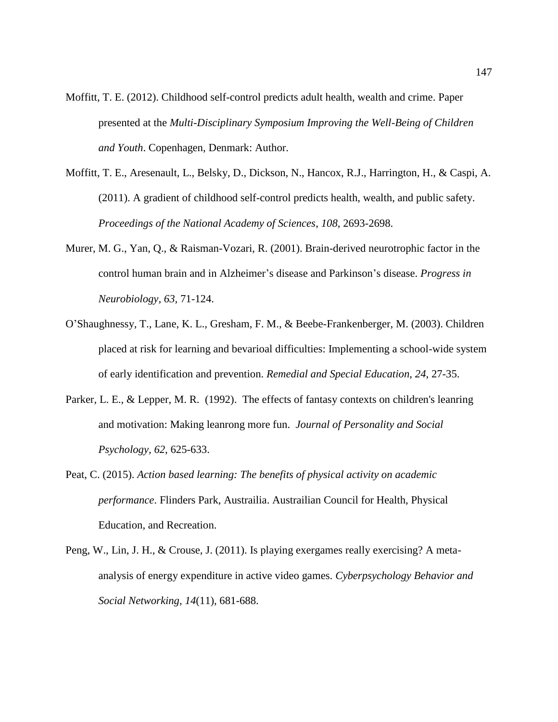- Moffitt, T. E. (2012). Childhood self-control predicts adult health, wealth and crime. Paper presented at the *Multi-Disciplinary Symposium Improving the Well-Being of Children and Youth*. Copenhagen, Denmark: Author.
- Moffitt, T. E., Aresenault, L., Belsky, D., Dickson, N., Hancox, R.J., Harrington, H., & Caspi, A. (2011). A gradient of childhood self-control predicts health, wealth, and public safety. *Proceedings of the National Academy of Sciences*, *108*, 2693-2698.
- Murer, M. G., Yan, Q., & Raisman-Vozari, R. (2001). Brain-derived neurotrophic factor in the control human brain and in Alzheimer's disease and Parkinson's disease. *Progress in Neurobiology, 63,* 71-124.
- O'Shaughnessy, T., Lane, K. L., Gresham, F. M., & Beebe-Frankenberger, M. (2003). Children placed at risk for learning and bevarioal difficulties: Implementing a school-wide system of early identification and prevention. *Remedial and Special Education*, *24*, 27-35.
- Parker, L. E., & Lepper, M. R. (1992). The effects of fantasy contexts on children's leanring and motivation: Making leanrong more fun. *Journal of Personality and Social Psychology, 62*, 625-633.
- Peat, C. (2015). *Action based learning: The benefits of physical activity on academic performance*. Flinders Park, Austrailia. Austrailian Council for Health, Physical Education, and Recreation.
- Peng, W., Lin, J. H., & Crouse, J. (2011). Is playing exergames really exercising? A metaanalysis of energy expenditure in active video games. *Cyberpsychology Behavior and Social Networking, 14*(11), 681-688.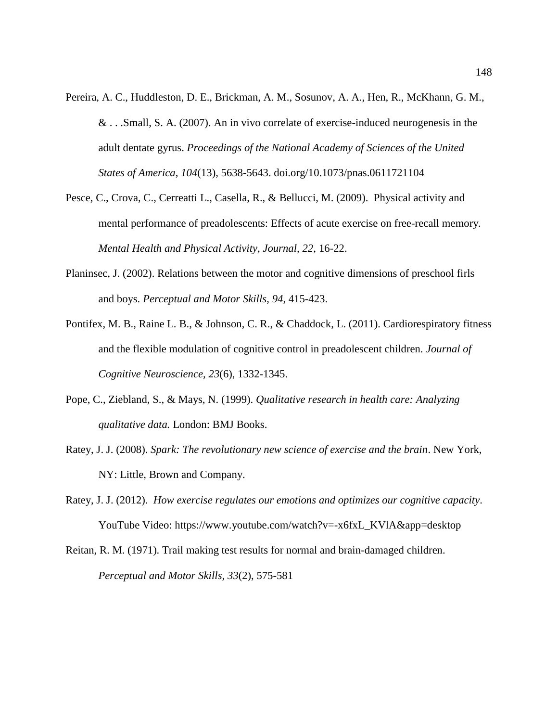- Pereira, A. C., Huddleston, D. E., Brickman, A. M., Sosunov, A. A., Hen, R., McKhann, G. M., & . . .Small, S. A. (2007). An in vivo correlate of exercise-induced neurogenesis in the adult dentate gyrus. *Proceedings of the National Academy of Sciences of the United States of America*, *104*(13), 5638-5643. doi.org/10.1073/pnas.0611721104
- Pesce, C., Crova, C., Cerreatti L., Casella, R., & Bellucci, M. (2009). Physical activity and mental performance of preadolescents: Effects of acute exercise on free-recall memory*. Mental Health and Physical Activity, Journal, 22*, 16-22.
- Planinsec, J. (2002). Relations between the motor and cognitive dimensions of preschool firls and boys. *Perceptual and Motor Skills*, *94*, 415-423.
- Pontifex, M. B., Raine L. B., & Johnson, C. R., & Chaddock, L. (2011). Cardiorespiratory fitness and the flexible modulation of cognitive control in preadolescent children. *Journal of Cognitive Neuroscience, 23*(6), 1332-1345.
- Pope, C., Ziebland, S., & Mays, N. (1999). *Qualitative research in health care: Analyzing qualitative data.* London: BMJ Books.
- Ratey, J. J. (2008). *Spark: The revolutionary new science of exercise and the brain*. New York, NY: Little, Brown and Company.
- Ratey, J. J. (2012). *How exercise regulates our emotions and optimizes our cognitive capacity*. YouTube Video: https://www.youtube.com/watch?v=-x6fxL\_KVlA&app=desktop
- Reitan, R. M. (1971). Trail making test results for normal and brain-damaged children. *Perceptual and Motor Skills, 33*(2), 575-581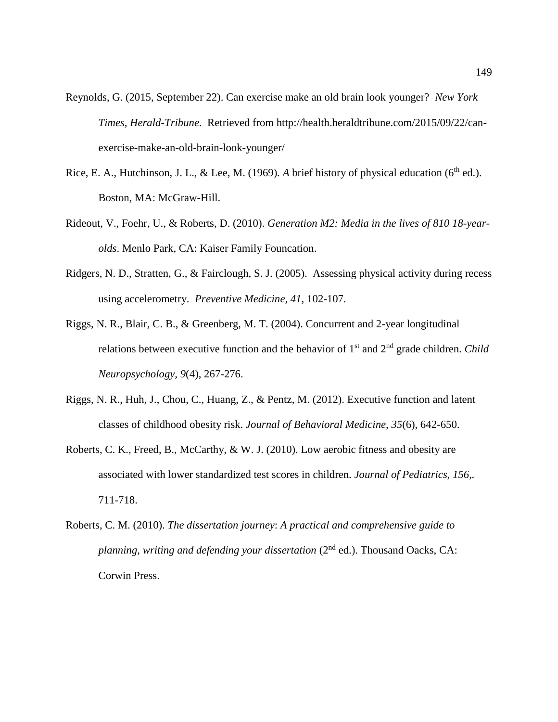- Reynolds, G. (2015, September 22). Can exercise make an old brain look younger? *New York Times, Herald-Tribune*. Retrieved from http://health.heraldtribune.com/2015/09/22/canexercise-make-an-old-brain-look-younger/
- Rice, E. A., Hutchinson, J. L., & Lee, M. (1969). *A* brief history of physical education (6<sup>th</sup> ed.). Boston, MA: McGraw-Hill.
- Rideout, V., Foehr, U., & Roberts, D. (2010). *Generation M2: Media in the lives of 810 18-yearolds*. Menlo Park, CA: Kaiser Family Founcation.
- Ridgers, N. D., Stratten, G., & Fairclough, S. J. (2005). Assessing physical activity during recess using accelerometry. *Preventive Medicine, 41,* 102-107.
- Riggs, N. R., Blair, C. B., & Greenberg, M. T. (2004). Concurrent and 2-year longitudinal relations between executive function and the behavior of 1st and 2nd grade children. *Child Neuropsychology, 9*(4), 267-276.
- Riggs, N. R., Huh, J., Chou, C., Huang, Z., & Pentz, M. (2012). Executive function and latent classes of childhood obesity risk. *Journal of Behavioral Medicine, 35*(6), 642-650.
- Roberts, C. K., Freed, B., McCarthy, & W. J. (2010). Low aerobic fitness and obesity are associated with lower standardized test scores in children. *Journal of Pediatrics, 156,.* 711-718.
- Roberts, C. M. (2010). *The dissertation journey*: *A practical and comprehensive guide to planning, writing and defending your dissertation* (2<sup>nd</sup> ed.). Thousand Oacks, CA: Corwin Press.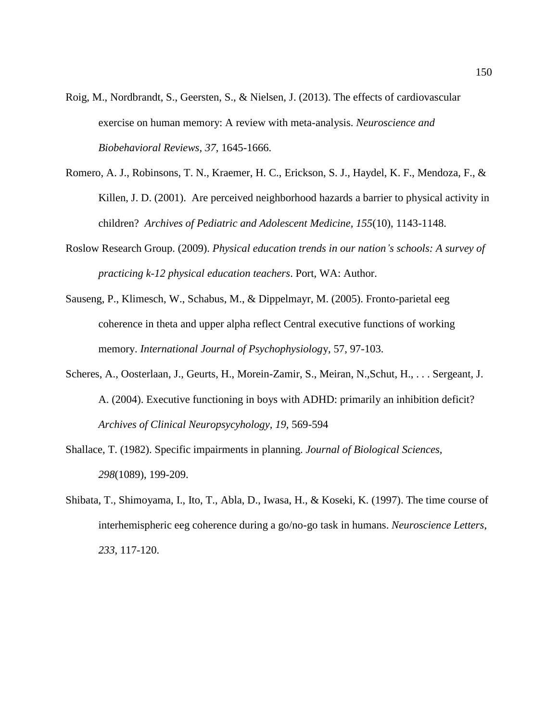- Roig, M., Nordbrandt, S., Geersten, S., & Nielsen, J. (2013). The effects of cardiovascular exercise on human memory: A review with meta-analysis. *Neuroscience and Biobehavioral Reviews, 37*, 1645-1666.
- Romero, A. J., Robinsons, T. N., Kraemer, H. C., Erickson, S. J., Haydel, K. F., Mendoza, F., & Killen, J. D. (2001). Are perceived neighborhood hazards a barrier to physical activity in children? *Archives of Pediatric and Adolescent Medicine, 155*(10), 1143-1148.
- Roslow Research Group. (2009). *Physical education trends in our nation's schools: A survey of practicing k-12 physical education teachers*. Port, WA: Author.
- Sauseng, P., Klimesch, W., Schabus, M., & Dippelmayr, M. (2005). Fronto-parietal eeg coherence in theta and upper alpha reflect Central executive functions of working memory. *International Journal of Psychophysiolog*y, 57, 97-103.
- Scheres, A., Oosterlaan, J., Geurts, H., Morein-Zamir, S., Meiran, N.,Schut, H., . . . Sergeant, J. A. (2004). Executive functioning in boys with ADHD: primarily an inhibition deficit? *Archives of Clinical Neuropsycyhology, 19,* 569-594
- Shallace, T. (1982). Specific impairments in planning. *Journal of Biological Sciences, 298*(1089), 199-209.
- Shibata, T., Shimoyama, I., Ito, T., Abla, D., Iwasa, H., & Koseki, K. (1997). The time course of interhemispheric eeg coherence during a go/no-go task in humans. *Neuroscience Letters*, *233*, 117-120.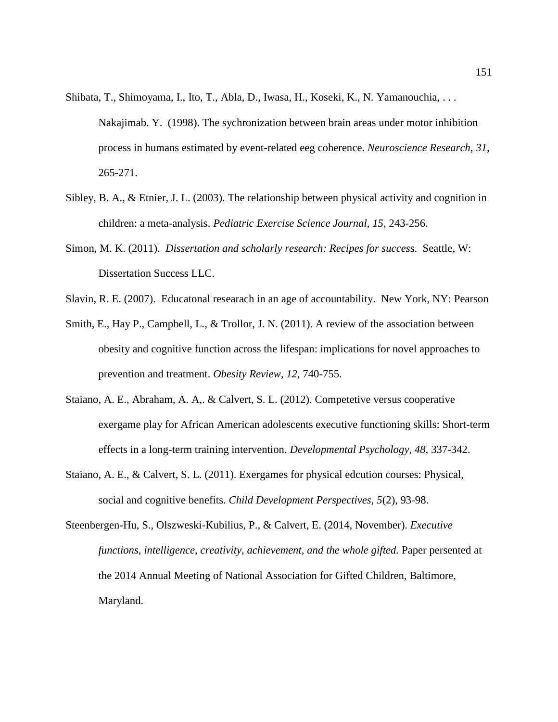- Shibata, T., Shimoyama, I., Ito, T., Abla, D., Iwasa, H., Koseki, K., N. Yamanouchia, . . . Nakajimab. Y. (1998). The sychronization between brain areas under motor inhibition process in humans estimated by event-related eeg coherence. *Neuroscience Research*, *31*, 265-271.
- Sibley, B. A., & Etnier, J. L. (2003). The relationship between physical activity and cognition in children: a meta-analysis. *Pediatric Exercise Science Journal, 15*, 243-256.
- Simon, M. K. (2011). *Dissertation and scholarly research: Recipes for succes*s. Seattle, W: Dissertation Success LLC.
- Slavin, R. E. (2007). Educatonal researach in an age of accountability. New York, NY: Pearson
- Smith, E., Hay P., Campbell, L., & Trollor, J. N. (2011). A review of the association between obesity and cognitive function across the lifespan: implications for novel approaches to prevention and treatment. *Obesity Review, 12,* 740-755.
- Staiano, A. E., Abraham, A. A,. & Calvert, S. L. (2012). Competetive versus cooperative exergame play for African American adolescents executive functioning skills: Short-term effects in a long-term training intervention. *Developmental Psychology, 48*, 337-342.
- Staiano, A. E., & Calvert, S. L. (2011). Exergames for physical edcution courses: Physical, social and cognitive benefits. *Child Development Perspectives, 5*(2), 93-98.
- Steenbergen-Hu, S., Olszweski-Kubilius, P., & Calvert, E. (2014, November). *Executive functions, intelligence, creativity, achievement, and the whole gifted.* Paper persented at the 2014 Annual Meeting of National Association for Gifted Children, Baltimore, Maryland.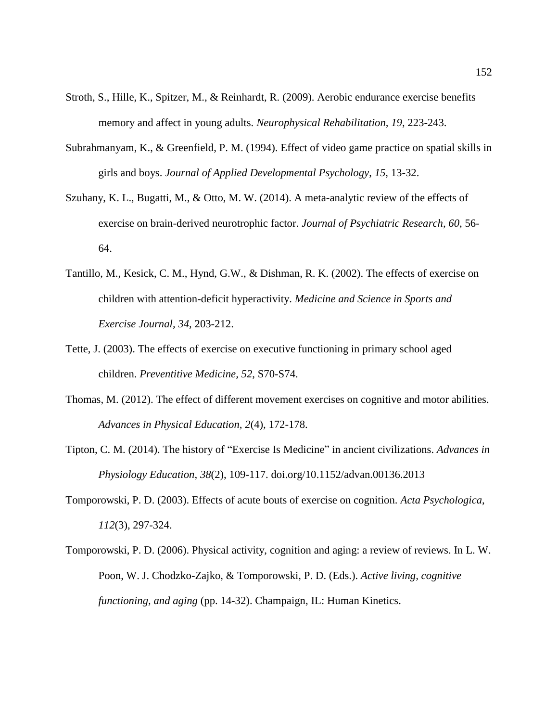- Stroth, S., Hille, K., Spitzer, M., & Reinhardt, R. (2009). Aerobic endurance exercise benefits memory and affect in young adults. *Neurophysical Rehabilitation, 19*, 223-243.
- Subrahmanyam, K., & Greenfield, P. M. (1994). Effect of video game practice on spatial skills in girls and boys. *Journal of Applied Developmental Psychology*, *15*, 13-32.
- Szuhany, K. L., Bugatti, M., & Otto, M. W. (2014). A meta-analytic review of the effects of exercise on brain-derived neurotrophic factor. *Journal of Psychiatric Research, 60*, 56- 64.
- Tantillo, M., Kesick, C. M., Hynd, G.W., & Dishman, R. K. (2002). The effects of exercise on children with attention-deficit hyperactivity. *Medicine and Science in Sports and Exercise Journal, 34,* 203-212.
- Tette, J. (2003). The effects of exercise on executive functioning in primary school aged children. *Preventitive Medicine, 52*, S70-S74.
- Thomas, M. (2012). The effect of different movement exercises on cognitive and motor abilities. *Advances in Physical Education, 2*(4)*,* 172-178.
- Tipton, C. M. (2014). The history of "Exercise Is Medicine" in ancient civilizations. *Advances in Physiology Education*, *38*(2), 109-117. doi.org/10.1152/advan.00136.2013
- Tomporowski, P. D. (2003). Effects of acute bouts of exercise on cognition. *Acta Psychologica*, *112*(3), 297-324.
- Tomporowski, P. D. (2006). Physical activity, cognition and aging: a review of reviews. In L. W. Poon, W. J. Chodzko-Zajko, & Tomporowski, P. D. (Eds.). *Active living, cognitive functioning, and aging* (pp. 14-32). Champaign, IL: Human Kinetics.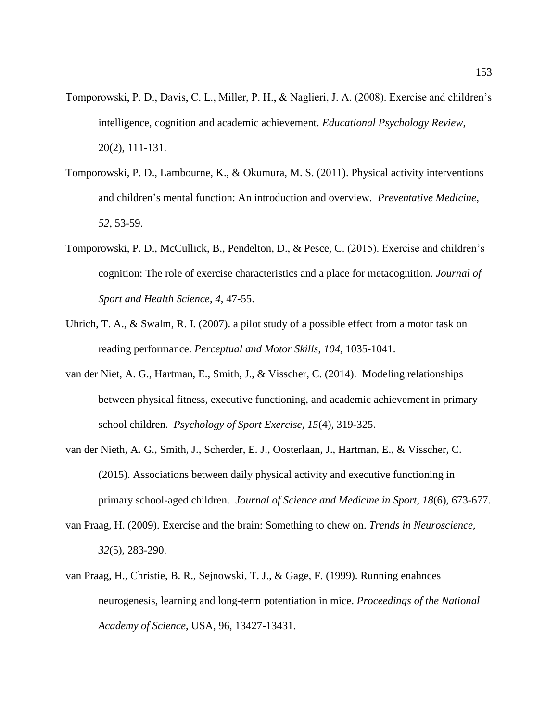- Tomporowski, P. D., Davis, C. L., Miller, P. H., & Naglieri, J. A. (2008). Exercise and children's intelligence, cognition and academic achievement. *Educational Psychology Review*, 20(2), 111-131.
- Tomporowski, P. D., Lambourne, K., & Okumura, M. S. (2011). Physical activity interventions and children's mental function: An introduction and overview. *Preventative Medicine, 52*, 53-59.
- Tomporowski, P. D., McCullick, B., Pendelton, D., & Pesce, C. (2015). Exercise and children's cognition: The role of exercise characteristics and a place for metacognition. *Journal of Sport and Health Science*, *4*, 47-55.
- Uhrich, T. A., & Swalm, R. I. (2007). a pilot study of a possible effect from a motor task on reading performance. *Perceptual and Motor Skills*, *104*, 1035-1041.
- van der Niet, A. G., Hartman, E., Smith, J., & Visscher, C. (2014). Modeling relationships between physical fitness, executive functioning, and academic achievement in primary school children. *Psychology of Sport Exercise, 15*(4), 319-325.
- van der Nieth, A. G., Smith, J., Scherder, E. J., Oosterlaan, J., Hartman, E., & Visscher, C. (2015). Associations between daily physical activity and executive functioning in primary school-aged children. *Journal of Science and Medicine in Sport, 18*(6), 673-677.
- van Praag, H. (2009). Exercise and the brain: Something to chew on. *Trends in Neuroscience, 32*(5), 283-290.
- van Praag, H., Christie, B. R., Sejnowski, T. J., & Gage, F. (1999). Running enahnces neurogenesis, learning and long-term potentiation in mice. *Proceedings of the National Academy of Science*, USA, 96, 13427-13431.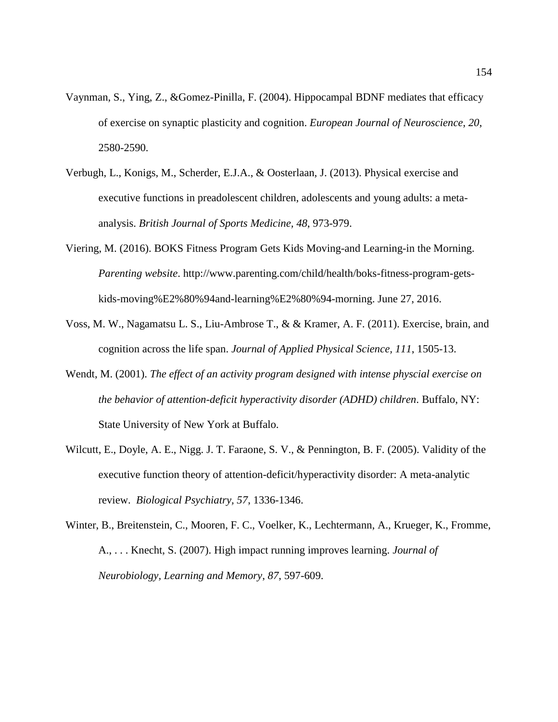- Vaynman, S., Ying, Z., &Gomez-Pinilla, F. (2004). Hippocampal BDNF mediates that efficacy of exercise on synaptic plasticity and cognition. *European Journal of Neuroscience*, *20*, 2580-2590.
- Verbugh, L., Konigs, M., Scherder, E.J.A., & Oosterlaan, J. (2013). Physical exercise and executive functions in preadolescent children, adolescents and young adults: a metaanalysis. *British Journal of Sports Medicine, 48*, 973-979.
- Viering, M. (2016). BOKS Fitness Program Gets Kids Moving-and Learning-in the Morning. *Parenting website*. http://www.parenting.com/child/health/boks-fitness-program-getskids-moving%E2%80%94and-learning%E2%80%94-morning. June 27, 2016.
- Voss, M. W., Nagamatsu L. S., Liu-Ambrose T., & & Kramer, A. F. (2011). Exercise, brain, and cognition across the life span. *Journal of Applied Physical Science, 111*, 1505-13.
- Wendt, M. (2001). *The effect of an activity program designed with intense physcial exercise on the behavior of attention-deficit hyperactivity disorder (ADHD) children*. Buffalo, NY: State University of New York at Buffalo.
- Wilcutt, E., Doyle, A. E., Nigg. J. T. Faraone, S. V., & Pennington, B. F. (2005). Validity of the executive function theory of attention-deficit/hyperactivity disorder: A meta-analytic review. *Biological Psychiatry, 57*, 1336-1346.
- Winter, B., Breitenstein, C., Mooren, F. C., Voelker, K., Lechtermann, A., Krueger, K., Fromme, A., . . . Knecht, S. (2007). High impact running improves learning. *Journal of Neurobiology, Learning and Memory*, *87*, 597-609.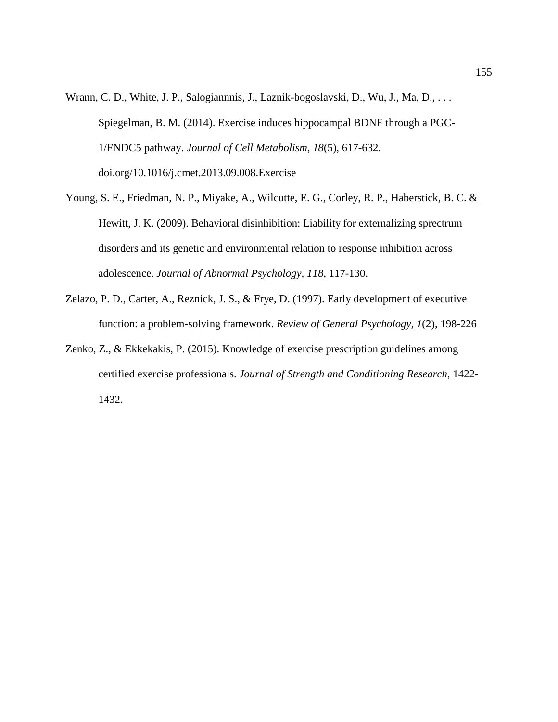- Wrann, C. D., White, J. P., Salogiannnis, J., Laznik-bogoslavski, D., Wu, J., Ma, D., . . . Spiegelman, B. M. (2014). Exercise induces hippocampal BDNF through a PGC-1/FNDC5 pathway. *Journal of Cell Metabolism*, *18*(5), 617-632. doi.org/10.1016/j.cmet.2013.09.008.Exercise
- Young, S. E., Friedman, N. P., Miyake, A., Wilcutte, E. G., Corley, R. P., Haberstick, B. C. & Hewitt, J. K. (2009). Behavioral disinhibition: Liability for externalizing sprectrum disorders and its genetic and environmental relation to response inhibition across adolescence. *Journal of Abnormal Psychology, 118*, 117-130.
- Zelazo, P. D., Carter, A., Reznick, J. S., & Frye, D. (1997). Early development of executive function: a problem-solving framework. *Review of General Psychology, 1*(2), 198-226
- Zenko, Z., & Ekkekakis, P. (2015). Knowledge of exercise prescription guidelines among certified exercise professionals. *Journal of Strength and Conditioning Research*, 1422- 1432.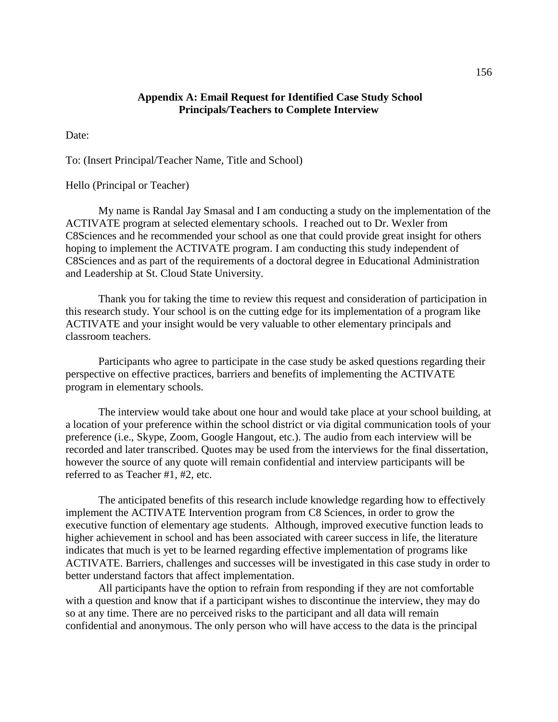### **Appendix A: Email Request for Identified Case Study School Principals/Teachers to Complete Interview**

Date:

To: (Insert Principal/Teacher Name, Title and School)

#### Hello (Principal or Teacher)

My name is Randal Jay Smasal and I am conducting a study on the implementation of the ACTIVATE program at selected elementary schools. I reached out to Dr. Wexler from C8Sciences and he recommended your school as one that could provide great insight for others hoping to implement the ACTIVATE program. I am conducting this study independent of C8Sciences and as part of the requirements of a doctoral degree in Educational Administration and Leadership at St. Cloud State University.

Thank you for taking the time to review this request and consideration of participation in this research study. Your school is on the cutting edge for its implementation of a program like ACTIVATE and your insight would be very valuable to other elementary principals and classroom teachers.

Participants who agree to participate in the case study be asked questions regarding their perspective on effective practices, barriers and benefits of implementing the ACTIVATE program in elementary schools.

The interview would take about one hour and would take place at your school building, at a location of your preference within the school district or via digital communication tools of your preference (i.e., Skype, Zoom, Google Hangout, etc.). The audio from each interview will be recorded and later transcribed. Quotes may be used from the interviews for the final dissertation, however the source of any quote will remain confidential and interview participants will be referred to as Teacher #1, #2, etc.

The anticipated benefits of this research include knowledge regarding how to effectively implement the ACTIVATE Intervention program from C8 Sciences, in order to grow the executive function of elementary age students. Although, improved executive function leads to higher achievement in school and has been associated with career success in life, the literature indicates that much is yet to be learned regarding effective implementation of programs like ACTIVATE. Barriers, challenges and successes will be investigated in this case study in order to better understand factors that affect implementation.

All participants have the option to refrain from responding if they are not comfortable with a question and know that if a participant wishes to discontinue the interview, they may do so at any time. There are no perceived risks to the participant and all data will remain confidential and anonymous. The only person who will have access to the data is the principal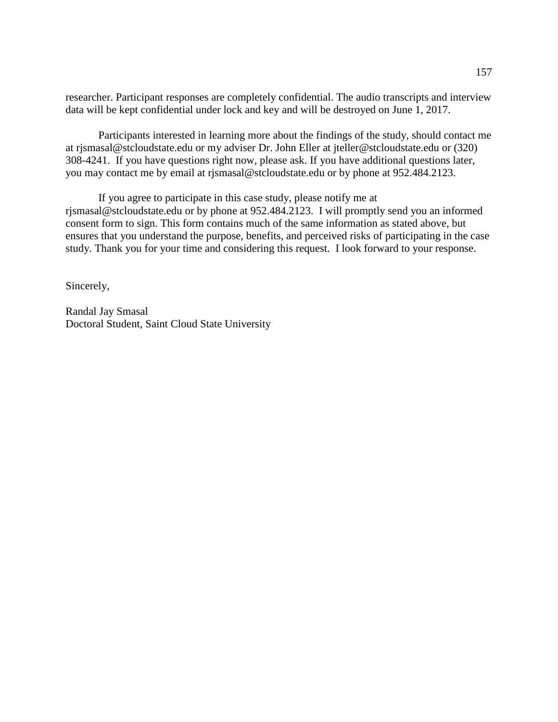researcher. Participant responses are completely confidential. The audio transcripts and interview data will be kept confidential under lock and key and will be destroyed on June 1, 2017.

Participants interested in learning more about the findings of the study, should contact me at rjsmasal@stcloudstate.edu or my adviser Dr. John Eller at jteller@stcloudstate.edu or (320) 308-4241. If you have questions right now, please ask. If you have additional questions later, you may contact me by email at rjsmasal@stcloudstate.edu or by phone at 952.484.2123.

If you agree to participate in this case study, please notify me at rjsmasal@stcloudstate.edu or by phone at 952.484.2123. I will promptly send you an informed consent form to sign. This form contains much of the same information as stated above, but ensures that you understand the purpose, benefits, and perceived risks of participating in the case study. Thank you for your time and considering this request. I look forward to your response.

Sincerely,

Randal Jay Smasal Doctoral Student, Saint Cloud State University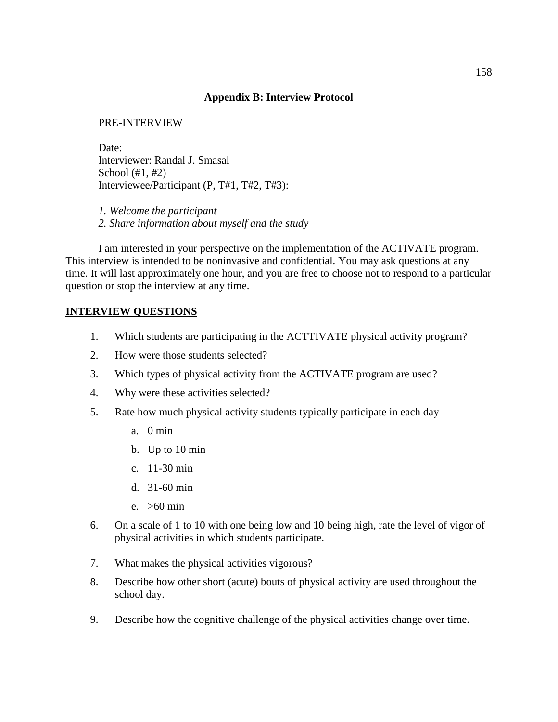### **Appendix B: Interview Protocol**

### PRE-INTERVIEW

Date: Interviewer: Randal J. Smasal School (#1, #2) Interviewee/Participant (P, T#1, T#2, T#3):

*1. Welcome the participant 2. Share information about myself and the study*

I am interested in your perspective on the implementation of the ACTIVATE program. This interview is intended to be noninvasive and confidential. You may ask questions at any time. It will last approximately one hour, and you are free to choose not to respond to a particular question or stop the interview at any time.

#### **INTERVIEW QUESTIONS**

- 1. Which students are participating in the ACTTIVATE physical activity program?
- 2. How were those students selected?
- 3. Which types of physical activity from the ACTIVATE program are used?
- 4. Why were these activities selected?
- 5. Rate how much physical activity students typically participate in each day
	- a. 0 min
	- b. Up to 10 min
	- c. 11-30 min
	- d. 31-60 min
	- e. >60 min
- 6. On a scale of 1 to 10 with one being low and 10 being high, rate the level of vigor of physical activities in which students participate.
- 7. What makes the physical activities vigorous?
- 8. Describe how other short (acute) bouts of physical activity are used throughout the school day.
- 9. Describe how the cognitive challenge of the physical activities change over time.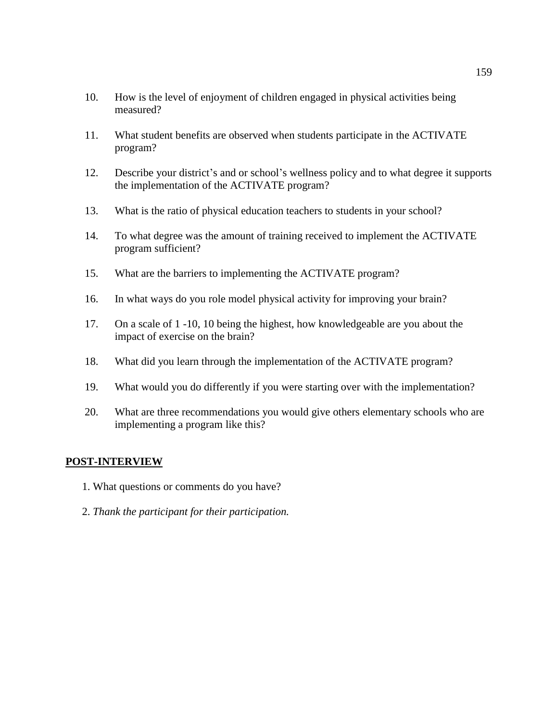- 10. How is the level of enjoyment of children engaged in physical activities being measured?
- 11. What student benefits are observed when students participate in the ACTIVATE program?
- 12. Describe your district's and or school's wellness policy and to what degree it supports the implementation of the ACTIVATE program?
- 13. What is the ratio of physical education teachers to students in your school?
- 14. To what degree was the amount of training received to implement the ACTIVATE program sufficient?
- 15. What are the barriers to implementing the ACTIVATE program?
- 16. In what ways do you role model physical activity for improving your brain?
- 17. On a scale of 1 -10, 10 being the highest, how knowledgeable are you about the impact of exercise on the brain?
- 18. What did you learn through the implementation of the ACTIVATE program?
- 19. What would you do differently if you were starting over with the implementation?
- 20. What are three recommendations you would give others elementary schools who are implementing a program like this?

### **POST-INTERVIEW**

- 1. What questions or comments do you have?
- 2. *Thank the participant for their participation.*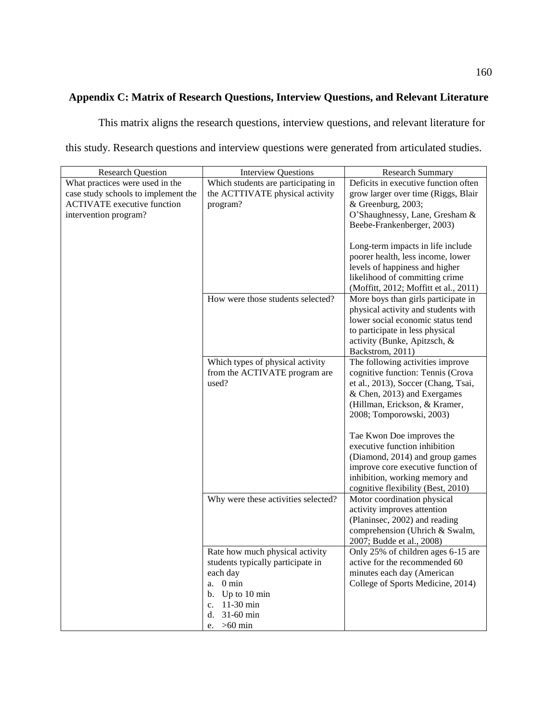# **Appendix C: Matrix of Research Questions, Interview Questions, and Relevant Literature**

This matrix aligns the research questions, interview questions, and relevant literature for this study. Research questions and interview questions were generated from articulated studies.

| <b>Research Question</b>                                               | <b>Interview Questions</b>                                             | <b>Research Summary</b>                                                     |
|------------------------------------------------------------------------|------------------------------------------------------------------------|-----------------------------------------------------------------------------|
| What practices were used in the<br>case study schools to implement the | Which students are participating in<br>the ACTTIVATE physical activity | Deficits in executive function often<br>grow larger over time (Riggs, Blair |
| <b>ACTIVATE</b> executive function                                     | program?                                                               | & Greenburg, 2003;                                                          |
| intervention program?                                                  |                                                                        | O'Shaughnessy, Lane, Gresham &                                              |
|                                                                        |                                                                        | Beebe-Frankenberger, 2003)                                                  |
|                                                                        |                                                                        |                                                                             |
|                                                                        |                                                                        | Long-term impacts in life include                                           |
|                                                                        |                                                                        | poorer health, less income, lower<br>levels of happiness and higher         |
|                                                                        |                                                                        | likelihood of committing crime                                              |
|                                                                        |                                                                        | (Moffitt, 2012; Moffitt et al., 2011)                                       |
|                                                                        | How were those students selected?                                      | More boys than girls participate in                                         |
|                                                                        |                                                                        | physical activity and students with                                         |
|                                                                        |                                                                        | lower social economic status tend                                           |
|                                                                        |                                                                        | to participate in less physical                                             |
|                                                                        |                                                                        | activity (Bunke, Apitzsch, &                                                |
|                                                                        |                                                                        | Backstrom, 2011)                                                            |
|                                                                        | Which types of physical activity                                       | The following activities improve                                            |
|                                                                        | from the ACTIVATE program are<br>used?                                 | cognitive function: Tennis (Crova<br>et al., 2013), Soccer (Chang, Tsai,    |
|                                                                        |                                                                        | & Chen, 2013) and Exergames                                                 |
|                                                                        |                                                                        | (Hillman, Erickson, & Kramer,                                               |
|                                                                        |                                                                        | 2008; Tomporowski, 2003)                                                    |
|                                                                        |                                                                        |                                                                             |
|                                                                        |                                                                        | Tae Kwon Doe improves the                                                   |
|                                                                        |                                                                        | executive function inhibition                                               |
|                                                                        |                                                                        | (Diamond, 2014) and group games                                             |
|                                                                        |                                                                        | improve core executive function of                                          |
|                                                                        |                                                                        | inhibition, working memory and<br>cognitive flexibility (Best, 2010)        |
|                                                                        | Why were these activities selected?                                    | Motor coordination physical                                                 |
|                                                                        |                                                                        | activity improves attention                                                 |
|                                                                        |                                                                        | (Planinsec, 2002) and reading                                               |
|                                                                        |                                                                        | comprehension (Uhrich & Swalm,                                              |
|                                                                        |                                                                        | 2007; Budde et al., 2008)                                                   |
|                                                                        | Rate how much physical activity                                        | Only 25% of children ages 6-15 are                                          |
|                                                                        | students typically participate in                                      | active for the recommended 60                                               |
|                                                                        | each day                                                               | minutes each day (American                                                  |
|                                                                        | $0 \text{ min}$<br>a.                                                  | College of Sports Medicine, 2014)                                           |
|                                                                        | Up to 10 min<br>b.                                                     |                                                                             |
|                                                                        | $11-30$ min<br>c.<br>31-60 min<br>d.                                   |                                                                             |
|                                                                        | $>60$ min<br>e.                                                        |                                                                             |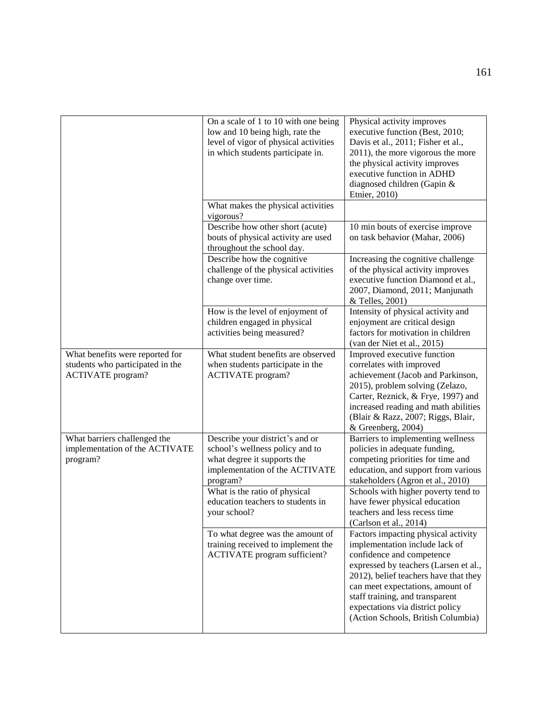|                                                                                                 | On a scale of 1 to 10 with one being<br>low and 10 being high, rate the<br>level of vigor of physical activities<br>in which students participate in. | Physical activity improves<br>executive function (Best, 2010;<br>Davis et al., 2011; Fisher et al.,<br>2011), the more vigorous the more<br>the physical activity improves<br>executive function in ADHD<br>diagnosed children (Gapin &<br>Etnier, 2010)                                                                              |
|-------------------------------------------------------------------------------------------------|-------------------------------------------------------------------------------------------------------------------------------------------------------|---------------------------------------------------------------------------------------------------------------------------------------------------------------------------------------------------------------------------------------------------------------------------------------------------------------------------------------|
|                                                                                                 | What makes the physical activities<br>vigorous?                                                                                                       |                                                                                                                                                                                                                                                                                                                                       |
|                                                                                                 | Describe how other short (acute)<br>bouts of physical activity are used<br>throughout the school day.                                                 | 10 min bouts of exercise improve<br>on task behavior (Mahar, 2006)                                                                                                                                                                                                                                                                    |
|                                                                                                 | Describe how the cognitive<br>challenge of the physical activities<br>change over time.                                                               | Increasing the cognitive challenge<br>of the physical activity improves<br>executive function Diamond et al.,<br>2007, Diamond, 2011; Manjunath<br>& Telles, 2001)                                                                                                                                                                    |
|                                                                                                 | How is the level of enjoyment of<br>children engaged in physical<br>activities being measured?                                                        | Intensity of physical activity and<br>enjoyment are critical design<br>factors for motivation in children<br>(van der Niet et al., 2015)                                                                                                                                                                                              |
| What benefits were reported for<br>students who participated in the<br><b>ACTIVATE</b> program? | What student benefits are observed<br>when students participate in the<br><b>ACTIVATE</b> program?                                                    | Improved executive function<br>correlates with improved<br>achievement (Jacob and Parkinson,<br>2015), problem solving (Zelazo,<br>Carter, Reznick, & Frye, 1997) and<br>increased reading and math abilities<br>(Blair & Razz, 2007; Riggs, Blair,<br>& Greenberg, 2004)                                                             |
| What barriers challenged the<br>implementation of the ACTIVATE<br>program?                      | Describe your district's and or<br>school's wellness policy and to<br>what degree it supports the<br>implementation of the ACTIVATE<br>program?       | Barriers to implementing wellness<br>policies in adequate funding,<br>competing priorities for time and<br>education, and support from various<br>stakeholders (Agron et al., 2010)                                                                                                                                                   |
|                                                                                                 | What is the ratio of physical<br>education teachers to students in<br>your school?                                                                    | Schools with higher poverty tend to<br>have fewer physical education<br>teachers and less recess time<br>(Carlson et al., 2014)                                                                                                                                                                                                       |
|                                                                                                 | To what degree was the amount of<br>training received to implement the<br><b>ACTIVATE</b> program sufficient?                                         | Factors impacting physical activity<br>implementation include lack of<br>confidence and competence<br>expressed by teachers (Larsen et al.,<br>2012), belief teachers have that they<br>can meet expectations, amount of<br>staff training, and transparent<br>expectations via district policy<br>(Action Schools, British Columbia) |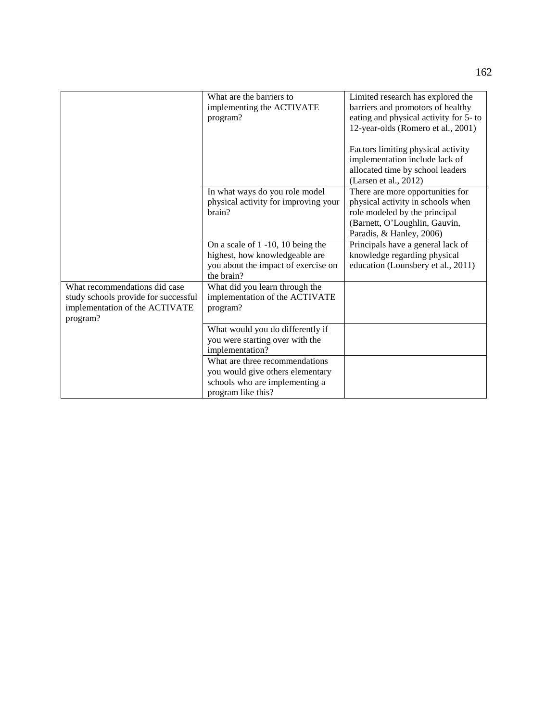| What are the barriers to                | Limited research has explored the                                                                                                               |
|-----------------------------------------|-------------------------------------------------------------------------------------------------------------------------------------------------|
|                                         | barriers and promotors of healthy                                                                                                               |
|                                         | eating and physical activity for 5- to                                                                                                          |
|                                         | 12-year-olds (Romero et al., 2001)                                                                                                              |
|                                         |                                                                                                                                                 |
|                                         | Factors limiting physical activity                                                                                                              |
|                                         | implementation include lack of                                                                                                                  |
|                                         | allocated time by school leaders                                                                                                                |
|                                         | (Larsen et al., 2012)                                                                                                                           |
| In what ways do you role model          | There are more opportunities for                                                                                                                |
| physical activity for improving your    | physical activity in schools when                                                                                                               |
| brain?                                  | role modeled by the principal                                                                                                                   |
|                                         | (Barnett, O'Loughlin, Gauvin,                                                                                                                   |
|                                         | Paradis, & Hanley, 2006)                                                                                                                        |
| On a scale of $1 - 10$ , $10$ being the | Principals have a general lack of                                                                                                               |
| highest, how knowledgeable are          | knowledge regarding physical                                                                                                                    |
| you about the impact of exercise on     | education (Lounsbery et al., 2011)                                                                                                              |
| the brain?                              |                                                                                                                                                 |
| What did you learn through the          |                                                                                                                                                 |
| implementation of the ACTIVATE          |                                                                                                                                                 |
| program?                                |                                                                                                                                                 |
|                                         |                                                                                                                                                 |
|                                         |                                                                                                                                                 |
| you were starting over with the         |                                                                                                                                                 |
| implementation?                         |                                                                                                                                                 |
| What are three recommendations          |                                                                                                                                                 |
|                                         |                                                                                                                                                 |
|                                         |                                                                                                                                                 |
| program like this?                      |                                                                                                                                                 |
|                                         | implementing the ACTIVATE<br>program?<br>What would you do differently if<br>you would give others elementary<br>schools who are implementing a |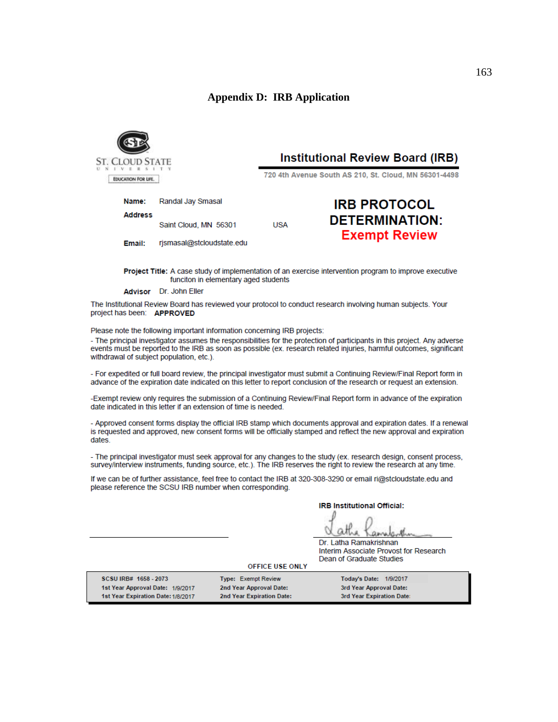#### **Appendix D: IRB Application**



Name:

Email:

**Address** 

# **Institutional Review Board (IRB)**

720 4th Avenue South AS 210, St. Cloud, MN 56301-4498

| Randal Jay Smasal         |     | <b>IRB PROTOCOL</b>   |
|---------------------------|-----|-----------------------|
| Saint Cloud, MN 56301     | USA | <b>DETERMINATION:</b> |
| rismasal@stcloudstate.edu |     | <b>Exempt Review</b>  |

Project Title: A case study of implementation of an exercise intervention program to improve executive funciton in elementary aged students

Advisor Dr. John Eller

The Institutional Review Board has reviewed your protocol to conduct research involving human subjects. Your project has been: APPROVED

Please note the following important information concerning IRB projects:

- The principal investigator assumes the responsibilities for the protection of participants in this project. Any adverse events must be reported to the IRB as soon as possible (ex. research related injuries, harmful outcomes, significant withdrawal of subject population, etc.).

- For expedited or full board review, the principal investigator must submit a Continuing Review/Final Report form in advance of the expiration date indicated on this letter to report conclusion of the research or request an extension.

-Exempt review only requires the submission of a Continuing Review/Final Report form in advance of the expiration date indicated in this letter if an extension of time is needed.

- Approved consent forms display the official IRB stamp which documents approval and expiration dates. If a renewal is requested and approved, new consent forms will be officially stamped and reflect the new approval and expiration dates.

- The principal investigator must seek approval for any changes to the study (ex. research design, consent process, survey/interview instruments, funding source, etc.). The IRB reserves the right to review the research at any time.

If we can be of further assistance, feel free to contact the IRB at 320-308-3290 or email ri@stcloudstate.edu and please reference the SCSU IRB number when corresponding.

**IRB Institutional Official:** 

Dr. Latha Ramakrishnan Interim Associate Provost for Research Dean of Graduate Studies

Today's Date: 1/9/2017

3rd Year Approval Date:

3rd Year Expiration Date:

**OFFICE USE ONLY** 

SCSU IRB# 1658 - 2073 1st Year Approval Date: 1/9/2017 1st Year Expiration Date: 1/8/2017

**Type: Exempt Review** 2nd Year Approval Date: 2nd Year Expiration Date: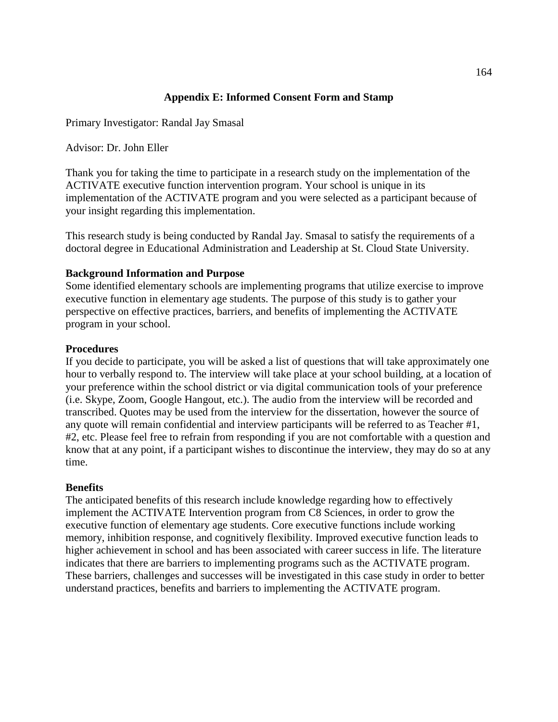# **Appendix E: Informed Consent Form and Stamp**

Primary Investigator: Randal Jay Smasal

Advisor: Dr. John Eller

Thank you for taking the time to participate in a research study on the implementation of the ACTIVATE executive function intervention program. Your school is unique in its implementation of the ACTIVATE program and you were selected as a participant because of your insight regarding this implementation.

This research study is being conducted by Randal Jay. Smasal to satisfy the requirements of a doctoral degree in Educational Administration and Leadership at St. Cloud State University.

### **Background Information and Purpose**

Some identified elementary schools are implementing programs that utilize exercise to improve executive function in elementary age students. The purpose of this study is to gather your perspective on effective practices, barriers, and benefits of implementing the ACTIVATE program in your school.

#### **Procedures**

If you decide to participate, you will be asked a list of questions that will take approximately one hour to verbally respond to. The interview will take place at your school building, at a location of your preference within the school district or via digital communication tools of your preference (i.e. Skype, Zoom, Google Hangout, etc.). The audio from the interview will be recorded and transcribed. Quotes may be used from the interview for the dissertation, however the source of any quote will remain confidential and interview participants will be referred to as Teacher #1, #2, etc. Please feel free to refrain from responding if you are not comfortable with a question and know that at any point, if a participant wishes to discontinue the interview, they may do so at any time.

#### **Benefits**

The anticipated benefits of this research include knowledge regarding how to effectively implement the ACTIVATE Intervention program from C8 Sciences, in order to grow the executive function of elementary age students. Core executive functions include working memory, inhibition response, and cognitively flexibility. Improved executive function leads to higher achievement in school and has been associated with career success in life. The literature indicates that there are barriers to implementing programs such as the ACTIVATE program. These barriers, challenges and successes will be investigated in this case study in order to better understand practices, benefits and barriers to implementing the ACTIVATE program.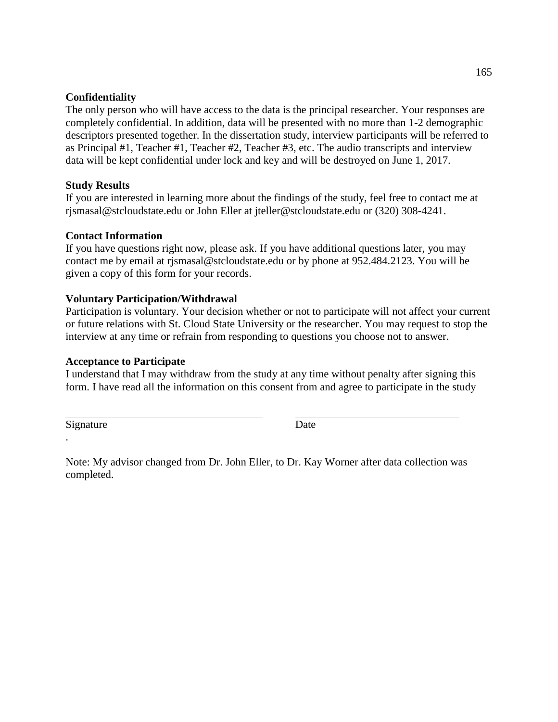### **Confidentiality**

The only person who will have access to the data is the principal researcher. Your responses are completely confidential. In addition, data will be presented with no more than 1-2 demographic descriptors presented together. In the dissertation study, interview participants will be referred to as Principal #1, Teacher #1, Teacher #2, Teacher #3, etc. The audio transcripts and interview data will be kept confidential under lock and key and will be destroyed on June 1, 2017.

# **Study Results**

If you are interested in learning more about the findings of the study, feel free to contact me at rjsmasal@stcloudstate.edu or John Eller at jteller@stcloudstate.edu or (320) 308-4241.

# **Contact Information**

If you have questions right now, please ask. If you have additional questions later, you may contact me by email at rjsmasal@stcloudstate.edu or by phone at 952.484.2123. You will be given a copy of this form for your records.

# **Voluntary Participation/Withdrawal**

Participation is voluntary. Your decision whether or not to participate will not affect your current or future relations with St. Cloud State University or the researcher. You may request to stop the interview at any time or refrain from responding to questions you choose not to answer.

### **Acceptance to Participate**

I understand that I may withdraw from the study at any time without penalty after signing this form. I have read all the information on this consent from and agree to participate in the study

Signature Date

.

Note: My advisor changed from Dr. John Eller, to Dr. Kay Worner after data collection was completed.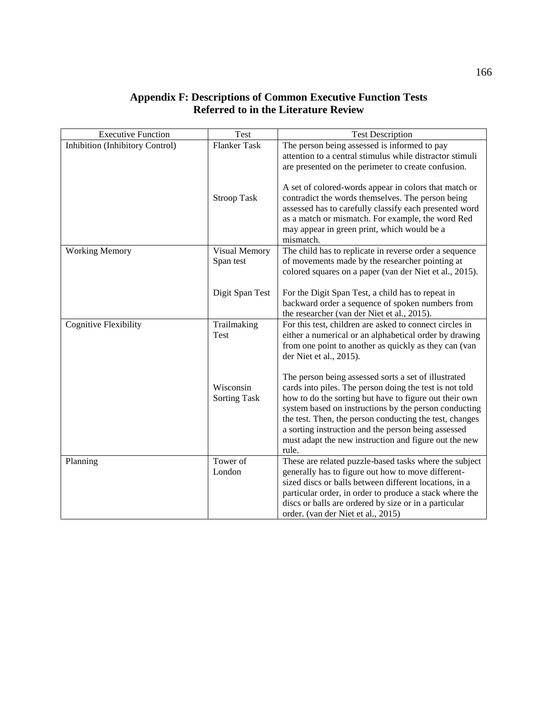# **Appendix F: Descriptions of Common Executive Function Tests Referred to in the Literature Review**

| <b>Executive Function</b>       | <b>Test</b>                      | <b>Test Description</b>                                                                                                                                                                                                                                                                                                                                                                                                |
|---------------------------------|----------------------------------|------------------------------------------------------------------------------------------------------------------------------------------------------------------------------------------------------------------------------------------------------------------------------------------------------------------------------------------------------------------------------------------------------------------------|
| Inhibition (Inhibitory Control) | <b>Flanker Task</b>              | The person being assessed is informed to pay                                                                                                                                                                                                                                                                                                                                                                           |
|                                 |                                  | attention to a central stimulus while distractor stimuli                                                                                                                                                                                                                                                                                                                                                               |
|                                 |                                  | are presented on the perimeter to create confusion.                                                                                                                                                                                                                                                                                                                                                                    |
|                                 | <b>Stroop Task</b>               | A set of colored-words appear in colors that match or<br>contradict the words themselves. The person being<br>assessed has to carefully classify each presented word<br>as a match or mismatch. For example, the word Red                                                                                                                                                                                              |
|                                 |                                  | may appear in green print, which would be a<br>mismatch.                                                                                                                                                                                                                                                                                                                                                               |
| <b>Working Memory</b>           | Visual Memory                    | The child has to replicate in reverse order a sequence                                                                                                                                                                                                                                                                                                                                                                 |
|                                 | Span test                        | of movements made by the researcher pointing at<br>colored squares on a paper (van der Niet et al., 2015).                                                                                                                                                                                                                                                                                                             |
|                                 | Digit Span Test                  | For the Digit Span Test, a child has to repeat in<br>backward order a sequence of spoken numbers from<br>the researcher (van der Niet et al., 2015).                                                                                                                                                                                                                                                                   |
| <b>Cognitive Flexibility</b>    | Trailmaking<br>Test              | For this test, children are asked to connect circles in<br>either a numerical or an alphabetical order by drawing<br>from one point to another as quickly as they can (van<br>der Niet et al., 2015).                                                                                                                                                                                                                  |
|                                 | Wisconsin<br><b>Sorting Task</b> | The person being assessed sorts a set of illustrated<br>cards into piles. The person doing the test is not told<br>how to do the sorting but have to figure out their own<br>system based on instructions by the person conducting<br>the test. Then, the person conducting the test, changes<br>a sorting instruction and the person being assessed<br>must adapt the new instruction and figure out the new<br>rule. |
| Planning                        | Tower of<br>London               | These are related puzzle-based tasks where the subject<br>generally has to figure out how to move different-<br>sized discs or balls between different locations, in a<br>particular order, in order to produce a stack where the<br>discs or balls are ordered by size or in a particular<br>order. (van der Niet et al., 2015)                                                                                       |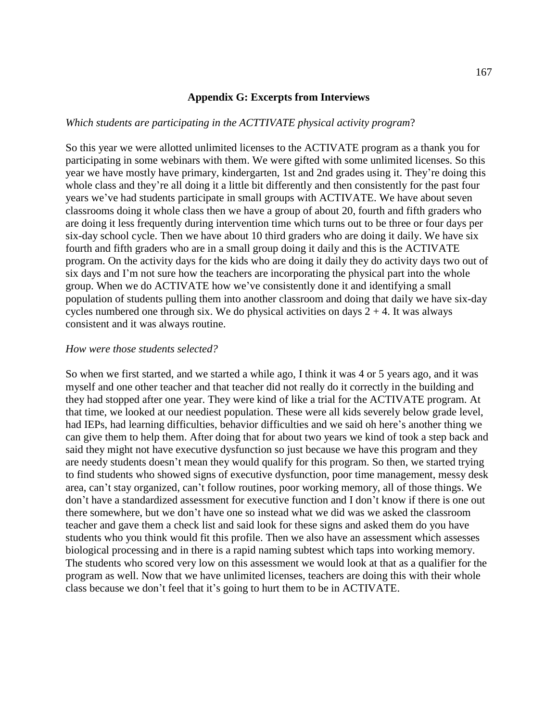#### **Appendix G: Excerpts from Interviews**

#### *Which students are participating in the ACTTIVATE physical activity program*?

So this year we were allotted unlimited licenses to the ACTIVATE program as a thank you for participating in some webinars with them. We were gifted with some unlimited licenses. So this year we have mostly have primary, kindergarten, 1st and 2nd grades using it. They're doing this whole class and they're all doing it a little bit differently and then consistently for the past four years we've had students participate in small groups with ACTIVATE. We have about seven classrooms doing it whole class then we have a group of about 20, fourth and fifth graders who are doing it less frequently during intervention time which turns out to be three or four days per six-day school cycle. Then we have about 10 third graders who are doing it daily. We have six fourth and fifth graders who are in a small group doing it daily and this is the ACTIVATE program. On the activity days for the kids who are doing it daily they do activity days two out of six days and I'm not sure how the teachers are incorporating the physical part into the whole group. When we do ACTIVATE how we've consistently done it and identifying a small population of students pulling them into another classroom and doing that daily we have six-day cycles numbered one through six. We do physical activities on days  $2 + 4$ . It was always consistent and it was always routine.

#### *How were those students selected?*

So when we first started, and we started a while ago, I think it was 4 or 5 years ago, and it was myself and one other teacher and that teacher did not really do it correctly in the building and they had stopped after one year. They were kind of like a trial for the ACTIVATE program. At that time, we looked at our neediest population. These were all kids severely below grade level, had IEPs, had learning difficulties, behavior difficulties and we said oh here's another thing we can give them to help them. After doing that for about two years we kind of took a step back and said they might not have executive dysfunction so just because we have this program and they are needy students doesn't mean they would qualify for this program. So then, we started trying to find students who showed signs of executive dysfunction, poor time management, messy desk area, can't stay organized, can't follow routines, poor working memory, all of those things. We don't have a standardized assessment for executive function and I don't know if there is one out there somewhere, but we don't have one so instead what we did was we asked the classroom teacher and gave them a check list and said look for these signs and asked them do you have students who you think would fit this profile. Then we also have an assessment which assesses biological processing and in there is a rapid naming subtest which taps into working memory. The students who scored very low on this assessment we would look at that as a qualifier for the program as well. Now that we have unlimited licenses, teachers are doing this with their whole class because we don't feel that it's going to hurt them to be in ACTIVATE.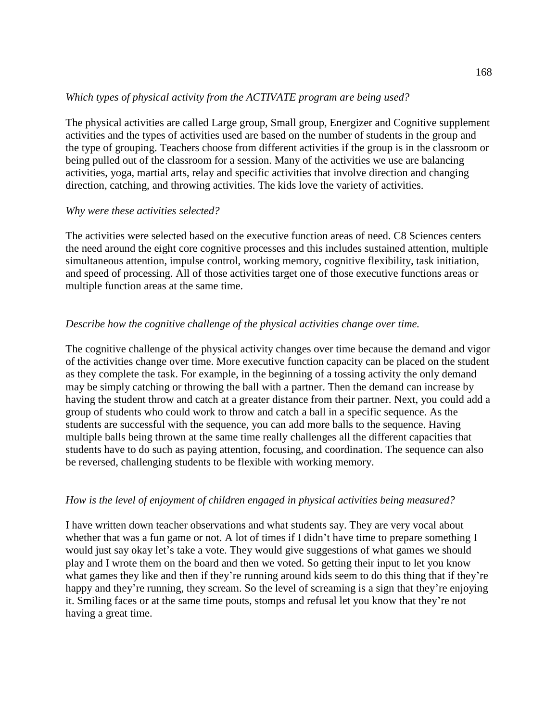### *Which types of physical activity from the ACTIVATE program are being used?*

The physical activities are called Large group, Small group, Energizer and Cognitive supplement activities and the types of activities used are based on the number of students in the group and the type of grouping. Teachers choose from different activities if the group is in the classroom or being pulled out of the classroom for a session. Many of the activities we use are balancing activities, yoga, martial arts, relay and specific activities that involve direction and changing direction, catching, and throwing activities. The kids love the variety of activities.

### *Why were these activities selected?*

The activities were selected based on the executive function areas of need. C8 Sciences centers the need around the eight core cognitive processes and this includes sustained attention, multiple simultaneous attention, impulse control, working memory, cognitive flexibility, task initiation, and speed of processing. All of those activities target one of those executive functions areas or multiple function areas at the same time.

### *Describe how the cognitive challenge of the physical activities change over time.*

The cognitive challenge of the physical activity changes over time because the demand and vigor of the activities change over time. More executive function capacity can be placed on the student as they complete the task. For example, in the beginning of a tossing activity the only demand may be simply catching or throwing the ball with a partner. Then the demand can increase by having the student throw and catch at a greater distance from their partner. Next, you could add a group of students who could work to throw and catch a ball in a specific sequence. As the students are successful with the sequence, you can add more balls to the sequence. Having multiple balls being thrown at the same time really challenges all the different capacities that students have to do such as paying attention, focusing, and coordination. The sequence can also be reversed, challenging students to be flexible with working memory.

### *How is the level of enjoyment of children engaged in physical activities being measured?*

I have written down teacher observations and what students say. They are very vocal about whether that was a fun game or not. A lot of times if I didn't have time to prepare something I would just say okay let's take a vote. They would give suggestions of what games we should play and I wrote them on the board and then we voted. So getting their input to let you know what games they like and then if they're running around kids seem to do this thing that if they're happy and they're running, they scream. So the level of screaming is a sign that they're enjoying it. Smiling faces or at the same time pouts, stomps and refusal let you know that they're not having a great time.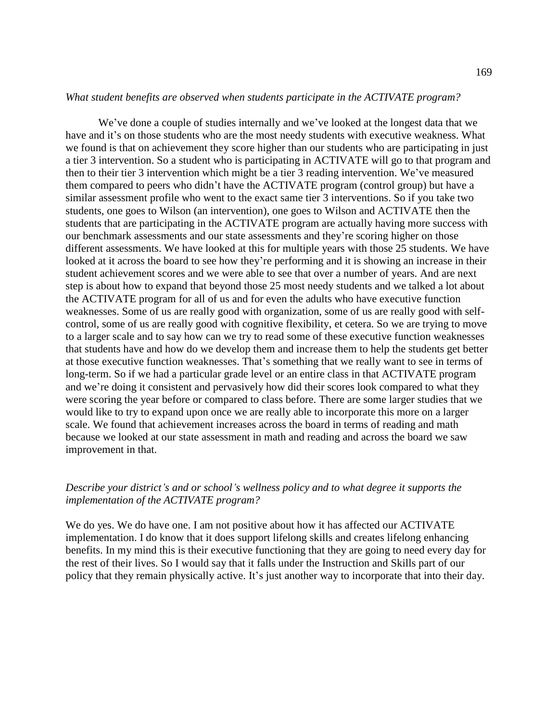#### *What student benefits are observed when students participate in the ACTIVATE program?*

We've done a couple of studies internally and we've looked at the longest data that we have and it's on those students who are the most needy students with executive weakness. What we found is that on achievement they score higher than our students who are participating in just a tier 3 intervention. So a student who is participating in ACTIVATE will go to that program and then to their tier 3 intervention which might be a tier 3 reading intervention. We've measured them compared to peers who didn't have the ACTIVATE program (control group) but have a similar assessment profile who went to the exact same tier 3 interventions. So if you take two students, one goes to Wilson (an intervention), one goes to Wilson and ACTIVATE then the students that are participating in the ACTIVATE program are actually having more success with our benchmark assessments and our state assessments and they're scoring higher on those different assessments. We have looked at this for multiple years with those 25 students. We have looked at it across the board to see how they're performing and it is showing an increase in their student achievement scores and we were able to see that over a number of years. And are next step is about how to expand that beyond those 25 most needy students and we talked a lot about the ACTIVATE program for all of us and for even the adults who have executive function weaknesses. Some of us are really good with organization, some of us are really good with selfcontrol, some of us are really good with cognitive flexibility, et cetera. So we are trying to move to a larger scale and to say how can we try to read some of these executive function weaknesses that students have and how do we develop them and increase them to help the students get better at those executive function weaknesses. That's something that we really want to see in terms of long-term. So if we had a particular grade level or an entire class in that ACTIVATE program and we're doing it consistent and pervasively how did their scores look compared to what they were scoring the year before or compared to class before. There are some larger studies that we would like to try to expand upon once we are really able to incorporate this more on a larger scale. We found that achievement increases across the board in terms of reading and math because we looked at our state assessment in math and reading and across the board we saw improvement in that.

# *Describe your district's and or school's wellness policy and to what degree it supports the implementation of the ACTIVATE program?*

We do yes. We do have one. I am not positive about how it has affected our ACTIVATE implementation. I do know that it does support lifelong skills and creates lifelong enhancing benefits. In my mind this is their executive functioning that they are going to need every day for the rest of their lives. So I would say that it falls under the Instruction and Skills part of our policy that they remain physically active. It's just another way to incorporate that into their day.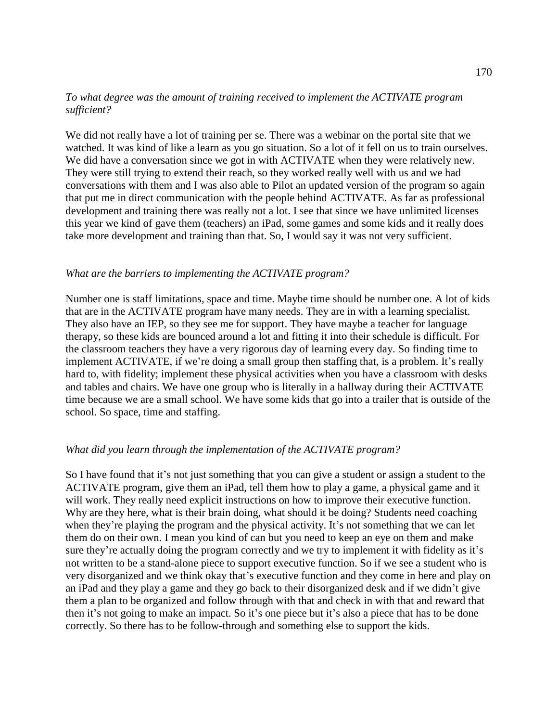# *To what degree was the amount of training received to implement the ACTIVATE program sufficient?*

We did not really have a lot of training per se. There was a webinar on the portal site that we watched. It was kind of like a learn as you go situation. So a lot of it fell on us to train ourselves. We did have a conversation since we got in with ACTIVATE when they were relatively new. They were still trying to extend their reach, so they worked really well with us and we had conversations with them and I was also able to Pilot an updated version of the program so again that put me in direct communication with the people behind ACTIVATE. As far as professional development and training there was really not a lot. I see that since we have unlimited licenses this year we kind of gave them (teachers) an iPad, some games and some kids and it really does take more development and training than that. So, I would say it was not very sufficient.

### *What are the barriers to implementing the ACTIVATE program?*

Number one is staff limitations, space and time. Maybe time should be number one. A lot of kids that are in the ACTIVATE program have many needs. They are in with a learning specialist. They also have an IEP, so they see me for support. They have maybe a teacher for language therapy, so these kids are bounced around a lot and fitting it into their schedule is difficult. For the classroom teachers they have a very rigorous day of learning every day. So finding time to implement ACTIVATE, if we're doing a small group then staffing that, is a problem. It's really hard to, with fidelity; implement these physical activities when you have a classroom with desks and tables and chairs. We have one group who is literally in a hallway during their ACTIVATE time because we are a small school. We have some kids that go into a trailer that is outside of the school. So space, time and staffing.

#### *What did you learn through the implementation of the ACTIVATE program?*

So I have found that it's not just something that you can give a student or assign a student to the ACTIVATE program, give them an iPad, tell them how to play a game, a physical game and it will work. They really need explicit instructions on how to improve their executive function. Why are they here, what is their brain doing, what should it be doing? Students need coaching when they're playing the program and the physical activity. It's not something that we can let them do on their own. I mean you kind of can but you need to keep an eye on them and make sure they're actually doing the program correctly and we try to implement it with fidelity as it's not written to be a stand-alone piece to support executive function. So if we see a student who is very disorganized and we think okay that's executive function and they come in here and play on an iPad and they play a game and they go back to their disorganized desk and if we didn't give them a plan to be organized and follow through with that and check in with that and reward that then it's not going to make an impact. So it's one piece but it's also a piece that has to be done correctly. So there has to be follow-through and something else to support the kids.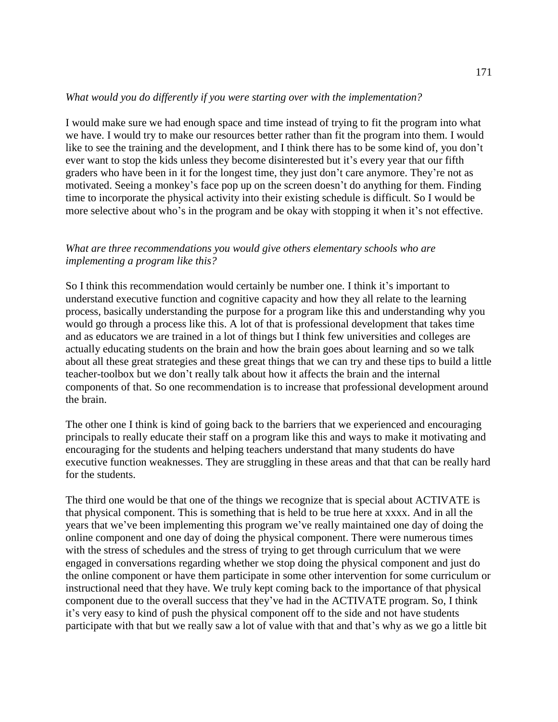### *What would you do differently if you were starting over with the implementation?*

I would make sure we had enough space and time instead of trying to fit the program into what we have. I would try to make our resources better rather than fit the program into them. I would like to see the training and the development, and I think there has to be some kind of, you don't ever want to stop the kids unless they become disinterested but it's every year that our fifth graders who have been in it for the longest time, they just don't care anymore. They're not as motivated. Seeing a monkey's face pop up on the screen doesn't do anything for them. Finding time to incorporate the physical activity into their existing schedule is difficult. So I would be more selective about who's in the program and be okay with stopping it when it's not effective.

### *What are three recommendations you would give others elementary schools who are implementing a program like this?*

So I think this recommendation would certainly be number one. I think it's important to understand executive function and cognitive capacity and how they all relate to the learning process, basically understanding the purpose for a program like this and understanding why you would go through a process like this. A lot of that is professional development that takes time and as educators we are trained in a lot of things but I think few universities and colleges are actually educating students on the brain and how the brain goes about learning and so we talk about all these great strategies and these great things that we can try and these tips to build a little teacher-toolbox but we don't really talk about how it affects the brain and the internal components of that. So one recommendation is to increase that professional development around the brain.

The other one I think is kind of going back to the barriers that we experienced and encouraging principals to really educate their staff on a program like this and ways to make it motivating and encouraging for the students and helping teachers understand that many students do have executive function weaknesses. They are struggling in these areas and that that can be really hard for the students.

The third one would be that one of the things we recognize that is special about ACTIVATE is that physical component. This is something that is held to be true here at xxxx. And in all the years that we've been implementing this program we've really maintained one day of doing the online component and one day of doing the physical component. There were numerous times with the stress of schedules and the stress of trying to get through curriculum that we were engaged in conversations regarding whether we stop doing the physical component and just do the online component or have them participate in some other intervention for some curriculum or instructional need that they have. We truly kept coming back to the importance of that physical component due to the overall success that they've had in the ACTIVATE program. So, I think it's very easy to kind of push the physical component off to the side and not have students participate with that but we really saw a lot of value with that and that's why as we go a little bit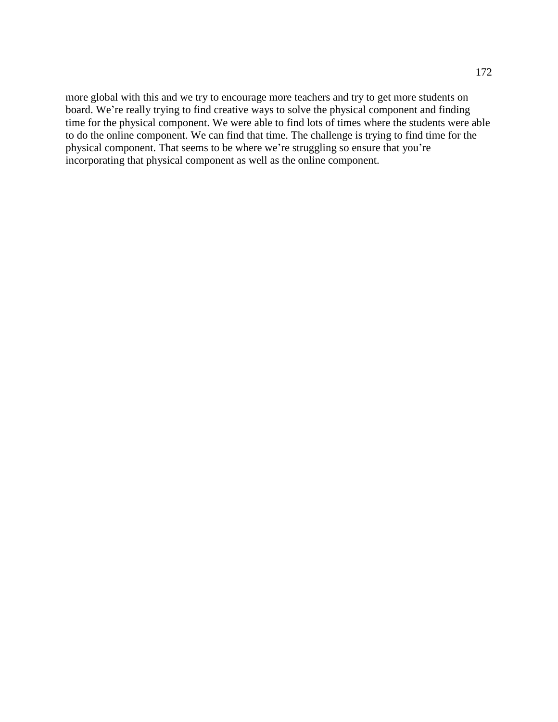more global with this and we try to encourage more teachers and try to get more students on board. We're really trying to find creative ways to solve the physical component and finding time for the physical component. We were able to find lots of times where the students were able to do the online component. We can find that time. The challenge is trying to find time for the physical component. That seems to be where we're struggling so ensure that you're incorporating that physical component as well as the online component.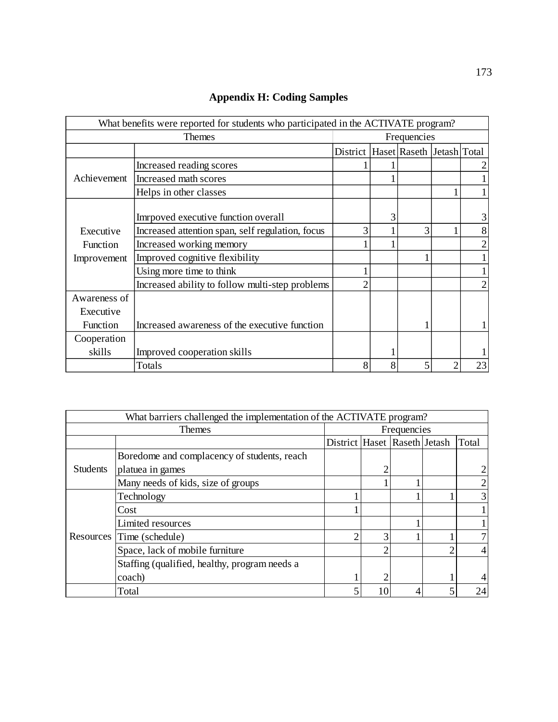| What benefits were reported for students who participated in the ACTIVATE program? |                                                  |                                    |             |   |  |                |
|------------------------------------------------------------------------------------|--------------------------------------------------|------------------------------------|-------------|---|--|----------------|
| Themes                                                                             |                                                  |                                    | Frequencies |   |  |                |
|                                                                                    |                                                  | District Haset Raseth Jetash Total |             |   |  |                |
|                                                                                    | Increased reading scores                         |                                    |             |   |  |                |
| Achievement                                                                        | Increased math scores                            |                                    |             |   |  |                |
|                                                                                    | Helps in other classes                           |                                    |             |   |  |                |
|                                                                                    | Imrpoved executive function overall              |                                    | 3           |   |  | 3              |
| Executive                                                                          | Increased attention span, self regulation, focus | 3                                  |             | 3 |  | 8              |
| Function                                                                           | Increased working memory                         |                                    |             |   |  | $\overline{2}$ |
| Improvement                                                                        | Improved cognitive flexibility                   |                                    |             |   |  |                |
|                                                                                    | Using more time to think                         |                                    |             |   |  |                |
|                                                                                    | Increased ability to follow multi-step problems  |                                    |             |   |  | $\overline{2}$ |
| Awareness of                                                                       |                                                  |                                    |             |   |  |                |
| Executive                                                                          |                                                  |                                    |             |   |  |                |
| Function                                                                           | Increased awareness of the executive function    |                                    |             |   |  |                |
| Cooperation                                                                        |                                                  |                                    |             |   |  |                |
| skills                                                                             | Improved cooperation skills                      |                                    |             |   |  |                |
|                                                                                    | Totals                                           | 8                                  | 8           | 5 |  | 23             |

# **Appendix H: Coding Samples**

| What barriers challenged the implementation of the ACTIVATE program? |                                               |                              |    |   |   |       |
|----------------------------------------------------------------------|-----------------------------------------------|------------------------------|----|---|---|-------|
| <b>Themes</b>                                                        |                                               | Frequencies                  |    |   |   |       |
|                                                                      |                                               | District Haset Raseth Jetash |    |   |   | Total |
|                                                                      | Boredome and complacency of students, reach   |                              |    |   |   |       |
| <b>Students</b>                                                      | platuea in games                              |                              | ി  |   |   |       |
|                                                                      | Many needs of kids, size of groups            |                              |    |   |   |       |
|                                                                      | Technology                                    |                              |    |   |   | 3     |
|                                                                      | Cost                                          |                              |    |   |   |       |
|                                                                      | Limited resources                             |                              |    |   |   |       |
|                                                                      | Resources Time (schedule)                     |                              | 3  |   |   |       |
|                                                                      | Space, lack of mobile furniture               |                              | ◠  |   | ◠ | 4     |
|                                                                      | Staffing (qualified, healthy, program needs a |                              |    |   |   |       |
|                                                                      | coach)                                        |                              | 2  |   |   |       |
|                                                                      | Total                                         |                              | 10 | 4 |   | 24    |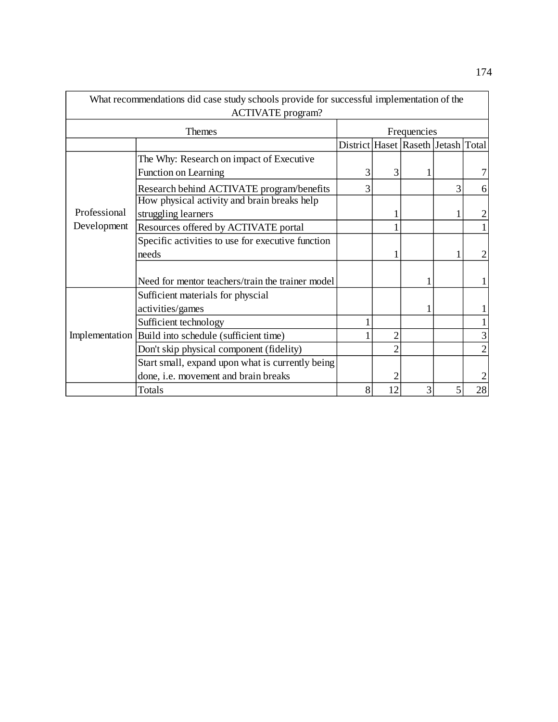| What recommendations did case study schools provide for successful implementation of the<br><b>ACTIVATE</b> program? |                                                        |                                    |                |   |   |                |
|----------------------------------------------------------------------------------------------------------------------|--------------------------------------------------------|------------------------------------|----------------|---|---|----------------|
| Themes                                                                                                               |                                                        | Frequencies                        |                |   |   |                |
|                                                                                                                      |                                                        | District Haset Raseth Jetash Total |                |   |   |                |
|                                                                                                                      | The Why: Research on impact of Executive               |                                    |                |   |   |                |
|                                                                                                                      | <b>Function on Learning</b>                            | 3                                  | 3              |   |   |                |
|                                                                                                                      | Research behind ACTIVATE program/benefits              |                                    |                |   | 3 | 6              |
|                                                                                                                      | How physical activity and brain breaks help            |                                    |                |   |   |                |
| Professional                                                                                                         | struggling learners                                    |                                    |                |   |   | $\overline{2}$ |
| Development                                                                                                          | Resources offered by ACTIVATE portal                   |                                    |                |   |   |                |
|                                                                                                                      | Specific activities to use for executive function      |                                    |                |   |   |                |
|                                                                                                                      | needs                                                  |                                    |                |   |   | $\mathfrak{2}$ |
|                                                                                                                      | Need for mentor teachers/train the trainer model       |                                    |                |   |   | 1              |
|                                                                                                                      | Sufficient materials for physcial                      |                                    |                |   |   |                |
|                                                                                                                      | activities/games                                       |                                    |                |   |   |                |
|                                                                                                                      | Sufficient technology                                  |                                    |                |   |   | 1              |
|                                                                                                                      | Implementation   Build into schedule (sufficient time) |                                    | $\overline{2}$ |   |   | 3              |
|                                                                                                                      | Don't skip physical component (fidelity)               |                                    | $\overline{2}$ |   |   | $\mathfrak{2}$ |
|                                                                                                                      | Start small, expand upon what is currently being       |                                    |                |   |   |                |
|                                                                                                                      | done, i.e. movement and brain breaks                   |                                    | $\overline{c}$ |   |   | $\overline{c}$ |
|                                                                                                                      | Totals                                                 | 8                                  | 12             | 3 |   | 28             |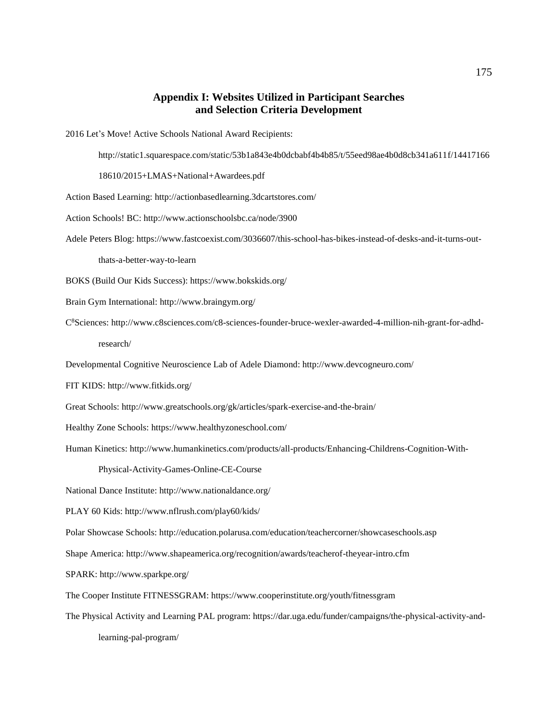#### **Appendix I: Websites Utilized in Participant Searches and Selection Criteria Development**

2016 Let's Move! Active Schools National Award Recipients:

http://static1.squarespace.com/static/53b1a843e4b0dcbabf4b4b85/t/55eed98ae4b0d8cb341a611f/14417166

18610/2015+LMAS+National+Awardees.pdf

Action Based Learning: http://actionbasedlearning.3dcartstores.com/

Action Schools! BC: http://www.actionschoolsbc.ca/node/3900

Adele Peters Blog: https://www.fastcoexist.com/3036607/this-school-has-bikes-instead-of-desks-and-it-turns-out-

thats-a-better-way-to-learn

BOKS (Build Our Kids Success): https://www.bokskids.org/

Brain Gym International: http://www.braingym.org/

C 8Sciences: http://www.c8sciences.com/c8-sciences-founder-bruce-wexler-awarded-4-million-nih-grant-for-adhd-

research/

Developmental Cognitive Neuroscience Lab of Adele Diamond: http://www.devcogneuro.com/

FIT KIDS: http://www.fitkids.org/

Great Schools: http://www.greatschools.org/gk/articles/spark-exercise-and-the-brain/

Healthy Zone Schools: https://www.healthyzoneschool.com/

Human Kinetics: http://www.humankinetics.com/products/all-products/Enhancing-Childrens-Cognition-With-

Physical-Activity-Games-Online-CE-Course

National Dance Institute: http://www.nationaldance.org/

PLAY 60 Kids: http://www.nflrush.com/play60/kids/

Polar Showcase Schools: http://education.polarusa.com/education/teachercorner/showcaseschools.asp

Shape America: http://www.shapeamerica.org/recognition/awards/teacherof-theyear-intro.cfm

SPARK: http://www.sparkpe.org/

The Cooper Institute FITNESSGRAM: https://www.cooperinstitute.org/youth/fitnessgram

The Physical Activity and Learning PAL program: https://dar.uga.edu/funder/campaigns/the-physical-activity-and-

learning-pal-program/